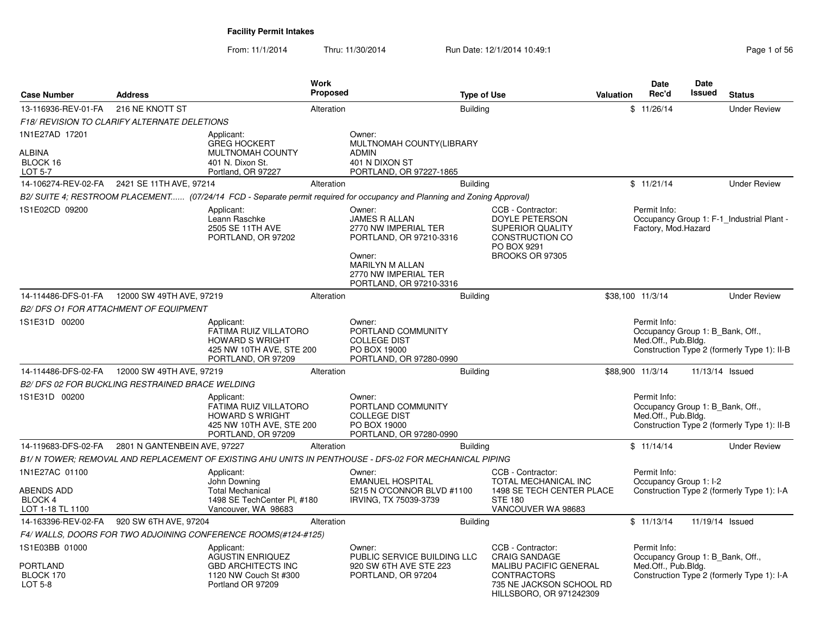From: 11/1/2014Thru: 11/30/2014 Run Date: 12/1/2014 10:49:1 Rege 1 of 56

| <b>Case Number</b>                                                 | <b>Address</b>                                   |                                                                                                                  | Work<br>Proposed |                                                                                                                                                                   | <b>Type of Use</b> |                                                                                                                                                         | Valuation        | <b>Date</b><br>Rec'd                                                    | <b>Date</b><br><b>Issued</b> | <b>Status</b>                               |
|--------------------------------------------------------------------|--------------------------------------------------|------------------------------------------------------------------------------------------------------------------|------------------|-------------------------------------------------------------------------------------------------------------------------------------------------------------------|--------------------|---------------------------------------------------------------------------------------------------------------------------------------------------------|------------------|-------------------------------------------------------------------------|------------------------------|---------------------------------------------|
| 13-116936-REV-01-FA                                                | 216 NE KNOTT ST                                  |                                                                                                                  | Alteration       |                                                                                                                                                                   | <b>Building</b>    |                                                                                                                                                         |                  | \$11/26/14                                                              |                              | <b>Under Review</b>                         |
|                                                                    | F18/ REVISION TO CLARIFY ALTERNATE DELETIONS     |                                                                                                                  |                  |                                                                                                                                                                   |                    |                                                                                                                                                         |                  |                                                                         |                              |                                             |
| 1N1E27AD 17201<br><b>ALBINA</b><br>BLOCK 16<br>LOT 5-7             |                                                  | Applicant:<br><b>GREG HOCKERT</b><br><b>MULTNOMAH COUNTY</b><br>401 N. Dixon St.<br>Portland, OR 97227           |                  | Owner:<br>MULTNOMAH COUNTY(LIBRARY<br><b>ADMIN</b><br>401 N DIXON ST<br>PORTLAND, OR 97227-1865                                                                   |                    |                                                                                                                                                         |                  |                                                                         |                              |                                             |
| 14-106274-REV-02-FA                                                | 2421 SE 11TH AVE, 97214                          |                                                                                                                  | Alteration       |                                                                                                                                                                   | <b>Building</b>    |                                                                                                                                                         |                  | \$11/21/14                                                              |                              | <b>Under Review</b>                         |
|                                                                    |                                                  |                                                                                                                  |                  | B2/ SUITE 4; RESTROOM PLACEMENT (07/24/14 FCD - Separate permit required for occupancy and Planning and Zoning Approval)                                          |                    |                                                                                                                                                         |                  |                                                                         |                              |                                             |
| 1S1E02CD 09200                                                     |                                                  | Applicant:<br>Leann Raschke<br>2505 SE 11TH AVE<br>PORTLAND, OR 97202                                            |                  | Owner:<br><b>JAMES R ALLAN</b><br>2770 NW IMPERIAL TER<br>PORTLAND, OR 97210-3316<br>Owner:<br>MARILYN M ALLAN<br>2770 NW IMPERIAL TER<br>PORTLAND, OR 97210-3316 |                    | CCB - Contractor:<br>DOYLE PETERSON<br><b>SUPERIOR QUALITY</b><br>CONSTRUCTION CO<br>PO BOX 9291<br>BROOKS OR 97305                                     |                  | Permit Info:<br>Factory, Mod.Hazard                                     |                              | Occupancy Group 1: F-1 Industrial Plant -   |
| 14-114486-DFS-01-FA                                                | 12000 SW 49TH AVE, 97219                         |                                                                                                                  | Alteration       |                                                                                                                                                                   | <b>Building</b>    |                                                                                                                                                         | \$38.100 11/3/14 |                                                                         |                              | <b>Under Review</b>                         |
|                                                                    | <b>B2/ DFS O1 FOR ATTACHMENT OF EQUIPMENT</b>    |                                                                                                                  |                  |                                                                                                                                                                   |                    |                                                                                                                                                         |                  |                                                                         |                              |                                             |
| 1S1E31D 00200                                                      |                                                  | Applicant:<br>FATIMA RUIZ VILLATORO<br><b>HOWARD S WRIGHT</b><br>425 NW 10TH AVE, STE 200<br>PORTLAND, OR 97209  |                  | Owner:<br>PORTLAND COMMUNITY<br><b>COLLEGE DIST</b><br>PO BOX 19000<br>PORTLAND, OR 97280-0990                                                                    |                    |                                                                                                                                                         |                  | Permit Info:<br>Occupancy Group 1: B Bank, Off.,<br>Med.Off., Pub.Bldg. |                              | Construction Type 2 (formerly Type 1): II-B |
| 14-114486-DFS-02-FA                                                | 12000 SW 49TH AVE, 97219                         |                                                                                                                  | Alteration       |                                                                                                                                                                   | <b>Building</b>    |                                                                                                                                                         | \$88,900 11/3/14 |                                                                         |                              | 11/13/14 Issued                             |
|                                                                    | B2/ DFS 02 FOR BUCKLING RESTRAINED BRACE WELDING |                                                                                                                  |                  |                                                                                                                                                                   |                    |                                                                                                                                                         |                  |                                                                         |                              |                                             |
| 1S1E31D 00200                                                      |                                                  | Applicant:<br>FATIMA RUIZ VILLATORO<br><b>HOWARD S WRIGHT</b><br>425 NW 10TH AVE, STE 200<br>PORTLAND, OR 97209  |                  | Owner:<br>PORTLAND COMMUNITY<br><b>COLLEGE DIST</b><br>PO BOX 19000<br>PORTLAND, OR 97280-0990                                                                    |                    |                                                                                                                                                         |                  | Permit Info:<br>Occupancy Group 1: B Bank, Off.,<br>Med.Off., Pub.Bldg. |                              | Construction Type 2 (formerly Type 1): II-B |
| 14-119683-DFS-02-FA                                                | 2801 N GANTENBEIN AVE, 97227                     |                                                                                                                  | Alteration       |                                                                                                                                                                   | <b>Building</b>    |                                                                                                                                                         |                  | \$11/14/14                                                              |                              | <b>Under Review</b>                         |
|                                                                    |                                                  |                                                                                                                  |                  | B1/ N TOWER; REMOVAL AND REPLACEMENT OF EXISTING AHU UNITS IN PENTHOUSE - DFS-02 FOR MECHANICAL PIPING                                                            |                    |                                                                                                                                                         |                  |                                                                         |                              |                                             |
| 1N1E27AC 01100<br><b>ABENDS ADD</b><br>BLOCK 4<br>LOT 1-18 TL 1100 |                                                  | Applicant:<br>John Downing<br><b>Total Mechanical</b><br>1498 SE TechCenter Pl, #180<br>Vancouver, WA 98683      |                  | Owner:<br><b>EMANUEL HOSPITAL</b><br>5215 N O'CONNOR BLVD #1100<br>IRVING, TX 75039-3739                                                                          |                    | CCB - Contractor:<br><b>TOTAL MECHANICAL INC</b><br>1498 SE TECH CENTER PLACE<br><b>STE 180</b><br>VANCOUVER WA 98683                                   |                  | Permit Info:<br>Occupancy Group 1: I-2                                  |                              | Construction Type 2 (formerly Type 1): I-A  |
| 14-163396-REV-02-FA                                                | 920 SW 6TH AVE, 97204                            |                                                                                                                  | Alteration       |                                                                                                                                                                   | <b>Building</b>    |                                                                                                                                                         |                  | \$11/13/14                                                              |                              | 11/19/14 Issued                             |
|                                                                    |                                                  | F4/WALLS, DOORS FOR TWO ADJOINING CONFERENCE ROOMS(#124-#125)                                                    |                  |                                                                                                                                                                   |                    |                                                                                                                                                         |                  |                                                                         |                              |                                             |
| 1S1E03BB 01000<br><b>PORTLAND</b><br>BLOCK 170<br>LOT 5-8          |                                                  | Applicant:<br><b>AGUSTIN ENRIQUEZ</b><br><b>GBD ARCHITECTS INC</b><br>1120 NW Couch St #300<br>Portland OR 97209 |                  | Owner:<br>PUBLIC SERVICE BUILDING LLC<br>920 SW 6TH AVE STE 223<br>PORTLAND, OR 97204                                                                             |                    | CCB - Contractor:<br><b>CRAIG SANDAGE</b><br><b>MALIBU PACIFIC GENERAL</b><br><b>CONTRACTORS</b><br>735 NE JACKSON SCHOOL RD<br>HILLSBORO, OR 971242309 |                  | Permit Info:<br>Occupancy Group 1: B_Bank, Off.,<br>Med.Off., Pub.Bldg. |                              | Construction Type 2 (formerly Type 1): I-A  |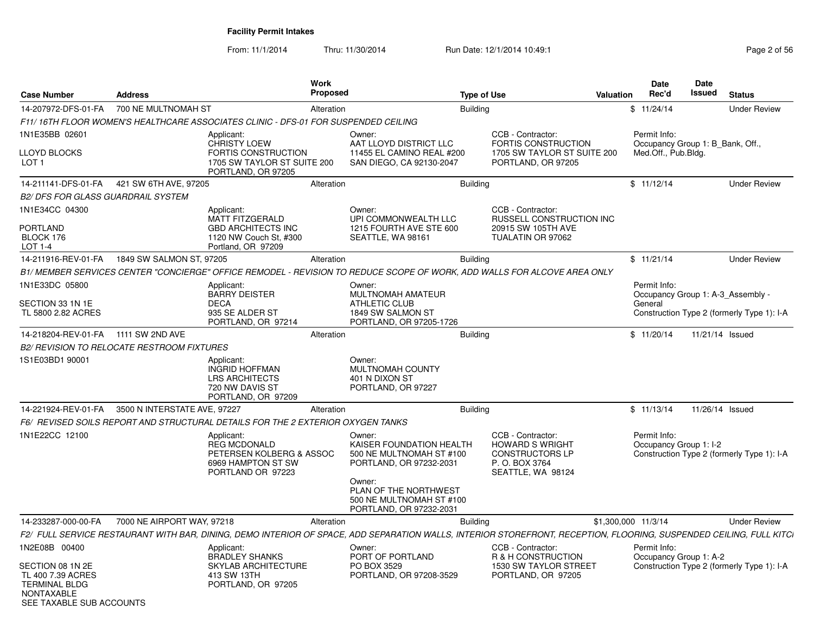| <b>Case Number</b>                                                                                             | <b>Address</b>                                    |                                                                                                                                                                     | Work<br>Proposed |                                                                                                     | <b>Type of Use</b>                                                                                           | Valuation | <b>Date</b><br>Rec'd                                    | <b>Date</b><br>Issued | <b>Status</b>                              |
|----------------------------------------------------------------------------------------------------------------|---------------------------------------------------|---------------------------------------------------------------------------------------------------------------------------------------------------------------------|------------------|-----------------------------------------------------------------------------------------------------|--------------------------------------------------------------------------------------------------------------|-----------|---------------------------------------------------------|-----------------------|--------------------------------------------|
| 14-207972-DFS-01-FA                                                                                            | 700 NE MULTNOMAH ST                               |                                                                                                                                                                     | Alteration       |                                                                                                     | Building                                                                                                     |           | \$11/24/14                                              |                       | <b>Under Review</b>                        |
|                                                                                                                |                                                   | F11/16TH FLOOR WOMEN'S HEALTHCARE ASSOCIATES CLINIC - DFS-01 FOR SUSPENDED CEILING                                                                                  |                  |                                                                                                     |                                                                                                              |           |                                                         |                       |                                            |
| 1N1E35BB 02601                                                                                                 |                                                   | Applicant:                                                                                                                                                          |                  | Owner:                                                                                              | CCB - Contractor:                                                                                            |           | Permit Info:                                            |                       |                                            |
| LLOYD BLOCKS<br>LOT <sub>1</sub>                                                                               |                                                   | CHRISTY LOEW<br>FORTIS CONSTRUCTION<br>1705 SW TAYLOR ST SUITE 200<br>PORTLAND, OR 97205                                                                            |                  | AAT LLOYD DISTRICT LLC<br>11455 EL CAMINO REAL #200<br>SAN DIEGO, CA 92130-2047                     | <b>FORTIS CONSTRUCTION</b><br>1705 SW TAYLOR ST SUITE 200<br>PORTLAND, OR 97205                              |           | Occupancy Group 1: B_Bank, Off.,<br>Med.Off., Pub.Bldg. |                       |                                            |
|                                                                                                                | 14-211141-DFS-01-FA 421 SW 6TH AVE, 97205         |                                                                                                                                                                     | Alteration       |                                                                                                     | <b>Building</b>                                                                                              |           | \$11/12/14                                              |                       | <b>Under Review</b>                        |
| <b>B2/ DFS FOR GLASS GUARDRAIL SYSTEM</b>                                                                      |                                                   |                                                                                                                                                                     |                  |                                                                                                     |                                                                                                              |           |                                                         |                       |                                            |
| 1N1E34CC 04300                                                                                                 |                                                   | Applicant:<br><b>MATT FITZGERALD</b>                                                                                                                                |                  | Owner:<br>UPI COMMONWEALTH LLC                                                                      | CCB - Contractor:<br>RUSSELL CONSTRUCTION INC                                                                |           |                                                         |                       |                                            |
| <b>PORTLAND</b><br>BLOCK 176<br>LOT 1-4                                                                        |                                                   | <b>GBD ARCHITECTS INC</b><br>1120 NW Couch St, #300<br>Portland, OR 97209                                                                                           |                  | 1215 FOURTH AVE STE 600<br>SEATTLE, WA 98161                                                        | 20915 SW 105TH AVE<br>TUALATIN OR 97062                                                                      |           |                                                         |                       |                                            |
| 14-211916-REV-01-FA                                                                                            | 1849 SW SALMON ST, 97205                          |                                                                                                                                                                     | Alteration       |                                                                                                     | <b>Building</b>                                                                                              |           | \$11/21/14                                              |                       | <b>Under Review</b>                        |
|                                                                                                                |                                                   | B1/MEMBER SERVICES CENTER "CONCIERGE" OFFICE REMODEL - REVISION TO REDUCE SCOPE OF WORK, ADD WALLS FOR ALCOVE AREA ONLY                                             |                  |                                                                                                     |                                                                                                              |           |                                                         |                       |                                            |
| 1N1E33DC 05800                                                                                                 |                                                   | Applicant:<br><b>BARRY DEISTER</b>                                                                                                                                  |                  | Owner:<br>MULTNOMAH AMATEUR                                                                         |                                                                                                              |           | Permit Info:<br>Occupancy Group 1: A-3_Assembly -       |                       |                                            |
| SECTION 33 1N 1E<br>TL 5800 2.82 ACRES                                                                         |                                                   | <b>DECA</b><br>935 SE ALDER ST<br>PORTLAND, OR 97214                                                                                                                |                  | <b>ATHLETIC CLUB</b><br>1849 SW SALMON ST<br>PORTLAND, OR 97205-1726                                |                                                                                                              |           | General                                                 |                       | Construction Type 2 (formerly Type 1): I-A |
| 14-218204-REV-01-FA                                                                                            | 1111 SW 2ND AVE                                   |                                                                                                                                                                     | Alteration       |                                                                                                     | <b>Building</b>                                                                                              |           | \$11/20/14                                              | 11/21/14 Issued       |                                            |
|                                                                                                                | <b>B2/ REVISION TO RELOCATE RESTROOM FIXTURES</b> |                                                                                                                                                                     |                  |                                                                                                     |                                                                                                              |           |                                                         |                       |                                            |
| 1S1E03BD1 90001                                                                                                |                                                   | Applicant:<br><b>INGRID HOFFMAN</b><br><b>LRS ARCHITECTS</b><br>720 NW DAVIS ST<br>PORTLAND, OR 97209                                                               |                  | Owner:<br>MULTNOMAH COUNTY<br>401 N DIXON ST<br>PORTLAND, OR 97227                                  |                                                                                                              |           |                                                         |                       |                                            |
| 14-221924-REV-01-FA                                                                                            | 3500 N INTERSTATE AVE, 97227                      |                                                                                                                                                                     | Alteration       |                                                                                                     | <b>Building</b>                                                                                              |           | \$11/13/14                                              | 11/26/14 Issued       |                                            |
|                                                                                                                |                                                   | F6/ REVISED SOILS REPORT AND STRUCTURAL DETAILS FOR THE 2 EXTERIOR OXYGEN TANKS                                                                                     |                  |                                                                                                     |                                                                                                              |           |                                                         |                       |                                            |
| 1N1E22CC 12100                                                                                                 |                                                   | Applicant:<br><b>REG MCDONALD</b><br>PETERSEN KOLBERG & ASSOC<br>6969 HAMPTON ST SW<br>PORTLAND OR 97223                                                            |                  | Owner:<br>KAISER FOUNDATION HEALTH<br>500 NE MULTNOMAH ST #100<br>PORTLAND, OR 97232-2031<br>Owner: | CCB - Contractor:<br><b>HOWARD S WRIGHT</b><br><b>CONSTRUCTORS LP</b><br>P. O. BOX 3764<br>SEATTLE, WA 98124 |           | Permit Info:<br>Occupancy Group 1: I-2                  |                       | Construction Type 2 (formerly Type 1): I-A |
|                                                                                                                |                                                   |                                                                                                                                                                     |                  | PLAN OF THE NORTHWEST<br>500 NE MULTNOMAH ST #100<br>PORTLAND, OR 97232-2031                        |                                                                                                              |           |                                                         |                       |                                            |
| 14-233287-000-00-FA                                                                                            | 7000 NE AIRPORT WAY, 97218                        |                                                                                                                                                                     | Alteration       |                                                                                                     | <b>Building</b>                                                                                              |           | \$1,300,000 11/3/14                                     |                       | <b>Under Review</b>                        |
|                                                                                                                |                                                   | F2/ FULL SERVICE RESTAURANT WITH BAR, DINING, DEMO INTERIOR OF SPACE, ADD SEPARATION WALLS, INTERIOR STOREFRONT, RECEPTION, FLOORING, SUSPENDED CEILING, FULL KITCI |                  |                                                                                                     |                                                                                                              |           |                                                         |                       |                                            |
| 1N2E08B 00400                                                                                                  |                                                   | Applicant:<br><b>BRADLEY SHANKS</b>                                                                                                                                 |                  | Owner:<br>PORT OF PORTLAND                                                                          | CCB - Contractor:<br>R & H CONSTRUCTION                                                                      |           | Permit Info:<br>Occupancy Group 1: A-2                  |                       |                                            |
| SECTION 08 1N 2E<br>TL 400 7.39 ACRES<br><b>TERMINAL BLDG</b><br><b>NONTAXABLE</b><br>SEE TAXABLE SUB ACCOUNTS |                                                   | <b>SKYLAB ARCHITECTURE</b><br>413 SW 13TH<br>PORTLAND, OR 97205                                                                                                     |                  | PO BOX 3529<br>PORTLAND, OR 97208-3529                                                              | 1530 SW TAYLOR STREET<br>PORTLAND, OR 97205                                                                  |           |                                                         |                       | Construction Type 2 (formerly Type 1): I-A |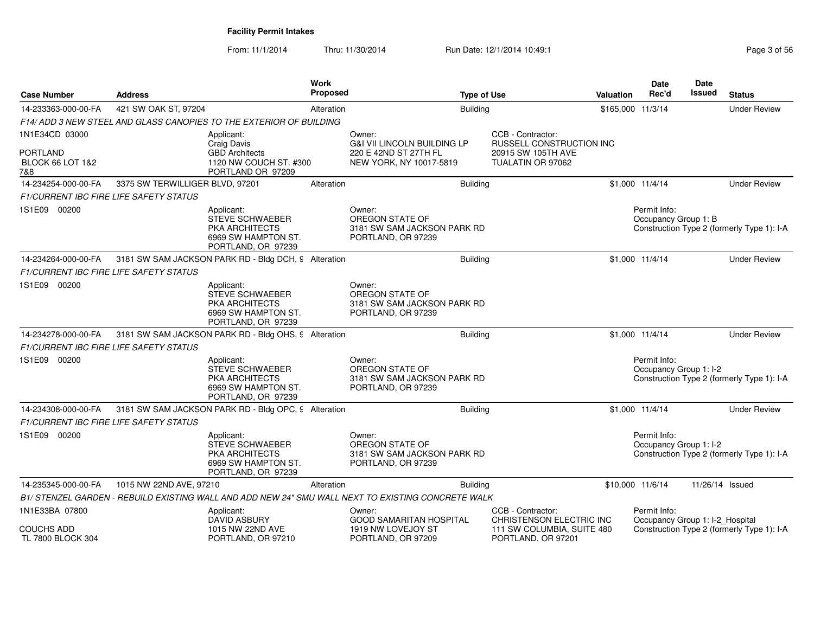From: 11/1/2014Thru: 11/30/2014 Run Date: 12/1/2014 10:49:1 Rege 3 of 56

| 421 SW OAK ST, 97204<br><b>Building</b><br>\$165,000 11/3/14<br>14-233363-000-00-FA<br>Alteration<br>F14/ADD 3 NEW STEEL AND GLASS CANOPIES TO THE EXTERIOR OF BUILDING<br>CCB - Contractor:<br>1N1E34CD 03000<br>Applicant:<br>Owner:<br><b>Craig Davis</b><br><b>G&amp;I VII LINCOLN BUILDING LP</b><br>RUSSELL CONSTRUCTION INC<br>PORTLAND<br><b>GBD</b> Architects<br>220 E 42ND ST 27TH FL<br>20915 SW 105TH AVE<br>BLOCK 66 LOT 1&2<br>1120 NW COUCH ST. #300<br>NEW YORK, NY 10017-5819<br>TUALATIN OR 97062<br>PORTLAND OR 97209<br>7&8<br>3375 SW TERWILLIGER BLVD, 97201<br>14-234254-000-00-FA<br>Alteration<br><b>Building</b><br>\$1,000 11/4/14<br>F1/CURRENT IBC FIRE LIFE SAFETY STATUS<br>1S1E09 00200<br>Owner:<br>Permit Info:<br>Applicant:<br>OREGON STATE OF<br><b>STEVE SCHWAEBER</b><br>Occupancy Group 1: B<br>3181 SW SAM JACKSON PARK RD<br><b>PKA ARCHITECTS</b><br>6969 SW HAMPTON ST.<br>PORTLAND, OR 97239<br>PORTLAND, OR 97239<br>3181 SW SAM JACKSON PARK RD - Bldg DCH, 9 Alteration<br><b>Building</b><br>14-234264-000-00-FA<br>\$1,000 11/4/14<br><i>F1/CURRENT IBC FIRE LIFE SAFETY STATUS</i><br>1S1E09 00200<br>Owner:<br>Applicant:<br>OREGON STATE OF<br><b>STEVE SCHWAEBER</b><br><b>PKA ARCHITECTS</b><br>3181 SW SAM JACKSON PARK RD | <b>Under Review</b>                                                  |
|-------------------------------------------------------------------------------------------------------------------------------------------------------------------------------------------------------------------------------------------------------------------------------------------------------------------------------------------------------------------------------------------------------------------------------------------------------------------------------------------------------------------------------------------------------------------------------------------------------------------------------------------------------------------------------------------------------------------------------------------------------------------------------------------------------------------------------------------------------------------------------------------------------------------------------------------------------------------------------------------------------------------------------------------------------------------------------------------------------------------------------------------------------------------------------------------------------------------------------------------------------------------------------------|----------------------------------------------------------------------|
|                                                                                                                                                                                                                                                                                                                                                                                                                                                                                                                                                                                                                                                                                                                                                                                                                                                                                                                                                                                                                                                                                                                                                                                                                                                                                     |                                                                      |
|                                                                                                                                                                                                                                                                                                                                                                                                                                                                                                                                                                                                                                                                                                                                                                                                                                                                                                                                                                                                                                                                                                                                                                                                                                                                                     |                                                                      |
|                                                                                                                                                                                                                                                                                                                                                                                                                                                                                                                                                                                                                                                                                                                                                                                                                                                                                                                                                                                                                                                                                                                                                                                                                                                                                     |                                                                      |
|                                                                                                                                                                                                                                                                                                                                                                                                                                                                                                                                                                                                                                                                                                                                                                                                                                                                                                                                                                                                                                                                                                                                                                                                                                                                                     |                                                                      |
|                                                                                                                                                                                                                                                                                                                                                                                                                                                                                                                                                                                                                                                                                                                                                                                                                                                                                                                                                                                                                                                                                                                                                                                                                                                                                     | <b>Under Review</b>                                                  |
|                                                                                                                                                                                                                                                                                                                                                                                                                                                                                                                                                                                                                                                                                                                                                                                                                                                                                                                                                                                                                                                                                                                                                                                                                                                                                     |                                                                      |
|                                                                                                                                                                                                                                                                                                                                                                                                                                                                                                                                                                                                                                                                                                                                                                                                                                                                                                                                                                                                                                                                                                                                                                                                                                                                                     | Construction Type 2 (formerly Type 1): I-A                           |
|                                                                                                                                                                                                                                                                                                                                                                                                                                                                                                                                                                                                                                                                                                                                                                                                                                                                                                                                                                                                                                                                                                                                                                                                                                                                                     | <b>Under Review</b>                                                  |
|                                                                                                                                                                                                                                                                                                                                                                                                                                                                                                                                                                                                                                                                                                                                                                                                                                                                                                                                                                                                                                                                                                                                                                                                                                                                                     |                                                                      |
| 6969 SW HAMPTON ST.<br>PORTLAND, OR 97239<br>PORTLAND, OR 97239                                                                                                                                                                                                                                                                                                                                                                                                                                                                                                                                                                                                                                                                                                                                                                                                                                                                                                                                                                                                                                                                                                                                                                                                                     |                                                                      |
| 3181 SW SAM JACKSON PARK RD - Bldg OHS, 9 Alteration<br><b>Building</b><br>\$1,000 11/4/14<br>14-234278-000-00-FA                                                                                                                                                                                                                                                                                                                                                                                                                                                                                                                                                                                                                                                                                                                                                                                                                                                                                                                                                                                                                                                                                                                                                                   | <b>Under Review</b>                                                  |
| F1/CURRENT IBC FIRE LIFE SAFETY STATUS                                                                                                                                                                                                                                                                                                                                                                                                                                                                                                                                                                                                                                                                                                                                                                                                                                                                                                                                                                                                                                                                                                                                                                                                                                              |                                                                      |
| 1S1E09 00200<br>Permit Info:<br>Applicant:<br>Owner:<br>OREGON STATE OF<br>STEVE SCHWAEBER<br>PKA ARCHITECTS<br>3181 SW SAM JACKSON PARK RD<br>6969 SW HAMPTON ST.<br>PORTLAND, OR 97239<br>PORTLAND, OR 97239                                                                                                                                                                                                                                                                                                                                                                                                                                                                                                                                                                                                                                                                                                                                                                                                                                                                                                                                                                                                                                                                      | Occupancy Group 1: I-2<br>Construction Type 2 (formerly Type 1): I-A |
| 3181 SW SAM JACKSON PARK RD - Bldg OPC, 9 Alteration<br><b>Building</b><br>14-234308-000-00-FA<br>\$1,000 11/4/14                                                                                                                                                                                                                                                                                                                                                                                                                                                                                                                                                                                                                                                                                                                                                                                                                                                                                                                                                                                                                                                                                                                                                                   | <b>Under Review</b>                                                  |
| <b>F1/CURRENT IBC FIRE LIFE SAFETY STATUS</b>                                                                                                                                                                                                                                                                                                                                                                                                                                                                                                                                                                                                                                                                                                                                                                                                                                                                                                                                                                                                                                                                                                                                                                                                                                       |                                                                      |
| 1S1E09 00200<br>Permit Info:<br>Owner:<br>Applicant:<br>OREGON STATE OF<br>STEVE SCHWAEBER<br><b>PKA ARCHITECTS</b><br>3181 SW SAM JACKSON PARK RD<br>6969 SW HAMPTON ST.<br>PORTLAND, OR 97239<br>PORTLAND, OR 97239                                                                                                                                                                                                                                                                                                                                                                                                                                                                                                                                                                                                                                                                                                                                                                                                                                                                                                                                                                                                                                                               | Occupancy Group 1: I-2<br>Construction Type 2 (formerly Type 1): I-A |
| 1015 NW 22ND AVE, 97210<br>\$10,000 11/6/14<br>14-235345-000-00-FA<br>Alteration<br><b>Building</b>                                                                                                                                                                                                                                                                                                                                                                                                                                                                                                                                                                                                                                                                                                                                                                                                                                                                                                                                                                                                                                                                                                                                                                                 | 11/26/14 Issued                                                      |
| B1/ STENZEL GARDEN - REBUILD EXISTING WALL AND ADD NEW 24" SMU WALL NEXT TO EXISTING CONCRETE WALK                                                                                                                                                                                                                                                                                                                                                                                                                                                                                                                                                                                                                                                                                                                                                                                                                                                                                                                                                                                                                                                                                                                                                                                  |                                                                      |
| 1N1E33BA 07800<br>CCB - Contractor:<br>Permit Info:<br>Applicant:<br>Owner:<br><b>DAVID ASBURY</b><br><b>GOOD SAMARITAN HOSPITAL</b><br>CHRISTENSON ELECTRIC INC<br>Occupancy Group 1: I-2 Hospital<br><b>COUCHS ADD</b><br>1015 NW 22ND AVE<br>Construction Type 2 (formerly Type 1): I-A<br>1919 NW LOVEJOY ST<br>111 SW COLUMBIA, SUITE 480<br>TL 7800 BLOCK 304<br>PORTLAND, OR 97210<br>PORTLAND, OR 97209<br>PORTLAND, OR 97201                                                                                                                                                                                                                                                                                                                                                                                                                                                                                                                                                                                                                                                                                                                                                                                                                                               |                                                                      |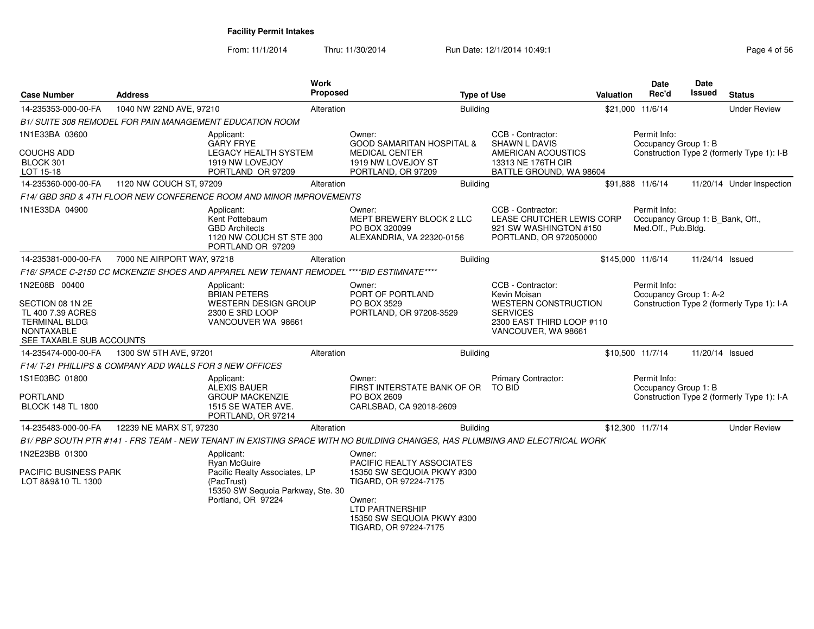| <b>Case Number</b>                                                                                             | <b>Address</b>                                          |                                                                                                        | <b>Work</b><br><b>Proposed</b> |                                                                                                                                                | <b>Type of Use</b>                                                                                 | Valuation | <b>Date</b><br>Rec'd                                                    | <b>Date</b><br>Issued | <b>Status</b>                              |
|----------------------------------------------------------------------------------------------------------------|---------------------------------------------------------|--------------------------------------------------------------------------------------------------------|--------------------------------|------------------------------------------------------------------------------------------------------------------------------------------------|----------------------------------------------------------------------------------------------------|-----------|-------------------------------------------------------------------------|-----------------------|--------------------------------------------|
| 14-235353-000-00-FA                                                                                            | 1040 NW 22ND AVE, 97210                                 |                                                                                                        | Alteration                     | <b>Building</b>                                                                                                                                |                                                                                                    |           | \$21,000 11/6/14                                                        |                       | <b>Under Review</b>                        |
|                                                                                                                |                                                         | <b>B1/ SUITE 308 REMODEL FOR PAIN MANAGEMENT EDUCATION ROOM</b>                                        |                                |                                                                                                                                                |                                                                                                    |           |                                                                         |                       |                                            |
| 1N1E33BA 03600                                                                                                 |                                                         | Applicant:<br><b>GARY FRYE</b>                                                                         |                                | Owner:<br><b>GOOD SAMARITAN HOSPITAL &amp;</b>                                                                                                 | CCB - Contractor:<br><b>SHAWN L DAVIS</b>                                                          |           | Permit Info:<br>Occupancy Group 1: B                                    |                       |                                            |
| <b>COUCHS ADD</b><br>BLOCK 301<br>LOT 15-18                                                                    |                                                         | <b>LEGACY HEALTH SYSTEM</b><br>1919 NW LOVEJOY<br>PORTLAND OR 97209                                    |                                | <b>MEDICAL CENTER</b><br>1919 NW LOVEJOY ST<br>PORTLAND, OR 97209                                                                              | AMERICAN ACOUSTICS<br>13313 NE 176TH CIR<br>BATTLE GROUND, WA 98604                                |           |                                                                         |                       | Construction Type 2 (formerly Type 1): I-B |
| 14-235360-000-00-FA                                                                                            | 1120 NW COUCH ST, 97209                                 |                                                                                                        | Alteration                     | <b>Building</b>                                                                                                                                |                                                                                                    |           | \$91,888 11/6/14                                                        |                       | 11/20/14 Under Inspection                  |
|                                                                                                                |                                                         | F14/ GBD 3RD & 4TH FLOOR NEW CONFERENCE ROOM AND MINOR IMPROVEMENTS                                    |                                |                                                                                                                                                |                                                                                                    |           |                                                                         |                       |                                            |
| 1N1E33DA 04900                                                                                                 |                                                         | Applicant:<br>Kent Pottebaum<br><b>GBD Architects</b><br>1120 NW COUCH ST STE 300<br>PORTLAND OR 97209 |                                | Owner:<br>MEPT BREWERY BLOCK 2 LLC<br>PO BOX 320099<br>ALEXANDRIA, VA 22320-0156                                                               | CCB - Contractor:<br>LEASE CRUTCHER LEWIS CORP<br>921 SW WASHINGTON #150<br>PORTLAND, OR 972050000 |           | Permit Info:<br>Occupancy Group 1: B_Bank, Off.,<br>Med.Off., Pub.Bldg. |                       |                                            |
| 14-235381-000-00-FA                                                                                            | 7000 NE AIRPORT WAY, 97218                              |                                                                                                        | Alteration                     | Building                                                                                                                                       |                                                                                                    |           | \$145,000 11/6/14                                                       | 11/24/14 Issued       |                                            |
|                                                                                                                |                                                         | F16/ SPACE C-2150 CC MCKENZIE SHOES AND APPAREL NEW TENANT REMODEL ****BID ESTIMNATE****               |                                |                                                                                                                                                |                                                                                                    |           |                                                                         |                       |                                            |
| 1N2E08B 00400                                                                                                  |                                                         | Applicant:<br><b>BRIAN PETERS</b>                                                                      |                                | Owner:<br>PORT OF PORTLAND                                                                                                                     | CCB - Contractor:<br>Kevin Moisan                                                                  |           | Permit Info:<br>Occupancy Group 1: A-2                                  |                       |                                            |
| SECTION 08 1N 2E<br>TL 400 7.39 ACRES<br><b>TERMINAL BLDG</b><br><b>NONTAXABLE</b><br>SEE TAXABLE SUB ACCOUNTS |                                                         | <b>WESTERN DESIGN GROUP</b><br>2300 E 3RD LOOP<br>VANCOUVER WA 98661                                   |                                | PO BOX 3529<br>PORTLAND, OR 97208-3529                                                                                                         | WESTERN CONSTRUCTION<br><b>SERVICES</b><br>2300 EAST THIRD LOOP #110<br>VANCOUVER, WA 98661        |           |                                                                         |                       | Construction Type 2 (formerly Type 1): I-A |
| 14-235474-000-00-FA                                                                                            | 1300 SW 5TH AVE, 97201                                  |                                                                                                        | Alteration                     | <b>Building</b>                                                                                                                                |                                                                                                    |           | \$10,500 11/7/14                                                        | 11/20/14 Issued       |                                            |
|                                                                                                                | F14/T-21 PHILLIPS & COMPANY ADD WALLS FOR 3 NEW OFFICES |                                                                                                        |                                |                                                                                                                                                |                                                                                                    |           |                                                                         |                       |                                            |
| 1S1E03BC 01800                                                                                                 |                                                         | Applicant:<br><b>ALEXIS BAUER</b>                                                                      |                                | Owner:<br>FIRST INTERSTATE BANK OF OR                                                                                                          | Primary Contractor:<br><b>TO BID</b>                                                               |           | Permit Info:<br>Occupancy Group 1: B                                    |                       |                                            |
| <b>PORTLAND</b><br><b>BLOCK 148 TL 1800</b>                                                                    |                                                         | <b>GROUP MACKENZIE</b><br>1515 SE WATER AVE.<br>PORTLAND, OR 97214                                     |                                | PO BOX 2609<br>CARLSBAD, CA 92018-2609                                                                                                         |                                                                                                    |           |                                                                         |                       | Construction Type 2 (formerly Type 1): I-A |
| 14-235483-000-00-FA                                                                                            | 12239 NE MARX ST, 97230                                 |                                                                                                        | Alteration                     | <b>Building</b>                                                                                                                                |                                                                                                    |           | \$12,300 11/7/14                                                        |                       | <b>Under Review</b>                        |
|                                                                                                                |                                                         |                                                                                                        |                                | B1/PBP SOUTH PTR #141 - FRS TEAM - NEW TENANT IN EXISTING SPACE WITH NO BUILDING CHANGES. HAS PLUMBING AND ELECTRICAL WORK                     |                                                                                                    |           |                                                                         |                       |                                            |
| 1N2E23BB 01300                                                                                                 |                                                         | Applicant:<br><b>Ryan McGuire</b>                                                                      |                                | Owner:<br>PACIFIC REALTY ASSOCIATES                                                                                                            |                                                                                                    |           |                                                                         |                       |                                            |
| PACIFIC BUSINESS PARK<br>LOT 8&9&10 TL 1300                                                                    |                                                         | Pacific Realty Associates, LP<br>(PacTrust)<br>15350 SW Sequoia Parkway, Ste. 30<br>Portland, OR 97224 |                                | 15350 SW SEQUOIA PKWY #300<br>TIGARD, OR 97224-7175<br>Owner:<br><b>LTD PARTNERSHIP</b><br>15350 SW SEQUOIA PKWY #300<br>TIGARD, OR 97224-7175 |                                                                                                    |           |                                                                         |                       |                                            |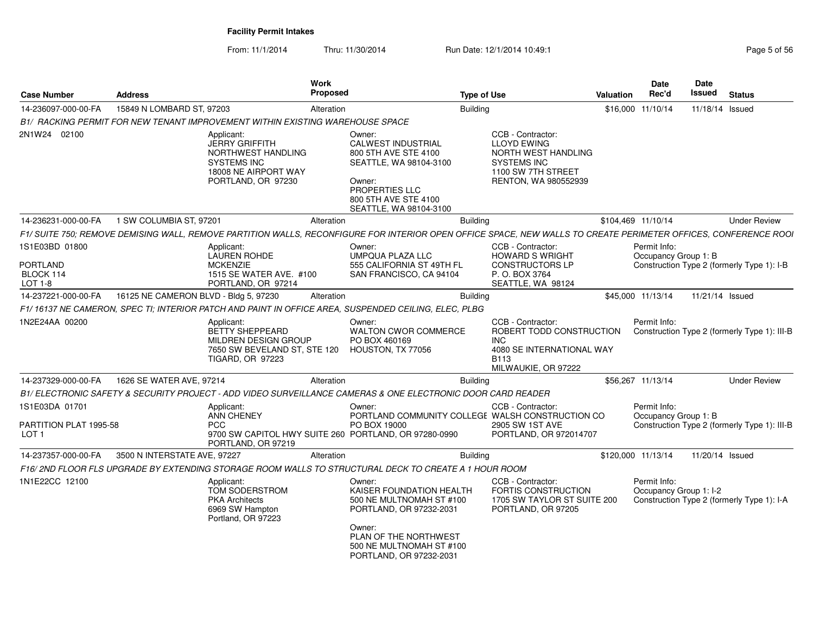From: 11/1/2014Thru: 11/30/2014 Run Date: 12/1/2014 10:49:1 Rege 5 of 56

| <b>Case Number</b>                                           | Address                                                                       | Work<br>Proposed                                                                                                |                                                                                                                                                                                     | <b>Type of Use</b>                                                                                                                        | Valuation | <b>Date</b><br>Rec'd                   | <b>Date</b><br>Issued | <b>Status</b>                                |
|--------------------------------------------------------------|-------------------------------------------------------------------------------|-----------------------------------------------------------------------------------------------------------------|-------------------------------------------------------------------------------------------------------------------------------------------------------------------------------------|-------------------------------------------------------------------------------------------------------------------------------------------|-----------|----------------------------------------|-----------------------|----------------------------------------------|
| 14-236097-000-00-FA                                          | 15849 N LOMBARD ST, 97203                                                     | Alteration                                                                                                      |                                                                                                                                                                                     | Building                                                                                                                                  |           | \$16,000 11/10/14                      | 11/18/14 Issued       |                                              |
|                                                              | B1/ RACKING PERMIT FOR NEW TENANT IMPROVEMENT WITHIN EXISTING WAREHOUSE SPACE |                                                                                                                 |                                                                                                                                                                                     |                                                                                                                                           |           |                                        |                       |                                              |
| 2N1W24 02100                                                 | Applicant:                                                                    | <b>JERRY GRIFFITH</b><br>NORTHWEST HANDLING<br><b>SYSTEMS INC</b><br>18008 NE AIRPORT WAY<br>PORTLAND, OR 97230 | Owner:<br><b>CALWEST INDUSTRIAL</b><br>800 5TH AVE STE 4100<br>SEATTLE, WA 98104-3100<br>Owner:<br>PROPERTIES LLC<br>800 5TH AVE STE 4100<br>SEATTLE, WA 98104-3100                 | CCB - Contractor:<br><b>LLOYD EWING</b><br>NORTH WEST HANDLING<br><b>SYSTEMS INC</b><br>1100 SW 7TH STREET<br><b>RENTON, WA 980552939</b> |           |                                        |                       |                                              |
| 14-236231-000-00-FA                                          | 1 SW COLUMBIA ST, 97201                                                       | Alteration                                                                                                      |                                                                                                                                                                                     | <b>Building</b>                                                                                                                           |           | \$104,469 11/10/14                     |                       | <b>Under Review</b>                          |
|                                                              |                                                                               |                                                                                                                 | F1/ SUITE 750; REMOVE DEMISING WALL, REMOVE PARTITION WALLS, RECONFIGURE FOR INTERIOR OPEN OFFICE SPACE, NEW WALLS TO CREATE PERIMETER OFFICES, CONFERENCE ROOI                     |                                                                                                                                           |           |                                        |                       |                                              |
| 1S1E03BD 01800<br>PORTLAND<br>BLOCK 114<br>LOT 1-8           | Applicant:                                                                    | <b>LAUREN ROHDE</b><br><b>MCKENZIE</b><br>1515 SE WATER AVE. #100<br>PORTLAND, OR 97214                         | Owner:<br><b>UMPQUA PLAZA LLC</b><br>555 CALIFORNIA ST 49TH FL<br>SAN FRANCISCO, CA 94104                                                                                           | CCB - Contractor:<br><b>HOWARD S WRIGHT</b><br><b>CONSTRUCTORS LP</b><br>P.O. BOX 3764<br>SEATTLE, WA 98124                               |           | Permit Info:<br>Occupancy Group 1: B   |                       | Construction Type 2 (formerly Type 1): I-B   |
| 14-237221-000-00-FA                                          | 16125 NE CAMERON BLVD - Bldg 5, 97230                                         | Alteration                                                                                                      |                                                                                                                                                                                     | <b>Building</b>                                                                                                                           |           | \$45,000 11/13/14                      | 11/21/14 Issued       |                                              |
|                                                              |                                                                               |                                                                                                                 | F1/16137 NE CAMERON, SPEC TI; INTERIOR PATCH AND PAINT IN OFFICE AREA, SUSPENDED CEILING, ELEC, PLBG                                                                                |                                                                                                                                           |           |                                        |                       |                                              |
| 1N2E24AA 00200                                               | Applicant:                                                                    | <b>BETTY SHEPPEARD</b><br>MILDREN DESIGN GROUP<br>7650 SW BEVELAND ST, STE 120<br>TIGARD, OR 97223              | Owner:<br><b>WALTON CWOR COMMERCE</b><br>PO BOX 460169<br>HOUSTON, TX 77056                                                                                                         | CCB - Contractor:<br>ROBERT TODD CONSTRUCTION<br><b>INC</b><br>4080 SE INTERNATIONAL WAY<br><b>B113</b><br>MILWAUKIE, OR 97222            |           | Permit Info:                           |                       | Construction Type 2 (formerly Type 1): III-B |
| 14-237329-000-00-FA                                          | 1626 SE WATER AVE, 97214                                                      | Alteration                                                                                                      |                                                                                                                                                                                     | <b>Building</b>                                                                                                                           |           | \$56,267 11/13/14                      |                       | <b>Under Review</b>                          |
|                                                              |                                                                               |                                                                                                                 | B1/ELECTRONIC SAFETY & SECURITY PROJECT - ADD VIDEO SURVEILLANCE CAMERAS & ONE ELECTRONIC DOOR CARD READER                                                                          |                                                                                                                                           |           |                                        |                       |                                              |
| 1S1E03DA 01701<br>PARTITION PLAT 1995-58<br>LOT <sub>1</sub> | Applicant:<br><b>PCC</b>                                                      | <b>ANN CHENEY</b><br>PORTLAND, OR 97219                                                                         | Owner:<br>PORTLAND COMMUNITY COLLEGE WALSH CONSTRUCTION CO<br>PO BOX 19000<br>9700 SW CAPITOL HWY SUITE 260 PORTLAND, OR 97280-0990                                                 | CCB - Contractor:<br>2905 SW 1ST AVE<br>PORTLAND, OR 972014707                                                                            |           | Permit Info:<br>Occupancy Group 1: B   |                       | Construction Type 2 (formerly Type 1): III-B |
| 14-237357-000-00-FA                                          | 3500 N INTERSTATE AVE, 97227                                                  | Alteration                                                                                                      |                                                                                                                                                                                     | <b>Building</b>                                                                                                                           |           | \$120,000 11/13/14                     | 11/20/14 Issued       |                                              |
|                                                              |                                                                               |                                                                                                                 | F16/2ND FLOOR FLS UPGRADE BY EXTENDING STORAGE ROOM WALLS TO STRUCTURAL DECK TO CREATE A 1 HOUR ROOM                                                                                |                                                                                                                                           |           |                                        |                       |                                              |
| 1N1E22CC 12100                                               | Applicant:                                                                    | TOM SODERSTROM<br><b>PKA Architects</b><br>6969 SW Hampton<br>Portland, OR 97223                                | Owner:<br>KAISER FOUNDATION HEALTH<br>500 NE MULTNOMAH ST #100<br>PORTLAND, OR 97232-2031<br>Owner:<br>PLAN OF THE NORTHWEST<br>500 NE MULTNOMAH ST #100<br>PORTLAND, OR 97232-2031 | CCB - Contractor:<br><b>FORTIS CONSTRUCTION</b><br>1705 SW TAYLOR ST SUITE 200<br>PORTLAND, OR 97205                                      |           | Permit Info:<br>Occupancy Group 1: I-2 |                       | Construction Type 2 (formerly Type 1): I-A   |
|                                                              |                                                                               |                                                                                                                 |                                                                                                                                                                                     |                                                                                                                                           |           |                                        |                       |                                              |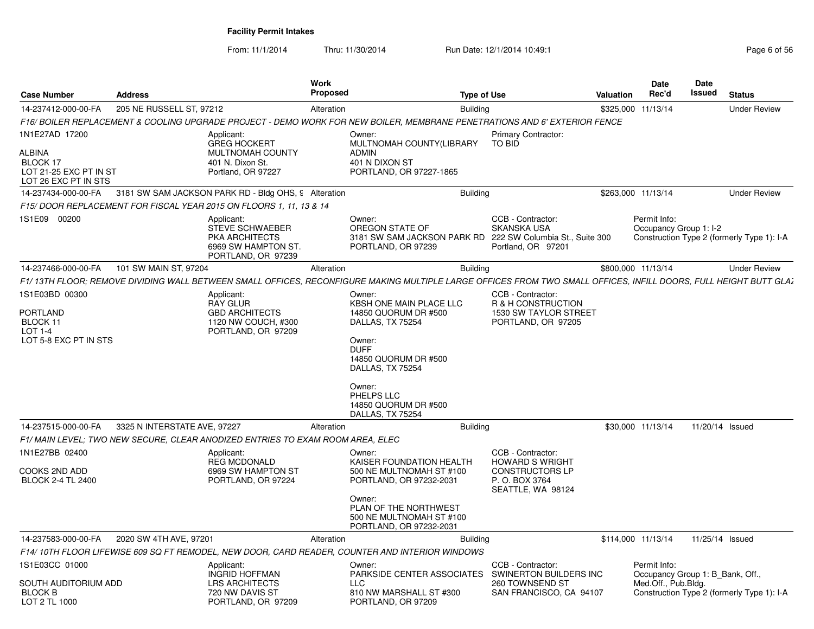From: 11/1/2014Thru: 11/30/2014 Run Date: 12/1/2014 10:49:1 Rege 6 of 56

| <b>Case Number</b>                                                                     | <b>Address</b>               |                                                                                                        | Work<br>Proposed                                                                                                                                                                                                       | <b>Type of Use</b> |                                                                                                                      | Valuation          | Date<br>Rec'd                                                           | Date<br>Issued | <b>Status</b>                              |
|----------------------------------------------------------------------------------------|------------------------------|--------------------------------------------------------------------------------------------------------|------------------------------------------------------------------------------------------------------------------------------------------------------------------------------------------------------------------------|--------------------|----------------------------------------------------------------------------------------------------------------------|--------------------|-------------------------------------------------------------------------|----------------|--------------------------------------------|
| 14-237412-000-00-FA                                                                    | 205 NE RUSSELL ST. 97212     |                                                                                                        | Alteration                                                                                                                                                                                                             | Building           |                                                                                                                      | \$325,000 11/13/14 |                                                                         |                | <b>Under Review</b>                        |
|                                                                                        |                              |                                                                                                        | F16/ BOILER REPLACEMENT & COOLING UPGRADE PROJECT - DEMO WORK FOR NEW BOILER, MEMBRANE PENETRATIONS AND 6' EXTERIOR FENCE                                                                                              |                    |                                                                                                                      |                    |                                                                         |                |                                            |
| 1N1E27AD 17200<br>ALBINA<br>BLOCK 17<br>LOT 21-25 EXC PT IN ST<br>LOT 26 EXC PT IN STS |                              | Applicant:<br><b>GREG HOCKERT</b><br><b>MULTNOMAH COUNTY</b><br>401 N. Dixon St.<br>Portland, OR 97227 | Owner:<br>MULTNOMAH COUNTY(LIBRARY<br>ADMIN<br>401 N DIXON ST<br>PORTLAND, OR 97227-1865                                                                                                                               |                    | Primary Contractor:<br>TO BID                                                                                        |                    |                                                                         |                |                                            |
| 14-237434-000-00-FA                                                                    |                              | 3181 SW SAM JACKSON PARK RD - Bldg OHS, 9 Alteration                                                   |                                                                                                                                                                                                                        | Building           |                                                                                                                      | \$263,000 11/13/14 |                                                                         |                | <b>Under Review</b>                        |
|                                                                                        |                              | F15/DOOR REPLACEMENT FOR FISCAL YEAR 2015 ON FLOORS 1, 11, 13 & 14                                     |                                                                                                                                                                                                                        |                    |                                                                                                                      |                    |                                                                         |                |                                            |
| 1S1E09 00200                                                                           |                              | Applicant:<br><b>STEVE SCHWAEBER</b><br>PKA ARCHITECTS<br>6969 SW HAMPTON ST<br>PORTLAND, OR 97239     | Owner:<br>OREGON STATE OF<br>PORTLAND, OR 97239                                                                                                                                                                        |                    | CCB - Contractor:<br>SKANSKA USA<br>3181 SW SAM JACKSON PARK RD 222 SW Columbia St., Suite 300<br>Portland, OR 97201 |                    | Permit Info:<br>Occupancy Group 1: I-2                                  |                | Construction Type 2 (formerly Type 1): I-A |
| 14-237466-000-00-FA 101 SW MAIN ST, 97204                                              |                              |                                                                                                        | Alteration                                                                                                                                                                                                             | Building           |                                                                                                                      | \$800,000 11/13/14 |                                                                         |                | <b>Under Review</b>                        |
|                                                                                        |                              |                                                                                                        | F1/13TH FLOOR; REMOVE DIVIDING WALL BETWEEN SMALL OFFICES, RECONFIGURE MAKING MULTIPLE LARGE OFFICES FROM TWO SMALL OFFICES, INFILL DOORS, FULL HEIGHT BUTT GLAZ                                                       |                    |                                                                                                                      |                    |                                                                         |                |                                            |
| 1S1E03BD 00300<br>PORTLAND<br>BLOCK 11<br>LOT 1-4<br>LOT 5-8 EXC PT IN STS             |                              | Applicant:<br><b>RAY GLUR</b><br><b>GBD ARCHITECTS</b><br>1120 NW COUCH, #300<br>PORTLAND, OR 97209    | Owner:<br>KBSH ONE MAIN PLACE LLC<br>14850 QUORUM DR #500<br>DALLAS, TX 75254<br>Owner:<br><b>DUFF</b><br>14850 QUORUM DR #500<br>DALLAS, TX 75254<br>Owner:<br>PHELPS LLC<br>14850 QUORUM DR #500<br>DALLAS, TX 75254 |                    | CCB - Contractor:<br>R & H CONSTRUCTION<br>1530 SW TAYLOR STREET<br>PORTLAND, OR 97205                               |                    |                                                                         |                |                                            |
| 14-237515-000-00-FA                                                                    | 3325 N INTERSTATE AVE, 97227 |                                                                                                        | Alteration                                                                                                                                                                                                             | <b>Building</b>    |                                                                                                                      |                    | \$30,000 11/13/14 11/20/14 Issued                                       |                |                                            |
|                                                                                        |                              | F1/ MAIN LEVEL: TWO NEW SECURE, CLEAR ANODIZED ENTRIES TO EXAM ROOM AREA, ELEC                         |                                                                                                                                                                                                                        |                    |                                                                                                                      |                    |                                                                         |                |                                            |
| 1N1E27BB 02400<br>COOKS 2ND ADD<br><b>BLOCK 2-4 TL 2400</b>                            |                              | Applicant:<br><b>REG MCDONALD</b><br>6969 SW HAMPTON ST<br>PORTLAND, OR 97224                          | Owner:<br>KAISER FOUNDATION HEALTH<br>500 NE MULTNOMAH ST #100<br>PORTLAND, OR 97232-2031<br>Owner:<br>PLAN OF THE NORTHWEST<br>500 NE MULTNOMAH ST #100                                                               |                    | CCB - Contractor:<br><b>HOWARD S WRIGHT</b><br><b>CONSTRUCTORS LP</b><br>P.O. BOX 3764<br>SEATTLE, WA 98124          |                    |                                                                         |                |                                            |
|                                                                                        |                              |                                                                                                        | PORTLAND, OR 97232-2031                                                                                                                                                                                                |                    |                                                                                                                      |                    |                                                                         |                |                                            |
| 14-237583-000-00-FA 2020 SW 4TH AVE, 97201                                             |                              |                                                                                                        | Alteration                                                                                                                                                                                                             | Building           |                                                                                                                      |                    | \$114,000 11/13/14 11/25/14 Issued                                      |                |                                            |
|                                                                                        |                              |                                                                                                        | F14/10TH FLOOR LIFEWISE 609 SQ FT REMODEL, NEW DOOR, CARD READER, COUNTER AND INTERIOR WINDOWS                                                                                                                         |                    |                                                                                                                      |                    |                                                                         |                |                                            |
| 1S1E03CC 01000<br>SOUTH AUDITORIUM ADD<br><b>BLOCK B</b><br>LOT 2 TL 1000              |                              | Applicant:<br><b>INGRID HOFFMAN</b><br><b>LRS ARCHITECTS</b><br>720 NW DAVIS ST<br>PORTLAND, OR 97209  | Owner:<br><b>LLC</b><br>810 NW MARSHALL ST #300<br>PORTLAND, OR 97209                                                                                                                                                  |                    | CCB - Contractor:<br>PARKSIDE CENTER ASSOCIATES SWINERTON BUILDERS INC<br>260 TOWNSEND ST<br>SAN FRANCISCO, CA 94107 |                    | Permit Info:<br>Occupancy Group 1: B Bank, Off.,<br>Med.Off., Pub.Bldg. |                | Construction Type 2 (formerly Type 1): I-A |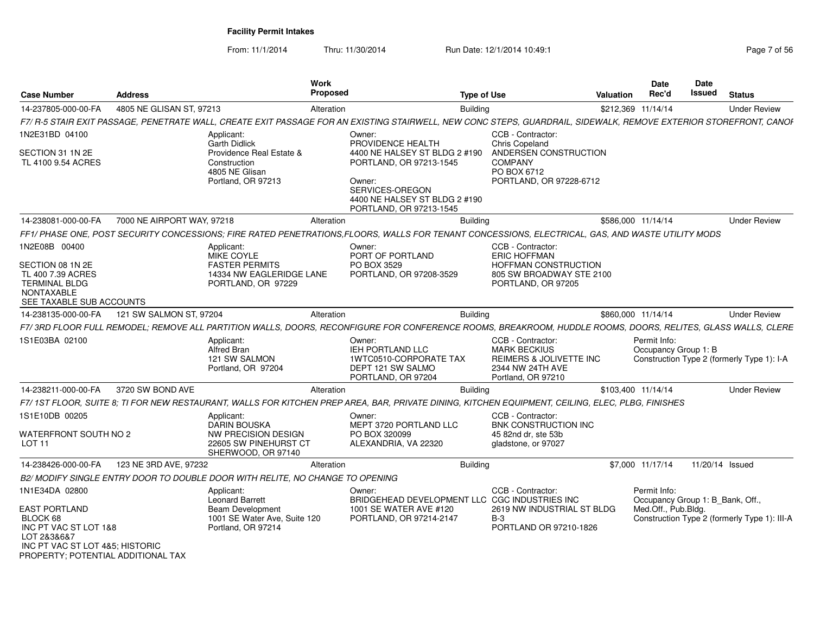From: 11/1/2014

| <b>Case Number</b>                                                                                                                                | <b>Address</b>             |                                                                                  | Work<br><b>Proposed</b> | <b>Type of Use</b>                                                                                                                                                |                                                                                                               | <b>Valuation</b> | <b>Date</b><br>Rec'd                             | Date<br>Issued  | <b>Status</b>                                |
|---------------------------------------------------------------------------------------------------------------------------------------------------|----------------------------|----------------------------------------------------------------------------------|-------------------------|-------------------------------------------------------------------------------------------------------------------------------------------------------------------|---------------------------------------------------------------------------------------------------------------|------------------|--------------------------------------------------|-----------------|----------------------------------------------|
| 14-237805-000-00-FA                                                                                                                               | 4805 NE GLISAN ST, 97213   |                                                                                  | Alteration              | <b>Building</b>                                                                                                                                                   |                                                                                                               |                  | \$212.369 11/14/14                               |                 | <b>Under Review</b>                          |
|                                                                                                                                                   |                            |                                                                                  |                         | F7/ R-5 STAIR EXIT PASSAGE, PENETRATE WALL, CREATE EXIT PASSAGE FOR AN EXISTING STAIRWELL, NEW CONC STEPS, GUARDRAIL, SIDEWALK, REMOVE EXTERIOR STOREFRONT, CANOF |                                                                                                               |                  |                                                  |                 |                                              |
| 1N2E31BD 04100                                                                                                                                    |                            | Applicant:<br><b>Garth Didlick</b>                                               |                         | Owner:<br>PROVIDENCE HEALTH                                                                                                                                       | CCB - Contractor:<br><b>Chris Copeland</b>                                                                    |                  |                                                  |                 |                                              |
| SECTION 31 1N 2E<br>TL 4100 9.54 ACRES                                                                                                            |                            | Providence Real Estate &<br>Construction<br>4805 NE Glisan<br>Portland, OR 97213 |                         | 4400 NE HALSEY ST BLDG 2 #190<br>PORTLAND, OR 97213-1545<br>Owner:<br>SERVICES-OREGON<br>4400 NE HALSEY ST BLDG 2 #190<br>PORTLAND, OR 97213-1545                 | ANDERSEN CONSTRUCTION<br><b>COMPANY</b><br>PO BOX 6712<br>PORTLAND, OR 97228-6712                             |                  |                                                  |                 |                                              |
| 14-238081-000-00-FA                                                                                                                               | 7000 NE AIRPORT WAY, 97218 |                                                                                  | Alteration              | <b>Building</b>                                                                                                                                                   |                                                                                                               |                  | \$586,000 11/14/14                               |                 | <b>Under Review</b>                          |
|                                                                                                                                                   |                            |                                                                                  |                         | FF1/ PHASE ONE, POST SECURITY CONCESSIONS; FIRE RATED PENETRATIONS,FLOORS, WALLS FOR TENANT CONCESSIONS, ELECTRICAL, GAS, AND WASTE UTILITY MODS                  |                                                                                                               |                  |                                                  |                 |                                              |
| 1N2E08B 00400                                                                                                                                     |                            | Applicant:<br>MIKE COYLE                                                         |                         | Owner:<br>PORT OF PORTLAND                                                                                                                                        | CCB - Contractor:<br><b>ERIC HOFFMAN</b>                                                                      |                  |                                                  |                 |                                              |
| SECTION 08 1N 2E<br>TL 400 7.39 ACRES<br><b>TERMINAL BLDG</b><br><b>NONTAXABLE</b><br>SEE TAXABLE SUB ACCOUNTS                                    |                            | <b>FASTER PERMITS</b><br>14334 NW EAGLERIDGE LANE<br>PORTLAND, OR 97229          |                         | PO BOX 3529<br>PORTLAND, OR 97208-3529                                                                                                                            | <b>HOFFMAN CONSTRUCTION</b><br>805 SW BROADWAY STE 2100<br>PORTLAND, OR 97205                                 |                  |                                                  |                 |                                              |
| 14-238135-000-00-FA                                                                                                                               | 121 SW SALMON ST, 97204    |                                                                                  | Alteration              | <b>Building</b>                                                                                                                                                   |                                                                                                               |                  | \$860,000 11/14/14                               |                 | <b>Under Review</b>                          |
|                                                                                                                                                   |                            |                                                                                  |                         | F7/3RD FLOOR FULL REMODEL; REMOVE ALL PARTITION WALLS, DOORS, RECONFIGURE FOR CONFERENCE ROOMS, BREAKROOM, HUDDLE ROOMS, DOORS, RELITES, GLASS WALLS, CLERE       |                                                                                                               |                  |                                                  |                 |                                              |
| 1S1E03BA 02100                                                                                                                                    |                            | Applicant:<br><b>Alfred Bran</b><br>121 SW SALMON<br>Portland, OR 97204          |                         | Owner:<br><b>IEH PORTLAND LLC</b><br>1WTC0510-CORPORATE TAX<br>DEPT 121 SW SALMO<br>PORTLAND, OR 97204                                                            | CCB - Contractor:<br><b>MARK BECKIUS</b><br>REIMERS & JOLIVETTE INC<br>2344 NW 24TH AVE<br>Portland, OR 97210 |                  | Permit Info:<br>Occupancy Group 1: B             |                 | Construction Type 2 (formerly Type 1): I-A   |
| 14-238211-000-00-FA                                                                                                                               | 3720 SW BOND AVE           |                                                                                  | Alteration              | <b>Building</b>                                                                                                                                                   |                                                                                                               |                  | \$103.400 11/14/14                               |                 | <b>Under Review</b>                          |
|                                                                                                                                                   |                            |                                                                                  |                         | F7/1ST FLOOR, SUITE 8; TI FOR NEW RESTAURANT, WALLS FOR KITCHEN PREP AREA, BAR, PRIVATE DINING, KITCHEN EQUIPMENT, CEILING, ELEC, PLBG, FINISHES                  |                                                                                                               |                  |                                                  |                 |                                              |
| 1S1E10DB 00205                                                                                                                                    |                            | Applicant:<br><b>DARIN BOUSKA</b>                                                |                         | Owner:<br>MEPT 3720 PORTLAND LLC                                                                                                                                  | CCB - Contractor:<br><b>BNK CONSTRUCTION INC</b>                                                              |                  |                                                  |                 |                                              |
| WATERFRONT SOUTH NO 2<br>LOT <sub>11</sub>                                                                                                        |                            | NW PRECISION DESIGN<br>22605 SW PINEHURST CT<br>SHERWOOD, OR 97140               |                         | PO BOX 320099<br>ALEXANDRIA, VA 22320                                                                                                                             | 45 82nd dr. ste 53b<br>gladstone, or 97027                                                                    |                  |                                                  |                 |                                              |
| 14-238426-000-00-FA                                                                                                                               | 123 NE 3RD AVE, 97232      |                                                                                  | Alteration              | <b>Building</b>                                                                                                                                                   |                                                                                                               |                  | \$7,000 11/17/14                                 | 11/20/14 Issued |                                              |
|                                                                                                                                                   |                            | B2/ MODIFY SINGLE ENTRY DOOR TO DOUBLE DOOR WITH RELITE, NO CHANGE TO OPENING    |                         |                                                                                                                                                                   |                                                                                                               |                  |                                                  |                 |                                              |
| 1N1E34DA 02800                                                                                                                                    |                            | Applicant:<br><b>Leonard Barrett</b>                                             |                         | Owner:<br>BRIDGEHEAD DEVELOPMENT LLC CGC INDUSTRIES INC                                                                                                           | CCB - Contractor:                                                                                             |                  | Permit Info:<br>Occupancy Group 1: B Bank, Off., |                 |                                              |
| <b>EAST PORTLAND</b><br>BLOCK 68<br>INC PT VAC ST LOT 1&8<br>LOT 2838687<br>INC PT VAC ST LOT 4&5: HISTORIC<br>PROPERTY: POTENTIAL ADDITIONAL TAX |                            | Beam Development<br>1001 SE Water Ave, Suite 120<br>Portland, OR 97214           |                         | 1001 SE WATER AVE #120<br>PORTLAND, OR 97214-2147                                                                                                                 | 2619 NW INDUSTRIAL ST BLDG<br>$B-3$<br>PORTLAND OR 97210-1826                                                 |                  | Med.Off., Pub.Bldg.                              |                 | Construction Type 2 (formerly Type 1): III-A |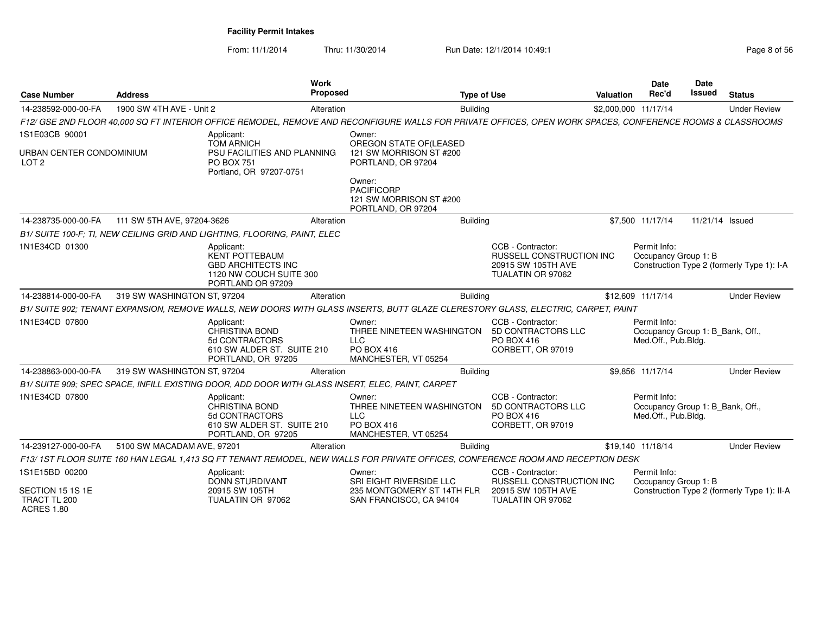| <b>Case Number</b>                                             | <b>Address</b>              | Work<br><b>Proposed</b>                                                                                                                                    |                                                                                         | <b>Type of Use</b> |                                                                                                 | <b>Valuation</b> | <b>Date</b><br>Rec'd                                                    | <b>Date</b><br><b>Issued</b> | <b>Status</b>                               |
|----------------------------------------------------------------|-----------------------------|------------------------------------------------------------------------------------------------------------------------------------------------------------|-----------------------------------------------------------------------------------------|--------------------|-------------------------------------------------------------------------------------------------|------------------|-------------------------------------------------------------------------|------------------------------|---------------------------------------------|
| 14-238592-000-00-FA                                            | 1900 SW 4TH AVE - Unit 2    | Alteration                                                                                                                                                 |                                                                                         | Building           |                                                                                                 |                  | \$2,000,000 11/17/14                                                    |                              | <b>Under Review</b>                         |
|                                                                |                             | F12/ GSE 2ND FLOOR 40,000 SQ FT INTERIOR OFFICE REMODEL, REMOVE AND RECONFIGURE WALLS FOR PRIVATE OFFICES, OPEN WORK SPACES, CONFERENCE ROOMS & CLASSROOMS |                                                                                         |                    |                                                                                                 |                  |                                                                         |                              |                                             |
| 1S1E03CB 90001<br>URBAN CENTER CONDOMINIUM<br>LOT <sub>2</sub> |                             | Applicant:<br><b>TOM ARNICH</b><br>PSU FACILITIES AND PLANNING<br><b>PO BOX 751</b><br>Portland, OR 97207-0751                                             | Owner:<br>OREGON STATE OF(LEASED<br>121 SW MORRISON ST #200<br>PORTLAND, OR 97204       |                    |                                                                                                 |                  |                                                                         |                              |                                             |
|                                                                |                             |                                                                                                                                                            | Owner:<br><b>PACIFICORP</b><br>121 SW MORRISON ST #200<br>PORTLAND, OR 97204            |                    |                                                                                                 |                  |                                                                         |                              |                                             |
| 14-238735-000-00-FA                                            | 111 SW 5TH AVE, 97204-3626  | Alteration                                                                                                                                                 |                                                                                         | Building           |                                                                                                 |                  | \$7,500 11/17/14                                                        | 11/21/14 Issued              |                                             |
|                                                                |                             | B1/ SUITE 100-F; TI, NEW CEILING GRID AND LIGHTING, FLOORING, PAINT, ELEC                                                                                  |                                                                                         |                    |                                                                                                 |                  |                                                                         |                              |                                             |
| 1N1E34CD 01300                                                 |                             | Applicant:<br><b>KENT POTTEBAUM</b><br><b>GBD ARCHITECTS INC</b><br>1120 NW COUCH SUITE 300<br>PORTLAND OR 97209                                           |                                                                                         |                    | CCB - Contractor:<br><b>RUSSELL CONSTRUCTION INC</b><br>20915 SW 105TH AVE<br>TUALATIN OR 97062 |                  | Permit Info:<br>Occupancy Group 1: B                                    |                              | Construction Type 2 (formerly Type 1): I-A  |
| 14-238814-000-00-FA                                            | 319 SW WASHINGTON ST, 97204 | Alteration                                                                                                                                                 |                                                                                         | Building           |                                                                                                 |                  | \$12,609 11/17/14                                                       |                              | <b>Under Review</b>                         |
|                                                                |                             | B1/ SUITE 902; TENANT EXPANSION, REMOVE WALLS, NEW DOORS WITH GLASS INSERTS, BUTT GLAZE CLERESTORY GLASS, ELECTRIC, CARPET, PAINT                          |                                                                                         |                    |                                                                                                 |                  |                                                                         |                              |                                             |
| 1N1E34CD 07800                                                 |                             | Applicant:<br>CHRISTINA BOND<br>5d CONTRACTORS<br>610 SW ALDER ST. SUITE 210<br>PORTLAND, OR 97205                                                         | Owner:<br>THREE NINETEEN WASHINGTON<br><b>LLC</b><br>PO BOX 416<br>MANCHESTER, VT 05254 |                    | CCB - Contractor:<br>5D CONTRACTORS LLC<br>PO BOX 416<br>CORBETT, OR 97019                      |                  | Permit Info:<br>Occupancy Group 1: B Bank, Off.,<br>Med.Off., Pub.Bldg. |                              |                                             |
| 14-238863-000-00-FA                                            | 319 SW WASHINGTON ST, 97204 | Alteration                                                                                                                                                 |                                                                                         | <b>Building</b>    |                                                                                                 |                  | \$9,856 11/17/14                                                        |                              | <b>Under Review</b>                         |
|                                                                |                             | B1/ SUITE 909; SPEC SPACE, INFILL EXISTING DOOR, ADD DOOR WITH GLASS INSERT, ELEC, PAINT, CARPET                                                           |                                                                                         |                    |                                                                                                 |                  |                                                                         |                              |                                             |
| 1N1E34CD 07800                                                 |                             | Applicant:<br><b>CHRISTINA BOND</b><br>5d CONTRACTORS<br>610 SW ALDER ST. SUITE 210<br>PORTLAND, OR 97205                                                  | Owner:<br>THREE NINETEEN WASHINGTON<br><b>LLC</b><br>PO BOX 416<br>MANCHESTER, VT 05254 |                    | CCB - Contractor:<br>5D CONTRACTORS LLC<br>PO BOX 416<br>CORBETT, OR 97019                      |                  | Permit Info:<br>Occupancy Group 1: B Bank, Off.,<br>Med.Off., Pub.Bldg. |                              |                                             |
| 14-239127-000-00-FA                                            | 5100 SW MACADAM AVE, 97201  | Alteration                                                                                                                                                 |                                                                                         | <b>Building</b>    |                                                                                                 |                  | \$19,140 11/18/14                                                       |                              | <b>Under Review</b>                         |
|                                                                |                             | F13/1ST FLOOR SUITE 160 HAN LEGAL 1,413 SQ FT TENANT REMODEL, NEW WALLS FOR PRIVATE OFFICES, CONFERENCE ROOM AND RECEPTION DESK                            |                                                                                         |                    |                                                                                                 |                  |                                                                         |                              |                                             |
| 1S1E15BD 00200                                                 |                             | Applicant:<br><b>DONN STURDIVANT</b>                                                                                                                       | Owner:<br>SRI EIGHT RIVERSIDE LLC                                                       |                    | CCB - Contractor:<br>RUSSELL CONSTRUCTION INC                                                   |                  | Permit Info:<br>Occupancy Group 1: B                                    |                              |                                             |
| SECTION 15 1S 1E<br>TRACT TL 200<br><b>ACRES 1.80</b>          |                             | 20915 SW 105TH<br>TUALATIN OR 97062                                                                                                                        | 235 MONTGOMERY ST 14TH FLR<br>SAN FRANCISCO, CA 94104                                   |                    | 20915 SW 105TH AVE<br>TUALATIN OR 97062                                                         |                  |                                                                         |                              | Construction Type 2 (formerly Type 1): II-A |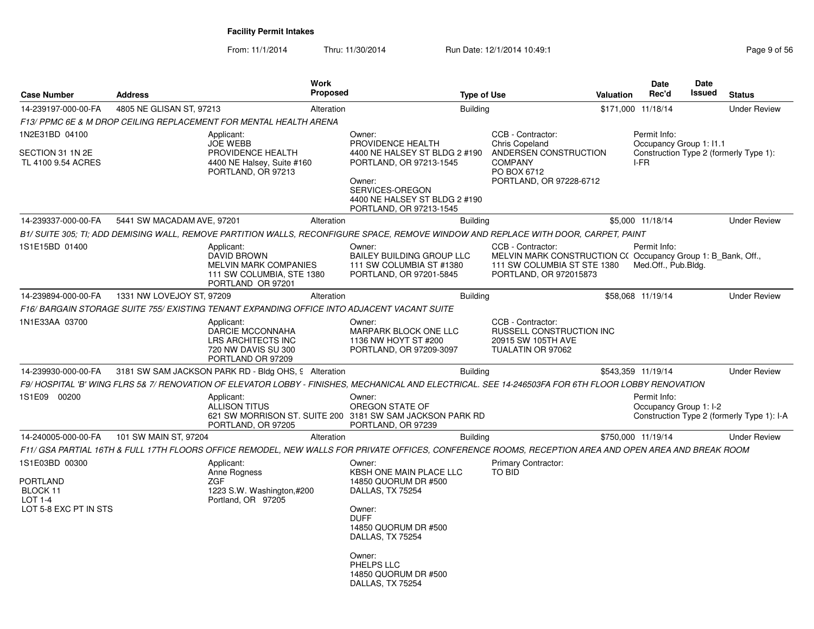From: 11/1/2014

Thru: 11/30/2014 Run Date: 12/1/2014 10:49:1 Rege 9 of 56

| <b>Case Number</b>                                                                       | <b>Address</b>             | Work<br><b>Proposed</b>                                                                                     | <b>Type of Use</b>                                                                                                                                                                                 |                                                                                                                                           | <b>Valuation</b> | <b>Date</b><br>Rec'd                            | Date<br>Issued | <b>Status</b>                              |
|------------------------------------------------------------------------------------------|----------------------------|-------------------------------------------------------------------------------------------------------------|----------------------------------------------------------------------------------------------------------------------------------------------------------------------------------------------------|-------------------------------------------------------------------------------------------------------------------------------------------|------------------|-------------------------------------------------|----------------|--------------------------------------------|
| 14-239197-000-00-FA                                                                      | 4805 NE GLISAN ST, 97213   | Alteration                                                                                                  | <b>Building</b>                                                                                                                                                                                    |                                                                                                                                           |                  | \$171,000 11/18/14                              |                | <b>Under Review</b>                        |
|                                                                                          |                            | F13/ PPMC 6E & M DROP CEILING REPLACEMENT FOR MENTAL HEALTH ARENA                                           |                                                                                                                                                                                                    |                                                                                                                                           |                  |                                                 |                |                                            |
| 1N2E31BD 04100<br>SECTION 31 1N 2E<br>TL 4100 9.54 ACRES                                 |                            | Applicant:<br><b>JOE WEBB</b><br>PROVIDENCE HEALTH<br>4400 NE Halsey, Suite #160<br>PORTLAND, OR 97213      | Owner:<br>PROVIDENCE HEALTH<br>4400 NE HALSEY ST BLDG 2 #190<br>PORTLAND, OR 97213-1545<br>Owner:<br>SERVICES-OREGON<br>4400 NE HALSEY ST BLDG 2 #190<br>PORTLAND, OR 97213-1545                   | CCB - Contractor:<br>Chris Copeland<br>ANDERSEN CONSTRUCTION<br><b>COMPANY</b><br>PO BOX 6712<br>PORTLAND, OR 97228-6712                  |                  | Permit Info:<br>Occupancy Group 1: I1.1<br>I-FR |                | Construction Type 2 (formerly Type 1):     |
| 14-239337-000-00-FA                                                                      | 5441 SW MACADAM AVE, 97201 | Alteration                                                                                                  | <b>Building</b>                                                                                                                                                                                    |                                                                                                                                           |                  | \$5,000 11/18/14                                |                | <b>Under Review</b>                        |
|                                                                                          |                            |                                                                                                             | B1/ SUITE 305: TI: ADD DEMISING WALL. REMOVE PARTITION WALLS. RECONFIGURE SPACE. REMOVE WINDOW AND REPLACE WITH DOOR. CARPET. PAINT                                                                |                                                                                                                                           |                  |                                                 |                |                                            |
| 1S1E15BD 01400                                                                           |                            | Applicant:<br><b>DAVID BROWN</b><br>MELVIN MARK COMPANIES<br>111 SW COLUMBIA, STE 1380<br>PORTLAND OR 97201 | Owner:<br><b>BAILEY BUILDING GROUP LLC</b><br>111 SW COLUMBIA ST #1380<br>PORTLAND, OR 97201-5845                                                                                                  | CCB - Contractor:<br>MELVIN MARK CONSTRUCTION C(Occupancy Group 1: B_Bank, Off.,<br>111 SW COLUMBIA ST STE 1380<br>PORTLAND, OR 972015873 |                  | Permit Info:<br>Med.Off., Pub.Bldg.             |                |                                            |
| 14-239894-000-00-FA                                                                      | 1331 NW LOVEJOY ST, 97209  | Alteration                                                                                                  | <b>Building</b>                                                                                                                                                                                    |                                                                                                                                           |                  | \$58,068 11/19/14                               |                | <b>Under Review</b>                        |
|                                                                                          |                            | F16/ BARGAIN STORAGE SUITE 755/ EXISTING TENANT EXPANDING OFFICE INTO ADJACENT VACANT SUITE                 |                                                                                                                                                                                                    |                                                                                                                                           |                  |                                                 |                |                                            |
| 1N1E33AA 03700                                                                           |                            | Applicant:<br>DARCIE MCCONNAHA<br>LRS ARCHITECTS INC<br>720 NW DAVIS SU 300<br>PORTLAND OR 97209            | Owner:<br>MARPARK BLOCK ONE LLC<br>1136 NW HOYT ST #200<br>PORTLAND, OR 97209-3097                                                                                                                 | CCB - Contractor:<br>RUSSELL CONSTRUCTION INC<br>20915 SW 105TH AVE<br>TUALATIN OR 97062                                                  |                  |                                                 |                |                                            |
| 14-239930-000-00-FA                                                                      |                            | 3181 SW SAM JACKSON PARK RD - Bldg OHS, 9 Alteration                                                        | <b>Building</b>                                                                                                                                                                                    |                                                                                                                                           |                  | \$543,359 11/19/14                              |                | <b>Under Review</b>                        |
|                                                                                          |                            |                                                                                                             | F9/ HOSPITAL 'B' WING FLRS 5& 7/ RENOVATION OF ELEVATOR LOBBY - FINISHES, MECHANICAL AND ELECTRICAL. SEE 14-246503FA FOR 6TH FLOOR LOBBY RENOVATION                                                |                                                                                                                                           |                  |                                                 |                |                                            |
| 1S1E09 00200                                                                             |                            | Applicant:<br><b>ALLISON TITUS</b><br>PORTLAND, OR 97205                                                    | Owner:<br>OREGON STATE OF<br>621 SW MORRISON ST. SUITE 200 3181 SW SAM JACKSON PARK RD<br>PORTLAND, OR 97239                                                                                       |                                                                                                                                           |                  | Permit Info:<br>Occupancy Group 1: I-2          |                | Construction Type 2 (formerly Type 1): I-A |
| 14-240005-000-00-FA                                                                      | 101 SW MAIN ST, 97204      | Alteration                                                                                                  | <b>Building</b>                                                                                                                                                                                    |                                                                                                                                           |                  | \$750,000 11/19/14                              |                | <b>Under Review</b>                        |
|                                                                                          |                            |                                                                                                             | F11/ GSA PARTIAL 16TH & FULL 17TH FLOORS OFFICE REMODEL, NEW WALLS FOR PRIVATE OFFICES, CONFERENCE ROOMS, RECEPTION AREA AND OPEN AREA AND BREAK ROOM                                              |                                                                                                                                           |                  |                                                 |                |                                            |
| 1S1E03BD 00300<br><b>PORTLAND</b><br>BLOCK 11<br><b>LOT 1-4</b><br>LOT 5-8 EXC PT IN STS | ZGF                        | Applicant:<br>Anne Rogness<br>1223 S.W. Washington,#200<br>Portland, OR 97205                               | Owner:<br>KBSH ONE MAIN PLACE LLC<br>14850 QUORUM DR #500<br>DALLAS, TX 75254<br>Owner:<br><b>DUFF</b><br>14850 QUORUM DR #500<br>DALLAS, TX 75254<br>Owner:<br>PHELPS LLC<br>14850 QUORUM DR #500 | Primary Contractor:<br>TO BID                                                                                                             |                  |                                                 |                |                                            |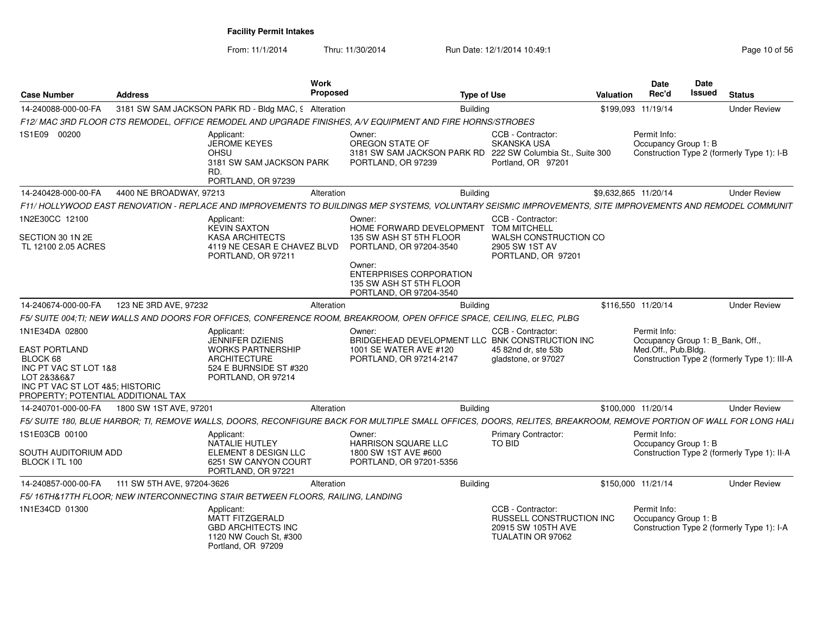| <b>Case Number</b>                                                                                                                                                  | <b>Address</b>             |                                                                                                                                   | Work<br><b>Proposed</b> |                                                                                                                                                                  | <b>Type of Use</b> |                                                                                                           | <b>Valuation</b>     | Date<br>Rec'd                                                           | Date<br><b>Issued</b> | <b>Status</b>                                |
|---------------------------------------------------------------------------------------------------------------------------------------------------------------------|----------------------------|-----------------------------------------------------------------------------------------------------------------------------------|-------------------------|------------------------------------------------------------------------------------------------------------------------------------------------------------------|--------------------|-----------------------------------------------------------------------------------------------------------|----------------------|-------------------------------------------------------------------------|-----------------------|----------------------------------------------|
| 14-240088-000-00-FA                                                                                                                                                 |                            | 3181 SW SAM JACKSON PARK RD - Bldg MAC, 9 Alteration                                                                              |                         |                                                                                                                                                                  | Building           |                                                                                                           | \$199,093 11/19/14   |                                                                         |                       | <b>Under Review</b>                          |
|                                                                                                                                                                     |                            |                                                                                                                                   |                         | F12/ MAC 3RD FLOOR CTS REMODEL, OFFICE REMODEL AND UPGRADE FINISHES, A/V EQUIPMENT AND FIRE HORNS/STROBES                                                        |                    |                                                                                                           |                      |                                                                         |                       |                                              |
| 1S1E09 00200                                                                                                                                                        |                            | Applicant:<br><b>JEROME KEYES</b><br><b>OHSU</b><br>3181 SW SAM JACKSON PARK<br>RD.<br>PORTLAND, OR 97239                         |                         | Owner:<br>OREGON STATE OF<br>3181 SW SAM JACKSON PARK RD<br>PORTLAND, OR 97239                                                                                   |                    | CCB - Contractor:<br><b>SKANSKA USA</b><br>222 SW Columbia St., Suite 300<br>Portland, OR 97201           |                      | Permit Info:<br>Occupancy Group 1: B                                    |                       | Construction Type 2 (formerly Type 1): I-B   |
| 14-240428-000-00-FA                                                                                                                                                 | 4400 NE BROADWAY, 97213    |                                                                                                                                   | Alteration              |                                                                                                                                                                  | <b>Building</b>    |                                                                                                           | \$9,632,865 11/20/14 |                                                                         |                       | <b>Under Review</b>                          |
|                                                                                                                                                                     |                            |                                                                                                                                   |                         | F11/ HOLLYWOOD EAST RENOVATION - REPLACE AND IMPROVEMENTS TO BUILDINGS MEP SYSTEMS, VOLUNTARY SEISMIC IMPROVEMENTS, SITE IMPROVEMENTS AND REMODEL COMMUNIT       |                    |                                                                                                           |                      |                                                                         |                       |                                              |
| 1N2E30CC 12100<br>SECTION 30 1N 2E<br>TL 12100 2.05 ACRES                                                                                                           |                            | Applicant:<br><b>KEVIN SAXTON</b><br><b>KASA ARCHITECTS</b><br>4119 NE CESAR E CHAVEZ BLVD<br>PORTLAND, OR 97211                  |                         | Owner:<br>HOME FORWARD DEVELOPMENT<br>135 SW ASH ST 5TH FLOOR<br>PORTLAND, OR 97204-3540                                                                         |                    | CCB - Contractor:<br><b>TOM MITCHELL</b><br>WALSH CONSTRUCTION CO<br>2905 SW 1ST AV<br>PORTLAND, OR 97201 |                      |                                                                         |                       |                                              |
|                                                                                                                                                                     |                            |                                                                                                                                   |                         | Owner:<br><b>ENTERPRISES CORPORATION</b><br>135 SW ASH ST 5TH FLOOR<br>PORTLAND, OR 97204-3540                                                                   |                    |                                                                                                           |                      |                                                                         |                       |                                              |
| 14-240674-000-00-FA                                                                                                                                                 | 123 NE 3RD AVE, 97232      |                                                                                                                                   | Alteration              |                                                                                                                                                                  | <b>Building</b>    |                                                                                                           | \$116,550 11/20/14   |                                                                         |                       | <b>Under Review</b>                          |
|                                                                                                                                                                     |                            |                                                                                                                                   |                         | F5/ SUITE 004;TI; NEW WALLS AND DOORS FOR OFFICES, CONFERENCE ROOM, BREAKROOM, OPEN OFFICE SPACE, CEILING, ELEC, PLBG                                            |                    |                                                                                                           |                      |                                                                         |                       |                                              |
| 1N1E34DA 02800<br><b>EAST PORTLAND</b><br>BLOCK 68<br>INC PT VAC ST LOT 1&8<br>LOT 2&3&6&7<br>INC PT VAC ST LOT 4&5; HISTORIC<br>PROPERTY; POTENTIAL ADDITIONAL TAX |                            | Applicant:<br>JENNIFER DZIENIS<br><b>WORKS PARTNERSHIP</b><br><b>ARCHITECTURE</b><br>524 E BURNSIDE ST #320<br>PORTLAND, OR 97214 |                         | Owner:<br>BRIDGEHEAD DEVELOPMENT LLC BNK CONSTRUCTION INC<br>1001 SE WATER AVE #120<br>PORTLAND, OR 97214-2147                                                   |                    | CCB - Contractor:<br>45 82nd dr. ste 53b<br>gladstone, or 97027                                           |                      | Permit Info:<br>Occupancy Group 1: B_Bank, Off.,<br>Med.Off., Pub.Bldg. |                       | Construction Type 2 (formerly Type 1): III-A |
| 14-240701-000-00-FA                                                                                                                                                 | 1800 SW 1ST AVE, 97201     |                                                                                                                                   | Alteration              |                                                                                                                                                                  | <b>Building</b>    |                                                                                                           | \$100,000 11/20/14   |                                                                         |                       | <b>Under Review</b>                          |
|                                                                                                                                                                     |                            |                                                                                                                                   |                         | F5/SUITE 180, BLUE HARBOR; TI, REMOVE WALLS, DOORS, RECONFIGURE BACK FOR MULTIPLE SMALL OFFICES, DOORS, RELITES, BREAKROOM, REMOVE PORTION OF WALL FOR LONG HALI |                    |                                                                                                           |                      |                                                                         |                       |                                              |
| 1S1E03CB 00100<br>SOUTH AUDITORIUM ADD<br>BLOCK I TL 100                                                                                                            |                            | Applicant:<br><b>NATALIE HUTLEY</b><br>ELEMENT 8 DESIGN LLC<br>6251 SW CANYON COURT<br>PORTLAND, OR 97221                         |                         | Owner:<br>HARRISON SQUARE LLC<br>1800 SW 1ST AVE #600<br>PORTLAND, OR 97201-5356                                                                                 |                    | <b>Primary Contractor:</b><br><b>TO BID</b>                                                               |                      | Permit Info:<br>Occupancy Group 1: B                                    |                       | Construction Type 2 (formerly Type 1): II-A  |
| 14-240857-000-00-FA                                                                                                                                                 | 111 SW 5TH AVE, 97204-3626 |                                                                                                                                   | Alteration              |                                                                                                                                                                  | Building           |                                                                                                           | \$150,000 11/21/14   |                                                                         |                       | <b>Under Review</b>                          |
|                                                                                                                                                                     |                            | F5/16TH&17TH FLOOR; NEW INTERCONNECTING STAIR BETWEEN FLOORS, RAILING, LANDING                                                    |                         |                                                                                                                                                                  |                    |                                                                                                           |                      |                                                                         |                       |                                              |
| 1N1E34CD 01300                                                                                                                                                      |                            | Applicant:<br><b>MATT FITZGERALD</b><br><b>GBD ARCHITECTS INC</b><br>1120 NW Couch St, #300<br>Portland, OR 97209                 |                         |                                                                                                                                                                  |                    | CCB - Contractor:<br><b>RUSSELL CONSTRUCTION INC.</b><br>20915 SW 105TH AVE<br>TUALATIN OR 97062          |                      | Permit Info:<br>Occupancy Group 1: B                                    |                       | Construction Type 2 (formerly Type 1): I-A   |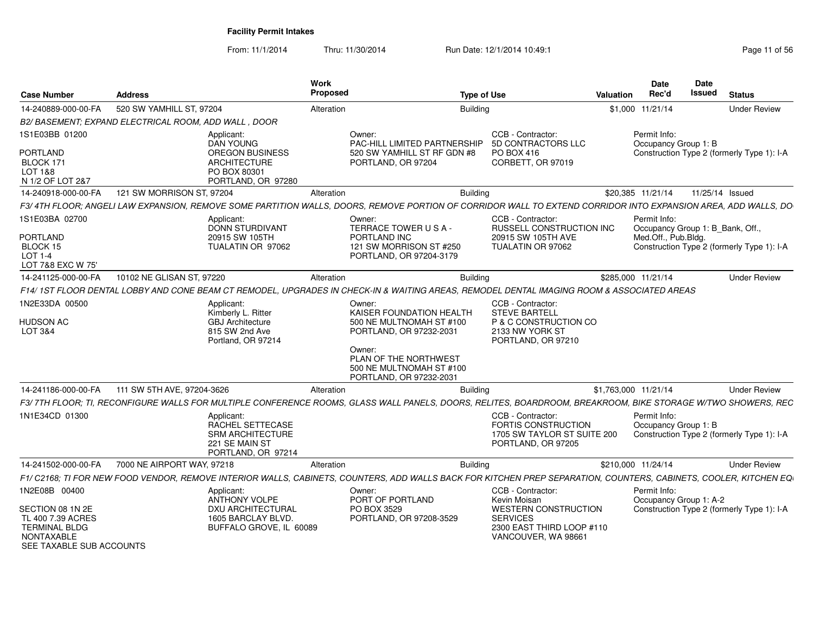| <b>Case Number</b>                                                                                             | <b>Address</b>                                      |                                                                                                     | Work<br>Proposed |                                                                                                                                                                  | <b>Type of Use</b> |                                                                                                             | Valuation            | Date<br>Rec'd                          | <b>Date</b><br><b>Issued</b> | <b>Status</b>                              |
|----------------------------------------------------------------------------------------------------------------|-----------------------------------------------------|-----------------------------------------------------------------------------------------------------|------------------|------------------------------------------------------------------------------------------------------------------------------------------------------------------|--------------------|-------------------------------------------------------------------------------------------------------------|----------------------|----------------------------------------|------------------------------|--------------------------------------------|
| 14-240889-000-00-FA                                                                                            | 520 SW YAMHILL ST, 97204                            |                                                                                                     | Alteration       |                                                                                                                                                                  | <b>Building</b>    |                                                                                                             |                      | \$1,000 11/21/14                       |                              | <b>Under Review</b>                        |
|                                                                                                                | B2/BASEMENT; EXPAND ELECTRICAL ROOM, ADD WALL, DOOR |                                                                                                     |                  |                                                                                                                                                                  |                    |                                                                                                             |                      |                                        |                              |                                            |
| 1S1E03BB 01200                                                                                                 |                                                     | Applicant:<br>DAN YOUNG                                                                             |                  | Owner:<br>PAC-HILL LIMITED PARTNERSHIP                                                                                                                           |                    | CCB - Contractor:<br>5D CONTRACTORS LLC                                                                     |                      | Permit Info:<br>Occupancy Group 1: B   |                              |                                            |
| PORTLAND<br>BLOCK 171<br>LOT 1&8<br>N 1/2 OF LOT 2&7                                                           |                                                     | <b>OREGON BUSINESS</b><br>ARCHITECTURE<br>PO BOX 80301<br>PORTLAND, OR 97280                        |                  | 520 SW YAMHILL ST RF GDN #8<br>PORTLAND, OR 97204                                                                                                                |                    | PO BOX 416<br>CORBETT, OR 97019                                                                             |                      |                                        |                              | Construction Type 2 (formerly Type 1): I-A |
| 14-240918-000-00-FA                                                                                            | 121 SW MORRISON ST, 97204                           |                                                                                                     | Alteration       |                                                                                                                                                                  | Building           |                                                                                                             |                      | \$20.385 11/21/14                      |                              | 11/25/14 Issued                            |
|                                                                                                                |                                                     |                                                                                                     |                  | F3/4TH FLOOR: ANGELI LAW EXPANSION, REMOVE SOME PARTITION WALLS, DOORS, REMOVE PORTION OF CORRIDOR WALL TO EXTEND CORRIDOR INTO EXPANSION AREA, ADD WALLS, DO    |                    |                                                                                                             |                      |                                        |                              |                                            |
| 1S1E03BA 02700                                                                                                 |                                                     | Applicant:<br>DONN STURDIVANT                                                                       |                  | Owner:<br>TERRACE TOWER USA-                                                                                                                                     |                    | CCB - Contractor:<br>RUSSELL CONSTRUCTION INC                                                               |                      | Permit Info:                           |                              | Occupancy Group 1: B_Bank, Off.,           |
| PORTLAND<br>BLOCK 15<br>LOT 1-4<br>LOT 7&8 EXC W 75'                                                           |                                                     | 20915 SW 105TH<br>TUALATIN OR 97062                                                                 |                  | PORTLAND INC<br>121 SW MORRISON ST #250<br>PORTLAND, OR 97204-3179                                                                                               |                    | 20915 SW 105TH AVE<br>TUALATIN OR 97062                                                                     |                      | Med.Off., Pub.Bldg.                    |                              | Construction Type 2 (formerly Type 1): I-A |
| 14-241125-000-00-FA                                                                                            | 10102 NE GLISAN ST, 97220                           |                                                                                                     | Alteration       |                                                                                                                                                                  | <b>Building</b>    |                                                                                                             | \$285,000 11/21/14   |                                        |                              | <b>Under Review</b>                        |
|                                                                                                                |                                                     |                                                                                                     |                  | F14/1ST FLOOR DENTAL LOBBY AND CONE BEAM CT REMODEL, UPGRADES IN CHECK-IN & WAITING AREAS, REMODEL DENTAL IMAGING ROOM & ASSOCIATED AREAS                        |                    |                                                                                                             |                      |                                        |                              |                                            |
| 1N2E33DA 00500<br>HUDSON AC<br>LOT 3&4                                                                         |                                                     | Applicant:<br>Kimberly L. Ritter<br><b>GBJ</b> Architecture<br>815 SW 2nd Ave<br>Portland, OR 97214 |                  | Owner:<br>KAISER FOUNDATION HEALTH<br>500 NE MULTNOMAH ST #100<br>PORTLAND, OR 97232-2031                                                                        |                    | CCB - Contractor:<br><b>STEVE BARTELL</b><br>P & C CONSTRUCTION CO<br>2133 NW YORK ST<br>PORTLAND, OR 97210 |                      |                                        |                              |                                            |
|                                                                                                                |                                                     |                                                                                                     |                  | Owner:<br>PLAN OF THE NORTHWEST<br>500 NE MULTNOMAH ST #100<br>PORTLAND, OR 97232-2031                                                                           |                    |                                                                                                             |                      |                                        |                              |                                            |
| 14-241186-000-00-FA                                                                                            | 111 SW 5TH AVE, 97204-3626                          |                                                                                                     | Alteration       |                                                                                                                                                                  | <b>Building</b>    |                                                                                                             | \$1,763,000 11/21/14 |                                        |                              | <b>Under Review</b>                        |
|                                                                                                                |                                                     |                                                                                                     |                  | F3/ 7TH FLOOR: TI, RECONFIGURE WALLS FOR MULTIPLE CONFERENCE ROOMS, GLASS WALL PANELS, DOORS, RELITES, BOARDROOM, BREAKROOM, BIKE STORAGE W/TWO SHOWERS, REC     |                    |                                                                                                             |                      |                                        |                              |                                            |
| 1N1E34CD 01300                                                                                                 |                                                     | Applicant:<br>RACHEL SETTECASE<br><b>SRM ARCHITECTURE</b><br>221 SE MAIN ST<br>PORTLAND, OR 97214   |                  |                                                                                                                                                                  |                    | CCB - Contractor:<br>FORTIS CONSTRUCTION<br>1705 SW TAYLOR ST SUITE 200<br>PORTLAND, OR 97205               |                      | Permit Info:<br>Occupancy Group 1: B   |                              | Construction Type 2 (formerly Type 1): I-A |
| 14-241502-000-00-FA                                                                                            | 7000 NE AIRPORT WAY, 97218                          |                                                                                                     | Alteration       |                                                                                                                                                                  | Building           |                                                                                                             | \$210,000 11/24/14   |                                        |                              | <b>Under Review</b>                        |
|                                                                                                                |                                                     |                                                                                                     |                  | F1/ C2168; TI FOR NEW FOOD VENDOR, REMOVE INTERIOR WALLS, CABINETS, COUNTERS, ADD WALLS BACK FOR KITCHEN PREP SEPARATION, COUNTERS, CABINETS, COOLER, KITCHEN EQ |                    |                                                                                                             |                      |                                        |                              |                                            |
| 1N2E08B 00400                                                                                                  |                                                     | Applicant:<br>ANTHONY VOLPE                                                                         |                  | Owner:<br>PORT OF PORTLAND                                                                                                                                       |                    | CCB - Contractor:<br>Kevin Moisan                                                                           |                      | Permit Info:<br>Occupancy Group 1: A-2 |                              |                                            |
| SECTION 08 1N 2E<br>TL 400 7.39 ACRES<br><b>TERMINAL BLDG</b><br><b>NONTAXABLE</b><br>SEE TAXABLE SUB ACCOUNTS |                                                     | DXU ARCHITECTURAL<br>1605 BARCLAY BLVD.<br>BUFFALO GROVE, IL 60089                                  |                  | PO BOX 3529<br>PORTLAND, OR 97208-3529                                                                                                                           | <b>SERVICES</b>    | <b>WESTERN CONSTRUCTION</b><br>2300 EAST THIRD LOOP #110<br>VANCOUVER, WA 98661                             |                      |                                        |                              | Construction Type 2 (formerly Type 1): I-A |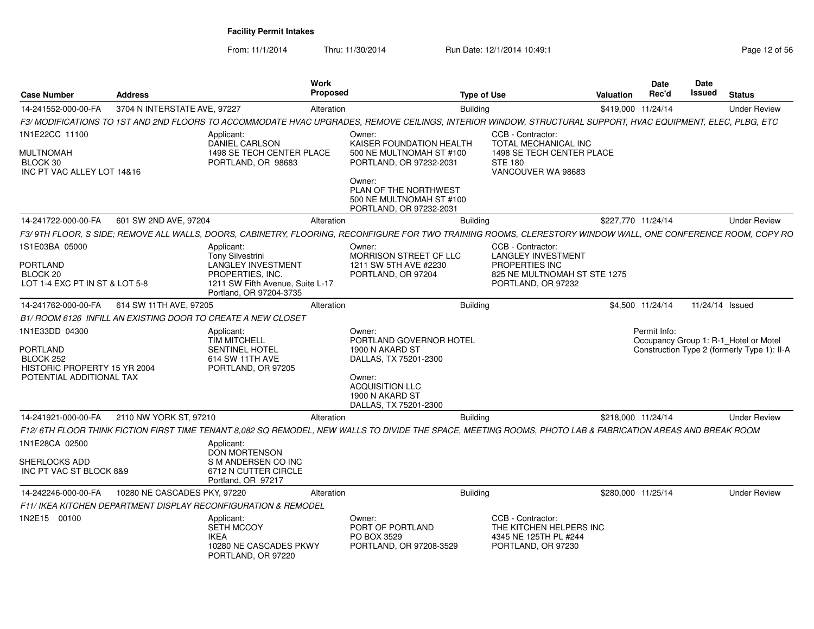| <b>Case Number</b>                                                                                  | <b>Address</b>               |                                                                                                                                                       | Work<br>Proposed | <b>Type of Use</b>                                                                                                                                            |                                                                                                                        | Valuation          | <b>Date</b><br>Rec'd | <b>Date</b><br>Issued | <b>Status</b>                                                                        |
|-----------------------------------------------------------------------------------------------------|------------------------------|-------------------------------------------------------------------------------------------------------------------------------------------------------|------------------|---------------------------------------------------------------------------------------------------------------------------------------------------------------|------------------------------------------------------------------------------------------------------------------------|--------------------|----------------------|-----------------------|--------------------------------------------------------------------------------------|
| 14-241552-000-00-FA                                                                                 | 3704 N INTERSTATE AVE, 97227 |                                                                                                                                                       | Alteration       | Building                                                                                                                                                      |                                                                                                                        | \$419,000 11/24/14 |                      |                       | <b>Under Review</b>                                                                  |
|                                                                                                     |                              |                                                                                                                                                       |                  | F3/ MODIFICATIONS TO 1ST AND 2ND FLOORS TO ACCOMMODATE HVAC UPGRADES, REMOVE CEILINGS, INTERIOR WINDOW, STRUCTURAL SUPPORT, HVAC EQUIPMENT, ELEC, PLBG, ETC   |                                                                                                                        |                    |                      |                       |                                                                                      |
| 1N1E22CC 11100                                                                                      |                              | Applicant:                                                                                                                                            |                  | Owner:                                                                                                                                                        | CCB - Contractor:                                                                                                      |                    |                      |                       |                                                                                      |
| <b>MULTNOMAH</b><br>BLOCK 30<br>INC PT VAC ALLEY LOT 14&16                                          |                              | DANIEL CARLSON<br>1498 SE TECH CENTER PLACE<br>PORTLAND, OR 98683                                                                                     |                  | KAISER FOUNDATION HEALTH<br>500 NE MULTNOMAH ST #100<br>PORTLAND, OR 97232-2031<br>Owner:                                                                     | TOTAL MECHANICAL INC<br>1498 SE TECH CENTER PLACE<br><b>STE 180</b><br>VANCOUVER WA 98683                              |                    |                      |                       |                                                                                      |
|                                                                                                     |                              |                                                                                                                                                       |                  | PLAN OF THE NORTHWEST<br>500 NE MULTNOMAH ST #100<br>PORTLAND, OR 97232-2031                                                                                  |                                                                                                                        |                    |                      |                       |                                                                                      |
| 14-241722-000-00-FA                                                                                 | 601 SW 2ND AVE, 97204        |                                                                                                                                                       | Alteration       | <b>Building</b>                                                                                                                                               |                                                                                                                        | \$227,770 11/24/14 |                      |                       | <b>Under Review</b>                                                                  |
|                                                                                                     |                              |                                                                                                                                                       |                  | F3/9TH FLOOR, S SIDE; REMOVE ALL WALLS, DOORS, CABINETRY, FLOORING, RECONFIGURE FOR TWO TRAINING ROOMS, CLERESTORY WINDOW WALL, ONE CONFERENCE ROOM, COPY RO  |                                                                                                                        |                    |                      |                       |                                                                                      |
| 1S1E03BA 05000<br>PORTLAND<br>BLOCK 20<br>LOT 1-4 EXC PT IN ST & LOT 5-8                            |                              | Applicant:<br><b>Tony Silvestrini</b><br><b>LANGLEY INVESTMENT</b><br>PROPERTIES, INC.<br>1211 SW Fifth Avenue, Suite L-17<br>Portland, OR 97204-3735 |                  | Owner:<br>MORRISON STREET CF LLC<br>1211 SW 5TH AVE #2230<br>PORTLAND, OR 97204                                                                               | CCB - Contractor:<br><b>LANGLEY INVESTMENT</b><br>PROPERTIES INC<br>825 NE MULTNOMAH ST STE 1275<br>PORTLAND, OR 97232 |                    |                      |                       |                                                                                      |
| 14-241762-000-00-FA                                                                                 | 614 SW 11TH AVE, 97205       |                                                                                                                                                       | Alteration       | Building                                                                                                                                                      |                                                                                                                        |                    | \$4,500 11/24/14     | 11/24/14 Issued       |                                                                                      |
|                                                                                                     |                              | B1/ ROOM 6126 INFILL AN EXISTING DOOR TO CREATE A NEW CLOSET                                                                                          |                  |                                                                                                                                                               |                                                                                                                        |                    |                      |                       |                                                                                      |
| 1N1E33DD 04300<br>PORTLAND<br>BLOCK 252<br>HISTORIC PROPERTY 15 YR 2004<br>POTENTIAL ADDITIONAL TAX |                              | Applicant:<br><b>TIM MITCHELL</b><br><b>SENTINEL HOTEL</b><br>614 SW 11TH AVE<br>PORTLAND, OR 97205                                                   |                  | Owner:<br>PORTLAND GOVERNOR HOTEL<br>1900 N AKARD ST<br>DALLAS, TX 75201-2300<br>Owner:<br><b>ACQUISITION LLC</b><br>1900 N AKARD ST<br>DALLAS, TX 75201-2300 |                                                                                                                        |                    | Permit Info:         |                       | Occupancy Group 1: R-1 Hotel or Motel<br>Construction Type 2 (formerly Type 1): II-A |
| 14-241921-000-00-FA                                                                                 | 2110 NW YORK ST, 97210       |                                                                                                                                                       | Alteration       | <b>Building</b>                                                                                                                                               |                                                                                                                        | \$218,000 11/24/14 |                      |                       | <b>Under Review</b>                                                                  |
|                                                                                                     |                              |                                                                                                                                                       |                  | F12/ 6TH FLOOR THINK FICTION FIRST TIME TENANT 8,082 SQ REMODEL, NEW WALLS TO DIVIDE THE SPACE, MEETING ROOMS, PHOTO LAB & FABRICATION AREAS AND BREAK ROOM   |                                                                                                                        |                    |                      |                       |                                                                                      |
| 1N1E28CA 02500<br>SHERLOCKS ADD                                                                     |                              | Applicant:<br><b>DON MORTENSON</b><br>S M ANDERSEN CO INC                                                                                             |                  |                                                                                                                                                               |                                                                                                                        |                    |                      |                       |                                                                                      |
| INC PT VAC ST BLOCK 8&9                                                                             |                              | 6712 N CUTTER CIRCLE<br>Portland, OR 97217                                                                                                            |                  |                                                                                                                                                               |                                                                                                                        |                    |                      |                       |                                                                                      |
| 14-242246-000-00-FA                                                                                 | 10280 NE CASCADES PKY, 97220 |                                                                                                                                                       | Alteration       | Building                                                                                                                                                      |                                                                                                                        | \$280,000 11/25/14 |                      |                       | <b>Under Review</b>                                                                  |
|                                                                                                     |                              | F11/ IKEA KITCHEN DEPARTMENT DISPLAY RECONFIGURATION & REMODEL                                                                                        |                  |                                                                                                                                                               |                                                                                                                        |                    |                      |                       |                                                                                      |
| 1N2E15 00100                                                                                        |                              | Applicant:<br><b>SETH MCCOY</b><br>IKEA<br>10280 NE CASCADES PKWY<br>PORTLAND, OR 97220                                                               |                  | Owner:<br>PORT OF PORTLAND<br>PO BOX 3529<br>PORTLAND, OR 97208-3529                                                                                          | CCB - Contractor:<br>THE KITCHEN HELPERS INC<br>4345 NE 125TH PL #244<br>PORTLAND, OR 97230                            |                    |                      |                       |                                                                                      |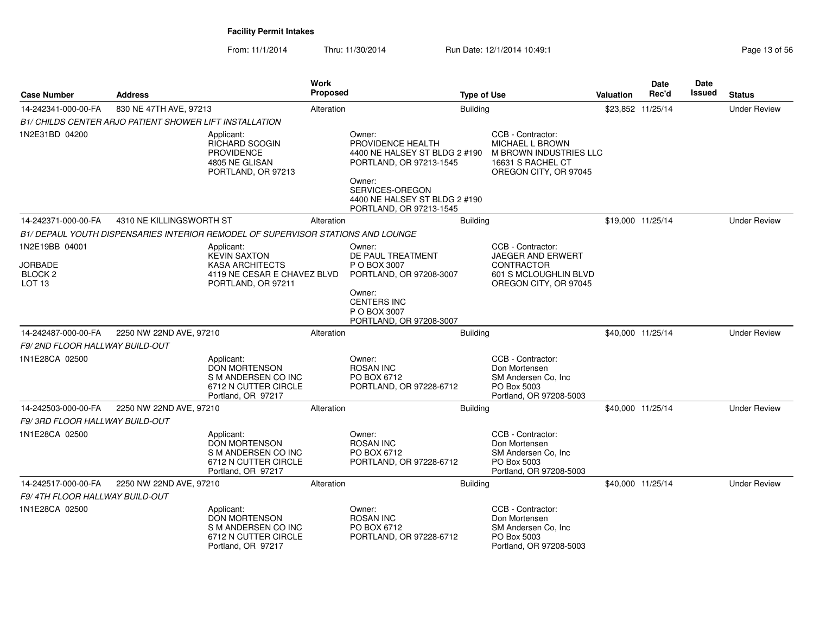| <b>Case Number</b>                             | <b>Address</b>                                          |                                                                                                         | <b>Work</b><br><b>Proposed</b> |                                                                                                                                                       | <b>Type of Use</b> |                                                                                                              | <b>Valuation</b> | <b>Date</b><br>Rec'd | <b>Date</b><br>Issued | <b>Status</b>       |
|------------------------------------------------|---------------------------------------------------------|---------------------------------------------------------------------------------------------------------|--------------------------------|-------------------------------------------------------------------------------------------------------------------------------------------------------|--------------------|--------------------------------------------------------------------------------------------------------------|------------------|----------------------|-----------------------|---------------------|
| 14-242341-000-00-FA                            | 830 NE 47TH AVE, 97213                                  |                                                                                                         | Alteration                     |                                                                                                                                                       | <b>Building</b>    |                                                                                                              |                  | \$23,852 11/25/14    |                       | <b>Under Review</b> |
|                                                | B1/ CHILDS CENTER ARJO PATIENT SHOWER LIFT INSTALLATION |                                                                                                         |                                |                                                                                                                                                       |                    |                                                                                                              |                  |                      |                       |                     |
| 1N2E31BD 04200                                 |                                                         | Applicant:<br><b>RICHARD SCOGIN</b><br><b>PROVIDENCE</b><br>4805 NE GLISAN<br>PORTLAND, OR 97213        |                                | Owner:<br>PROVIDENCE HEALTH<br>4400 NE HALSEY ST BLDG 2 #190<br>PORTLAND, OR 97213-1545<br>Owner:<br>SERVICES-OREGON<br>4400 NE HALSEY ST BLDG 2 #190 |                    | CCB - Contractor:<br>MICHAEL L BROWN<br>M BROWN INDUSTRIES LLC<br>16631 S RACHEL CT<br>OREGON CITY, OR 97045 |                  |                      |                       |                     |
| 14-242371-000-00-FA                            | 4310 NE KILLINGSWORTH ST                                |                                                                                                         | Alteration                     | PORTLAND, OR 97213-1545                                                                                                                               | <b>Building</b>    |                                                                                                              |                  | \$19,000 11/25/14    |                       | <b>Under Review</b> |
|                                                |                                                         | B1/ DEPAUL YOUTH DISPENSARIES INTERIOR REMODEL OF SUPERVISOR STATIONS AND LOUNGE                        |                                |                                                                                                                                                       |                    |                                                                                                              |                  |                      |                       |                     |
| 1N2E19BB 04001                                 |                                                         | Applicant:                                                                                              |                                | Owner:                                                                                                                                                |                    | CCB - Contractor:                                                                                            |                  |                      |                       |                     |
| JORBADE<br>BLOCK <sub>2</sub><br><b>LOT 13</b> |                                                         | <b>KEVIN SAXTON</b><br><b>KASA ARCHITECTS</b><br>4119 NE CESAR E CHAVEZ BLVD<br>PORTLAND, OR 97211      |                                | DE PAUL TREATMENT<br>P O BOX 3007<br>PORTLAND, OR 97208-3007                                                                                          |                    | JAEGER AND ERWERT<br>CONTRACTOR<br>601 S MCLOUGHLIN BLVD<br>OREGON CITY, OR 97045                            |                  |                      |                       |                     |
|                                                |                                                         |                                                                                                         |                                | Owner:<br><b>CENTERS INC</b><br>P O BOX 3007<br>PORTLAND, OR 97208-3007                                                                               |                    |                                                                                                              |                  |                      |                       |                     |
| 14-242487-000-00-FA                            | 2250 NW 22ND AVE, 97210                                 |                                                                                                         | Alteration                     |                                                                                                                                                       | Building           |                                                                                                              |                  | \$40,000 11/25/14    |                       | <b>Under Review</b> |
| F9/2ND FLOOR HALLWAY BUILD-OUT                 |                                                         |                                                                                                         |                                |                                                                                                                                                       |                    |                                                                                                              |                  |                      |                       |                     |
| 1N1E28CA 02500                                 |                                                         | Applicant:<br><b>DON MORTENSON</b><br>S M ANDERSEN CO INC<br>6712 N CUTTER CIRCLE<br>Portland, OR 97217 |                                | Owner:<br><b>ROSAN INC</b><br>PO BOX 6712<br>PORTLAND, OR 97228-6712                                                                                  |                    | CCB - Contractor:<br>Don Mortensen<br>SM Andersen Co, Inc.<br>PO Box 5003<br>Portland, OR 97208-5003         |                  |                      |                       |                     |
| 14-242503-000-00-FA                            | 2250 NW 22ND AVE, 97210                                 |                                                                                                         | Alteration                     |                                                                                                                                                       | <b>Building</b>    |                                                                                                              |                  | \$40,000 11/25/14    |                       | <b>Under Review</b> |
| F9/3RD FLOOR HALLWAY BUILD-OUT                 |                                                         |                                                                                                         |                                |                                                                                                                                                       |                    |                                                                                                              |                  |                      |                       |                     |
| 1N1E28CA 02500                                 |                                                         | Applicant:<br><b>DON MORTENSON</b><br>S M ANDERSEN CO INC<br>6712 N CUTTER CIRCLE<br>Portland, OR 97217 |                                | Owner:<br><b>ROSAN INC</b><br>PO BOX 6712<br>PORTLAND, OR 97228-6712                                                                                  |                    | CCB - Contractor:<br>Don Mortensen<br>SM Andersen Co. Inc.<br>PO Box 5003<br>Portland, OR 97208-5003         |                  |                      |                       |                     |
| 14-242517-000-00-FA                            | 2250 NW 22ND AVE, 97210                                 |                                                                                                         | Alteration                     |                                                                                                                                                       | Building           |                                                                                                              |                  | \$40,000 11/25/14    |                       | <b>Under Review</b> |
| F9/4TH FLOOR HALLWAY BUILD-OUT                 |                                                         |                                                                                                         |                                |                                                                                                                                                       |                    |                                                                                                              |                  |                      |                       |                     |
| 1N1E28CA 02500                                 |                                                         | Applicant:<br><b>DON MORTENSON</b><br>S M ANDERSEN CO INC<br>6712 N CUTTER CIRCLE<br>Portland, OR 97217 |                                | Owner:<br><b>ROSAN INC</b><br>PO BOX 6712<br>PORTLAND, OR 97228-6712                                                                                  |                    | CCB - Contractor:<br>Don Mortensen<br>SM Andersen Co, Inc.<br>PO Box 5003<br>Portland, OR 97208-5003         |                  |                      |                       |                     |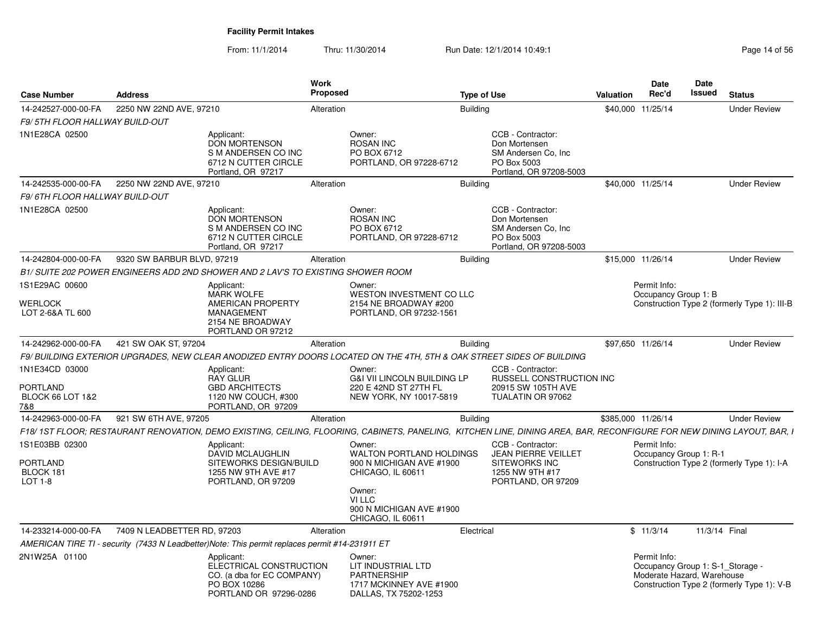| <b>Case Number</b>                                                      | <b>Address</b>              |                                                                                                               | <b>Work</b><br>Proposed |                                                                                                                                                                        | <b>Type of Use</b> |                                                                                                           | <b>Valuation</b>   | Date<br>Rec'd                                                                  | Date<br><b>Issued</b> | <b>Status</b>                                |
|-------------------------------------------------------------------------|-----------------------------|---------------------------------------------------------------------------------------------------------------|-------------------------|------------------------------------------------------------------------------------------------------------------------------------------------------------------------|--------------------|-----------------------------------------------------------------------------------------------------------|--------------------|--------------------------------------------------------------------------------|-----------------------|----------------------------------------------|
| 14-242527-000-00-FA                                                     | 2250 NW 22ND AVE, 97210     |                                                                                                               | Alteration              |                                                                                                                                                                        | <b>Building</b>    |                                                                                                           | \$40,000 11/25/14  |                                                                                |                       | <b>Under Review</b>                          |
| F9/5TH FLOOR HALLWAY BUILD-OUT                                          |                             |                                                                                                               |                         |                                                                                                                                                                        |                    |                                                                                                           |                    |                                                                                |                       |                                              |
| 1N1E28CA 02500                                                          |                             | Applicant:<br><b>DON MORTENSON</b><br>S M ANDERSEN CO INC<br>6712 N CUTTER CIRCLE<br>Portland, OR 97217       |                         | Owner:<br><b>ROSAN INC</b><br>PO BOX 6712<br>PORTLAND, OR 97228-6712                                                                                                   |                    | CCB - Contractor:<br>Don Mortensen<br>SM Andersen Co. Inc<br>PO Box 5003<br>Portland, OR 97208-5003       |                    |                                                                                |                       |                                              |
| 14-242535-000-00-FA                                                     | 2250 NW 22ND AVE, 97210     |                                                                                                               | Alteration              |                                                                                                                                                                        | <b>Building</b>    |                                                                                                           | \$40,000 11/25/14  |                                                                                |                       | <b>Under Review</b>                          |
| F9/ 6TH FLOOR HALLWAY BUILD-OUT                                         |                             |                                                                                                               |                         |                                                                                                                                                                        |                    |                                                                                                           |                    |                                                                                |                       |                                              |
| 1N1E28CA 02500                                                          |                             | Applicant:<br><b>DON MORTENSON</b><br>S M ANDERSEN CO INC<br>6712 N CUTTER CIRCLE<br>Portland, OR 97217       |                         | Owner:<br><b>ROSAN INC</b><br>PO BOX 6712<br>PORTLAND, OR 97228-6712                                                                                                   |                    | CCB - Contractor:<br>Don Mortensen<br>SM Andersen Co, Inc<br>PO Box 5003<br>Portland, OR 97208-5003       |                    |                                                                                |                       |                                              |
| 14-242804-000-00-FA                                                     | 9320 SW BARBUR BLVD, 97219  |                                                                                                               | Alteration              |                                                                                                                                                                        | <b>Building</b>    |                                                                                                           | \$15,000 11/26/14  |                                                                                |                       | <b>Under Review</b>                          |
|                                                                         |                             | B1/ SUITE 202 POWER ENGINEERS ADD 2ND SHOWER AND 2 LAV'S TO EXISTING SHOWER ROOM                              |                         |                                                                                                                                                                        |                    |                                                                                                           |                    |                                                                                |                       |                                              |
| 1S1E29AC 00600                                                          |                             | Applicant:<br><b>MARK WOLFE</b>                                                                               |                         | Owner:<br>WESTON INVESTMENT CO LLC                                                                                                                                     |                    |                                                                                                           |                    | Permit Info:<br>Occupancy Group 1: B                                           |                       |                                              |
| <b>WERLOCK</b><br>LOT 2-6&A TL 600                                      |                             | AMERICAN PROPERTY<br><b>MANAGEMENT</b><br>2154 NE BROADWAY<br>PORTLAND OR 97212                               |                         | 2154 NE BROADWAY #200<br>PORTLAND, OR 97232-1561                                                                                                                       |                    |                                                                                                           |                    |                                                                                |                       | Construction Type 2 (formerly Type 1): III-B |
| 14-242962-000-00-FA                                                     | 421 SW OAK ST, 97204        |                                                                                                               | Alteration              |                                                                                                                                                                        | <b>Building</b>    |                                                                                                           | \$97,650 11/26/14  |                                                                                |                       | <b>Under Review</b>                          |
|                                                                         |                             |                                                                                                               |                         | F9/ BUILDING EXTERIOR UPGRADES, NEW CLEAR ANODIZED ENTRY DOORS LOCATED ON THE 4TH, 5TH & OAK STREET SIDES OF BUILDING                                                  |                    |                                                                                                           |                    |                                                                                |                       |                                              |
| 1N1E34CD 03000<br><b>PORTLAND</b><br><b>BLOCK 66 LOT 1&amp;2</b><br>7&8 |                             | Applicant:<br><b>RAY GLUR</b><br><b>GBD ARCHITECTS</b><br>1120 NW COUCH, #300<br>PORTLAND, OR 97209           |                         | Owner:<br><b>G&amp;I VII LINCOLN BUILDING LP</b><br>220 E 42ND ST 27TH FL<br>NEW YORK, NY 10017-5819                                                                   |                    | CCB - Contractor:<br><b>RUSSELL CONSTRUCTION INC</b><br>20915 SW 105TH AVE<br>TUALATIN OR 97062           |                    |                                                                                |                       |                                              |
| 14-242963-000-00-FA                                                     | 921 SW 6TH AVE, 97205       |                                                                                                               | Alteration              |                                                                                                                                                                        | <b>Building</b>    |                                                                                                           | \$385,000 11/26/14 |                                                                                |                       | <b>Under Review</b>                          |
|                                                                         |                             |                                                                                                               |                         | F18/ 1ST FLOOR; RESTAURANT RENOVATION, DEMO EXISTING, CEILING, FLOORING, CABINETS, PANELING, KITCHEN LINE, DINING AREA, BAR, RECONFIGURE FOR NEW DINING LAYOUT, BAR, I |                    |                                                                                                           |                    |                                                                                |                       |                                              |
| 1S1E03BB 02300<br><b>PORTLAND</b><br>BLOCK 181<br>$LOT 1-8$             |                             | Applicant:<br><b>DAVID MCLAUGHLIN</b><br>SITEWORKS DESIGN/BUILD<br>1255 NW 9TH AVE #17<br>PORTLAND, OR 97209  |                         | Owner:<br><b>WALTON PORTLAND HOLDINGS</b><br>900 N MICHIGAN AVE #1900<br>CHICAGO, IL 60611<br>Owner:<br>VI LLC<br>900 N MICHIGAN AVE #1900<br>CHICAGO, IL 60611        |                    | CCB - Contractor:<br><b>JEAN PIERRE VEILLET</b><br>SITEWORKS INC<br>1255 NW 9TH #17<br>PORTLAND, OR 97209 |                    | Permit Info:<br>Occupancy Group 1: R-1                                         |                       | Construction Type 2 (formerly Type 1): I-A   |
| 14-233214-000-00-FA                                                     | 7409 N LEADBETTER RD, 97203 |                                                                                                               | Alteration              |                                                                                                                                                                        | Electrical         |                                                                                                           |                    | \$11/3/14                                                                      | 11/3/14 Final         |                                              |
|                                                                         |                             | AMERICAN TIRE TI - security (7433 N Leadbetter)Note: This permit replaces permit #14-231911 ET                |                         |                                                                                                                                                                        |                    |                                                                                                           |                    |                                                                                |                       |                                              |
| 2N1W25A 01100                                                           |                             | Applicant:<br>ELECTRICAL CONSTRUCTION<br>CO. (a dba for EC COMPANY)<br>PO BOX 10286<br>PORTLAND OR 97296-0286 |                         | Owner:<br>LIT INDUSTRIAL LTD<br><b>PARTNERSHIP</b><br>1717 MCKINNEY AVE #1900<br>DALLAS, TX 75202-1253                                                                 |                    |                                                                                                           |                    | Permit Info:<br>Occupancy Group 1: S-1_Storage -<br>Moderate Hazard, Warehouse |                       | Construction Type 2 (formerly Type 1): V-B   |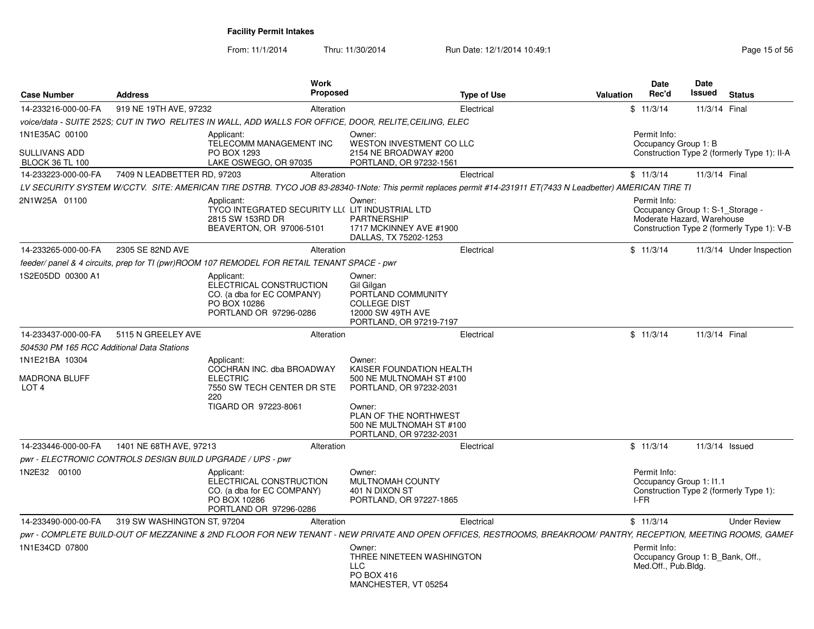| <b>Case Number</b>                                  | <b>Address</b>                                             | Work<br>Proposed                                                                                                                                               |                                                                                                                              | <b>Type of Use</b> | Valuation | Date<br>Rec'd                           | Date<br><b>Issued</b>                                          | <b>Status</b>                               |
|-----------------------------------------------------|------------------------------------------------------------|----------------------------------------------------------------------------------------------------------------------------------------------------------------|------------------------------------------------------------------------------------------------------------------------------|--------------------|-----------|-----------------------------------------|----------------------------------------------------------------|---------------------------------------------|
| 14-233216-000-00-FA                                 | 919 NE 19TH AVE, 97232                                     | Alteration                                                                                                                                                     |                                                                                                                              | Electrical         |           | \$11/3/14                               | 11/3/14 Final                                                  |                                             |
|                                                     |                                                            | voice/data - SUITE 252S; CUT IN TWO RELITES IN WALL, ADD WALLS FOR OFFICE, DOOR, RELITE, CEILING, ELEC                                                         |                                                                                                                              |                    |           |                                         |                                                                |                                             |
| 1N1E35AC 00100<br><b>SULLIVANS ADD</b>              |                                                            | Applicant:<br>TELECOMM MANAGEMENT INC<br>PO BOX 1293                                                                                                           | Owner:<br>WESTON INVESTMENT CO LLC<br>2154 NE BROADWAY #200                                                                  |                    |           | Permit Info:<br>Occupancy Group 1: B    |                                                                | Construction Type 2 (formerly Type 1): II-A |
| <b>BLOCK 36 TL 100</b>                              |                                                            | LAKE OSWEGO, OR 97035                                                                                                                                          | PORTLAND, OR 97232-1561                                                                                                      |                    |           |                                         |                                                                |                                             |
| 14-233223-000-00-FA                                 | 7409 N LEADBETTER RD, 97203                                | Alteration                                                                                                                                                     |                                                                                                                              | Electrical         |           | \$11/3/14                               | 11/3/14 Final                                                  |                                             |
|                                                     |                                                            | LV SECURITY SYSTEM W/CCTV. SITE: AMERICAN TIRE DSTRB. TYCO JOB 83-28340-1Note: This permit replaces permit #14-231911 ET(7433 N Leadbetter) AMERICAN TIRE TI   |                                                                                                                              |                    |           |                                         |                                                                |                                             |
| 2N1W25A 01100                                       |                                                            | Applicant:<br>TYCO INTEGRATED SECURITY LL( LIT INDUSTRIAL LTD<br>2815 SW 153RD DR<br>BEAVERTON, OR 97006-5101                                                  | Owner:<br><b>PARTNERSHIP</b><br>1717 MCKINNEY AVE #1900<br>DALLAS, TX 75202-1253                                             |                    |           | Permit Info:                            | Occupancy Group 1: S-1_Storage -<br>Moderate Hazard, Warehouse | Construction Type 2 (formerly Type 1): V-B  |
| 14-233265-000-00-FA                                 | 2305 SE 82ND AVE                                           | Alteration                                                                                                                                                     |                                                                                                                              | Electrical         |           | \$11/3/14                               |                                                                | 11/3/14 Under Inspection                    |
|                                                     |                                                            | feeder/ panel & 4 circuits, prep for TI (pwr)ROOM 107 REMODEL FOR RETAIL TENANT SPACE - pwr                                                                    |                                                                                                                              |                    |           |                                         |                                                                |                                             |
| 1S2E05DD 00300 A1                                   |                                                            | Applicant:<br>ELECTRICAL CONSTRUCTION<br>CO. (a dba for EC COMPANY)<br>PO BOX 10286<br>PORTLAND OR 97296-0286                                                  | Owner:<br>Gil Gilgan<br>PORTLAND COMMUNITY<br><b>COLLEGE DIST</b><br>12000 SW 49TH AVE<br>PORTLAND, OR 97219-7197            |                    |           |                                         |                                                                |                                             |
| 14-233437-000-00-FA                                 | 5115 N GREELEY AVE                                         | Alteration                                                                                                                                                     |                                                                                                                              | Electrical         |           | \$11/3/14                               | 11/3/14 Final                                                  |                                             |
| 504530 PM 165 RCC Additional Data Stations          |                                                            |                                                                                                                                                                |                                                                                                                              |                    |           |                                         |                                                                |                                             |
| 1N1E21BA 10304<br>MADRONA BLUFF<br>LOT <sub>4</sub> |                                                            | Applicant:<br>COCHRAN INC. dba BROADWAY<br><b>ELECTRIC</b><br>7550 SW TECH CENTER DR STE<br>220<br>TIGARD OR 97223-8061                                        | Owner:<br>KAISER FOUNDATION HEALTH<br>500 NE MULTNOMAH ST #100<br>PORTLAND, OR 97232-2031<br>Owner:<br>PLAN OF THE NORTHWEST |                    |           |                                         |                                                                |                                             |
|                                                     |                                                            |                                                                                                                                                                | 500 NE MULTNOMAH ST #100<br>PORTLAND, OR 97232-2031                                                                          |                    |           |                                         |                                                                |                                             |
| 14-233446-000-00-FA                                 | 1401 NE 68TH AVE, 97213                                    | Alteration                                                                                                                                                     |                                                                                                                              | Electrical         |           | \$11/3/14                               | 11/3/14 Issued                                                 |                                             |
|                                                     | pwr - ELECTRONIC CONTROLS DESIGN BUILD UPGRADE / UPS - pwr |                                                                                                                                                                |                                                                                                                              |                    |           |                                         |                                                                |                                             |
| 1N2E32 00100                                        |                                                            | Applicant:<br>ELECTRICAL CONSTRUCTION<br>CO. (a dba for EC COMPANY)<br>PO BOX 10286<br>PORTLAND OR 97296-0286                                                  | Owner:<br><b>MULTNOMAH COUNTY</b><br>401 N DIXON ST<br>PORTLAND, OR 97227-1865                                               |                    | I-FR      | Permit Info:<br>Occupancy Group 1: I1.1 | Construction Type 2 (formerly Type 1):                         |                                             |
| 14-233490-000-00-FA                                 | 319 SW WASHINGTON ST, 97204                                | Alteration                                                                                                                                                     |                                                                                                                              | Electrical         |           | \$11/3/14                               |                                                                | <b>Under Review</b>                         |
|                                                     |                                                            | pwr - COMPLETE BUILD-OUT OF MEZZANINE & 2ND FLOOR FOR NEW TENANT - NEW PRIVATE AND OPEN OFFICES, RESTROOMS, BREAKROOM/ PANTRY, RECEPTION, MEETING ROOMS, GAMEF |                                                                                                                              |                    |           |                                         |                                                                |                                             |
| 1N1E34CD 07800                                      |                                                            |                                                                                                                                                                | Owner:<br>THREE NINETEEN WASHINGTON<br><b>LLC</b><br>PO BOX 416<br>MANCHESTER, VT 05254                                      |                    |           | Permit Info:<br>Med.Off., Pub.Bldg.     | Occupancy Group 1: B_Bank, Off.,                               |                                             |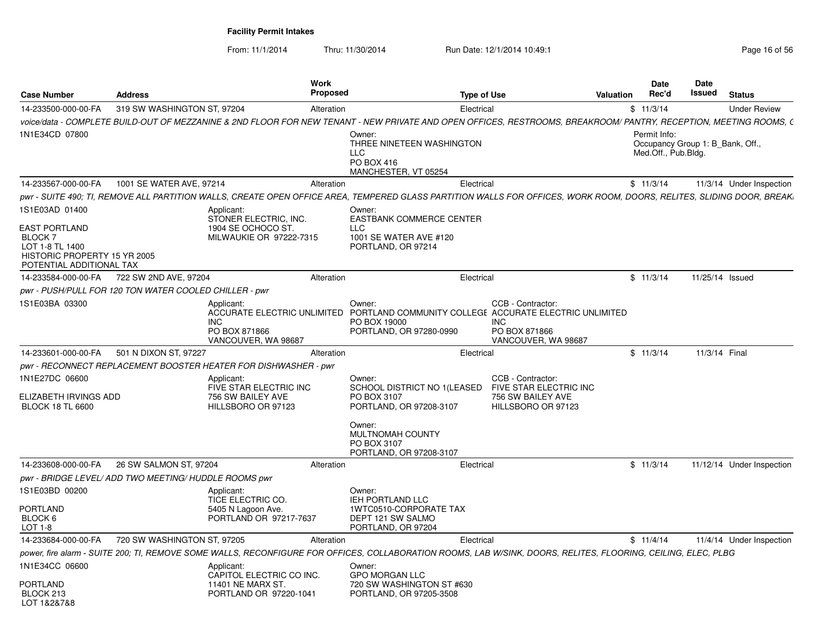From: 11/1/2014

| <b>Case Number</b>                                                                                                               | <b>Address</b>                                         |                                                                                             | Work<br><b>Proposed</b> |                                                                                                                                                                       | <b>Type of Use</b> |                                                                                        | Valuation | Date<br>Rec'd                       | <b>Date</b><br>Issued | <b>Status</b>                  |
|----------------------------------------------------------------------------------------------------------------------------------|--------------------------------------------------------|---------------------------------------------------------------------------------------------|-------------------------|-----------------------------------------------------------------------------------------------------------------------------------------------------------------------|--------------------|----------------------------------------------------------------------------------------|-----------|-------------------------------------|-----------------------|--------------------------------|
| 14-233500-000-00-FA                                                                                                              | 319 SW WASHINGTON ST, 97204                            |                                                                                             | Alteration              |                                                                                                                                                                       | Electrical         |                                                                                        |           | \$11/3/14                           |                       | <b>Under Review</b>            |
|                                                                                                                                  |                                                        |                                                                                             |                         | voice/data - COMPLETE BUILD-OUT OF MEZZANINE & 2ND FLOOR FOR NEW TENANT - NEW PRIVATE AND OPEN OFFICES. RESTROOMS. BREAKROOM/ PANTRY, RECEPTION, MEETING ROOMS, (     |                    |                                                                                        |           |                                     |                       |                                |
| 1N1E34CD 07800                                                                                                                   |                                                        |                                                                                             |                         | Owner:<br>THREE NINETEEN WASHINGTON<br>LLC<br>PO BOX 416<br>MANCHESTER, VT 05254                                                                                      |                    |                                                                                        |           | Permit Info:<br>Med.Off., Pub.Bldg. |                       | Occupancy Group 1: B Bank, Off |
| 14-233567-000-00-FA                                                                                                              | 1001 SE WATER AVE, 97214                               |                                                                                             | Alteration              |                                                                                                                                                                       | Electrical         |                                                                                        |           | \$11/3/14                           |                       | 11/3/14 Under Inspection       |
|                                                                                                                                  |                                                        |                                                                                             |                         | pwr - SUITE 490; TI, REMOVE ALL PARTITION WALLS, CREATE OPEN OFFICE AREA, TEMPERED GLASS PARTITION WALLS FOR OFFICES, WORK ROOM, DOORS, RELITES, SLIDING DOOR, BREAK, |                    |                                                                                        |           |                                     |                       |                                |
| 1S1E03AD 01400<br><b>EAST PORTLAND</b><br>BLOCK 7<br>LOT 1-8 TL 1400<br>HISTORIC PROPERTY 15 YR 2005<br>POTENTIAL ADDITIONAL TAX |                                                        | Applicant:<br>STONER ELECTRIC, INC.<br>1904 SE OCHOCO ST.<br>MILWAUKIE OR 97222-7315        |                         | Owner:<br><b>EASTBANK COMMERCE CENTER</b><br>LLC<br>1001 SE WATER AVE #120<br>PORTLAND, OR 97214                                                                      |                    |                                                                                        |           |                                     |                       |                                |
| 14-233584-000-00-FA                                                                                                              | 722 SW 2ND AVE, 97204                                  |                                                                                             | Alteration              |                                                                                                                                                                       | Electrical         |                                                                                        |           | \$11/3/14                           |                       | 11/25/14 Issued                |
|                                                                                                                                  | pwr - PUSH/PULL FOR 120 TON WATER COOLED CHILLER - pwr |                                                                                             |                         |                                                                                                                                                                       |                    |                                                                                        |           |                                     |                       |                                |
| 1S1E03BA 03300                                                                                                                   |                                                        | Applicant:<br><b>INC</b><br>PO BOX 871866<br>VANCOUVER, WA 98687                            |                         | Owner:<br>ACCURATE ELECTRIC UNLIMITED PORTLAND COMMUNITY COLLEGE ACCURATE ELECTRIC UNLIMITED<br>PO BOX 19000<br>PORTLAND, OR 97280-0990                               |                    | CCB - Contractor:<br><b>INC</b><br>PO BOX 871866<br>VANCOUVER, WA 98687                |           |                                     |                       |                                |
| 14-233601-000-00-FA                                                                                                              | 501 N DIXON ST, 97227                                  |                                                                                             | Alteration              |                                                                                                                                                                       | Electrical         |                                                                                        |           | \$11/3/14                           |                       | 11/3/14 Final                  |
|                                                                                                                                  |                                                        | pwr - RECONNECT REPLACEMENT BOOSTER HEATER FOR DISHWASHER - pwr                             |                         |                                                                                                                                                                       |                    |                                                                                        |           |                                     |                       |                                |
| 1N1E27DC 06600<br>ELIZABETH IRVINGS ADD<br><b>BLOCK 18 TL 6600</b>                                                               |                                                        | Applicant:<br>FIVE STAR ELECTRIC INC<br>756 SW BAILEY AVE<br>HILLSBORO OR 97123             |                         | Owner:<br>SCHOOL DISTRICT NO 1(LEASED<br>PO BOX 3107<br>PORTLAND, OR 97208-3107<br>Owner:<br>MULTNOMAH COUNTY<br>PO BOX 3107<br>PORTLAND, OR 97208-3107               |                    | CCB - Contractor:<br>FIVE STAR ELECTRIC INC<br>756 SW BAILEY AVE<br>HILLSBORO OR 97123 |           |                                     |                       |                                |
| 14-233608-000-00-FA                                                                                                              | 26 SW SALMON ST, 97204                                 |                                                                                             | Alteration              |                                                                                                                                                                       | Electrical         |                                                                                        |           | \$11/3/14                           |                       | 11/12/14 Under Inspection      |
|                                                                                                                                  | pwr - BRIDGE LEVEL/ADD TWO MEETING/HUDDLE ROOMS pwr    |                                                                                             |                         |                                                                                                                                                                       |                    |                                                                                        |           |                                     |                       |                                |
| 1S1E03BD 00200<br><b>PORTLAND</b><br>BLOCK 6<br>LOT 1-8                                                                          |                                                        | Applicant:<br>TICE ELECTRIC CO.<br>5405 N Lagoon Ave.<br>PORTLAND OR 97217-7637             |                         | Owner:<br><b>IEH PORTLAND LLC</b><br>1WTC0510-CORPORATE TAX<br>DEPT 121 SW SALMO<br>PORTLAND, OR 97204                                                                |                    |                                                                                        |           |                                     |                       |                                |
| 14-233684-000-00-FA                                                                                                              | 720 SW WASHINGTON ST, 97205                            |                                                                                             | Alteration              |                                                                                                                                                                       | Electrical         |                                                                                        |           | \$11/4/14                           |                       | 11/4/14 Under Inspection       |
|                                                                                                                                  |                                                        |                                                                                             |                         | power, fire alarm - SUITE 200; TI, REMOVE SOME WALLS, RECONFIGURE FOR OFFICES, COLLABORATION ROOMS, LAB W/SINK, DOORS, RELITES, FLOORING, CEILING, ELEC, PLBG         |                    |                                                                                        |           |                                     |                       |                                |
| 1N1E34CC 06600<br><b>PORTLAND</b><br>BLOCK 213<br>LOT 1&2&7&8                                                                    |                                                        | Applicant:<br>CAPITOL ELECTRIC CO INC.<br><b>11401 NE MARX ST</b><br>PORTLAND OR 97220-1041 |                         | Owner:<br><b>GPO MORGAN LLC</b><br>720 SW WASHINGTON ST #630<br>PORTLAND, OR 97205-3508                                                                               |                    |                                                                                        |           |                                     |                       |                                |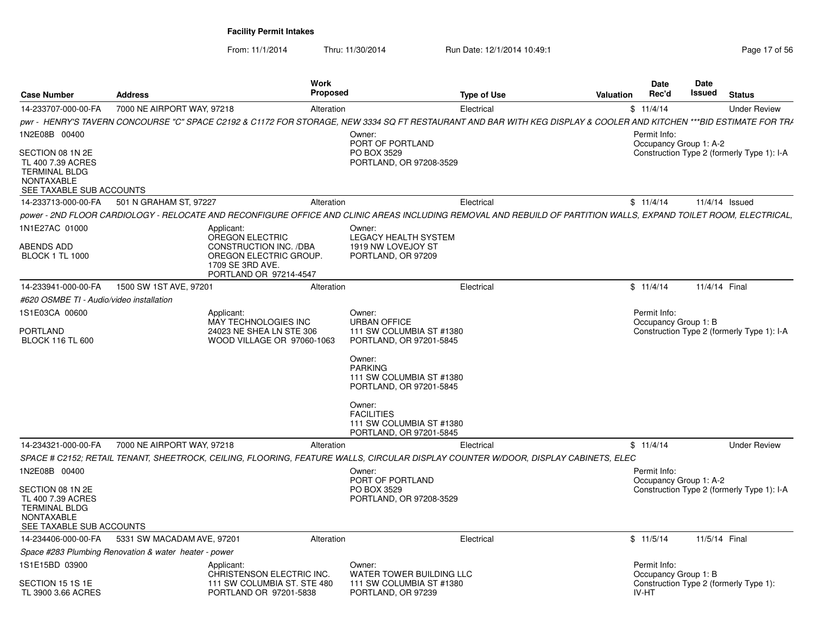From: 11/1/2014

| <b>Case Number</b>                                                                                             | <b>Address</b>                                        |                                                                                                       | Work<br>Proposed | <b>Type of Use</b>                                                                                                                                                  | Valuation | Date<br>Rec'd                          | Date<br>Issued | <b>Status</b>                              |
|----------------------------------------------------------------------------------------------------------------|-------------------------------------------------------|-------------------------------------------------------------------------------------------------------|------------------|---------------------------------------------------------------------------------------------------------------------------------------------------------------------|-----------|----------------------------------------|----------------|--------------------------------------------|
| 14-233707-000-00-FA                                                                                            | 7000 NE AIRPORT WAY, 97218                            |                                                                                                       | Alteration       | Electrical                                                                                                                                                          |           | \$11/4/14                              |                | <b>Under Review</b>                        |
|                                                                                                                |                                                       |                                                                                                       |                  | pwr - HENRY'S TAVERN CONCOURSE "C" SPACE C2192 & C1172 FOR STORAGE, NEW 3334 SQ FT RESTAURANT AND BAR WITH KEG DISPLAY & COOLER AND KITCHEN ***BID ESTIMATE FOR TRA |           |                                        |                |                                            |
| 1N2E08B 00400                                                                                                  |                                                       |                                                                                                       |                  | Owner:<br>PORT OF PORTLAND                                                                                                                                          |           | Permit Info:<br>Occupancy Group 1: A-2 |                |                                            |
| SECTION 08 1N 2E<br>TL 400 7.39 ACRES<br><b>TERMINAL BLDG</b><br><b>NONTAXABLE</b><br>SEE TAXABLE SUB ACCOUNTS |                                                       |                                                                                                       |                  | PO BOX 3529<br>PORTLAND, OR 97208-3529                                                                                                                              |           |                                        |                | Construction Type 2 (formerly Type 1): I-A |
| 14-233713-000-00-FA                                                                                            | 501 N GRAHAM ST, 97227                                |                                                                                                       | Alteration       | Electrical                                                                                                                                                          |           | \$11/4/14                              |                | 11/4/14 Issued                             |
|                                                                                                                |                                                       |                                                                                                       |                  | power - 2ND FLOOR CARDIOLOGY - RELOCATE AND RECONFIGURE OFFICE AND CLINIC AREAS INCLUDING REMOVAL AND REBUILD OF PARTITION WALLS. EXPAND TOILET ROOM. ELECTRICAL.   |           |                                        |                |                                            |
| 1N1E27AC 01000                                                                                                 |                                                       | Applicant:<br>OREGON ELECTRIC                                                                         |                  | Owner:<br>LEGACY HEALTH SYSTEM                                                                                                                                      |           |                                        |                |                                            |
| ABENDS ADD<br><b>BLOCK 1 TL 1000</b>                                                                           |                                                       | <b>CONSTRUCTION INC. /DBA</b><br>OREGON ELECTRIC GROUP.<br>1709 SE 3RD AVE.<br>PORTLAND OR 97214-4547 |                  | 1919 NW LOVEJOY ST<br>PORTLAND, OR 97209                                                                                                                            |           |                                        |                |                                            |
| 14-233941-000-00-FA                                                                                            | 1500 SW 1ST AVE, 97201                                |                                                                                                       | Alteration       | Electrical                                                                                                                                                          |           | \$11/4/14                              | 11/4/14 Final  |                                            |
| #620 OSMBE TI - Audio/video installation                                                                       |                                                       |                                                                                                       |                  |                                                                                                                                                                     |           |                                        |                |                                            |
| 1S1E03CA 00600                                                                                                 |                                                       | Applicant:<br>MAY TECHNOLOGIES INC                                                                    |                  | Owner:<br><b>URBAN OFFICE</b>                                                                                                                                       |           | Permit Info:<br>Occupancy Group 1: B   |                |                                            |
| PORTLAND<br><b>BLOCK 116 TL 600</b>                                                                            |                                                       | 24023 NE SHEA LN STE 306<br>WOOD VILLAGE OR 97060-1063                                                |                  | 111 SW COLUMBIA ST #1380<br>PORTLAND, OR 97201-5845                                                                                                                 |           |                                        |                | Construction Type 2 (formerly Type 1): I-A |
|                                                                                                                |                                                       |                                                                                                       |                  | Owner:<br><b>PARKING</b><br>111 SW COLUMBIA ST #1380<br>PORTLAND, OR 97201-5845                                                                                     |           |                                        |                |                                            |
|                                                                                                                |                                                       |                                                                                                       |                  | Owner:<br><b>FACILITIES</b><br>111 SW COLUMBIA ST #1380<br>PORTLAND, OR 97201-5845                                                                                  |           |                                        |                |                                            |
| 14-234321-000-00-FA                                                                                            | 7000 NE AIRPORT WAY, 97218                            |                                                                                                       | Alteration       | Electrical                                                                                                                                                          |           | \$11/4/14                              |                | <b>Under Review</b>                        |
|                                                                                                                |                                                       |                                                                                                       |                  | SPACE # C2152: RETAIL TENANT, SHEETROCK, CEILING, FLOORING, FEATURE WALLS, CIRCULAR DISPLAY COUNTER W/DOOR, DISPLAY CABINETS, ELEC                                  |           |                                        |                |                                            |
| 1N2E08B 00400                                                                                                  |                                                       |                                                                                                       |                  | Owner:<br>PORT OF PORTLAND                                                                                                                                          |           | Permit Info:<br>Occupancy Group 1: A-2 |                |                                            |
| SECTION 08 1N 2E<br>TL 400 7.39 ACRES<br><b>TERMINAL BLDG</b><br><b>NONTAXABLE</b><br>SEE TAXABLE SUB ACCOUNTS |                                                       |                                                                                                       |                  | PO BOX 3529<br>PORTLAND, OR 97208-3529                                                                                                                              |           |                                        |                | Construction Type 2 (formerly Type 1): I-A |
| 14-234406-000-00-FA                                                                                            | 5331 SW MACADAM AVE, 97201                            |                                                                                                       | Alteration       | Electrical                                                                                                                                                          |           | \$11/5/14                              | 11/5/14 Final  |                                            |
|                                                                                                                | Space #283 Plumbing Renovation & water heater - power |                                                                                                       |                  |                                                                                                                                                                     |           |                                        |                |                                            |
| 1S1E15BD 03900                                                                                                 |                                                       | Applicant:<br>CHRISTENSON ELECTRIC INC.                                                               |                  | Owner:<br>WATER TOWER BUILDING LLC                                                                                                                                  |           | Permit Info:<br>Occupancy Group 1: B   |                |                                            |
| SECTION 15 1S 1E<br>TL 3900 3.66 ACRES                                                                         |                                                       | 111 SW COLUMBIA ST. STE 480<br>PORTLAND OR 97201-5838                                                 |                  | 111 SW COLUMBIA ST #1380<br>PORTLAND, OR 97239                                                                                                                      |           | <b>IV-HT</b>                           |                | Construction Type 2 (formerly Type 1):     |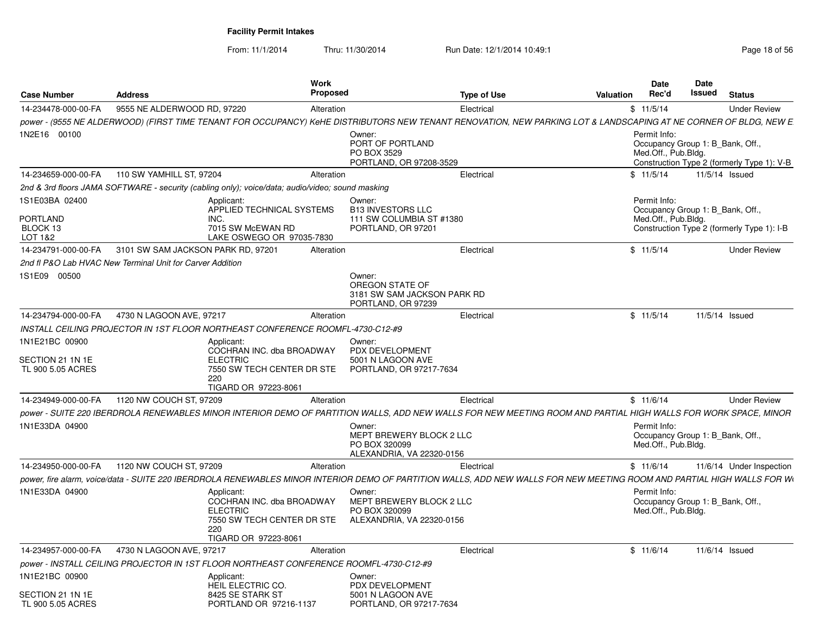From: 11/1/2014

| <b>Case Number</b>                                       | <b>Address</b>                                            |                                                                                                                         | <b>Work</b><br><b>Proposed</b> |                                                                                                                                                                        | <b>Type of Use</b> | <b>Valuation</b> | <b>Date</b><br>Rec'd                | <b>Date</b><br>Issued            | <b>Status</b>                              |
|----------------------------------------------------------|-----------------------------------------------------------|-------------------------------------------------------------------------------------------------------------------------|--------------------------------|------------------------------------------------------------------------------------------------------------------------------------------------------------------------|--------------------|------------------|-------------------------------------|----------------------------------|--------------------------------------------|
| 14-234478-000-00-FA                                      | 9555 NE ALDERWOOD RD, 97220                               |                                                                                                                         | Alteration                     |                                                                                                                                                                        | Electrical         |                  | \$11/5/14                           |                                  | <b>Under Review</b>                        |
|                                                          |                                                           |                                                                                                                         |                                | power - (9555 NE ALDERWOOD) (FIRST TIME TENANT FOR OCCUPANCY) KeHE DISTRIBUTORS NEW TENANT RENOVATION, NEW PARKING LOT & LANDSCAPING AT NE CORNER OF BLDG, NEW E       |                    |                  |                                     |                                  |                                            |
| 1N2E16 00100                                             |                                                           |                                                                                                                         |                                | Owner:<br>PORT OF PORTLAND<br>PO BOX 3529<br>PORTLAND, OR 97208-3529                                                                                                   |                    |                  | Permit Info:<br>Med.Off., Pub.Bldg. | Occupancy Group 1: B_Bank, Off., | Construction Type 2 (formerly Type 1): V-B |
| 14-234659-000-00-FA                                      | 110 SW YAMHILL ST, 97204                                  |                                                                                                                         | Alteration                     |                                                                                                                                                                        | Electrical         |                  | \$11/5/14                           | 11/5/14 Issued                   |                                            |
|                                                          |                                                           | 2nd & 3rd floors JAMA SOFTWARE - security (cabling only); voice/data; audio/video; sound masking                        |                                |                                                                                                                                                                        |                    |                  |                                     |                                  |                                            |
| 1S1E03BA 02400<br><b>PORTLAND</b><br>BLOCK 13<br>LOT 1&2 |                                                           | Applicant:<br>APPLIED TECHNICAL SYSTEMS<br>INC.<br>7015 SW McEWAN RD<br>LAKE OSWEGO OR 97035-7830                       |                                | Owner:<br><b>B13 INVESTORS LLC</b><br>111 SW COLUMBIA ST #1380<br>PORTLAND, OR 97201                                                                                   |                    |                  | Permit Info:<br>Med.Off., Pub.Bldg. | Occupancy Group 1: B_Bank, Off.  | Construction Type 2 (formerly Type 1): I-B |
| 14-234791-000-00-FA                                      | 3101 SW SAM JACKSON PARK RD, 97201                        |                                                                                                                         | Alteration                     |                                                                                                                                                                        | Electrical         |                  | \$11/5/14                           |                                  | <b>Under Review</b>                        |
|                                                          | 2nd fl P&O Lab HVAC New Terminal Unit for Carver Addition |                                                                                                                         |                                |                                                                                                                                                                        |                    |                  |                                     |                                  |                                            |
| 1S1E09 00500                                             |                                                           |                                                                                                                         |                                | Owner:<br>OREGON STATE OF<br>3181 SW SAM JACKSON PARK RD<br>PORTLAND, OR 97239                                                                                         |                    |                  |                                     |                                  |                                            |
| 14-234794-000-00-FA                                      | 4730 N LAGOON AVE, 97217                                  |                                                                                                                         | Alteration                     |                                                                                                                                                                        | Electrical         |                  | \$11/5/14                           | 11/5/14 Issued                   |                                            |
|                                                          |                                                           | INSTALL CEILING PROJECTOR IN 1ST FLOOR NORTHEAST CONFERENCE ROOMFL-4730-C12-#9                                          |                                |                                                                                                                                                                        |                    |                  |                                     |                                  |                                            |
| 1N1E21BC 00900<br>SECTION 21 1N 1E<br>TL 900 5.05 ACRES  |                                                           | Applicant:<br>COCHRAN INC. dba BROADWAY<br><b>ELECTRIC</b><br>7550 SW TECH CENTER DR STE<br>220<br>TIGARD OR 97223-8061 |                                | Owner:<br>PDX DEVELOPMENT<br>5001 N LAGOON AVE<br>PORTLAND, OR 97217-7634                                                                                              |                    |                  |                                     |                                  |                                            |
| 14-234949-000-00-FA                                      | 1120 NW COUCH ST, 97209                                   |                                                                                                                         | Alteration                     |                                                                                                                                                                        | Electrical         |                  | \$11/6/14                           |                                  | <b>Under Review</b>                        |
|                                                          |                                                           |                                                                                                                         |                                | power - SUITE 220 IBERDROLA RENEWABLES MINOR INTERIOR DEMO OF PARTITION WALLS, ADD NEW WALLS FOR NEW MEETING ROOM AND PARTIAL HIGH WALLS FOR WORK SPACE, MINOR         |                    |                  |                                     |                                  |                                            |
| 1N1E33DA 04900                                           |                                                           |                                                                                                                         |                                | Owner:<br>MEPT BREWERY BLOCK 2 LLC<br>PO BOX 320099<br>ALEXANDRIA, VA 22320-0156                                                                                       |                    |                  | Permit Info:<br>Med.Off., Pub.Bldg. | Occupancy Group 1: B_Bank, Off., |                                            |
| 14-234950-000-00-FA                                      | 1120 NW COUCH ST, 97209                                   |                                                                                                                         | Alteration                     |                                                                                                                                                                        | Electrical         |                  | \$11/6/14                           |                                  | 11/6/14 Under Inspection                   |
|                                                          |                                                           |                                                                                                                         |                                | power, fire alarm, voice/data - SUITE 220 IBERDROLA RENEWABLES MINOR INTERIOR DEMO OF PARTITION WALLS, ADD NEW WALLS FOR NEW MEETING ROOM AND PARTIAL HIGH WALLS FOR W |                    |                  |                                     |                                  |                                            |
| 1N1E33DA 04900                                           |                                                           | Applicant:<br>COCHRAN INC. dba BROADWAY<br><b>ELECTRIC</b><br>7550 SW TECH CENTER DR STE<br>220<br>TIGARD OR 97223-8061 |                                | Owner:<br>MEPT BREWERY BLOCK 2 LLC<br>PO BOX 320099<br>ALEXANDRIA, VA 22320-0156                                                                                       |                    |                  | Permit Info:<br>Med.Off., Pub.Bldg. | Occupancy Group 1: B_Bank, Off.  |                                            |
| 14-234957-000-00-FA                                      | 4730 N LAGOON AVE, 97217                                  |                                                                                                                         | Alteration                     |                                                                                                                                                                        | Electrical         |                  | \$11/6/14                           | 11/6/14 Issued                   |                                            |
|                                                          |                                                           | power - INSTALL CEILING PROJECTOR IN 1ST FLOOR NORTHEAST CONFERENCE ROOMFL-4730-C12-#9                                  |                                |                                                                                                                                                                        |                    |                  |                                     |                                  |                                            |
| 1N1E21BC 00900                                           |                                                           | Applicant:<br>HEIL ELECTRIC CO.                                                                                         |                                | Owner:<br>PDX DEVELOPMENT                                                                                                                                              |                    |                  |                                     |                                  |                                            |
| SECTION 21 1N 1E<br>TL 900 5.05 ACRES                    |                                                           | 8425 SE STARK ST<br>PORTLAND OR 97216-1137                                                                              |                                | 5001 N LAGOON AVE<br>PORTLAND, OR 97217-7634                                                                                                                           |                    |                  |                                     |                                  |                                            |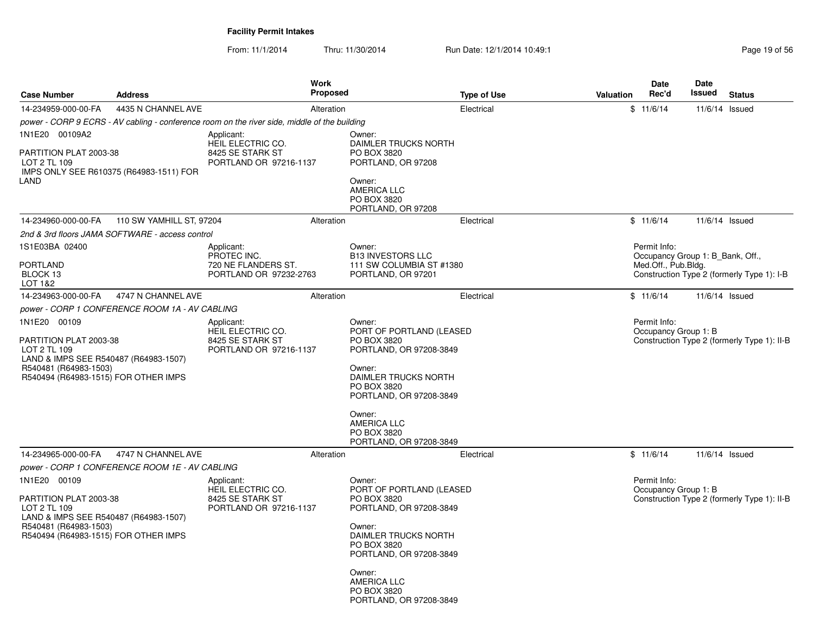| <b>Case Number</b>                                                                                                                                               | <b>Address</b>                                  | <b>Work</b><br><b>Proposed</b>                                                               |                                                                                                                                                                                                                                    | <b>Type of Use</b> | Valuation | Date<br>Rec'd                                                           | Date<br>Issued | <b>Status</b>                               |
|------------------------------------------------------------------------------------------------------------------------------------------------------------------|-------------------------------------------------|----------------------------------------------------------------------------------------------|------------------------------------------------------------------------------------------------------------------------------------------------------------------------------------------------------------------------------------|--------------------|-----------|-------------------------------------------------------------------------|----------------|---------------------------------------------|
| 14-234959-000-00-FA                                                                                                                                              | 4435 N CHANNEL AVE                              | Alteration                                                                                   |                                                                                                                                                                                                                                    | Electrical         |           | \$11/6/14                                                               | 11/6/14 Issued |                                             |
|                                                                                                                                                                  |                                                 | power - CORP 9 ECRS - AV cabling - conference room on the river side, middle of the building |                                                                                                                                                                                                                                    |                    |           |                                                                         |                |                                             |
| 1N1E20 00109A2<br>PARTITION PLAT 2003-38<br>LOT 2 TL 109<br>IMPS ONLY SEE R610375 (R64983-1511) FOR<br>LAND                                                      |                                                 | Applicant:<br>HEIL ELECTRIC CO.<br>8425 SE STARK ST<br>PORTLAND OR 97216-1137                | Owner:<br>DAIMLER TRUCKS NORTH<br>PO BOX 3820<br>PORTLAND, OR 97208<br>Owner:<br><b>AMERICA LLC</b><br>PO BOX 3820<br>PORTLAND, OR 97208                                                                                           |                    |           |                                                                         |                |                                             |
| 14-234960-000-00-FA                                                                                                                                              | 110 SW YAMHILL ST, 97204                        | Alteration                                                                                   |                                                                                                                                                                                                                                    | Electrical         |           | \$11/6/14                                                               |                | $11/6/14$ Issued                            |
|                                                                                                                                                                  | 2nd & 3rd floors JAMA SOFTWARE - access control |                                                                                              |                                                                                                                                                                                                                                    |                    |           |                                                                         |                |                                             |
| 1S1E03BA 02400<br><b>PORTLAND</b><br>BLOCK 13<br>LOT 1&2                                                                                                         |                                                 | Applicant:<br>PROTEC INC.<br>720 NE FLANDERS ST.<br>PORTLAND OR 97232-2763                   | Owner:<br><b>B13 INVESTORS LLC</b><br>111 SW COLUMBIA ST #1380<br>PORTLAND, OR 97201                                                                                                                                               |                    |           | Permit Info:<br>Occupancy Group 1: B_Bank, Off.,<br>Med.Off., Pub.Bldg. |                | Construction Type 2 (formerly Type 1): I-B  |
| 14-234963-000-00-FA                                                                                                                                              | 4747 N CHANNEL AVE                              | Alteration                                                                                   |                                                                                                                                                                                                                                    | Electrical         |           | \$11/6/14                                                               |                | 11/6/14 Issued                              |
|                                                                                                                                                                  | power - CORP 1 CONFERENCE ROOM 1A - AV CABLING  |                                                                                              |                                                                                                                                                                                                                                    |                    |           |                                                                         |                |                                             |
| 1N1E20 00109<br>PARTITION PLAT 2003-38<br>LOT 2 TL 109<br>LAND & IMPS SEE R540487 (R64983-1507)<br>R540481 (R64983-1503)<br>R540494 (R64983-1515) FOR OTHER IMPS |                                                 | Applicant:<br>HEIL ELECTRIC CO.<br>8425 SE STARK ST<br>PORTLAND OR 97216-1137                | Owner:<br>PORT OF PORTLAND (LEASED<br>PO BOX 3820<br>PORTLAND, OR 97208-3849<br>Owner:<br>DAIMLER TRUCKS NORTH<br>PO BOX 3820<br>PORTLAND, OR 97208-3849<br>Owner:<br><b>AMERICA LLC</b><br>PO BOX 3820<br>PORTLAND, OR 97208-3849 |                    |           | Permit Info:<br>Occupancy Group 1: B                                    |                | Construction Type 2 (formerly Type 1): II-B |
| 14-234965-000-00-FA                                                                                                                                              | 4747 N CHANNEL AVE                              | Alteration                                                                                   |                                                                                                                                                                                                                                    | Electrical         |           | \$11/6/14                                                               |                | 11/6/14 Issued                              |
| 1N1E20 00109<br>PARTITION PLAT 2003-38<br>LOT 2 TL 109<br>LAND & IMPS SEE R540487 (R64983-1507)<br>R540481 (R64983-1503)<br>R540494 (R64983-1515) FOR OTHER IMPS | power - CORP 1 CONFERENCE ROOM 1E - AV CABLING  | Applicant:<br>HEIL ELECTRIC CO.<br>8425 SE STARK ST<br>PORTLAND OR 97216-1137                | Owner:<br>PORT OF PORTLAND (LEASED<br>PO BOX 3820<br>PORTLAND, OR 97208-3849<br>Owner:<br>DAIMLER TRUCKS NORTH<br>PO BOX 3820<br>PORTLAND, OR 97208-3849<br>Owner:<br><b>AMERICA LLC</b><br>PO BOX 3820<br>PORTLAND, OR 97208-3849 |                    |           | Permit Info:<br>Occupancy Group 1: B                                    |                | Construction Type 2 (formerly Type 1): II-B |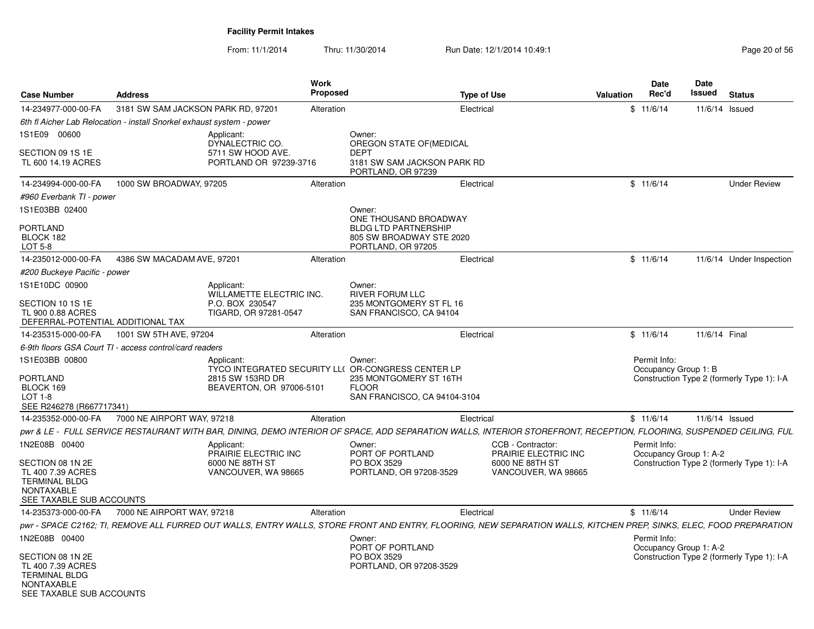| <b>Case Number</b>                                                                                             | <b>Address</b>                                                        |                                              | Work<br><b>Proposed</b> |                                                                                                                                                                     | <b>Type of Use</b> | Valuation                                 | <b>Date</b><br>Rec'd                   | <b>Date</b><br>Issued | <b>Status</b>                              |
|----------------------------------------------------------------------------------------------------------------|-----------------------------------------------------------------------|----------------------------------------------|-------------------------|---------------------------------------------------------------------------------------------------------------------------------------------------------------------|--------------------|-------------------------------------------|----------------------------------------|-----------------------|--------------------------------------------|
| 14-234977-000-00-FA                                                                                            | 3181 SW SAM JACKSON PARK RD, 97201                                    |                                              | Alteration              |                                                                                                                                                                     | Electrical         |                                           | \$11/6/14                              |                       | 11/6/14 Issued                             |
|                                                                                                                | 6th fl Aicher Lab Relocation - install Snorkel exhaust system - power |                                              |                         |                                                                                                                                                                     |                    |                                           |                                        |                       |                                            |
| 1S1E09 00600                                                                                                   |                                                                       | Applicant:<br>DYNALECTRIC CO.                |                         | Owner:<br>OREGON STATE OF (MEDICAL                                                                                                                                  |                    |                                           |                                        |                       |                                            |
| SECTION 09 1S 1E<br>TL 600 14.19 ACRES                                                                         |                                                                       | 5711 SW HOOD AVE.<br>PORTLAND OR 97239-3716  |                         | <b>DEPT</b><br>3181 SW SAM JACKSON PARK RD<br>PORTLAND, OR 97239                                                                                                    |                    |                                           |                                        |                       |                                            |
| 14-234994-000-00-FA                                                                                            | 1000 SW BROADWAY, 97205                                               |                                              | Alteration              |                                                                                                                                                                     | Electrical         |                                           | \$11/6/14                              |                       | <b>Under Review</b>                        |
| #960 Everbank TI - power                                                                                       |                                                                       |                                              |                         |                                                                                                                                                                     |                    |                                           |                                        |                       |                                            |
| 1S1E03BB 02400                                                                                                 |                                                                       |                                              |                         | Owner:                                                                                                                                                              |                    |                                           |                                        |                       |                                            |
| <b>PORTLAND</b><br>BLOCK 182<br>LOT 5-8                                                                        |                                                                       |                                              |                         | ONE THOUSAND BROADWAY<br><b>BLDG LTD PARTNERSHIP</b><br>805 SW BROADWAY STE 2020<br>PORTLAND, OR 97205                                                              |                    |                                           |                                        |                       |                                            |
| 14-235012-000-00-FA                                                                                            | 4386 SW MACADAM AVE, 97201                                            |                                              | Alteration              |                                                                                                                                                                     | Electrical         |                                           | \$11/6/14                              |                       | 11/6/14 Under Inspection                   |
| #200 Buckeye Pacific - power                                                                                   |                                                                       |                                              |                         |                                                                                                                                                                     |                    |                                           |                                        |                       |                                            |
| 1S1E10DC 00900                                                                                                 |                                                                       | Applicant:<br>WILLAMETTE ELECTRIC INC.       |                         | Owner:<br><b>RIVER FORUM LLC</b>                                                                                                                                    |                    |                                           |                                        |                       |                                            |
| SECTION 10 1S 1E<br>TL 900 0.88 ACRES<br>DEFERRAL-POTENTIAL ADDITIONAL TAX                                     |                                                                       | P.O. BOX 230547<br>TIGARD, OR 97281-0547     |                         | 235 MONTGOMERY ST FL 16<br>SAN FRANCISCO, CA 94104                                                                                                                  |                    |                                           |                                        |                       |                                            |
| 14-235315-000-00-FA                                                                                            | 1001 SW 5TH AVE, 97204                                                |                                              | Alteration              |                                                                                                                                                                     | Electrical         |                                           | \$11/6/14                              |                       | 11/6/14 Final                              |
|                                                                                                                | 6-9th floors GSA Court TI - access control/card readers               |                                              |                         |                                                                                                                                                                     |                    |                                           |                                        |                       |                                            |
| 1S1E03BB 00800                                                                                                 |                                                                       | Applicant:                                   |                         | Owner:<br>TYCO INTEGRATED SECURITY LL( OR-CONGRESS CENTER LP                                                                                                        |                    |                                           | Permit Info:<br>Occupancy Group 1: B   |                       |                                            |
| PORTLAND<br>BLOCK 169<br>$LOT 1-8$<br>SEE R246278 (R667717341)                                                 |                                                                       | 2815 SW 153RD DR<br>BEAVERTON, OR 97006-5101 |                         | 235 MONTGOMERY ST 16TH<br><b>FLOOR</b><br>SAN FRANCISCO, CA 94104-3104                                                                                              |                    |                                           |                                        |                       | Construction Type 2 (formerly Type 1): I-A |
| 14-235352-000-00-FA                                                                                            | 7000 NE AIRPORT WAY, 97218                                            |                                              | Alteration              |                                                                                                                                                                     | Electrical         |                                           | \$11/6/14                              |                       | 11/6/14 Issued                             |
|                                                                                                                |                                                                       |                                              |                         | pwr & LE - FULL SERVICE RESTAURANT WITH BAR, DINING, DEMO INTERIOR OF SPACE, ADD SEPARATION WALLS, INTERIOR STOREFRONT, RECEPTION, FLOORING, SUSPENDED CEILING, FUL |                    |                                           |                                        |                       |                                            |
| 1N2E08B 00400                                                                                                  |                                                                       | Applicant:<br>PRAIRIE ELECTRIC INC           |                         | Owner:<br>PORT OF PORTLAND                                                                                                                                          |                    | CCB - Contractor:<br>PRAIRIE ELECTRIC INC | Permit Info:<br>Occupancy Group 1: A-2 |                       |                                            |
| SECTION 08 1N 2E<br>TL 400 7.39 ACRES<br><b>TERMINAL BLDG</b><br><b>NONTAXABLE</b><br>SEE TAXABLE SUB ACCOUNTS |                                                                       | 6000 NE 88TH ST<br>VANCOUVER, WA 98665       |                         | PO BOX 3529<br>PORTLAND, OR 97208-3529                                                                                                                              |                    | 6000 NE 88TH ST<br>VANCOUVER, WA 98665    |                                        |                       | Construction Type 2 (formerly Type 1): I-A |
| 14-235373-000-00-FA                                                                                            | 7000 NE AIRPORT WAY, 97218                                            |                                              | Alteration              |                                                                                                                                                                     | Electrical         |                                           | \$11/6/14                              |                       | <b>Under Review</b>                        |
|                                                                                                                |                                                                       |                                              |                         | pwr - SPACE C2162; TI, REMOVE ALL FURRED OUT WALLS, ENTRY WALLS, STORE FRONT AND ENTRY, FLOORING, NEW SEPARATION WALLS, KITCHEN PREP, SINKS, ELEC, FOOD PREPARATION |                    |                                           |                                        |                       |                                            |
| 1N2E08B 00400                                                                                                  |                                                                       |                                              |                         | Owner:<br>PORT OF PORTLAND                                                                                                                                          |                    |                                           | Permit Info:<br>Occupancy Group 1: A-2 |                       |                                            |
| SECTION 08 1N 2E<br>TL 400 7.39 ACRES<br><b>TERMINAL BLDG</b><br>NONTAXABLE<br>SEE TAXABLE SUB ACCOUNTS        |                                                                       |                                              |                         | PO BOX 3529<br>PORTLAND, OR 97208-3529                                                                                                                              |                    |                                           |                                        |                       | Construction Type 2 (formerly Type 1): I-A |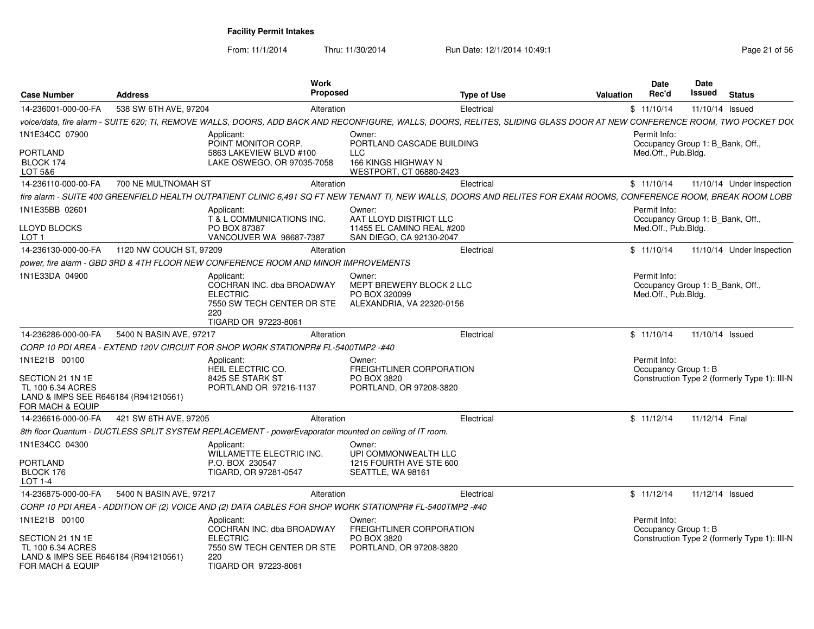|                                      |                         | Work                                                                                                                                                                    |                                                     |           | <b>Date</b>          | Date                                         |
|--------------------------------------|-------------------------|-------------------------------------------------------------------------------------------------------------------------------------------------------------------------|-----------------------------------------------------|-----------|----------------------|----------------------------------------------|
| <b>Case Number</b>                   | <b>Address</b>          | Proposed                                                                                                                                                                | <b>Type of Use</b>                                  | Valuation | Rec'd                | Issued<br><b>Status</b>                      |
| 14-236001-000-00-FA                  | 538 SW 6TH AVE, 97204   | Alteration                                                                                                                                                              | Electrical                                          |           | \$11/10/14           | 11/10/14 Issued                              |
|                                      |                         | voice/data. fire alarm - SUITE 620: TI. REMOVE WALLS. DOORS. ADD BACK AND RECONFIGURE. WALLS. DOORS. RELITES. SLIDING GLASS DOOR AT NEW CONFERENCE ROOM. TWO POCKET DOO |                                                     |           |                      |                                              |
| 1N1E34CC 07900                       |                         | Applicant:                                                                                                                                                              | Owner:<br>PORTLAND CASCADE BUILDING                 |           | Permit Info:         |                                              |
| <b>PORTLAND</b>                      |                         | POINT MONITOR CORP.<br>5863 LAKEVIEW BLVD #100                                                                                                                          | <b>LLC</b>                                          |           | Med.Off., Pub.Bldg.  | Occupancy Group 1: B_Bank, Off.,             |
| BLOCK 174                            |                         | LAKE OSWEGO, OR 97035-7058                                                                                                                                              | 166 KINGS HIGHWAY N                                 |           |                      |                                              |
| LOT 5&6                              |                         |                                                                                                                                                                         | WESTPORT, CT 06880-2423                             |           |                      |                                              |
| 14-236110-000-00-FA                  | 700 NE MULTNOMAH ST     | Alteration                                                                                                                                                              | Electrical                                          |           | \$11/10/14           | 11/10/14 Under Inspection                    |
|                                      |                         | fire alarm - SUITE 400 GREENFIELD HEALTH OUTPATIENT CLINIC 6,491 SQ FT NEW TENANT TI, NEW WALLS, DOORS AND RELITES FOR EXAM ROOMS, CONFERENCE ROOM, BREAK ROOM LOBB'    |                                                     |           |                      |                                              |
| 1N1E35BB 02601                       |                         | Applicant:                                                                                                                                                              | Owner:                                              |           | Permit Info:         |                                              |
| LLOYD BLOCKS                         |                         | T & L COMMUNICATIONS INC.<br>PO BOX 87387                                                                                                                               | AAT LLOYD DISTRICT LLC<br>11455 EL CAMINO REAL #200 |           | Med.Off., Pub.Bldg.  | Occupancy Group 1: B_Bank, Off.,             |
| LOT <sub>1</sub>                     |                         | VANCOUVER WA 98687-7387                                                                                                                                                 | SAN DIEGO, CA 92130-2047                            |           |                      |                                              |
| 14-236130-000-00-FA                  | 1120 NW COUCH ST, 97209 | Alteration                                                                                                                                                              | Electrical                                          |           | \$11/10/14           | 11/10/14 Under Inspection                    |
|                                      |                         | power, fire alarm - GBD 3RD & 4TH FLOOR NEW CONFERENCE ROOM AND MINOR IMPROVEMENTS                                                                                      |                                                     |           |                      |                                              |
| 1N1E33DA 04900                       |                         | Applicant:                                                                                                                                                              | Owner:                                              |           | Permit Info:         |                                              |
|                                      |                         | COCHRAN INC. dba BROADWAY<br><b>ELECTRIC</b>                                                                                                                            | MEPT BREWERY BLOCK 2 LLC<br>PO BOX 320099           |           | Med.Off., Pub.Bldg.  | Occupancy Group 1: B_Bank, Off.,             |
|                                      |                         | 7550 SW TECH CENTER DR STE                                                                                                                                              | ALEXANDRIA, VA 22320-0156                           |           |                      |                                              |
|                                      |                         | 220                                                                                                                                                                     |                                                     |           |                      |                                              |
|                                      |                         | TIGARD OR 97223-8061                                                                                                                                                    |                                                     |           |                      |                                              |
| 14-236286-000-00-FA                  | 5400 N BASIN AVE, 97217 | Alteration                                                                                                                                                              | Electrical                                          |           | \$11/10/14           | 11/10/14 Issued                              |
|                                      |                         | CORP 10 PDI AREA - EXTEND 120V CIRCUIT FOR SHOP WORK STATIONPR# FL-5400TMP2 -#40                                                                                        |                                                     |           |                      |                                              |
| 1N1E21B 00100                        |                         | Applicant:                                                                                                                                                              | Owner:                                              |           | Permit Info:         |                                              |
| SECTION 21 1N 1E                     |                         | <b>HEIL ELECTRIC CO.</b><br>8425 SE STARK ST                                                                                                                            | FREIGHTLINER CORPORATION<br>PO BOX 3820             |           | Occupancy Group 1: B | Construction Type 2 (formerly Type 1): III-N |
| TL 100 6.34 ACRES                    |                         | PORTLAND OR 97216-1137                                                                                                                                                  | PORTLAND, OR 97208-3820                             |           |                      |                                              |
| LAND & IMPS SEE R646184 (R941210561) |                         |                                                                                                                                                                         |                                                     |           |                      |                                              |
| FOR MACH & EQUIP                     |                         |                                                                                                                                                                         |                                                     |           |                      |                                              |
| 14-236616-000-00-FA                  | 421 SW 6TH AVE, 97205   | Alteration                                                                                                                                                              | Electrical                                          |           | \$11/12/14           | 11/12/14 Final                               |
|                                      |                         | 8th floor Quantum - DUCTLESS SPLIT SYSTEM REPLACEMENT - powerEvaporator mounted on ceiling of IT room.                                                                  |                                                     |           |                      |                                              |
| 1N1E34CC 04300                       |                         | Applicant:                                                                                                                                                              | Owner:                                              |           |                      |                                              |
| PORTLAND                             |                         | WILLAMETTE ELECTRIC INC.<br>P.O. BOX 230547                                                                                                                             | UPI COMMONWEALTH LLC<br>1215 FOURTH AVE STE 600     |           |                      |                                              |
| BLOCK 176                            |                         | TIGARD, OR 97281-0547                                                                                                                                                   | SEATTLE, WA 98161                                   |           |                      |                                              |
| <b>LOT 1-4</b>                       |                         |                                                                                                                                                                         |                                                     |           |                      |                                              |
| 14-236875-000-00-FA                  | 5400 N BASIN AVE, 97217 | Alteration                                                                                                                                                              | Electrical                                          |           | \$11/12/14           | 11/12/14 Issued                              |
|                                      |                         | CORP 10 PDI AREA - ADDITION OF (2) VOICE AND (2) DATA CABLES FOR SHOP WORK STATIONPR# FL-5400TMP2 -#40                                                                  |                                                     |           |                      |                                              |
| 1N1E21B 00100                        |                         | Applicant:                                                                                                                                                              | Owner:                                              |           | Permit Info:         |                                              |
| SECTION 21 1N 1E                     |                         | COCHRAN INC. dba BROADWAY<br><b>ELECTRIC</b>                                                                                                                            | FREIGHTLINER CORPORATION<br>PO BOX 3820             |           | Occupancy Group 1: B | Construction Type 2 (formerly Type 1): III-N |
| TL 100 6.34 ACRES                    |                         | 7550 SW TECH CENTER DR STE                                                                                                                                              | PORTLAND, OR 97208-3820                             |           |                      |                                              |
| LAND & IMPS SEE R646184 (R941210561) |                         | 220                                                                                                                                                                     |                                                     |           |                      |                                              |
| FOR MACH & EQUIP                     |                         | TIGARD OR 97223-8061                                                                                                                                                    |                                                     |           |                      |                                              |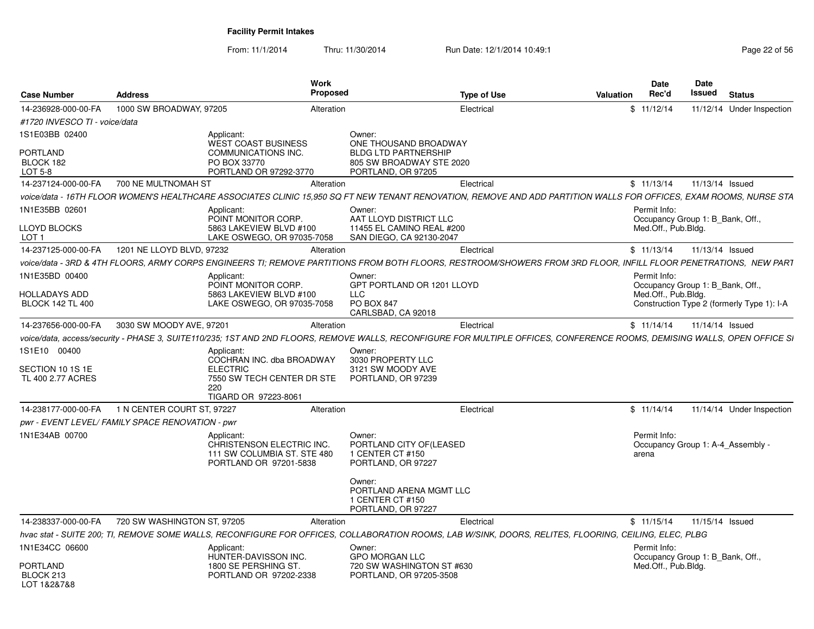| <b>Case Number</b>               | <b>Address</b>                                   | Work                                                  | <b>Proposed</b>                                                                                                                                                           | <b>Type of Use</b> | Valuation | <b>Date</b><br>Rec'd | Date<br>Issued                    | <b>Status</b>                              |
|----------------------------------|--------------------------------------------------|-------------------------------------------------------|---------------------------------------------------------------------------------------------------------------------------------------------------------------------------|--------------------|-----------|----------------------|-----------------------------------|--------------------------------------------|
| 14-236928-000-00-FA              | 1000 SW BROADWAY, 97205                          |                                                       | Alteration                                                                                                                                                                | Electrical         |           | \$11/12/14           |                                   | 11/12/14 Under Inspection                  |
| #1720 INVESCO TI - voice/data    |                                                  |                                                       |                                                                                                                                                                           |                    |           |                      |                                   |                                            |
| 1S1E03BB 02400                   |                                                  | Applicant:                                            | Owner:                                                                                                                                                                    |                    |           |                      |                                   |                                            |
|                                  |                                                  | <b>WEST COAST BUSINESS</b>                            | ONE THOUSAND BROADWAY                                                                                                                                                     |                    |           |                      |                                   |                                            |
| <b>PORTLAND</b><br>BLOCK 182     |                                                  | COMMUNICATIONS INC.<br>PO BOX 33770                   | <b>BLDG LTD PARTNERSHIP</b><br>805 SW BROADWAY STE 2020                                                                                                                   |                    |           |                      |                                   |                                            |
| LOT 5-8                          |                                                  | PORTLAND OR 97292-3770                                | PORTLAND, OR 97205                                                                                                                                                        |                    |           |                      |                                   |                                            |
| 14-237124-000-00-FA              | 700 NE MULTNOMAH ST                              |                                                       | Alteration                                                                                                                                                                | Electrical         |           | \$11/13/14           | 11/13/14 Issued                   |                                            |
|                                  |                                                  |                                                       | voice/data - 16TH FLOOR WOMEN'S HEALTHCARE ASSOCIATES CLINIC 15.950 SQ FT NEW TENANT RENOVATION, REMOVE AND ADD PARTITION WALLS FOR OFFICES, EXAM ROOMS, NURSE STA        |                    |           |                      |                                   |                                            |
| 1N1E35BB 02601                   |                                                  | Applicant:                                            | Owner:                                                                                                                                                                    |                    |           | Permit Info:         |                                   |                                            |
|                                  |                                                  | POINT MONITOR CORP.                                   | AAT LLOYD DISTRICT LLC                                                                                                                                                    |                    |           |                      | Occupancy Group 1: B_Bank, Off.,  |                                            |
| LLOYD BLOCKS<br>LOT <sub>1</sub> |                                                  | 5863 LAKEVIEW BLVD #100<br>LAKE OSWEGO, OR 97035-7058 | 11455 EL CAMINO REAL #200<br>SAN DIEGO, CA 92130-2047                                                                                                                     |                    |           | Med.Off., Pub.Bldg.  |                                   |                                            |
| 14-237125-000-00-FA              | 1201 NE LLOYD BLVD, 97232                        |                                                       | Alteration                                                                                                                                                                | Electrical         |           | \$11/13/14           | 11/13/14 Issued                   |                                            |
|                                  |                                                  |                                                       | voice/data - 3RD & 4TH FLOORS, ARMY CORPS ENGINEERS TI; REMOVE PARTITIONS FROM BOTH FLOORS, RESTROOM/SHOWERS FROM 3RD FLOOR, INFILL FLOOR PENETRATIONS, NEW PART          |                    |           |                      |                                   |                                            |
| 1N1E35BD 00400                   |                                                  | Applicant:                                            | Owner:                                                                                                                                                                    |                    |           | Permit Info:         |                                   |                                            |
|                                  |                                                  | POINT MONITOR CORP.                                   | GPT PORTLAND OR 1201 LLOYD                                                                                                                                                |                    |           |                      | Occupancy Group 1: B Bank, Off.,  |                                            |
| HOLLADAYS ADD                    |                                                  | 5863 LAKEVIEW BLVD #100                               | <b>LLC</b>                                                                                                                                                                |                    |           | Med.Off., Pub.Bldg.  |                                   |                                            |
| <b>BLOCK 142 TL 400</b>          |                                                  | LAKE OSWEGO, OR 97035-7058                            | <b>PO BOX 847</b><br>CARLSBAD, CA 92018                                                                                                                                   |                    |           |                      |                                   | Construction Type 2 (formerly Type 1): I-A |
| 14-237656-000-00-FA              | 3030 SW MOODY AVE, 97201                         |                                                       | Alteration                                                                                                                                                                | Electrical         |           | \$11/14/14           | 11/14/14 Issued                   |                                            |
|                                  |                                                  |                                                       | voice/data, access/security - PHASE 3, SUITE110/235; 1ST AND 2ND FLOORS, REMOVE WALLS, RECONFIGURE FOR MULTIPLE OFFICES, CONFERENCE ROOMS, DEMISING WALLS, OPEN OFFICE SI |                    |           |                      |                                   |                                            |
|                                  |                                                  |                                                       |                                                                                                                                                                           |                    |           |                      |                                   |                                            |
| 1S1E10 00400                     |                                                  | Applicant:<br>COCHRAN INC. dba BROADWAY               | Owner:<br>3030 PROPERTY LLC                                                                                                                                               |                    |           |                      |                                   |                                            |
| SECTION 10 1S 1E                 |                                                  | <b>ELECTRIC</b>                                       | 3121 SW MOODY AVE                                                                                                                                                         |                    |           |                      |                                   |                                            |
| TL 400 2.77 ACRES                |                                                  | 7550 SW TECH CENTER DR STE                            | PORTLAND, OR 97239                                                                                                                                                        |                    |           |                      |                                   |                                            |
|                                  |                                                  | 220<br>TIGARD OR 97223-8061                           |                                                                                                                                                                           |                    |           |                      |                                   |                                            |
|                                  | 14-238177-000-00-FA 1 N CENTER COURT ST, 97227   |                                                       | Alteration                                                                                                                                                                | Electrical         |           | \$11/14/14           |                                   | 11/14/14 Under Inspection                  |
|                                  | pwr - EVENT LEVEL/ FAMILY SPACE RENOVATION - pwr |                                                       |                                                                                                                                                                           |                    |           |                      |                                   |                                            |
| 1N1E34AB 00700                   |                                                  | Applicant:                                            | Owner:                                                                                                                                                                    |                    |           | Permit Info:         |                                   |                                            |
|                                  |                                                  | CHRISTENSON ELECTRIC INC.                             | PORTLAND CITY OF(LEASED                                                                                                                                                   |                    |           |                      | Occupancy Group 1: A-4 Assembly - |                                            |
|                                  |                                                  | 111 SW COLUMBIA ST. STE 480<br>PORTLAND OR 97201-5838 | 1 CENTER CT #150<br>PORTLAND, OR 97227                                                                                                                                    |                    |           | arena                |                                   |                                            |
|                                  |                                                  |                                                       |                                                                                                                                                                           |                    |           |                      |                                   |                                            |
|                                  |                                                  |                                                       | Owner:                                                                                                                                                                    |                    |           |                      |                                   |                                            |
|                                  |                                                  |                                                       | PORTLAND ARENA MGMT LLC<br>1 CENTER CT #150                                                                                                                               |                    |           |                      |                                   |                                            |
|                                  |                                                  |                                                       | PORTLAND, OR 97227                                                                                                                                                        |                    |           |                      |                                   |                                            |
| 14-238337-000-00-FA              | 720 SW WASHINGTON ST, 97205                      |                                                       | Alteration                                                                                                                                                                | Electrical         |           | \$11/15/14           | 11/15/14 Issued                   |                                            |
|                                  |                                                  |                                                       | hvac stat - SUITE 200; TI, REMOVE SOME WALLS, RECONFIGURE FOR OFFICES, COLLABORATION ROOMS, LAB W/SINK, DOORS, RELITES, FLOORING, CEILING, ELEC, PLBG                     |                    |           |                      |                                   |                                            |
| 1N1E34CC 06600                   |                                                  | Applicant:                                            | Owner:                                                                                                                                                                    |                    |           | Permit Info:         |                                   |                                            |
|                                  |                                                  | HUNTER-DAVISSON INC.                                  | <b>GPO MORGAN LLC</b>                                                                                                                                                     |                    |           |                      | Occupancy Group 1: B_Bank, Off.,  |                                            |
| PORTLAND                         |                                                  | 1800 SE PERSHING ST.                                  | 720 SW WASHINGTON ST #630                                                                                                                                                 |                    |           | Med.Off., Pub.Bldg.  |                                   |                                            |
| BLOCK 213<br>LOT 1&2&7&8         |                                                  | PORTLAND OR 97202-2338                                | PORTLAND, OR 97205-3508                                                                                                                                                   |                    |           |                      |                                   |                                            |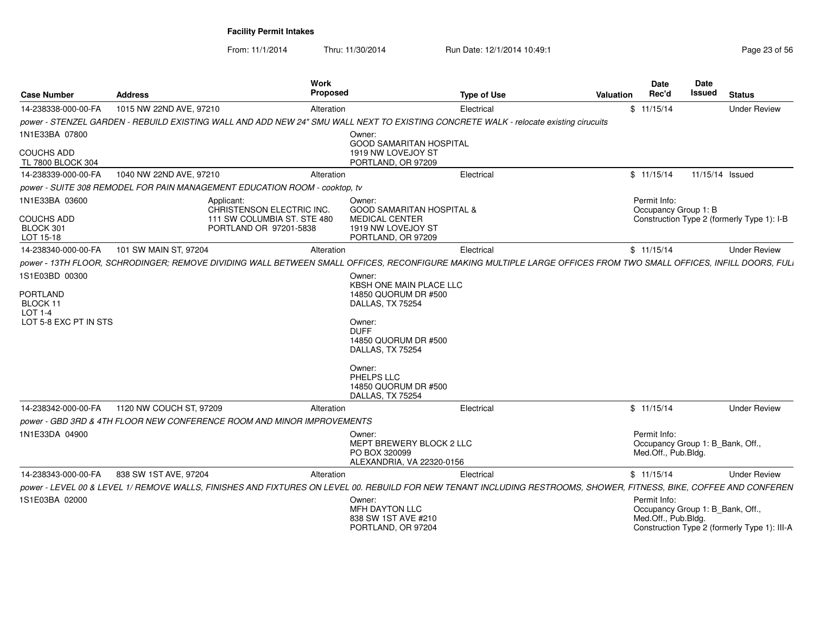| <b>Case Number</b>                                     | <b>Address</b>                              | Work                                                                                                                                                                | Proposed                                                                                                            | <b>Type of Use</b> | Valuation | Date<br>Rec'd                        | <b>Date</b><br><b>Issued</b>                                                     | <b>Status</b>       |
|--------------------------------------------------------|---------------------------------------------|---------------------------------------------------------------------------------------------------------------------------------------------------------------------|---------------------------------------------------------------------------------------------------------------------|--------------------|-----------|--------------------------------------|----------------------------------------------------------------------------------|---------------------|
| 14-238338-000-00-FA                                    | 1015 NW 22ND AVE, 97210                     |                                                                                                                                                                     | Alteration                                                                                                          | Electrical         |           | \$11/15/14                           |                                                                                  | <b>Under Review</b> |
|                                                        |                                             | power - STENZEL GARDEN - REBUILD EXISTING WALL AND ADD NEW 24" SMU WALL NEXT TO EXISTING CONCRETE WALK - relocate existing cirucuits                                |                                                                                                                     |                    |           |                                      |                                                                                  |                     |
| 1N1E33BA 07800                                         |                                             |                                                                                                                                                                     | Owner:<br><b>GOOD SAMARITAN HOSPITAL</b>                                                                            |                    |           |                                      |                                                                                  |                     |
| <b>COUCHS ADD</b>                                      |                                             |                                                                                                                                                                     | 1919 NW LOVEJOY ST                                                                                                  |                    |           |                                      |                                                                                  |                     |
| TL 7800 BLOCK 304                                      |                                             |                                                                                                                                                                     | PORTLAND, OR 97209                                                                                                  |                    |           |                                      |                                                                                  |                     |
| 14-238339-000-00-FA                                    | 1040 NW 22ND AVE, 97210                     |                                                                                                                                                                     | Alteration                                                                                                          | Electrical         |           | \$11/15/14                           | 11/15/14 Issued                                                                  |                     |
|                                                        |                                             | power - SUITE 308 REMODEL FOR PAIN MANAGEMENT EDUCATION ROOM - cooktop, tv                                                                                          |                                                                                                                     |                    |           |                                      |                                                                                  |                     |
| 1N1E33BA 03600<br>COUCHS ADD<br>BLOCK 301<br>LOT 15-18 |                                             | Applicant:<br>CHRISTENSON ELECTRIC INC.<br>111 SW COLUMBIA ST. STE 480<br>PORTLAND OR 97201-5838                                                                    | Owner:<br><b>GOOD SAMARITAN HOSPITAL &amp;</b><br><b>MEDICAL CENTER</b><br>1919 NW LOVEJOY ST<br>PORTLAND, OR 97209 |                    |           | Permit Info:<br>Occupancy Group 1: B | Construction Type 2 (formerly Type 1): I-B                                       |                     |
|                                                        | 14-238340-000-00-FA 101 SW MAIN ST, 97204   |                                                                                                                                                                     | Alteration                                                                                                          | Electrical         |           | \$11/15/14                           |                                                                                  | <b>Under Review</b> |
|                                                        |                                             | power - 13TH FLOOR, SCHRODINGER; REMOVE DIVIDING WALL BETWEEN SMALL OFFICES, RECONFIGURE MAKING MULTIPLE LARGE OFFICES FROM TWO SMALL OFFICES, INFILL DOORS, FULI   |                                                                                                                     |                    |           |                                      |                                                                                  |                     |
| 1S1E03BD 00300<br>PORTLAND                             |                                             |                                                                                                                                                                     | Owner:<br>KBSH ONE MAIN PLACE LLC<br>14850 QUORUM DR #500                                                           |                    |           |                                      |                                                                                  |                     |
| BLOCK 11<br>LOT 1-4                                    |                                             |                                                                                                                                                                     | DALLAS, TX 75254                                                                                                    |                    |           |                                      |                                                                                  |                     |
| LOT 5-8 EXC PT IN STS                                  |                                             |                                                                                                                                                                     | Owner:<br><b>DUFF</b><br>14850 QUORUM DR #500<br>DALLAS, TX 75254                                                   |                    |           |                                      |                                                                                  |                     |
|                                                        |                                             |                                                                                                                                                                     | Owner:<br>PHELPS LLC<br>14850 QUORUM DR #500<br>DALLAS, TX 75254                                                    |                    |           |                                      |                                                                                  |                     |
|                                                        | 14-238342-000-00-FA 1120 NW COUCH ST, 97209 |                                                                                                                                                                     | Alteration                                                                                                          | Electrical         |           | \$11/15/14                           |                                                                                  | <b>Under Review</b> |
|                                                        |                                             | power - GBD 3RD & 4TH FLOOR NEW CONFERENCE ROOM AND MINOR IMPROVEMENTS                                                                                              |                                                                                                                     |                    |           |                                      |                                                                                  |                     |
| 1N1E33DA 04900                                         |                                             |                                                                                                                                                                     | Owner:<br>MEPT BREWERY BLOCK 2 LLC<br>PO BOX 320099<br>ALEXANDRIA, VA 22320-0156                                    |                    |           | Permit Info:<br>Med.Off., Pub.Bldg.  | Occupancy Group 1: B_Bank, Off.,                                                 |                     |
|                                                        | 14-238343-000-00-FA 838 SW 1ST AVE, 97204   |                                                                                                                                                                     | Alteration                                                                                                          | Electrical         |           | \$11/15/14                           |                                                                                  | <b>Under Review</b> |
|                                                        |                                             | power - LEVEL 00 & LEVEL 1/ REMOVE WALLS, FINISHES AND FIXTURES ON LEVEL 00. REBUILD FOR NEW TENANT INCLUDING RESTROOMS, SHOWER, FITNESS, BIKE, COFFEE AND CONFEREN |                                                                                                                     |                    |           |                                      |                                                                                  |                     |
| 1S1E03BA 02000                                         |                                             |                                                                                                                                                                     | Owner:<br>MFH DAYTON LLC<br>838 SW 1ST AVE #210<br>PORTLAND, OR 97204                                               |                    |           | Permit Info:<br>Med.Off., Pub.Bldg.  | Occupancy Group 1: B_Bank, Off.,<br>Construction Type 2 (formerly Type 1): III-A |                     |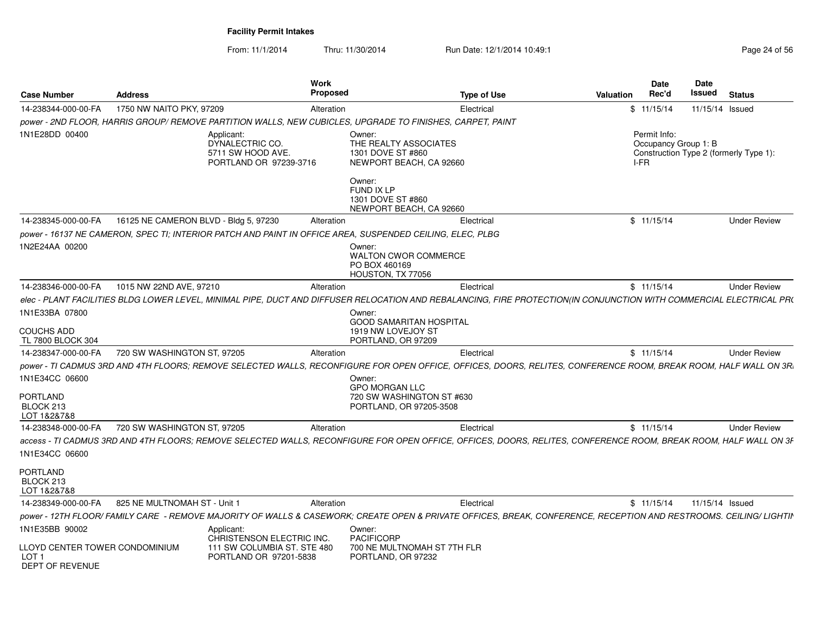|                                                                       |                                       |                                                                                                           | <b>Work</b>                                      |                                                                                                                                                                     | Date                                         | <b>Date</b> |                                        |
|-----------------------------------------------------------------------|---------------------------------------|-----------------------------------------------------------------------------------------------------------|--------------------------------------------------|---------------------------------------------------------------------------------------------------------------------------------------------------------------------|----------------------------------------------|-------------|----------------------------------------|
| <b>Case Number</b>                                                    | <b>Address</b>                        |                                                                                                           | <b>Proposed</b>                                  | <b>Type of Use</b>                                                                                                                                                  | Rec'd<br>Valuation                           | Issued      | <b>Status</b>                          |
| 14-238344-000-00-FA                                                   | 1750 NW NAITO PKY, 97209              |                                                                                                           | Alteration                                       | Electrical                                                                                                                                                          | \$11/15/14                                   |             | 11/15/14 Issued                        |
|                                                                       |                                       |                                                                                                           |                                                  | power - 2ND FLOOR, HARRIS GROUP/ REMOVE PARTITION WALLS, NEW CUBICLES, UPGRADE TO FINISHES, CARPET, PAINT                                                           |                                              |             |                                        |
| 1N1E28DD 00400                                                        |                                       | Applicant:<br>DYNALECTRIC CO.<br>5711 SW HOOD AVE.<br>PORTLAND OR 97239-3716                              | Owner:<br>1301 DOVE ST #860                      | THE REALTY ASSOCIATES<br>NEWPORT BEACH, CA 92660                                                                                                                    | Permit Info:<br>Occupancy Group 1: B<br>I-FR |             | Construction Type 2 (formerly Type 1): |
|                                                                       |                                       |                                                                                                           | Owner:<br><b>FUND IX LP</b><br>1301 DOVE ST #860 | NEWPORT BEACH, CA 92660                                                                                                                                             |                                              |             |                                        |
| 14-238345-000-00-FA                                                   | 16125 NE CAMERON BLVD - Bldg 5, 97230 |                                                                                                           | Alteration                                       | Electrical                                                                                                                                                          | \$11/15/14                                   |             | <b>Under Review</b>                    |
|                                                                       |                                       | power - 16137 NE CAMERON, SPEC TI; INTERIOR PATCH AND PAINT IN OFFICE AREA, SUSPENDED CEILING, ELEC, PLBG |                                                  |                                                                                                                                                                     |                                              |             |                                        |
| 1N2E24AA 00200                                                        |                                       |                                                                                                           | Owner:<br>PO BOX 460169                          | <b>WALTON CWOR COMMERCE</b><br>HOUSTON, TX 77056                                                                                                                    |                                              |             |                                        |
| 14-238346-000-00-FA                                                   | 1015 NW 22ND AVE, 97210               |                                                                                                           | Alteration                                       | Electrical                                                                                                                                                          | \$11/15/14                                   |             | <b>Under Review</b>                    |
|                                                                       |                                       |                                                                                                           |                                                  | elec - PLANT FACILITIES BLDG LOWER LEVEL, MINIMAL PIPE, DUCT AND DIFFUSER RELOCATION AND REBALANCING, FIRE PROTECTION(IN CONJUNCTION WITH COMMERCIAL ELECTRICAL PRO |                                              |             |                                        |
| 1N1E33BA 07800<br>COUCHS ADD<br>TL 7800 BLOCK 304                     |                                       |                                                                                                           | Owner:                                           | <b>GOOD SAMARITAN HOSPITAL</b><br>1919 NW LOVEJOY ST<br>PORTLAND, OR 97209                                                                                          |                                              |             |                                        |
| 14-238347-000-00-FA                                                   | 720 SW WASHINGTON ST, 97205           |                                                                                                           | Alteration                                       | Electrical                                                                                                                                                          | \$11/15/14                                   |             | <b>Under Review</b>                    |
|                                                                       |                                       |                                                                                                           |                                                  | power - TI CADMUS 3RD AND 4TH FLOORS; REMOVE SELECTED WALLS, RECONFIGURE FOR OPEN OFFICE, OFFICES, DOORS, RELITES, CONFERENCE ROOM, BREAK ROOM, HALF WALL ON 3R.    |                                              |             |                                        |
| 1N1E34CC 06600                                                        |                                       |                                                                                                           | Owner:                                           |                                                                                                                                                                     |                                              |             |                                        |
| PORTLAND<br>BLOCK 213<br>LOT 1&2&7&8                                  |                                       |                                                                                                           | <b>GPO MORGAN LLC</b>                            | 720 SW WASHINGTON ST #630<br>PORTLAND, OR 97205-3508                                                                                                                |                                              |             |                                        |
| 14-238348-000-00-FA                                                   | 720 SW WASHINGTON ST, 97205           |                                                                                                           | Alteration                                       | Electrical                                                                                                                                                          | \$11/15/14                                   |             | <b>Under Review</b>                    |
| 1N1E34CC 06600                                                        |                                       |                                                                                                           |                                                  | access - TI CADMUS 3RD AND 4TH FLOORS; REMOVE SELECTED WALLS, RECONFIGURE FOR OPEN OFFICE, OFFICES, DOORS, RELITES, CONFERENCE ROOM, BREAK ROOM, HALF WALL ON 3F    |                                              |             |                                        |
| <b>PORTLAND</b><br>BLOCK 213<br>LOT 1&2&7&8                           |                                       |                                                                                                           |                                                  |                                                                                                                                                                     |                                              |             |                                        |
| 14-238349-000-00-FA                                                   | 825 NE MULTNOMAH ST - Unit            |                                                                                                           | Alteration                                       | Electrical                                                                                                                                                          | \$11/15/14                                   |             | 11/15/14 Issued                        |
|                                                                       |                                       |                                                                                                           |                                                  | power - 12TH FLOOR/ FAMILY CARE - REMOVE MAJORITY OF WALLS & CASEWORK; CREATE OPEN & PRIVATE OFFICES, BREAK, CONFERENCE, RECEPTION AND RESTROOMS. CEILING/ LIGHTIN  |                                              |             |                                        |
| 1N1E35BB 90002                                                        |                                       | Applicant:<br>CHRISTENSON ELECTRIC INC.                                                                   | Owner:<br>PACIFICORP                             |                                                                                                                                                                     |                                              |             |                                        |
| LLOYD CENTER TOWER CONDOMINIUM<br>LOT <sub>1</sub><br>DEPT OF REVENUE |                                       | 111 SW COLUMBIA ST. STE 480<br>PORTLAND OR 97201-5838                                                     |                                                  | 700 NE MULTNOMAH ST 7TH FLR<br>PORTLAND, OR 97232                                                                                                                   |                                              |             |                                        |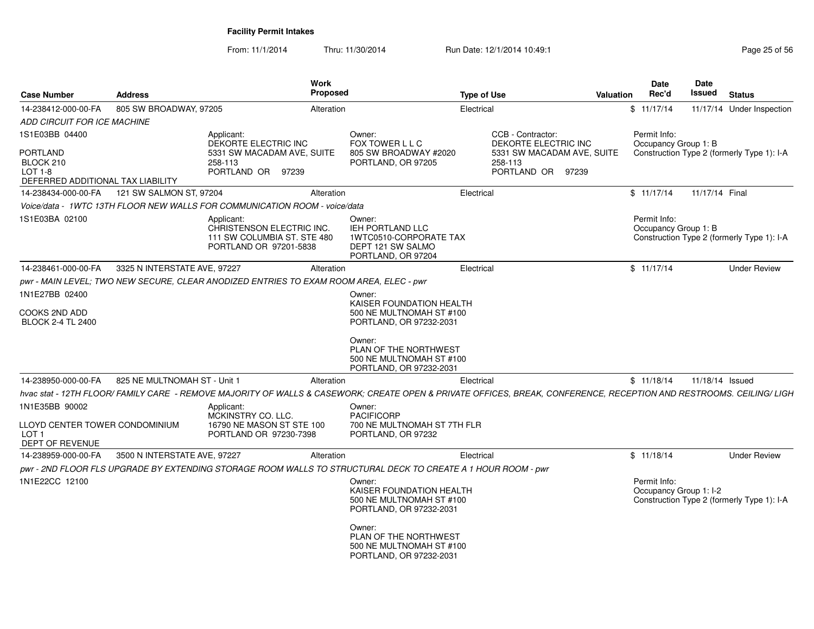| <b>Case Number</b>                                                    | <b>Address</b>               |                                                                                                  | Work<br>Proposed | <b>Type of Use</b>                                                                                                                                                  |                                                                                    | <b>Valuation</b> | <b>Date</b><br>Rec'd                 | Date<br>Issued  | <b>Status</b>                              |
|-----------------------------------------------------------------------|------------------------------|--------------------------------------------------------------------------------------------------|------------------|---------------------------------------------------------------------------------------------------------------------------------------------------------------------|------------------------------------------------------------------------------------|------------------|--------------------------------------|-----------------|--------------------------------------------|
| 14-238412-000-00-FA                                                   | 805 SW BROADWAY, 97205       |                                                                                                  | Alteration       | Electrical                                                                                                                                                          |                                                                                    |                  | \$11/17/14                           |                 | 11/17/14 Under Inspection                  |
| ADD CIRCUIT FOR ICE MACHINE                                           |                              |                                                                                                  |                  |                                                                                                                                                                     |                                                                                    |                  |                                      |                 |                                            |
| 1S1E03BB 04400                                                        |                              | Applicant:                                                                                       | Owner:           |                                                                                                                                                                     | CCB - Contractor:                                                                  |                  | Permit Info:                         |                 |                                            |
| <b>PORTLAND</b><br>BLOCK 210<br><b>LOT 1-8</b>                        |                              | DEKORTE ELECTRIC INC<br>5331 SW MACADAM AVE, SUITE<br>258-113<br>PORTLAND OR 97239               |                  | FOX TOWER L L C<br>805 SW BROADWAY #2020<br>PORTLAND, OR 97205                                                                                                      | DEKORTE ELECTRIC INC<br>5331 SW MACADAM AVE, SUITE<br>258-113<br>PORTLAND OR 97239 |                  | Occupancy Group 1: B                 |                 | Construction Type 2 (formerly Type 1): I-A |
| DEFERRED ADDITIONAL TAX LIABILITY                                     |                              |                                                                                                  |                  |                                                                                                                                                                     |                                                                                    |                  |                                      |                 |                                            |
| 14-238434-000-00-FA                                                   | 121 SW SALMON ST, 97204      |                                                                                                  | Alteration       | Electrical                                                                                                                                                          |                                                                                    |                  | \$11/17/14                           | 11/17/14 Final  |                                            |
|                                                                       |                              | Voice/data - 1WTC 13TH FLOOR NEW WALLS FOR COMMUNICATION ROOM - voice/data                       |                  |                                                                                                                                                                     |                                                                                    |                  |                                      |                 |                                            |
| 1S1E03BA 02100                                                        |                              | Applicant:<br>CHRISTENSON ELECTRIC INC.<br>111 SW COLUMBIA ST. STE 480<br>PORTLAND OR 97201-5838 | Owner:           | <b>IEH PORTLAND LLC</b><br>1WTC0510-CORPORATE TAX<br>DEPT 121 SW SALMO<br>PORTLAND, OR 97204                                                                        |                                                                                    |                  | Permit Info:<br>Occupancy Group 1: B |                 | Construction Type 2 (formerly Type 1): I-A |
| 14-238461-000-00-FA                                                   | 3325 N INTERSTATE AVE, 97227 |                                                                                                  | Alteration       | Electrical                                                                                                                                                          |                                                                                    |                  | \$11/17/14                           |                 | <b>Under Review</b>                        |
|                                                                       |                              | pwr - MAIN LEVEL; TWO NEW SECURE, CLEAR ANODIZED ENTRIES TO EXAM ROOM AREA, ELEC - pwr           |                  |                                                                                                                                                                     |                                                                                    |                  |                                      |                 |                                            |
| 1N1E27BB 02400                                                        |                              |                                                                                                  | Owner:           |                                                                                                                                                                     |                                                                                    |                  |                                      |                 |                                            |
| COOKS 2ND ADD<br><b>BLOCK 2-4 TL 2400</b>                             |                              |                                                                                                  |                  | KAISER FOUNDATION HEALTH<br>500 NE MULTNOMAH ST #100<br>PORTLAND, OR 97232-2031                                                                                     |                                                                                    |                  |                                      |                 |                                            |
|                                                                       |                              |                                                                                                  | Owner:           | PLAN OF THE NORTHWEST<br>500 NE MULTNOMAH ST #100<br>PORTLAND, OR 97232-2031                                                                                        |                                                                                    |                  |                                      |                 |                                            |
| 14-238950-000-00-FA                                                   | 825 NE MULTNOMAH ST - Unit 1 |                                                                                                  | Alteration       | Electrical                                                                                                                                                          |                                                                                    |                  | \$11/18/14                           | 11/18/14 Issued |                                            |
|                                                                       |                              |                                                                                                  |                  | hvac stat - 12TH FLOOR/ FAMILY CARE - REMOVE MAJORITY OF WALLS & CASEWORK; CREATE OPEN & PRIVATE OFFICES, BREAK, CONFERENCE, RECEPTION AND RESTROOMS. CEILING/ LIGH |                                                                                    |                  |                                      |                 |                                            |
| 1N1E35BB 90002                                                        |                              | Applicant:<br>MCKINSTRY CO. LLC.                                                                 | Owner:           | <b>PACIFICORP</b>                                                                                                                                                   |                                                                                    |                  |                                      |                 |                                            |
| LLOYD CENTER TOWER CONDOMINIUM<br>LOT <sub>1</sub><br>DEPT OF REVENUE |                              | 16790 NE MASON ST STE 100<br>PORTLAND OR 97230-7398                                              |                  | 700 NE MULTNOMAH ST 7TH FLR<br>PORTLAND, OR 97232                                                                                                                   |                                                                                    |                  |                                      |                 |                                            |
| 14-238959-000-00-FA                                                   | 3500 N INTERSTATE AVE, 97227 |                                                                                                  | Alteration       | Electrical                                                                                                                                                          |                                                                                    |                  | \$11/18/14                           |                 | <b>Under Review</b>                        |
|                                                                       |                              |                                                                                                  |                  | pwr - 2ND FLOOR FLS UPGRADE BY EXTENDING STORAGE ROOM WALLS TO STRUCTURAL DECK TO CREATE A 1 HOUR ROOM - pwr                                                        |                                                                                    |                  |                                      |                 |                                            |
| 1N1E22CC 12100                                                        |                              |                                                                                                  | Owner:           |                                                                                                                                                                     |                                                                                    |                  | Permit Info:                         |                 |                                            |
|                                                                       |                              |                                                                                                  |                  | KAISER FOUNDATION HEALTH<br>500 NE MULTNOMAH ST #100<br>PORTLAND, OR 97232-2031                                                                                     |                                                                                    |                  | Occupancy Group 1: I-2               |                 | Construction Type 2 (formerly Type 1): I-A |
|                                                                       |                              |                                                                                                  | Owner:           | PLAN OF THE NORTHWEST<br>500 NE MULTNOMAH ST #100<br>PORTLAND, OR 97232-2031                                                                                        |                                                                                    |                  |                                      |                 |                                            |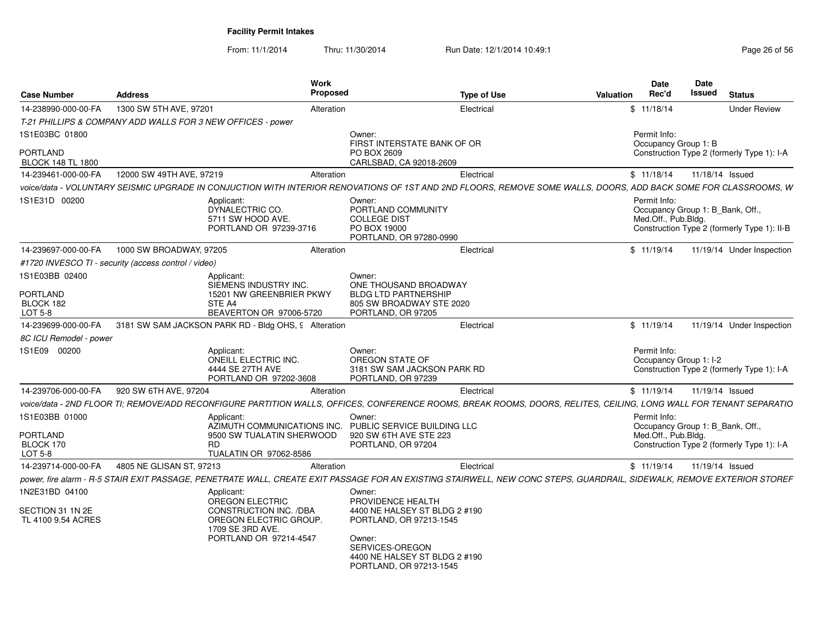| <b>Case Number</b>                          | <b>Address</b>                                              | Work<br>Proposed                                                                               |                                                                                                                                                   | <b>Type of Use</b> | Valuation                                                                                                                                                              | Date<br>Rec'd                                                           | Date<br>Issued  | <b>Status</b>                               |
|---------------------------------------------|-------------------------------------------------------------|------------------------------------------------------------------------------------------------|---------------------------------------------------------------------------------------------------------------------------------------------------|--------------------|------------------------------------------------------------------------------------------------------------------------------------------------------------------------|-------------------------------------------------------------------------|-----------------|---------------------------------------------|
| 14-238990-000-00-FA                         | 1300 SW 5TH AVE, 97201                                      | Alteration                                                                                     |                                                                                                                                                   | Electrical         |                                                                                                                                                                        | \$11/18/14                                                              |                 | <b>Under Review</b>                         |
|                                             | T-21 PHILLIPS & COMPANY ADD WALLS FOR 3 NEW OFFICES - power |                                                                                                |                                                                                                                                                   |                    |                                                                                                                                                                        |                                                                         |                 |                                             |
| 1S1E03BC 01800                              |                                                             |                                                                                                | Owner:<br>FIRST INTERSTATE BANK OF OR                                                                                                             |                    |                                                                                                                                                                        | Permit Info:<br>Occupancy Group 1: B                                    |                 |                                             |
| <b>PORTLAND</b><br><b>BLOCK 148 TL 1800</b> |                                                             |                                                                                                | PO BOX 2609<br>CARLSBAD, CA 92018-2609                                                                                                            |                    |                                                                                                                                                                        |                                                                         |                 | Construction Type 2 (formerly Type 1): I-A  |
| 14-239461-000-00-FA                         | 12000 SW 49TH AVE, 97219                                    | Alteration                                                                                     |                                                                                                                                                   | Electrical         |                                                                                                                                                                        | \$11/18/14                                                              | 11/18/14 Issued |                                             |
|                                             |                                                             |                                                                                                |                                                                                                                                                   |                    | voice/data - VOLUNTARY SEISMIC UPGRADE IN CONJUCTION WITH INTERIOR RENOVATIONS OF 1ST AND 2ND FLOORS. REMOVE SOME WALLS. DOORS. ADD BACK SOME FOR CLASSROOMS. W        |                                                                         |                 |                                             |
| 1S1E31D 00200                               | Applicant:                                                  | DYNALECTRIC CO.<br>5711 SW HOOD AVE.<br>PORTLAND OR 97239-3716                                 | Owner:<br>PORTLAND COMMUNITY<br><b>COLLEGE DIST</b><br>PO BOX 19000<br>PORTLAND, OR 97280-0990                                                    |                    |                                                                                                                                                                        | Permit Info:<br>Occupancy Group 1: B_Bank, Off.,<br>Med.Off., Pub.Bldg. |                 | Construction Type 2 (formerly Type 1): II-B |
| 14-239697-000-00-FA                         | 1000 SW BROADWAY, 97205                                     | Alteration                                                                                     |                                                                                                                                                   | Electrical         |                                                                                                                                                                        | \$11/19/14                                                              |                 | 11/19/14 Under Inspection                   |
|                                             | #1720 INVESCO TI - security (access control / video)        |                                                                                                |                                                                                                                                                   |                    |                                                                                                                                                                        |                                                                         |                 |                                             |
| 1S1E03BB 02400                              | Applicant:                                                  | SIEMENS INDUSTRY INC.                                                                          | Owner:<br>ONE THOUSAND BROADWAY                                                                                                                   |                    |                                                                                                                                                                        |                                                                         |                 |                                             |
| <b>PORTLAND</b>                             |                                                             | 15201 NW GREENBRIER PKWY                                                                       | <b>BLDG LTD PARTNERSHIP</b>                                                                                                                       |                    |                                                                                                                                                                        |                                                                         |                 |                                             |
| BLOCK 182<br>LOT 5-8                        | STE A4                                                      | BEAVERTON OR 97006-5720                                                                        | 805 SW BROADWAY STE 2020<br>PORTLAND, OR 97205                                                                                                    |                    |                                                                                                                                                                        |                                                                         |                 |                                             |
| 14-239699-000-00-FA                         | 3181 SW SAM JACKSON PARK RD - Bldg OHS, 9 Alteration        |                                                                                                |                                                                                                                                                   | Electrical         |                                                                                                                                                                        | \$11/19/14                                                              |                 | 11/19/14 Under Inspection                   |
| 8C ICU Remodel - power                      |                                                             |                                                                                                |                                                                                                                                                   |                    |                                                                                                                                                                        |                                                                         |                 |                                             |
| 1S1E09 00200                                | Applicant:                                                  | ONEILL ELECTRIC INC.<br>4444 SE 27TH AVE<br>PORTLAND OR 97202-3608                             | Owner:<br>OREGON STATE OF<br>3181 SW SAM JACKSON PARK RD<br>PORTLAND, OR 97239                                                                    |                    |                                                                                                                                                                        | Permit Info:<br>Occupancy Group 1: I-2                                  |                 | Construction Type 2 (formerly Type 1): I-A  |
| 14-239706-000-00-FA                         | 920 SW 6TH AVE, 97204                                       | Alteration                                                                                     |                                                                                                                                                   | Electrical         |                                                                                                                                                                        | \$11/19/14                                                              | 11/19/14 Issued |                                             |
|                                             |                                                             |                                                                                                |                                                                                                                                                   |                    | voice/data - 2ND FLOOR TI; REMOVE/ADD RECONFIGURE PARTITION WALLS, OFFICES, CONFERENCE ROOMS, BREAK ROOMS, DOORS, RELITES, CEILING, LONG WALL FOR TENANT SEPARATIO     |                                                                         |                 |                                             |
| 1S1E03BB 01000                              | Applicant:                                                  | AZIMUTH COMMUNICATIONS INC.                                                                    | Owner:<br>PUBLIC SERVICE BUILDING LLC                                                                                                             |                    |                                                                                                                                                                        | Permit Info:<br>Occupancy Group 1: B Bank, Off.,                        |                 |                                             |
| PORTLAND<br>BLOCK 170<br>LOT 5-8            | RD.                                                         | 9500 SW TUALATIN SHERWOOD<br>TUALATIN OR 97062-8586                                            | 920 SW 6TH AVE STE 223<br>PORTLAND, OR 97204                                                                                                      |                    |                                                                                                                                                                        | Med.Off., Pub.Bldg.                                                     |                 | Construction Type 2 (formerly Type 1): I-A  |
| 14-239714-000-00-FA                         | 4805 NE GLISAN ST, 97213                                    | Alteration                                                                                     |                                                                                                                                                   | Electrical         |                                                                                                                                                                        | \$11/19/14                                                              | 11/19/14 Issued |                                             |
|                                             |                                                             |                                                                                                |                                                                                                                                                   |                    | power, fire alarm - R-5 STAIR EXIT PASSAGE, PENETRATE WALL, CREATE EXIT PASSAGE FOR AN EXISTING STAIRWELL, NEW CONC STEPS, GUARDRAIL, SIDEWALK, REMOVE EXTERIOR STOREF |                                                                         |                 |                                             |
| 1N2E31BD 04100                              | Applicant:                                                  | OREGON ELECTRIC                                                                                | Owner:<br>PROVIDENCE HEALTH                                                                                                                       |                    |                                                                                                                                                                        |                                                                         |                 |                                             |
| SECTION 31 1N 2E<br>TL 4100 9.54 ACRES      |                                                             | CONSTRUCTION INC. /DBA<br>OREGON ELECTRIC GROUP.<br>1709 SE 3RD AVE.<br>PORTLAND OR 97214-4547 | 4400 NE HALSEY ST BLDG 2 #190<br>PORTLAND, OR 97213-1545<br>Owner:<br>SERVICES-OREGON<br>4400 NE HALSEY ST BLDG 2 #190<br>PORTLAND, OR 97213-1545 |                    |                                                                                                                                                                        |                                                                         |                 |                                             |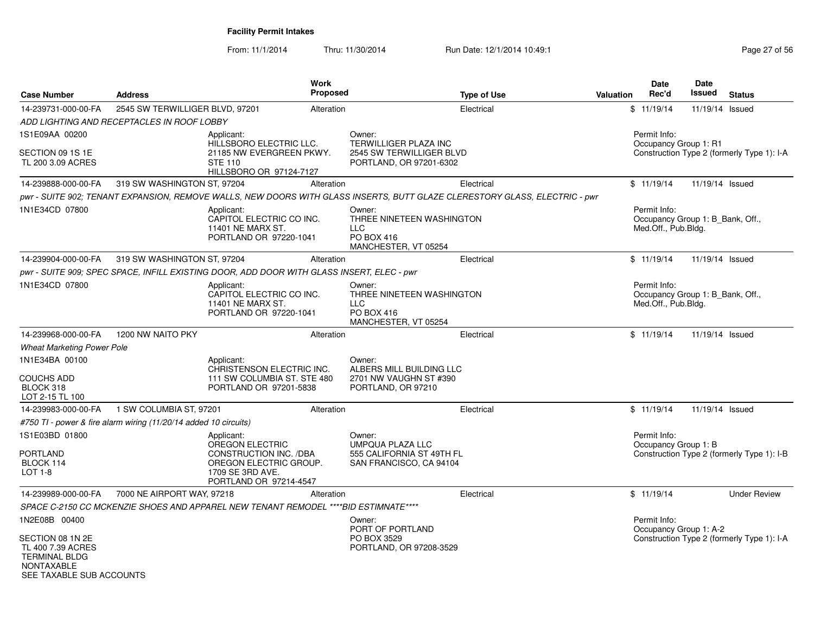| <b>Case Number</b>                                                                                             | <b>Address</b>                                                   | <b>Work</b><br><b>Proposed</b>                                                                                                  |                                                                                                | <b>Type of Use</b> | <b>Valuation</b> | <b>Date</b><br>Rec'd                                                    | Date<br>Issued  | <b>Status</b>                              |
|----------------------------------------------------------------------------------------------------------------|------------------------------------------------------------------|---------------------------------------------------------------------------------------------------------------------------------|------------------------------------------------------------------------------------------------|--------------------|------------------|-------------------------------------------------------------------------|-----------------|--------------------------------------------|
| 14-239731-000-00-FA                                                                                            | 2545 SW TERWILLIGER BLVD, 97201                                  | Alteration                                                                                                                      |                                                                                                | Electrical         |                  | \$11/19/14                                                              | 11/19/14        | Issued                                     |
|                                                                                                                | ADD LIGHTING AND RECEPTACLES IN ROOF LOBBY                       |                                                                                                                                 |                                                                                                |                    |                  |                                                                         |                 |                                            |
| 1S1E09AA 00200                                                                                                 |                                                                  | Applicant:<br>HILLSBORO ELECTRIC LLC.                                                                                           | Owner:<br>TERWILLIGER PLAZA INC                                                                |                    |                  | Permit Info:<br>Occupancy Group 1: R1                                   |                 |                                            |
| SECTION 09 1S 1E<br>TL 200 3.09 ACRES                                                                          |                                                                  | 21185 NW EVERGREEN PKWY.<br><b>STE 110</b><br>HILLSBORO OR 97124-7127                                                           | 2545 SW TERWILLIGER BLVD<br>PORTLAND, OR 97201-6302                                            |                    |                  |                                                                         |                 | Construction Type 2 (formerly Type 1): I-A |
| 14-239888-000-00-FA                                                                                            | 319 SW WASHINGTON ST, 97204                                      | Alteration                                                                                                                      |                                                                                                | Electrical         |                  | \$11/19/14                                                              | 11/19/14 Issued |                                            |
|                                                                                                                |                                                                  | pwr - SUITE 902; TENANT EXPANSION, REMOVE WALLS, NEW DOORS WITH GLASS INSERTS, BUTT GLAZE CLERESTORY GLASS, ELECTRIC - pwr      |                                                                                                |                    |                  |                                                                         |                 |                                            |
| 1N1E34CD 07800                                                                                                 |                                                                  | Applicant:<br>CAPITOL ELECTRIC CO INC.<br>11401 NE MARX ST.<br>PORTLAND OR 97220-1041                                           | Owner:<br>THREE NINETEEN WASHINGTON<br><b>LLC</b><br><b>PO BOX 416</b><br>MANCHESTER, VT 05254 |                    |                  | Permit Info:<br>Occupancy Group 1: B_Bank, Off.,<br>Med.Off., Pub.Bldg. |                 |                                            |
| 14-239904-000-00-FA                                                                                            | 319 SW WASHINGTON ST, 97204                                      | Alteration                                                                                                                      |                                                                                                | Electrical         |                  | \$11/19/14                                                              | 11/19/14 Issued |                                            |
|                                                                                                                |                                                                  | pwr - SUITE 909; SPEC SPACE, INFILL EXISTING DOOR, ADD DOOR WITH GLASS INSERT, ELEC - pwr                                       |                                                                                                |                    |                  |                                                                         |                 |                                            |
| 1N1E34CD 07800                                                                                                 |                                                                  | Applicant:<br>CAPITOL ELECTRIC CO INC.<br>11401 NE MARX ST.<br>PORTLAND OR 97220-1041                                           | Owner:<br>THREE NINETEEN WASHINGTON<br><b>LLC</b><br>PO BOX 416<br>MANCHESTER, VT 05254        |                    |                  | Permit Info:<br>Occupancy Group 1: B_Bank, Off.,<br>Med.Off., Pub.Bldg. |                 |                                            |
| 14-239968-000-00-FA                                                                                            | 1200 NW NAITO PKY                                                | Alteration                                                                                                                      |                                                                                                | Electrical         |                  | \$11/19/14                                                              | 11/19/14 Issued |                                            |
| Wheat Marketing Power Pole                                                                                     |                                                                  |                                                                                                                                 |                                                                                                |                    |                  |                                                                         |                 |                                            |
| 1N1E34BA 00100<br><b>COUCHS ADD</b><br>BLOCK 318<br>LOT 2-15 TL 100                                            |                                                                  | Applicant:<br>CHRISTENSON ELECTRIC INC.<br>111 SW COLUMBIA ST. STE 480<br>PORTLAND OR 97201-5838                                | Owner:<br>ALBERS MILL BUILDING LLC<br>2701 NW VAUGHN ST #390<br>PORTLAND, OR 97210             |                    |                  |                                                                         |                 |                                            |
| 14-239983-000-00-FA                                                                                            | 1 SW COLUMBIA ST, 97201                                          | Alteration                                                                                                                      |                                                                                                | Electrical         |                  | \$11/19/14                                                              | 11/19/14 Issued |                                            |
|                                                                                                                | #750 TI - power & fire alarm wiring (11/20/14 added 10 circuits) |                                                                                                                                 |                                                                                                |                    |                  |                                                                         |                 |                                            |
| 1S1E03BD 01800<br>PORTLAND<br>BLOCK 114<br><b>LOT 1-8</b>                                                      |                                                                  | Applicant:<br>OREGON ELECTRIC<br>CONSTRUCTION INC. /DBA<br>OREGON ELECTRIC GROUP.<br>1709 SE 3RD AVE.<br>PORTLAND OR 97214-4547 | Owner:<br><b>UMPQUA PLAZA LLC</b><br>555 CALIFORNIA ST 49TH FL<br>SAN FRANCISCO, CA 94104      |                    |                  | Permit Info:<br>Occupancy Group 1: B                                    |                 | Construction Type 2 (formerly Type 1): I-B |
| 14-239989-000-00-FA                                                                                            | 7000 NE AIRPORT WAY, 97218                                       | Alteration                                                                                                                      |                                                                                                | Electrical         |                  | \$11/19/14                                                              |                 | <b>Under Review</b>                        |
|                                                                                                                |                                                                  | SPACE C-2150 CC MCKENZIE SHOES AND APPAREL NEW TENANT REMODEL ****BID ESTIMNATE****                                             |                                                                                                |                    |                  |                                                                         |                 |                                            |
| 1N2E08B 00400                                                                                                  |                                                                  |                                                                                                                                 | Owner:                                                                                         |                    |                  | Permit Info:                                                            |                 |                                            |
| SECTION 08 1N 2E<br>TL 400 7.39 ACRES<br><b>TERMINAL BLDG</b><br><b>NONTAXABLE</b><br>SEE TAXABLE SUB ACCOUNTS |                                                                  |                                                                                                                                 | PORT OF PORTLAND<br>PO BOX 3529<br>PORTLAND, OR 97208-3529                                     |                    |                  | Occupancy Group 1: A-2                                                  |                 | Construction Type 2 (formerly Type 1): I-A |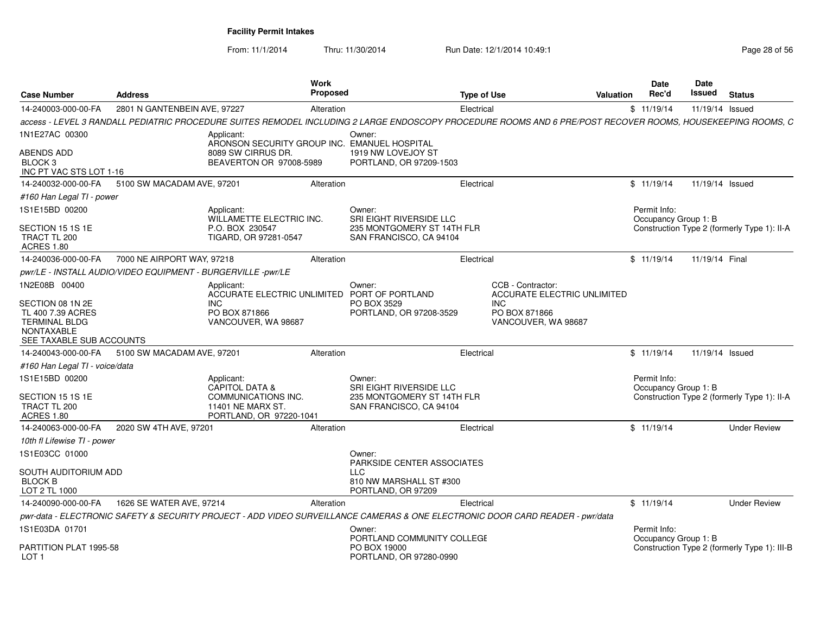| <b>Case Number</b>                                                                                             | <b>Address</b>                                               |                                                                                                                | <b>Work</b><br>Proposed |                                                                                                                                                             | <b>Type of Use</b> |                                                         | Valuation | <b>Date</b><br>Rec'd                 | Date<br>Issued  | <b>Status</b>                                |
|----------------------------------------------------------------------------------------------------------------|--------------------------------------------------------------|----------------------------------------------------------------------------------------------------------------|-------------------------|-------------------------------------------------------------------------------------------------------------------------------------------------------------|--------------------|---------------------------------------------------------|-----------|--------------------------------------|-----------------|----------------------------------------------|
| 14-240003-000-00-FA                                                                                            | 2801 N GANTENBEIN AVE, 97227                                 |                                                                                                                | Alteration              |                                                                                                                                                             | Electrical         |                                                         |           | \$11/19/14                           | 11/19/14 Issued |                                              |
|                                                                                                                |                                                              |                                                                                                                |                         | access - LEVEL 3 RANDALL PEDIATRIC PROCEDURE SUITES REMODEL INCLUDING 2 LARGE ENDOSCOPY PROCEDURE ROOMS AND 6 PRE/POST RECOVER ROOMS, HOUSEKEEPING ROOMS, C |                    |                                                         |           |                                      |                 |                                              |
| 1N1E27AC 00300                                                                                                 |                                                              | Applicant:<br>ARONSON SECURITY GROUP INC. EMANUEL HOSPITAL                                                     |                         | Owner:                                                                                                                                                      |                    |                                                         |           |                                      |                 |                                              |
| ABENDS ADD<br>BLOCK <sub>3</sub><br>INC PT VAC STS LOT 1-16                                                    |                                                              | 8089 SW CIRRUS DR.<br>BEAVERTON OR 97008-5989                                                                  |                         | 1919 NW LOVEJOY ST<br>PORTLAND, OR 97209-1503                                                                                                               |                    |                                                         |           |                                      |                 |                                              |
| 14-240032-000-00-FA                                                                                            | 5100 SW MACADAM AVE, 97201                                   |                                                                                                                | Alteration              |                                                                                                                                                             | Electrical         |                                                         |           | \$11/19/14                           | 11/19/14 Issued |                                              |
| #160 Han Legal TI - power                                                                                      |                                                              |                                                                                                                |                         |                                                                                                                                                             |                    |                                                         |           |                                      |                 |                                              |
| 1S1E15BD 00200                                                                                                 |                                                              | Applicant:<br>WILLAMETTE ELECTRIC INC.                                                                         |                         | Owner:<br>SRI EIGHT RIVERSIDE LLC                                                                                                                           |                    |                                                         |           | Permit Info:<br>Occupancy Group 1: B |                 |                                              |
| SECTION 15 1S 1E<br>TRACT TL 200<br><b>ACRES 1.80</b>                                                          |                                                              | P.O. BOX 230547<br>TIGARD, OR 97281-0547                                                                       |                         | 235 MONTGOMERY ST 14TH FLR<br>SAN FRANCISCO, CA 94104                                                                                                       |                    |                                                         |           |                                      |                 | Construction Type 2 (formerly Type 1): II-A  |
| 14-240036-000-00-FA                                                                                            | 7000 NE AIRPORT WAY, 97218                                   |                                                                                                                | Alteration              |                                                                                                                                                             | Electrical         |                                                         |           | \$11/19/14                           | 11/19/14 Final  |                                              |
|                                                                                                                | pwr/LE - INSTALL AUDIO/VIDEO EQUIPMENT - BURGERVILLE -pwr/LE |                                                                                                                |                         |                                                                                                                                                             |                    |                                                         |           |                                      |                 |                                              |
| 1N2E08B 00400                                                                                                  |                                                              | Applicant:<br>ACCURATE ELECTRIC UNLIMITED                                                                      |                         | Owner:<br>PORT OF PORTLAND                                                                                                                                  |                    | CCB - Contractor:<br><b>ACCURATE ELECTRIC UNLIMITED</b> |           |                                      |                 |                                              |
| SECTION 08 1N 2E<br>TL 400 7.39 ACRES<br><b>TERMINAL BLDG</b><br><b>NONTAXABLE</b><br>SEE TAXABLE SUB ACCOUNTS |                                                              | INC.<br>PO BOX 871866<br>VANCOUVER, WA 98687                                                                   |                         | PO BOX 3529<br>PORTLAND, OR 97208-3529                                                                                                                      |                    | <b>INC</b><br>PO BOX 871866<br>VANCOUVER, WA 98687      |           |                                      |                 |                                              |
| 14-240043-000-00-FA                                                                                            | 5100 SW MACADAM AVE, 97201                                   |                                                                                                                | Alteration              |                                                                                                                                                             | Electrical         |                                                         |           | \$11/19/14                           | 11/19/14 Issued |                                              |
| #160 Han Legal TI - voice/data                                                                                 |                                                              |                                                                                                                |                         |                                                                                                                                                             |                    |                                                         |           |                                      |                 |                                              |
| 1S1E15BD 00200<br>SECTION 15 1S 1E<br>TRACT TL 200<br><b>ACRES 1.80</b>                                        |                                                              | Applicant:<br><b>CAPITOL DATA &amp;</b><br>COMMUNICATIONS INC.<br>11401 NE MARX ST.<br>PORTLAND, OR 97220-1041 |                         | Owner:<br>SRI EIGHT RIVERSIDE LLC<br>235 MONTGOMERY ST 14TH FLR<br>SAN FRANCISCO, CA 94104                                                                  |                    |                                                         |           | Permit Info:<br>Occupancy Group 1: B |                 | Construction Type 2 (formerly Type 1): II-A  |
| 14-240063-000-00-FA                                                                                            | 2020 SW 4TH AVE, 97201                                       |                                                                                                                | Alteration              |                                                                                                                                                             | Electrical         |                                                         |           | \$11/19/14                           |                 | <b>Under Review</b>                          |
| 10th fl Lifewise TI - power                                                                                    |                                                              |                                                                                                                |                         |                                                                                                                                                             |                    |                                                         |           |                                      |                 |                                              |
| 1S1E03CC 01000                                                                                                 |                                                              |                                                                                                                |                         | Owner:<br>PARKSIDE CENTER ASSOCIATES                                                                                                                        |                    |                                                         |           |                                      |                 |                                              |
| SOUTH AUDITORIUM ADD<br><b>BLOCK B</b><br>LOT 2 TL 1000                                                        |                                                              |                                                                                                                |                         | <b>LLC</b><br>810 NW MARSHALL ST #300<br>PORTLAND, OR 97209                                                                                                 |                    |                                                         |           |                                      |                 |                                              |
| 14-240090-000-00-FA                                                                                            | 1626 SE WATER AVE, 97214                                     |                                                                                                                | Alteration              |                                                                                                                                                             | Electrical         |                                                         |           | \$11/19/14                           |                 | <b>Under Review</b>                          |
|                                                                                                                |                                                              |                                                                                                                |                         | pwr-data - ELECTRONIC SAFETY & SECURITY PROJECT - ADD VIDEO SURVEILLANCE CAMERAS & ONE ELECTRONIC DOOR CARD READER - pwr/data                               |                    |                                                         |           |                                      |                 |                                              |
| 1S1E03DA 01701                                                                                                 |                                                              |                                                                                                                |                         | Owner:<br>PORTLAND COMMUNITY COLLEGE                                                                                                                        |                    |                                                         |           | Permit Info:<br>Occupancy Group 1: B |                 |                                              |
| PARTITION PLAT 1995-58<br>LOT <sub>1</sub>                                                                     |                                                              |                                                                                                                |                         | PO BOX 19000<br>PORTLAND, OR 97280-0990                                                                                                                     |                    |                                                         |           |                                      |                 | Construction Type 2 (formerly Type 1): III-B |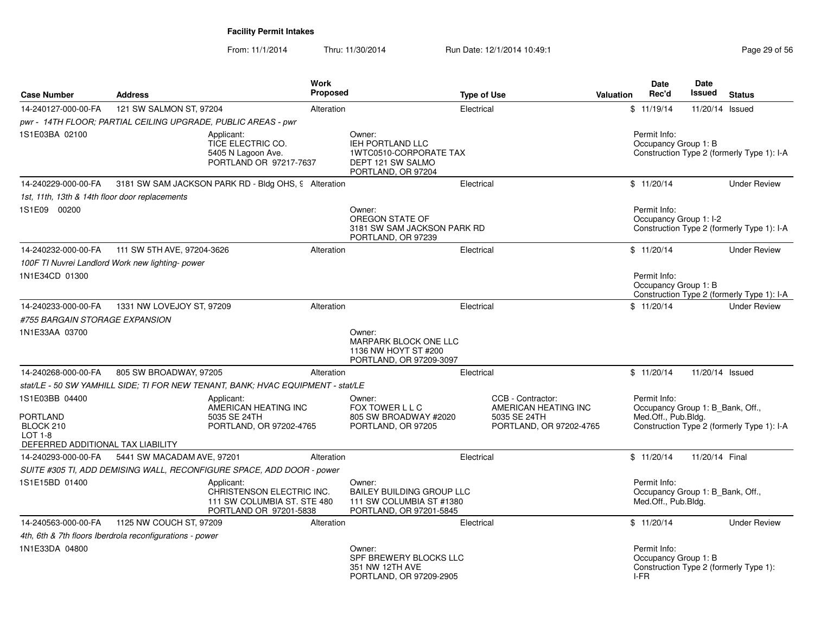| <b>Case Number</b>                                                                  | <b>Address</b>                                                |                                                                                                  | Work<br><b>Proposed</b> |                                                                                                        | <b>Type of Use</b> |                                           | <b>Valuation</b> | <b>Date</b><br>Rec'd                                                    | <b>Date</b><br>Issued | <b>Status</b>                              |
|-------------------------------------------------------------------------------------|---------------------------------------------------------------|--------------------------------------------------------------------------------------------------|-------------------------|--------------------------------------------------------------------------------------------------------|--------------------|-------------------------------------------|------------------|-------------------------------------------------------------------------|-----------------------|--------------------------------------------|
| 14-240127-000-00-FA                                                                 | 121 SW SALMON ST, 97204                                       |                                                                                                  | Alteration              |                                                                                                        | Electrical         |                                           |                  | \$11/19/14                                                              | 11/20/14 Issued       |                                            |
|                                                                                     | pwr - 14TH FLOOR; PARTIAL CEILING UPGRADE, PUBLIC AREAS - pwr |                                                                                                  |                         |                                                                                                        |                    |                                           |                  |                                                                         |                       |                                            |
| 1S1E03BA 02100                                                                      |                                                               | Applicant:<br>TICE ELECTRIC CO.<br>5405 N Lagoon Ave.<br>PORTLAND OR 97217-7637                  |                         | Owner:<br><b>IEH PORTLAND LLC</b><br>1WTC0510-CORPORATE TAX<br>DEPT 121 SW SALMO<br>PORTLAND, OR 97204 |                    |                                           |                  | Permit Info:<br>Occupancy Group 1: B                                    |                       | Construction Type 2 (formerly Type 1): I-A |
| 14-240229-000-00-FA                                                                 |                                                               | 3181 SW SAM JACKSON PARK RD - Bldg OHS, 9 Alteration                                             |                         |                                                                                                        | Electrical         |                                           |                  | \$11/20/14                                                              |                       | <b>Under Review</b>                        |
| 1st, 11th, 13th & 14th floor door replacements                                      |                                                               |                                                                                                  |                         |                                                                                                        |                    |                                           |                  |                                                                         |                       |                                            |
| 1S1E09 00200                                                                        |                                                               |                                                                                                  |                         | Owner:<br>OREGON STATE OF<br>3181 SW SAM JACKSON PARK RD<br>PORTLAND, OR 97239                         |                    |                                           |                  | Permit Info:<br>Occupancy Group 1: I-2                                  |                       | Construction Type 2 (formerly Type 1): I-A |
| 14-240232-000-00-FA                                                                 | 111 SW 5TH AVE, 97204-3626                                    |                                                                                                  | Alteration              |                                                                                                        | Electrical         |                                           |                  | \$11/20/14                                                              |                       | <b>Under Review</b>                        |
|                                                                                     | 100F TI Nuvrei Landlord Work new lighting-power               |                                                                                                  |                         |                                                                                                        |                    |                                           |                  |                                                                         |                       |                                            |
| 1N1E34CD 01300                                                                      |                                                               |                                                                                                  |                         |                                                                                                        |                    |                                           |                  | Permit Info:<br>Occupancy Group 1: B                                    |                       | Construction Type 2 (formerly Type 1): I-A |
| 14-240233-000-00-FA                                                                 | 1331 NW LOVEJOY ST, 97209                                     |                                                                                                  | Alteration              |                                                                                                        | Electrical         |                                           |                  | \$11/20/14                                                              |                       | <b>Under Review</b>                        |
| #755 BARGAIN STORAGE EXPANSION                                                      |                                                               |                                                                                                  |                         |                                                                                                        |                    |                                           |                  |                                                                         |                       |                                            |
| 1N1E33AA 03700                                                                      |                                                               |                                                                                                  |                         | Owner:<br>MARPARK BLOCK ONE LLC<br>1136 NW HOYT ST #200<br>PORTLAND, OR 97209-3097                     |                    |                                           |                  |                                                                         |                       |                                            |
| 14-240268-000-00-FA                                                                 | 805 SW BROADWAY, 97205                                        |                                                                                                  | Alteration              |                                                                                                        | Electrical         |                                           |                  | \$11/20/14                                                              | 11/20/14 Issued       |                                            |
|                                                                                     |                                                               | stat/LE - 50 SW YAMHILL SIDE; TI FOR NEW TENANT, BANK; HVAC EQUIPMENT - stat/LE                  |                         |                                                                                                        |                    |                                           |                  |                                                                         |                       |                                            |
| 1S1E03BB 04400                                                                      |                                                               | Applicant:<br>AMERICAN HEATING INC                                                               |                         | Owner:<br>FOX TOWER L L C                                                                              |                    | CCB - Contractor:<br>AMERICAN HEATING INC |                  | Permit Info:<br>Occupancy Group 1: B Bank, Off.,                        |                       |                                            |
| <b>PORTLAND</b><br>BLOCK 210<br><b>LOT 1-8</b><br>DEFERRED ADDITIONAL TAX LIABILITY |                                                               | 5035 SE 24TH<br>PORTLAND, OR 97202-4765                                                          |                         | 805 SW BROADWAY #2020<br>PORTLAND, OR 97205                                                            |                    | 5035 SE 24TH<br>PORTLAND, OR 97202-4765   |                  | Med.Off., Pub.Bldg.                                                     |                       | Construction Type 2 (formerly Type 1): I-A |
| 14-240293-000-00-FA                                                                 | 5441 SW MACADAM AVE, 97201                                    |                                                                                                  | Alteration              |                                                                                                        | Electrical         |                                           |                  | \$11/20/14                                                              | 11/20/14 Final        |                                            |
|                                                                                     |                                                               | SUITE #305 TI, ADD DEMISING WALL, RECONFIGURE SPACE, ADD DOOR - power                            |                         |                                                                                                        |                    |                                           |                  |                                                                         |                       |                                            |
| 1S1E15BD 01400                                                                      |                                                               | Applicant:<br>CHRISTENSON ELECTRIC INC.<br>111 SW COLUMBIA ST. STE 480<br>PORTLAND OR 97201-5838 |                         | Owner:<br><b>BAILEY BUILDING GROUP LLC</b><br>111 SW COLUMBIA ST #1380<br>PORTLAND, OR 97201-5845      |                    |                                           |                  | Permit Info:<br>Occupancy Group 1: B_Bank, Off.,<br>Med.Off., Pub.Bldg. |                       |                                            |
| 14-240563-000-00-FA                                                                 | 1125 NW COUCH ST, 97209                                       |                                                                                                  | Alteration              |                                                                                                        | Electrical         |                                           |                  | \$11/20/14                                                              |                       | <b>Under Review</b>                        |
|                                                                                     | 4th, 6th & 7th floors Iberdrola reconfigurations - power      |                                                                                                  |                         |                                                                                                        |                    |                                           |                  |                                                                         |                       |                                            |
| 1N1E33DA 04800                                                                      |                                                               |                                                                                                  |                         | Owner:<br>SPF BREWERY BLOCKS LLC<br>351 NW 12TH AVE<br>PORTLAND, OR 97209-2905                         |                    |                                           |                  | Permit Info:<br>Occupancy Group 1: B<br>I-FR                            |                       | Construction Type 2 (formerly Type 1):     |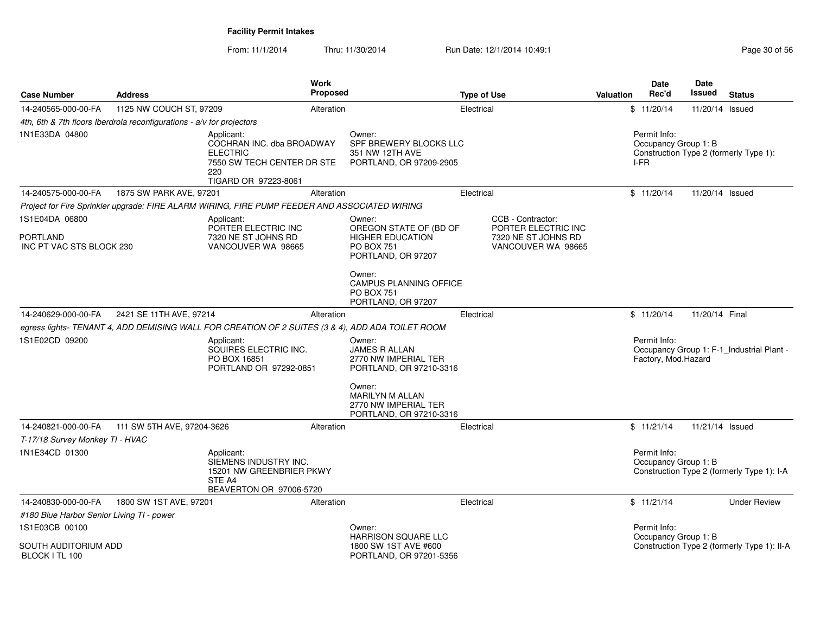From: 11/1/2014

| <b>Case Number</b>                                            | <b>Address</b>                                                        |                                                                                                                         | <b>Work</b><br><b>Proposed</b> |                                                                                                                  | <b>Type of Use</b> |                                                                                       | <b>Valuation</b> | Date<br>Rec'd                                | <b>Date</b><br><b>Issued</b> | <b>Status</b>                               |
|---------------------------------------------------------------|-----------------------------------------------------------------------|-------------------------------------------------------------------------------------------------------------------------|--------------------------------|------------------------------------------------------------------------------------------------------------------|--------------------|---------------------------------------------------------------------------------------|------------------|----------------------------------------------|------------------------------|---------------------------------------------|
| 14-240565-000-00-FA                                           | 1125 NW COUCH ST, 97209                                               |                                                                                                                         | Alteration                     |                                                                                                                  | Electrical         |                                                                                       |                  | \$11/20/14                                   | 11/20/14 Issued              |                                             |
|                                                               | 4th, 6th & 7th floors Iberdrola reconfigurations - a/v for projectors |                                                                                                                         |                                |                                                                                                                  |                    |                                                                                       |                  |                                              |                              |                                             |
| 1N1E33DA 04800                                                |                                                                       | Applicant:<br>COCHRAN INC. dba BROADWAY<br><b>ELECTRIC</b><br>7550 SW TECH CENTER DR STE<br>220<br>TIGARD OR 97223-8061 |                                | Owner:<br>SPF BREWERY BLOCKS LLC<br>351 NW 12TH AVE<br>PORTLAND, OR 97209-2905                                   |                    |                                                                                       |                  | Permit Info:<br>Occupancy Group 1: B<br>I-FR |                              | Construction Type 2 (formerly Type 1):      |
| 14-240575-000-00-FA                                           | 1875 SW PARK AVE, 97201                                               |                                                                                                                         | Alteration                     |                                                                                                                  | Electrical         |                                                                                       |                  | \$11/20/14                                   | 11/20/14 Issued              |                                             |
|                                                               |                                                                       | Project for Fire Sprinkler upgrade: FIRE ALARM WIRING, FIRE PUMP FEEDER AND ASSOCIATED WIRING                           |                                |                                                                                                                  |                    |                                                                                       |                  |                                              |                              |                                             |
| 1S1E04DA 06800<br><b>PORTLAND</b><br>INC PT VAC STS BLOCK 230 |                                                                       | Applicant:<br>PORTER ELECTRIC INC<br>7320 NE ST JOHNS RD<br>VANCOUVER WA 98665                                          |                                | Owner:<br>OREGON STATE OF (BD OF<br><b>HIGHER EDUCATION</b><br><b>PO BOX 751</b><br>PORTLAND, OR 97207<br>Owner: |                    | CCB - Contractor:<br>PORTER ELECTRIC INC<br>7320 NE ST JOHNS RD<br>VANCOUVER WA 98665 |                  |                                              |                              |                                             |
|                                                               |                                                                       |                                                                                                                         |                                | CAMPUS PLANNING OFFICE<br><b>PO BOX 751</b><br>PORTLAND, OR 97207                                                |                    |                                                                                       |                  |                                              |                              |                                             |
| 14-240629-000-00-FA                                           | 2421 SE 11TH AVE, 97214                                               |                                                                                                                         | Alteration                     |                                                                                                                  | Electrical         |                                                                                       |                  | \$11/20/14                                   | 11/20/14 Final               |                                             |
|                                                               |                                                                       | egress lights- TENANT 4, ADD DEMISING WALL FOR CREATION OF 2 SUITES (3 & 4), ADD ADA TOILET ROOM                        |                                |                                                                                                                  |                    |                                                                                       |                  |                                              |                              |                                             |
| 1S1E02CD 09200                                                |                                                                       | Applicant:<br>SQUIRES ELECTRIC INC.<br>PO BOX 16851<br>PORTLAND OR 97292-0851                                           |                                | Owner:<br><b>JAMES R ALLAN</b><br>2770 NW IMPERIAL TER<br>PORTLAND, OR 97210-3316                                |                    |                                                                                       |                  | Permit Info:<br>Factory, Mod.Hazard          |                              | Occupancy Group 1: F-1_Industrial Plant -   |
|                                                               |                                                                       |                                                                                                                         |                                | Owner:<br><b>MARILYN M ALLAN</b><br>2770 NW IMPERIAL TER<br>PORTLAND, OR 97210-3316                              |                    |                                                                                       |                  |                                              |                              |                                             |
| 14-240821-000-00-FA                                           | 111 SW 5TH AVE, 97204-3626                                            |                                                                                                                         | Alteration                     |                                                                                                                  | Electrical         |                                                                                       |                  | \$11/21/14                                   | 11/21/14 Issued              |                                             |
| T-17/18 Survey Monkey TI - HVAC                               |                                                                       |                                                                                                                         |                                |                                                                                                                  |                    |                                                                                       |                  |                                              |                              |                                             |
| 1N1E34CD 01300                                                |                                                                       | Applicant:<br>SIEMENS INDUSTRY INC.<br>15201 NW GREENBRIER PKWY<br>STE A4<br>BEAVERTON OR 97006-5720                    |                                |                                                                                                                  |                    |                                                                                       |                  | Permit Info:<br>Occupancy Group 1: B         |                              | Construction Type 2 (formerly Type 1): I-A  |
| 14-240830-000-00-FA                                           | 1800 SW 1ST AVE, 97201                                                |                                                                                                                         | Alteration                     |                                                                                                                  | Electrical         |                                                                                       |                  | \$11/21/14                                   |                              | <b>Under Review</b>                         |
| #180 Blue Harbor Senior Living TI - power                     |                                                                       |                                                                                                                         |                                |                                                                                                                  |                    |                                                                                       |                  |                                              |                              |                                             |
| 1S1E03CB 00100                                                |                                                                       |                                                                                                                         |                                | Owner:                                                                                                           |                    |                                                                                       |                  | Permit Info:                                 |                              |                                             |
| SOUTH AUDITORIUM ADD<br>BLOCK I TL 100                        |                                                                       |                                                                                                                         |                                | <b>HARRISON SQUARE LLC</b><br>1800 SW 1ST AVE #600<br>PORTLAND, OR 97201-5356                                    |                    |                                                                                       |                  | Occupancy Group 1: B                         |                              | Construction Type 2 (formerly Type 1): II-A |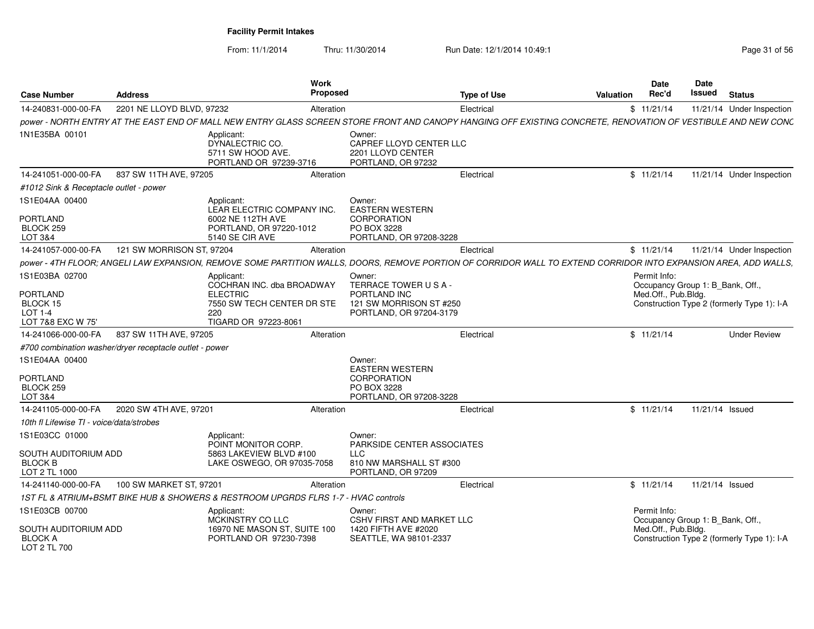| <b>Case Number</b>                                          | <b>Address</b>                                          | <b>Work</b><br><b>Proposed</b>                                                                                                                                  |                                                                              | <b>Type of Use</b> | Valuation | <b>Date</b><br>Rec'd                             | <b>Date</b><br>Issued | <b>Status</b>                              |
|-------------------------------------------------------------|---------------------------------------------------------|-----------------------------------------------------------------------------------------------------------------------------------------------------------------|------------------------------------------------------------------------------|--------------------|-----------|--------------------------------------------------|-----------------------|--------------------------------------------|
| 14-240831-000-00-FA                                         | 2201 NE LLOYD BLVD, 97232                               | Alteration                                                                                                                                                      |                                                                              | Electrical         |           | \$11/21/14                                       |                       | 11/21/14 Under Inspection                  |
|                                                             |                                                         | power - NORTH ENTRY AT THE EAST END OF MALL NEW ENTRY GLASS SCREEN STORE FRONT AND CANOPY HANGING OFF EXISTING CONCRETE, RENOVATION OF VESTIBULE AND NEW CONC   |                                                                              |                    |           |                                                  |                       |                                            |
| 1N1E35BA 00101                                              |                                                         | Applicant:<br>DYNALECTRIC CO.<br>5711 SW HOOD AVE.<br>PORTLAND OR 97239-3716                                                                                    | Owner:<br>CAPREF LLOYD CENTER LLC<br>2201 LLOYD CENTER<br>PORTLAND, OR 97232 |                    |           |                                                  |                       |                                            |
| 14-241051-000-00-FA                                         | 837 SW 11TH AVE, 97205                                  | Alteration                                                                                                                                                      |                                                                              | Electrical         |           | \$11/21/14                                       |                       | 11/21/14 Under Inspection                  |
| #1012 Sink & Receptacle outlet - power                      |                                                         |                                                                                                                                                                 |                                                                              |                    |           |                                                  |                       |                                            |
| 1S1E04AA 00400<br><b>PORTLAND</b><br>BLOCK 259              |                                                         | Applicant:<br>LEAR ELECTRIC COMPANY INC.<br>6002 NE 112TH AVE<br>PORTLAND, OR 97220-1012                                                                        | Owner:<br><b>EASTERN WESTERN</b><br><b>CORPORATION</b><br>PO BOX 3228        |                    |           |                                                  |                       |                                            |
| LOT 3&4                                                     |                                                         | 5140 SE CIR AVE                                                                                                                                                 | PORTLAND, OR 97208-3228                                                      |                    |           |                                                  |                       |                                            |
| 14-241057-000-00-FA                                         | 121 SW MORRISON ST, 97204                               | Alteration                                                                                                                                                      |                                                                              | Electrical         |           | \$11/21/14                                       |                       | 11/21/14 Under Inspection                  |
|                                                             |                                                         | power - 4TH FLOOR; ANGELI LAW EXPANSION, REMOVE SOME PARTITION WALLS, DOORS, REMOVE PORTION OF CORRIDOR WALL TO EXTEND CORRIDOR INTO EXPANSION AREA, ADD WALLS, |                                                                              |                    |           |                                                  |                       |                                            |
| 1S1E03BA 02700                                              |                                                         | Applicant:<br>COCHRAN INC. dba BROADWAY                                                                                                                         | Owner:<br>TERRACE TOWER U S A -                                              |                    |           | Permit Info:<br>Occupancy Group 1: B Bank, Off., |                       |                                            |
| <b>PORTLAND</b><br>BLOCK 15<br>LOT 1-4<br>LOT 7&8 EXC W 75' |                                                         | <b>ELECTRIC</b><br>7550 SW TECH CENTER DR STE<br>220<br>TIGARD OR 97223-8061                                                                                    | PORTLAND INC<br>121 SW MORRISON ST #250<br>PORTLAND, OR 97204-3179           |                    |           | Med.Off., Pub.Bldg.                              |                       | Construction Type 2 (formerly Type 1): I-A |
| 14-241066-000-00-FA                                         | 837 SW 11TH AVE, 97205                                  | Alteration                                                                                                                                                      |                                                                              | Electrical         |           | \$11/21/14                                       |                       | <b>Under Review</b>                        |
|                                                             | #700 combination washer/dryer receptacle outlet - power |                                                                                                                                                                 |                                                                              |                    |           |                                                  |                       |                                            |
| 1S1E04AA 00400                                              |                                                         |                                                                                                                                                                 | Owner:<br><b>EASTERN WESTERN</b>                                             |                    |           |                                                  |                       |                                            |
| <b>PORTLAND</b><br>BLOCK 259<br><b>LOT 3&amp;4</b>          |                                                         |                                                                                                                                                                 | <b>CORPORATION</b><br>PO BOX 3228<br>PORTLAND, OR 97208-3228                 |                    |           |                                                  |                       |                                            |
| 14-241105-000-00-FA                                         | 2020 SW 4TH AVE, 97201                                  | Alteration                                                                                                                                                      |                                                                              | Electrical         |           | \$11/21/14                                       | 11/21/14 Issued       |                                            |
| 10th fl Lifewise TI - voice/data/strobes                    |                                                         |                                                                                                                                                                 |                                                                              |                    |           |                                                  |                       |                                            |
| 1S1E03CC 01000                                              |                                                         | Applicant:<br>POINT MONITOR CORP.                                                                                                                               | Owner:<br><b>PARKSIDE CENTER ASSOCIATES</b>                                  |                    |           |                                                  |                       |                                            |
| SOUTH AUDITORIUM ADD<br><b>BLOCK B</b><br>LOT 2 TL 1000     |                                                         | 5863 LAKEVIEW BLVD #100<br>LAKE OSWEGO, OR 97035-7058                                                                                                           | <b>LLC</b><br>810 NW MARSHALL ST #300<br>PORTLAND, OR 97209                  |                    |           |                                                  |                       |                                            |
| 14-241140-000-00-FA                                         | 100 SW MARKET ST, 97201                                 | Alteration                                                                                                                                                      |                                                                              | Electrical         |           | \$11/21/14                                       | 11/21/14 Issued       |                                            |
|                                                             |                                                         | 1ST FL & ATRIUM+BSMT BIKE HUB & SHOWERS & RESTROOM UPGRDS FLRS 1-7 - HVAC controls                                                                              |                                                                              |                    |           |                                                  |                       |                                            |
| 1S1E03CB 00700                                              |                                                         | Applicant:<br>MCKINSTRY CO LLC                                                                                                                                  | Owner:<br><b>CSHV FIRST AND MARKET LLC</b>                                   |                    |           | Permit Info:<br>Occupancy Group 1: B_Bank, Off., |                       |                                            |
| SOUTH AUDITORIUM ADD<br><b>BLOCK A</b><br>LOT 2 TL 700      |                                                         | 16970 NE MASON ST, SUITE 100<br>PORTLAND OR 97230-7398                                                                                                          | 1420 FIFTH AVE #2020<br>SEATTLE, WA 98101-2337                               |                    |           | Med.Off., Pub.Bldg.                              |                       | Construction Type 2 (formerly Type 1): I-A |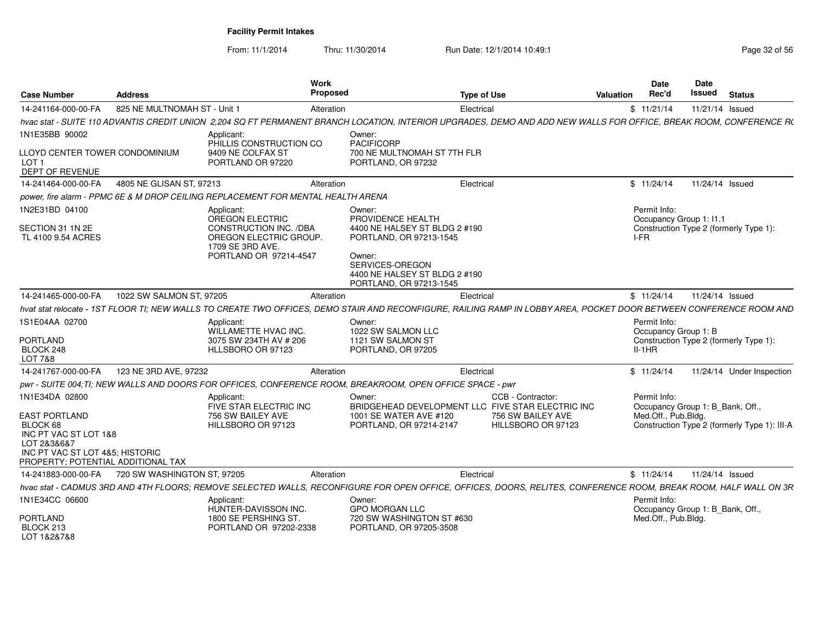|                                                                                                                                                   |                              | Work                                                                                          |                                                                                                                                                                     |                                                                        |            | Date                | Date                             |                                              |
|---------------------------------------------------------------------------------------------------------------------------------------------------|------------------------------|-----------------------------------------------------------------------------------------------|---------------------------------------------------------------------------------------------------------------------------------------------------------------------|------------------------------------------------------------------------|------------|---------------------|----------------------------------|----------------------------------------------|
| <b>Case Number</b>                                                                                                                                | <b>Address</b>               | Proposed                                                                                      |                                                                                                                                                                     | <b>Type of Use</b>                                                     | Valuation  | Rec'd               | Issued                           | <b>Status</b>                                |
| 14-241164-000-00-FA                                                                                                                               | 825 NE MULTNOMAH ST - Unit 1 | Alteration                                                                                    |                                                                                                                                                                     | Electrical                                                             | \$11/21/14 |                     | 11/21/14 Issued                  |                                              |
|                                                                                                                                                   |                              |                                                                                               | hvac stat - SUITE 110 ADVANTIS CREDIT UNION 2.204 SQ FT PERMANENT BRANCH LOCATION, INTERIOR UPGRADES, DEMO AND ADD NEW WALLS FOR OFFICE, BREAK ROOM, CONFERENCE R(  |                                                                        |            |                     |                                  |                                              |
| 1N1E35BB 90002                                                                                                                                    |                              | Applicant                                                                                     | Owner:                                                                                                                                                              |                                                                        |            |                     |                                  |                                              |
| LLOYD CENTER TOWER CONDOMINIUM<br>LOT <sub>1</sub><br>DEPT OF REVENUE                                                                             |                              | PHILLIS CONSTRUCTION CO<br>9409 NE COLFAX ST<br>PORTLAND OR 97220                             | PACIFICORP<br>700 NE MULTNOMAH ST 7TH FLR<br>PORTLAND, OR 97232                                                                                                     |                                                                        |            |                     |                                  |                                              |
| 14-241464-000-00-FA                                                                                                                               | 4805 NE GLISAN ST, 97213     | Alteration                                                                                    |                                                                                                                                                                     | Electrical                                                             |            | \$11/24/14          | 11/24/14 Issued                  |                                              |
|                                                                                                                                                   |                              | power, fire alarm - PPMC 6E & M DROP CEILING REPLACEMENT FOR MENTAL HEALTH ARENA              |                                                                                                                                                                     |                                                                        |            |                     |                                  |                                              |
| 1N2E31BD 04100                                                                                                                                    |                              | Applicant:<br>OREGON ELECTRIC                                                                 | Owner:<br>PROVIDENCE HEALTH                                                                                                                                         |                                                                        |            | Permit Info:        | Occupancy Group 1: I1.1          |                                              |
| SECTION 31 1N 2E<br>TL 4100 9.54 ACRES                                                                                                            |                              | CONSTRUCTION INC. /DBA<br>OREGON ELECTRIC GROUP<br>1709 SE 3RD AVE.<br>PORTLAND OR 97214-4547 | 4400 NE HALSEY ST BLDG 2 #190<br>PORTLAND, OR 97213-1545<br>Owner:                                                                                                  |                                                                        | I-FR       |                     |                                  | Construction Type 2 (formerly Type 1):       |
|                                                                                                                                                   |                              |                                                                                               | SERVICES-OREGON<br>4400 NE HALSEY ST BLDG 2 #190<br>PORTLAND, OR 97213-1545                                                                                         |                                                                        |            |                     |                                  |                                              |
| 14-241465-000-00-FA                                                                                                                               | 1022 SW SALMON ST, 97205     | Alteration                                                                                    |                                                                                                                                                                     | Electrical                                                             |            | \$11/24/14          | 11/24/14 Issued                  |                                              |
|                                                                                                                                                   |                              |                                                                                               | hvat stat relocate - 1ST FLOOR TI; NEW WALLS TO CREATE TWO OFFICES, DEMO STAIR AND RECONFIGURE, RAILING RAMP IN LOBBY AREA, POCKET DOOR BETWEEN CONFERENCE ROOM AND |                                                                        |            |                     |                                  |                                              |
| 1S1E04AA 02700                                                                                                                                    |                              | Applicant:                                                                                    | Owner:                                                                                                                                                              |                                                                        |            | Permit Info:        |                                  |                                              |
|                                                                                                                                                   |                              | WILLAMETTE HVAC INC.                                                                          | 1022 SW SALMON LLC                                                                                                                                                  |                                                                        |            |                     | Occupancy Group 1: B             |                                              |
| <b>PORTLAND</b><br>BLOCK 248<br><b>LOT 7&amp;8</b>                                                                                                |                              | 3075 SW 234TH AV # 206<br>HLLSBORO OR 97123                                                   | 1121 SW SALMON ST<br>PORTLAND, OR 97205                                                                                                                             |                                                                        | $II-1HR$   |                     |                                  | Construction Type 2 (formerly Type 1):       |
| 14-241767-000-00-FA                                                                                                                               | 123 NE 3RD AVE, 97232        | Alteration                                                                                    |                                                                                                                                                                     | Electrical                                                             | \$11/24/14 |                     |                                  | 11/24/14 Under Inspection                    |
|                                                                                                                                                   |                              |                                                                                               | pwr - SUITE 004;TI; NEW WALLS AND DOORS FOR OFFICES, CONFERENCE ROOM, BREAKROOM, OPEN OFFICE SPACE - pwr                                                            |                                                                        |            |                     |                                  |                                              |
| 1N1E34DA 02800                                                                                                                                    |                              | Applicant:<br>FIVE STAR ELECTRIC INC                                                          | Owner:                                                                                                                                                              | CCB - Contractor:<br>BRIDGEHEAD DEVELOPMENT LLC FIVE STAR ELECTRIC INC |            | Permit Info:        | Occupancy Group 1: B_Bank, Off., |                                              |
| <b>EAST PORTLAND</b><br>BLOCK 68<br>INC PT VAC ST LOT 1&8<br>LOT 2&3&6&7<br>INC PT VAC ST LOT 4&5: HISTORIC<br>PROPERTY: POTENTIAL ADDITIONAL TAX |                              | 756 SW BAILEY AVE<br>HILLSBORO OR 97123                                                       | 1001 SE WATER AVE #120<br>PORTLAND, OR 97214-2147                                                                                                                   | 756 SW BAILEY AVE<br>HILLSBORO OR 97123                                |            | Med.Off., Pub.Bldg. |                                  | Construction Type 2 (formerly Type 1): III-A |
| 14-241883-000-00-FA                                                                                                                               | 720 SW WASHINGTON ST, 97205  | Alteration                                                                                    |                                                                                                                                                                     | Electrical                                                             | \$11/24/14 |                     | 11/24/14 Issued                  |                                              |
|                                                                                                                                                   |                              |                                                                                               | hvac stat - CADMUS 3RD AND 4TH FLOORS: REMOVE SELECTED WALLS. RECONFIGURE FOR OPEN OFFICE. OFFICES. DOORS. RELITES. CONFERENCE ROOM. BREAK ROOM. HALF WALL ON 3R    |                                                                        |            |                     |                                  |                                              |
| 1N1E34CC 06600                                                                                                                                    |                              | Applicant                                                                                     | Owner:                                                                                                                                                              |                                                                        |            | Permit Info:        |                                  |                                              |
| PORTLAND<br>BLOCK 213<br>LOT 1&2&7&8                                                                                                              |                              | HUNTER-DAVISSON INC.<br>1800 SE PERSHING ST.<br>PORTLAND OR 97202-2338                        | <b>GPO MORGAN LLC</b><br>720 SW WASHINGTON ST #630<br>PORTLAND, OR 97205-3508                                                                                       |                                                                        |            | Med.Off., Pub.Bldg. | Occupancy Group 1: B_Bank, Off., |                                              |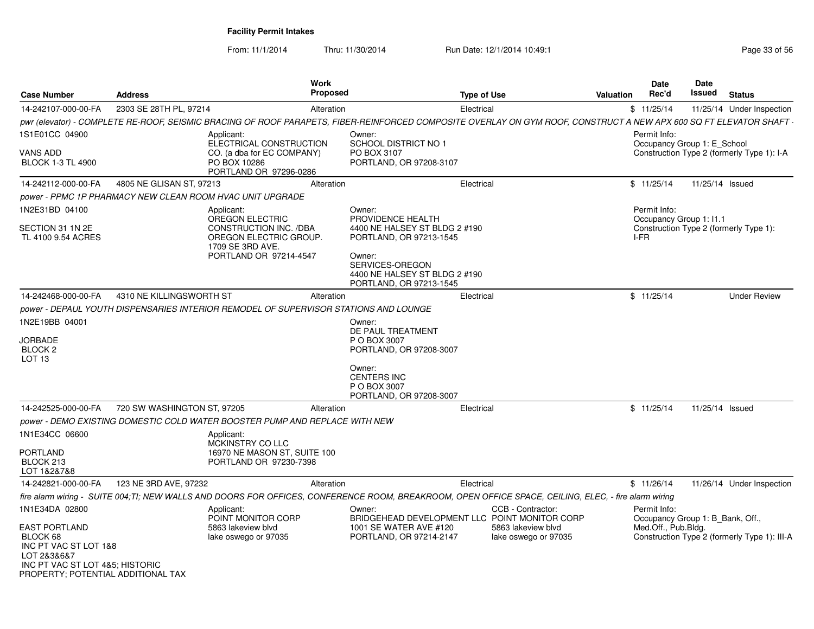| <b>Case Number</b>                                                                                                        | <b>Address</b>              | <b>Work</b><br><b>Proposed</b>                                                                                                                                    | <b>Type of Use</b>                                                                                                                                |                                         |                      | Date<br>Rec'd<br>Valuation                                              | Date<br>Issued  | <b>Status</b>                                |
|---------------------------------------------------------------------------------------------------------------------------|-----------------------------|-------------------------------------------------------------------------------------------------------------------------------------------------------------------|---------------------------------------------------------------------------------------------------------------------------------------------------|-----------------------------------------|----------------------|-------------------------------------------------------------------------|-----------------|----------------------------------------------|
| 14-242107-000-00-FA                                                                                                       | 2303 SE 28TH PL, 97214      | Alteration                                                                                                                                                        |                                                                                                                                                   | Electrical                              |                      | \$11/25/14                                                              |                 | 11/25/14 Under Inspection                    |
|                                                                                                                           |                             | pwr (elevator) - COMPLETE RE-ROOF. SEISMIC BRACING OF ROOF PARAPETS. FIBER-REINFORCED COMPOSITE OVERLAY ON GYM ROOF. CONSTRUCT A NEW APX 600 SQ FT ELEVATOR SHAFT |                                                                                                                                                   |                                         |                      |                                                                         |                 |                                              |
| 1S1E01CC 04900                                                                                                            |                             | Applicant:<br>ELECTRICAL CONSTRUCTION                                                                                                                             | Owner:<br><b>SCHOOL DISTRICT NO 1</b>                                                                                                             |                                         |                      | Permit Info:<br>Occupancy Group 1: E School                             |                 |                                              |
| VANS ADD<br><b>BLOCK 1-3 TL 4900</b>                                                                                      |                             | CO. (a dba for EC COMPANY)<br>PO BOX 10286<br>PORTLAND OR 97296-0286                                                                                              | PO BOX 3107<br>PORTLAND, OR 97208-3107                                                                                                            |                                         |                      |                                                                         |                 | Construction Type 2 (formerly Type 1): I-A   |
| 14-242112-000-00-FA                                                                                                       | 4805 NE GLISAN ST, 97213    | Alteration                                                                                                                                                        |                                                                                                                                                   | Electrical                              |                      | \$11/25/14                                                              | 11/25/14 Issued |                                              |
|                                                                                                                           |                             | power - PPMC 1P PHARMACY NEW CLEAN ROOM HVAC UNIT UPGRADE                                                                                                         |                                                                                                                                                   |                                         |                      |                                                                         |                 |                                              |
| 1N2E31BD 04100                                                                                                            |                             | Applicant:<br><b>OREGON ELECTRIC</b>                                                                                                                              | Owner:<br>PROVIDENCE HEALTH                                                                                                                       |                                         |                      | Permit Info:<br>Occupancy Group 1: 11.1                                 |                 |                                              |
| SECTION 31 1N 2E<br>TL 4100 9.54 ACRES                                                                                    |                             | CONSTRUCTION INC. /DBA<br>OREGON ELECTRIC GROUP.<br>1709 SE 3RD AVE.<br>PORTLAND OR 97214-4547                                                                    | 4400 NE HALSEY ST BLDG 2 #190<br>PORTLAND, OR 97213-1545<br>Owner:<br>SERVICES-OREGON<br>4400 NE HALSEY ST BLDG 2 #190<br>PORTLAND, OR 97213-1545 |                                         |                      | I-FR                                                                    |                 | Construction Type 2 (formerly Type 1):       |
| 14-242468-000-00-FA                                                                                                       | 4310 NE KILLINGSWORTH ST    | Alteration                                                                                                                                                        |                                                                                                                                                   | Electrical                              |                      | \$11/25/14                                                              |                 | <b>Under Review</b>                          |
|                                                                                                                           |                             | power - DEPAUL YOUTH DISPENSARIES INTERIOR REMODEL OF SUPERVISOR STATIONS AND LOUNGE                                                                              |                                                                                                                                                   |                                         |                      |                                                                         |                 |                                              |
| 1N2E19BB 04001<br><b>JORBADE</b><br><b>BLOCK 2</b><br>LOT <sub>13</sub>                                                   |                             |                                                                                                                                                                   | Owner:<br>DE PAUL TREATMENT<br>P O BOX 3007<br>PORTLAND, OR 97208-3007                                                                            |                                         |                      |                                                                         |                 |                                              |
|                                                                                                                           |                             |                                                                                                                                                                   | Owner:<br><b>CENTERS INC</b><br>P O BOX 3007<br>PORTLAND, OR 97208-3007                                                                           |                                         |                      |                                                                         |                 |                                              |
| 14-242525-000-00-FA                                                                                                       | 720 SW WASHINGTON ST, 97205 | Alteration                                                                                                                                                        |                                                                                                                                                   | Electrical                              |                      | \$11/25/14                                                              | 11/25/14 Issued |                                              |
|                                                                                                                           |                             | power - DEMO EXISTING DOMESTIC COLD WATER BOOSTER PUMP AND REPLACE WITH NEW                                                                                       |                                                                                                                                                   |                                         |                      |                                                                         |                 |                                              |
| 1N1E34CC 06600<br><b>PORTLAND</b>                                                                                         |                             | Applicant:<br>MCKINSTRY CO LLC<br>16970 NE MASON ST. SUITE 100                                                                                                    |                                                                                                                                                   |                                         |                      |                                                                         |                 |                                              |
| BLOCK 213<br>LOT 1&2&7&8                                                                                                  |                             | PORTLAND OR 97230-7398                                                                                                                                            |                                                                                                                                                   |                                         |                      |                                                                         |                 |                                              |
| 14-242821-000-00-FA                                                                                                       | 123 NE 3RD AVE, 97232       | Alteration                                                                                                                                                        |                                                                                                                                                   | Electrical                              |                      | \$11/26/14                                                              |                 | 11/26/14 Under Inspection                    |
|                                                                                                                           |                             | fire alarm wiring - SUITE 004:TI: NEW WALLS AND DOORS FOR OFFICES, CONFERENCE ROOM, BREAKROOM, OPEN OFFICE SPACE, CEILING, ELEC, - fire alarm wiring              |                                                                                                                                                   |                                         |                      |                                                                         |                 |                                              |
| 1N1E34DA 02800<br><b>EAST PORTLAND</b>                                                                                    |                             | Applicant:<br>POINT MONITOR CORP<br>5863 lakeview blvd                                                                                                            | Owner:<br>BRIDGEHEAD DEVELOPMENT LLC POINT MONITOR CORP<br>1001 SE WATER AVE #120                                                                 | CCB - Contractor:<br>5863 lakeview blvd |                      | Permit Info:<br>Occupancy Group 1: B Bank, Off.,<br>Med.Off., Pub.Bldg. |                 |                                              |
| BLOCK 68<br>INC PT VAC ST LOT 1&8<br>LOT 2&3&6&7<br>INC PT VAC ST LOT 4&5; HISTORIC<br>PROPERTY; POTENTIAL ADDITIONAL TAX |                             | lake oswego or 97035                                                                                                                                              | PORTLAND, OR 97214-2147                                                                                                                           |                                         | lake oswego or 97035 |                                                                         |                 | Construction Type 2 (formerly Type 1): III-A |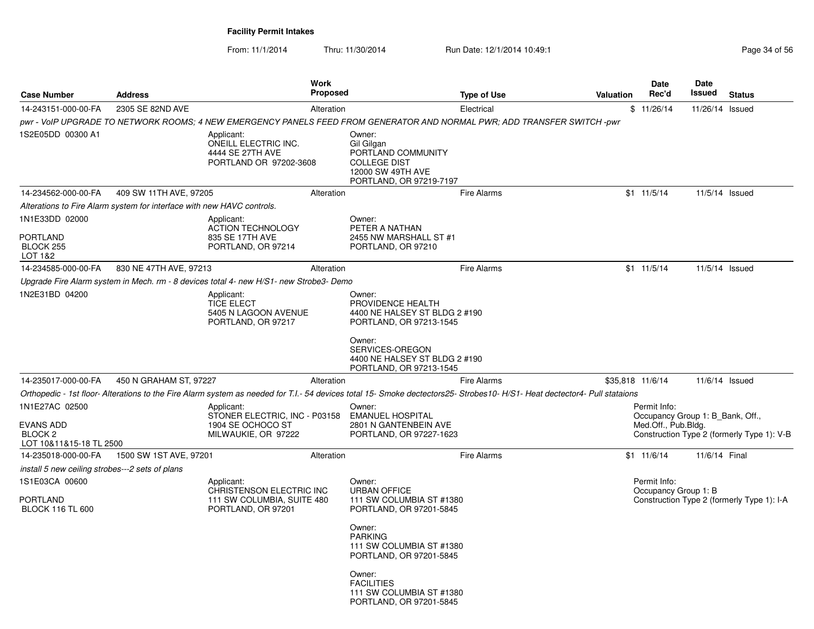| <b>Address</b>   |                                                                                 | <b>Work</b>                                                                                                                                                                    |                                                                                                                                                                                         | <b>Type of Use</b>                                                                                                                   | <b>Valuation</b>                                                                                                                                                                                                                                                                         | <b>Date</b><br>Rec'd                                                                                                     | <b>Date</b><br>Issued                                                                                                                                                                                                                                                                             | <b>Status</b>                                                                                                                                                               |
|------------------|---------------------------------------------------------------------------------|--------------------------------------------------------------------------------------------------------------------------------------------------------------------------------|-----------------------------------------------------------------------------------------------------------------------------------------------------------------------------------------|--------------------------------------------------------------------------------------------------------------------------------------|------------------------------------------------------------------------------------------------------------------------------------------------------------------------------------------------------------------------------------------------------------------------------------------|--------------------------------------------------------------------------------------------------------------------------|---------------------------------------------------------------------------------------------------------------------------------------------------------------------------------------------------------------------------------------------------------------------------------------------------|-----------------------------------------------------------------------------------------------------------------------------------------------------------------------------|
| 2305 SE 82ND AVE |                                                                                 |                                                                                                                                                                                |                                                                                                                                                                                         | Electrical                                                                                                                           |                                                                                                                                                                                                                                                                                          |                                                                                                                          | 11/26/14 Issued                                                                                                                                                                                                                                                                                   |                                                                                                                                                                             |
|                  |                                                                                 |                                                                                                                                                                                |                                                                                                                                                                                         |                                                                                                                                      |                                                                                                                                                                                                                                                                                          |                                                                                                                          |                                                                                                                                                                                                                                                                                                   |                                                                                                                                                                             |
|                  | Applicant:<br>ONEILL ELECTRIC INC.<br>4444 SE 27TH AVE                          |                                                                                                                                                                                | Owner:<br>Gil Gilgan<br>PORTLAND COMMUNITY<br><b>COLLEGE DIST</b><br>12000 SW 49TH AVE                                                                                                  |                                                                                                                                      |                                                                                                                                                                                                                                                                                          |                                                                                                                          |                                                                                                                                                                                                                                                                                                   |                                                                                                                                                                             |
|                  |                                                                                 |                                                                                                                                                                                |                                                                                                                                                                                         | <b>Fire Alarms</b>                                                                                                                   |                                                                                                                                                                                                                                                                                          |                                                                                                                          | 11/5/14 Issued                                                                                                                                                                                                                                                                                    |                                                                                                                                                                             |
|                  |                                                                                 |                                                                                                                                                                                |                                                                                                                                                                                         |                                                                                                                                      |                                                                                                                                                                                                                                                                                          |                                                                                                                          |                                                                                                                                                                                                                                                                                                   |                                                                                                                                                                             |
|                  | Applicant:<br><b>ACTION TECHNOLOGY</b><br>835 SE 17TH AVE<br>PORTLAND, OR 97214 |                                                                                                                                                                                | Owner:<br>PETER A NATHAN<br>2455 NW MARSHALL ST #1<br>PORTLAND, OR 97210                                                                                                                |                                                                                                                                      |                                                                                                                                                                                                                                                                                          |                                                                                                                          |                                                                                                                                                                                                                                                                                                   |                                                                                                                                                                             |
|                  |                                                                                 |                                                                                                                                                                                |                                                                                                                                                                                         | <b>Fire Alarms</b>                                                                                                                   |                                                                                                                                                                                                                                                                                          |                                                                                                                          | 11/5/14 Issued                                                                                                                                                                                                                                                                                    |                                                                                                                                                                             |
|                  |                                                                                 |                                                                                                                                                                                |                                                                                                                                                                                         |                                                                                                                                      |                                                                                                                                                                                                                                                                                          |                                                                                                                          |                                                                                                                                                                                                                                                                                                   |                                                                                                                                                                             |
|                  | Applicant:<br><b>TICE ELECT</b><br>5405 N LAGOON AVENUE<br>PORTLAND, OR 97217   |                                                                                                                                                                                | Owner:<br>PROVIDENCE HEALTH                                                                                                                                                             |                                                                                                                                      |                                                                                                                                                                                                                                                                                          |                                                                                                                          |                                                                                                                                                                                                                                                                                                   |                                                                                                                                                                             |
|                  |                                                                                 |                                                                                                                                                                                | Owner:<br>SERVICES-OREGON                                                                                                                                                               |                                                                                                                                      |                                                                                                                                                                                                                                                                                          |                                                                                                                          |                                                                                                                                                                                                                                                                                                   |                                                                                                                                                                             |
|                  |                                                                                 |                                                                                                                                                                                |                                                                                                                                                                                         | <b>Fire Alarms</b>                                                                                                                   |                                                                                                                                                                                                                                                                                          |                                                                                                                          | 11/6/14 Issued                                                                                                                                                                                                                                                                                    |                                                                                                                                                                             |
|                  |                                                                                 |                                                                                                                                                                                |                                                                                                                                                                                         |                                                                                                                                      |                                                                                                                                                                                                                                                                                          |                                                                                                                          |                                                                                                                                                                                                                                                                                                   |                                                                                                                                                                             |
|                  | Applicant:<br>1904 SE OCHOCO ST<br>MILWAUKIE, OR 97222                          |                                                                                                                                                                                | Owner:<br>2801 N GANTENBEIN AVE                                                                                                                                                         |                                                                                                                                      |                                                                                                                                                                                                                                                                                          |                                                                                                                          |                                                                                                                                                                                                                                                                                                   |                                                                                                                                                                             |
|                  |                                                                                 |                                                                                                                                                                                |                                                                                                                                                                                         | <b>Fire Alarms</b>                                                                                                                   |                                                                                                                                                                                                                                                                                          |                                                                                                                          | 11/6/14 Final                                                                                                                                                                                                                                                                                     |                                                                                                                                                                             |
|                  | Applicant:<br>PORTLAND, OR 97201                                                |                                                                                                                                                                                | Owner:<br><b>URBAN OFFICE</b><br>Owner:<br><b>PARKING</b><br>Owner:<br><b>FACILITIES</b>                                                                                                |                                                                                                                                      |                                                                                                                                                                                                                                                                                          |                                                                                                                          |                                                                                                                                                                                                                                                                                                   |                                                                                                                                                                             |
|                  | LOT 10&11&15-18 TL 2500<br>install 5 new ceiling strobes---2 sets of plans      | 409 SW 11TH AVE, 97205<br>Alterations to Fire Alarm system for interface with new HAVC controls.<br>830 NE 47TH AVE, 97213<br>450 N GRAHAM ST, 97227<br>1500 SW 1ST AVE, 97201 | Alteration<br>PORTLAND OR 97202-3608<br>Alteration<br>Alteration<br>Alteration<br>STONER ELECTRIC, INC - P03158<br>Alteration<br>CHRISTENSON ELECTRIC INC<br>111 SW COLUMBIA, SUITE 480 | <b>Proposed</b><br>Upgrade Fire Alarm system in Mech. rm - 8 devices total 4- new H/S1- new Strobe3- Demo<br><b>EMANUEL HOSPITAL</b> | PORTLAND, OR 97219-7197<br>4400 NE HALSEY ST BLDG 2 #190<br>PORTLAND, OR 97213-1545<br>4400 NE HALSEY ST BLDG 2 #190<br>PORTLAND, OR 97213-1545<br>PORTLAND, OR 97227-1623<br>111 SW COLUMBIA ST #1380<br>PORTLAND, OR 97201-5845<br>111 SW COLUMBIA ST #1380<br>PORTLAND, OR 97201-5845 | pwr - VoIP UPGRADE TO NETWORK ROOMS; 4 NEW EMERGENCY PANELS FEED FROM GENERATOR AND NORMAL PWR; ADD TRANSFER SWITCH -pwr | \$11/26/14<br>$$1 \t11/5/14$<br>$$1 \t11/5/14$<br>\$35,818 11/6/14<br>Orthopedic - 1st floor-Alterations to the Fire Alarm system as needed for T.I.- 54 devices total 15- Smoke dectectors25- Strobes10- H/S1- Heat dectector4- Pull stataions<br>Permit Info:<br>$$1 \t11/6/14$<br>Permit Info: | Occupancy Group 1: B Bank, Off.,<br>Med.Off., Pub.Bldg.<br>Construction Type 2 (formerly Type 1): V-B<br>Occupancy Group 1: B<br>Construction Type 2 (formerly Type 1): I-A |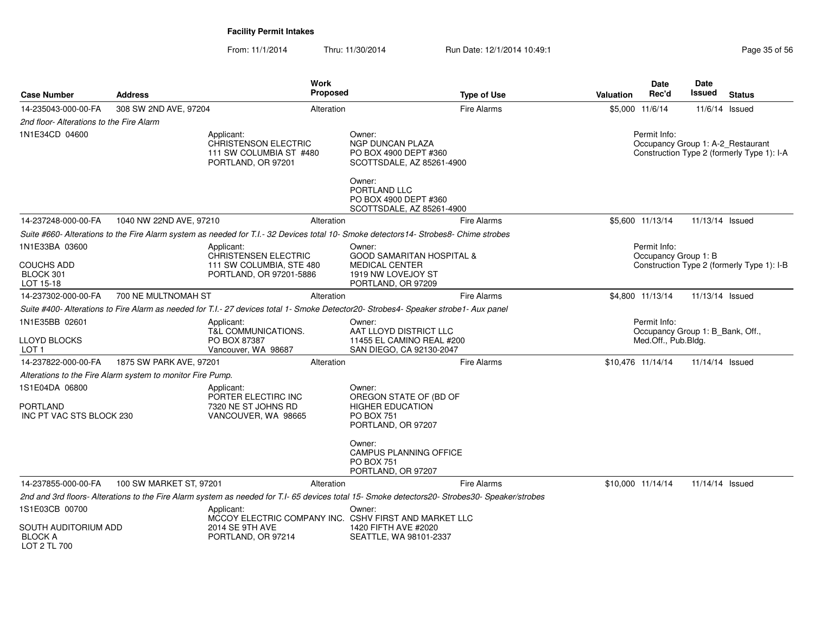| 14-235043-000-00-FA<br>308 SW 2ND AVE, 97204<br><b>Fire Alarms</b><br>\$5,000 11/6/14<br>Alteration<br>2nd floor- Alterations to the Fire Alarm<br>1N1E34CD 04600<br>Owner:<br>Applicant:<br><b>CHRISTENSON ELECTRIC</b><br>NGP DUNCAN PLAZA<br>111 SW COLUMBIA ST #480<br>PO BOX 4900 DEPT #360<br>PORTLAND, OR 97201<br>SCOTTSDALE, AZ 85261-4900<br>Owner:<br>PORTLAND LLC<br>PO BOX 4900 DEPT #360<br>SCOTTSDALE, AZ 85261-4900<br>14-237248-000-00-FA<br>1040 NW 22ND AVE, 97210<br><b>Fire Alarms</b><br>Alteration<br>Suite #660- Alterations to the Fire Alarm system as needed for T.I.-32 Devices total 10- Smoke detectors14- Strobes8- Chime strobes<br>1N1E33BA 03600<br>Owner:<br>Applicant:<br>CHRISTENSEN ELECTRIC<br><b>GOOD SAMARITAN HOSPITAL &amp;</b><br><b>COUCHS ADD</b><br>111 SW COLUMBIA, STE 480<br><b>MEDICAL CENTER</b><br>BLOCK 301<br>PORTLAND, OR 97201-5886<br>1919 NW LOVEJOY ST |                                     |                                                                                 |
|--------------------------------------------------------------------------------------------------------------------------------------------------------------------------------------------------------------------------------------------------------------------------------------------------------------------------------------------------------------------------------------------------------------------------------------------------------------------------------------------------------------------------------------------------------------------------------------------------------------------------------------------------------------------------------------------------------------------------------------------------------------------------------------------------------------------------------------------------------------------------------------------------------------------|-------------------------------------|---------------------------------------------------------------------------------|
|                                                                                                                                                                                                                                                                                                                                                                                                                                                                                                                                                                                                                                                                                                                                                                                                                                                                                                                    |                                     | $11/6/14$ Issued                                                                |
|                                                                                                                                                                                                                                                                                                                                                                                                                                                                                                                                                                                                                                                                                                                                                                                                                                                                                                                    |                                     |                                                                                 |
|                                                                                                                                                                                                                                                                                                                                                                                                                                                                                                                                                                                                                                                                                                                                                                                                                                                                                                                    | Permit Info:                        | Occupancy Group 1: A-2_Restaurant<br>Construction Type 2 (formerly Type 1): I-A |
|                                                                                                                                                                                                                                                                                                                                                                                                                                                                                                                                                                                                                                                                                                                                                                                                                                                                                                                    |                                     |                                                                                 |
|                                                                                                                                                                                                                                                                                                                                                                                                                                                                                                                                                                                                                                                                                                                                                                                                                                                                                                                    | \$5,600 11/13/14                    | 11/13/14 Issued                                                                 |
|                                                                                                                                                                                                                                                                                                                                                                                                                                                                                                                                                                                                                                                                                                                                                                                                                                                                                                                    |                                     |                                                                                 |
|                                                                                                                                                                                                                                                                                                                                                                                                                                                                                                                                                                                                                                                                                                                                                                                                                                                                                                                    | Permit Info:                        |                                                                                 |
| LOT 15-18<br>PORTLAND, OR 97209                                                                                                                                                                                                                                                                                                                                                                                                                                                                                                                                                                                                                                                                                                                                                                                                                                                                                    | Occupancy Group 1: B                | Construction Type 2 (formerly Type 1): I-B                                      |
| 14-237302-000-00-FA<br>700 NE MULTNOMAH ST<br><b>Fire Alarms</b><br>Alteration                                                                                                                                                                                                                                                                                                                                                                                                                                                                                                                                                                                                                                                                                                                                                                                                                                     | \$4,800 11/13/14                    | 11/13/14 Issued                                                                 |
| Suite #400- Alterations to Fire Alarm as needed for T.I.- 27 devices total 1- Smoke Detector20- Strobes4- Speaker strobe1- Aux panel                                                                                                                                                                                                                                                                                                                                                                                                                                                                                                                                                                                                                                                                                                                                                                               |                                     |                                                                                 |
| 1N1E35BB 02601<br>Applicant:<br>Owner:<br>T&L COMMUNICATIONS.<br>AAT LLOYD DISTRICT LLC<br><b>LLOYD BLOCKS</b><br>PO BOX 87387<br>11455 EL CAMINO REAL #200<br>LOT 1<br>Vancouver, WA 98687<br>SAN DIEGO, CA 92130-2047                                                                                                                                                                                                                                                                                                                                                                                                                                                                                                                                                                                                                                                                                            | Permit Info:<br>Med.Off., Pub.Bldg. | Occupancy Group 1: B Bank, Off.,                                                |
| 1875 SW PARK AVE, 97201<br><b>Fire Alarms</b><br>14-237822-000-00-FA<br>Alteration                                                                                                                                                                                                                                                                                                                                                                                                                                                                                                                                                                                                                                                                                                                                                                                                                                 | \$10,476 11/14/14                   | 11/14/14 Issued                                                                 |
| Alterations to the Fire Alarm system to monitor Fire Pump.                                                                                                                                                                                                                                                                                                                                                                                                                                                                                                                                                                                                                                                                                                                                                                                                                                                         |                                     |                                                                                 |
| 1S1E04DA 06800<br>Applicant:<br>Owner:<br>PORTER ELECTIRC INC<br>OREGON STATE OF (BD OF<br><b>PORTLAND</b><br>7320 NE ST JOHNS RD<br><b>HIGHER EDUCATION</b><br>INC PT VAC STS BLOCK 230<br>VANCOUVER, WA 98665<br><b>PO BOX 751</b><br>PORTLAND, OR 97207                                                                                                                                                                                                                                                                                                                                                                                                                                                                                                                                                                                                                                                         |                                     |                                                                                 |
| Owner:<br><b>CAMPUS PLANNING OFFICE</b><br>PO BOX 751<br>PORTLAND, OR 97207                                                                                                                                                                                                                                                                                                                                                                                                                                                                                                                                                                                                                                                                                                                                                                                                                                        |                                     |                                                                                 |
| 14-237855-000-00-FA<br>100 SW MARKET ST, 97201<br><b>Fire Alarms</b><br>Alteration                                                                                                                                                                                                                                                                                                                                                                                                                                                                                                                                                                                                                                                                                                                                                                                                                                 | \$10,000 11/14/14                   | 11/14/14 Issued                                                                 |
| 2nd and 3rd floors-Alterations to the Fire Alarm system as needed for T.I- 65 devices total 15- Smoke detectors20- Strobes30- Speaker/strobes                                                                                                                                                                                                                                                                                                                                                                                                                                                                                                                                                                                                                                                                                                                                                                      |                                     |                                                                                 |
| 1S1E03CB 00700<br>Applicant:<br>Owner:<br>MCCOY ELECTRIC COMPANY INC. CSHV FIRST AND MARKET LLC<br>SOUTH AUDITORIUM ADD<br>2014 SE 9TH AVE<br>1420 FIFTH AVE #2020<br><b>BLOCK A</b><br>PORTLAND, OR 97214<br>SEATTLE, WA 98101-2337                                                                                                                                                                                                                                                                                                                                                                                                                                                                                                                                                                                                                                                                               |                                     |                                                                                 |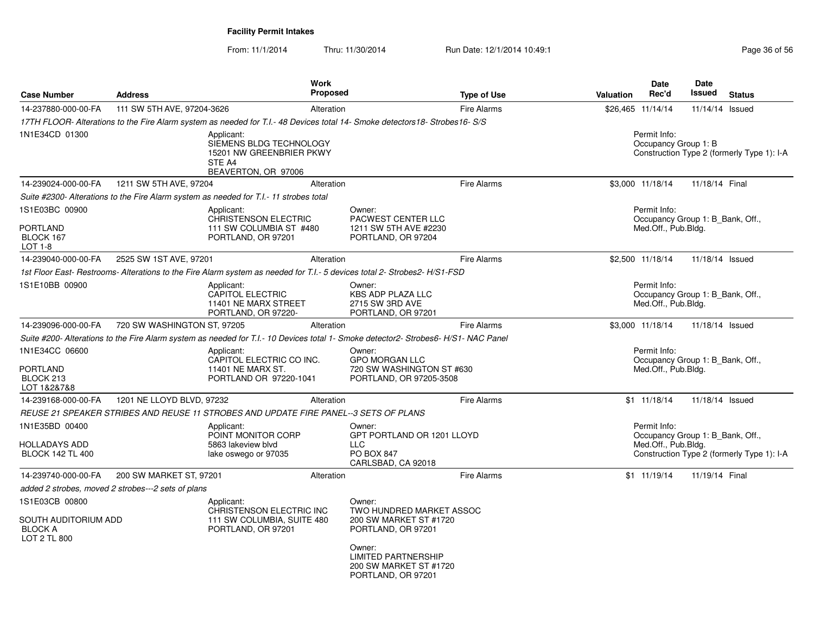| <b>Case Number</b>                                                       | <b>Address</b>                                     |                                                                                                    | <b>Work</b><br>Proposed |                                                                                                                                                                            | <b>Type of Use</b> | <b>Valuation</b> | Date<br>Rec'd                                                           | Date<br>Issued  | <b>Status</b>                              |
|--------------------------------------------------------------------------|----------------------------------------------------|----------------------------------------------------------------------------------------------------|-------------------------|----------------------------------------------------------------------------------------------------------------------------------------------------------------------------|--------------------|------------------|-------------------------------------------------------------------------|-----------------|--------------------------------------------|
| 14-237880-000-00-FA                                                      | 111 SW 5TH AVE, 97204-3626                         |                                                                                                    | Alteration              |                                                                                                                                                                            | <b>Fire Alarms</b> |                  | \$26,465 11/14/14                                                       | 11/14/14 Issued |                                            |
|                                                                          |                                                    |                                                                                                    |                         | 17TH FLOOR-Alterations to the Fire Alarm system as needed for T.I.-48 Devices total 14- Smoke detectors18- Strobes16- S/S                                                  |                    |                  |                                                                         |                 |                                            |
| 1N1E34CD 01300                                                           |                                                    | Applicant:<br>SIEMENS BLDG TECHNOLOGY<br>15201 NW GREENBRIER PKWY<br>STE A4<br>BEAVERTON, OR 97006 |                         |                                                                                                                                                                            |                    |                  | Permit Info:<br>Occupancy Group 1: B                                    |                 | Construction Type 2 (formerly Type 1): I-A |
| 14-239024-000-00-FA                                                      | 1211 SW 5TH AVE, 97204                             |                                                                                                    | Alteration              |                                                                                                                                                                            | <b>Fire Alarms</b> |                  | \$3,000 11/18/14                                                        | 11/18/14 Final  |                                            |
|                                                                          |                                                    | Suite #2300- Alterations to the Fire Alarm system as needed for T.I.- 11 strobes total             |                         |                                                                                                                                                                            |                    |                  |                                                                         |                 |                                            |
| 1S1E03BC 00900<br>PORTLAND<br>BLOCK 167<br>$LOT 1-8$                     |                                                    | Applicant:<br>CHRISTENSON ELECTRIC<br>111 SW COLUMBIA ST #480<br>PORTLAND, OR 97201                |                         | Owner:<br><b>PACWEST CENTER LLC</b><br>1211 SW 5TH AVE #2230<br>PORTLAND, OR 97204                                                                                         |                    |                  | Permit Info:<br>Occupancy Group 1: B Bank, Off.,<br>Med.Off., Pub.Bldg. |                 |                                            |
| 14-239040-000-00-FA                                                      | 2525 SW 1ST AVE, 97201                             |                                                                                                    | Alteration              |                                                                                                                                                                            | <b>Fire Alarms</b> |                  | \$2,500 11/18/14                                                        | 11/18/14 Issued |                                            |
|                                                                          |                                                    |                                                                                                    |                         | 1st Floor East- Restrooms- Alterations to the Fire Alarm system as needed for T.I.- 5 devices total 2- Strobes2-H/S1-FSD                                                   |                    |                  |                                                                         |                 |                                            |
| 1S1E10BB 00900                                                           |                                                    | Applicant:<br><b>CAPITOL ELECTRIC</b><br>11401 NE MARX STREET<br>PORTLAND, OR 97220-               |                         | Owner:<br><b>KBS ADP PLAZA LLC</b><br>2715 SW 3RD AVE<br>PORTLAND, OR 97201                                                                                                |                    |                  | Permit Info:<br>Occupancy Group 1: B Bank, Off.,<br>Med.Off., Pub.Bldg. |                 |                                            |
| 14-239096-000-00-FA                                                      | 720 SW WASHINGTON ST, 97205                        |                                                                                                    | Alteration              |                                                                                                                                                                            | <b>Fire Alarms</b> |                  | \$3.000 11/18/14                                                        | 11/18/14 Issued |                                            |
|                                                                          |                                                    |                                                                                                    |                         | Suite #200- Alterations to the Fire Alarm system as needed for T.I.- 10 Devices total 1- Smoke detector2- Strobes6- H/S1- NAC Panel                                        |                    |                  |                                                                         |                 |                                            |
| 1N1E34CC 06600<br>PORTLAND<br>BLOCK 213<br>LOT 1&2&7&8                   |                                                    | Applicant:<br>CAPITOL ELECTRIC CO INC.<br>11401 NE MARX ST.<br>PORTLAND OR 97220-1041              |                         | Owner:<br><b>GPO MORGAN LLC</b><br>720 SW WASHINGTON ST #630<br>PORTLAND, OR 97205-3508                                                                                    |                    |                  | Permit Info:<br>Occupancy Group 1: B Bank, Off.,<br>Med.Off., Pub.Bldg. |                 |                                            |
| 14-239168-000-00-FA                                                      | 1201 NE LLOYD BLVD, 97232                          |                                                                                                    | Alteration              |                                                                                                                                                                            | <b>Fire Alarms</b> |                  | $$1 \quad 11/18/14$                                                     | 11/18/14 Issued |                                            |
|                                                                          |                                                    | REUSE 21 SPEAKER STRIBES AND REUSE 11 STROBES AND UPDATE FIRE PANEL--3 SETS OF PLANS               |                         |                                                                                                                                                                            |                    |                  |                                                                         |                 |                                            |
| 1N1E35BD 00400<br>HOLLADAYS ADD<br><b>BLOCK 142 TL 400</b>               |                                                    | Applicant:<br>POINT MONITOR CORP<br>5863 lakeview blvd<br>lake oswego or 97035                     |                         | Owner:<br>GPT PORTLAND OR 1201 LLOYD<br><b>LLC</b><br><b>PO BOX 847</b><br>CARLSBAD, CA 92018                                                                              |                    |                  | Permit Info:<br>Occupancy Group 1: B Bank, Off.,<br>Med.Off., Pub.Bldg. |                 | Construction Type 2 (formerly Type 1): I-A |
| 14-239740-000-00-FA                                                      | 200 SW MARKET ST, 97201                            |                                                                                                    | Alteration              |                                                                                                                                                                            | <b>Fire Alarms</b> |                  | \$1 11/19/14                                                            | 11/19/14 Final  |                                            |
|                                                                          | added 2 strobes, moved 2 strobes---2 sets of plans |                                                                                                    |                         |                                                                                                                                                                            |                    |                  |                                                                         |                 |                                            |
| 1S1E03CB 00800<br>SOUTH AUDITORIUM ADD<br><b>BLOCK A</b><br>LOT 2 TL 800 |                                                    | Applicant:<br>CHRISTENSON ELECTRIC INC<br>111 SW COLUMBIA, SUITE 480<br>PORTLAND, OR 97201         |                         | Owner:<br>TWO HUNDRED MARKET ASSOC<br>200 SW MARKET ST #1720<br>PORTLAND, OR 97201<br>Owner:<br><b>LIMITED PARTNERSHIP</b><br>200 SW MARKET ST #1720<br>PORTLAND, OR 97201 |                    |                  |                                                                         |                 |                                            |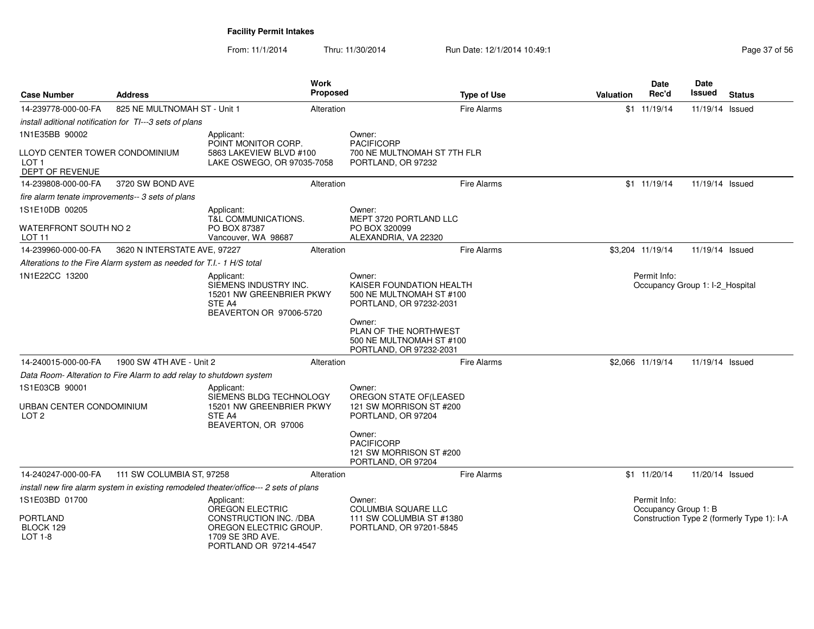| <b>Case Number</b>                                                    | <b>Address</b>                                                       |                                                                                                                                 | Work<br>Proposed | <b>Type of Use</b>                                                                                                                                       | <b>Valuation</b> | <b>Date</b><br>Rec'd                            | Date<br><b>Issued</b> | <b>Status</b>                              |
|-----------------------------------------------------------------------|----------------------------------------------------------------------|---------------------------------------------------------------------------------------------------------------------------------|------------------|----------------------------------------------------------------------------------------------------------------------------------------------------------|------------------|-------------------------------------------------|-----------------------|--------------------------------------------|
| 14-239778-000-00-FA                                                   | 825 NE MULTNOMAH ST - Unit 1                                         |                                                                                                                                 | Alteration       | <b>Fire Alarms</b>                                                                                                                                       |                  | \$1 11/19/14                                    | 11/19/14 Issued       |                                            |
|                                                                       | install aditional notification for TI---3 sets of plans              |                                                                                                                                 |                  |                                                                                                                                                          |                  |                                                 |                       |                                            |
| 1N1E35BB 90002                                                        |                                                                      | Applicant:<br>POINT MONITOR CORP.                                                                                               |                  | Owner:<br><b>PACIFICORP</b>                                                                                                                              |                  |                                                 |                       |                                            |
| LLOYD CENTER TOWER CONDOMINIUM<br>LOT <sub>1</sub><br>DEPT OF REVENUE |                                                                      | 5863 LAKEVIEW BLVD #100<br>LAKE OSWEGO, OR 97035-7058                                                                           |                  | 700 NE MULTNOMAH ST 7TH FLR<br>PORTLAND, OR 97232                                                                                                        |                  |                                                 |                       |                                            |
| 14-239808-000-00-FA                                                   | 3720 SW BOND AVE                                                     |                                                                                                                                 | Alteration       | <b>Fire Alarms</b>                                                                                                                                       |                  | $$1$ 11/19/14                                   | 11/19/14 Issued       |                                            |
|                                                                       | fire alarm tenate improvements-- 3 sets of plans                     |                                                                                                                                 |                  |                                                                                                                                                          |                  |                                                 |                       |                                            |
| 1S1E10DB 00205                                                        |                                                                      | Applicant:<br><b>T&amp;L COMMUNICATIONS.</b>                                                                                    |                  | Owner:<br>MEPT 3720 PORTLAND LLC                                                                                                                         |                  |                                                 |                       |                                            |
| WATERFRONT SOUTH NO 2<br>LOT <sub>11</sub>                            |                                                                      | PO BOX 87387<br>Vancouver, WA 98687                                                                                             |                  | PO BOX 320099<br>ALEXANDRIA, VA 22320                                                                                                                    |                  |                                                 |                       |                                            |
| 14-239960-000-00-FA                                                   | 3620 N INTERSTATE AVE, 97227                                         |                                                                                                                                 | Alteration       | <b>Fire Alarms</b>                                                                                                                                       |                  | \$3,204 11/19/14                                | 11/19/14 Issued       |                                            |
|                                                                       | Alterations to the Fire Alarm system as needed for T.I.- 1 H/S total |                                                                                                                                 |                  |                                                                                                                                                          |                  |                                                 |                       |                                            |
| 1N1E22CC 13200                                                        |                                                                      | Applicant:<br>SIEMENS INDUSTRY INC.<br>15201 NW GREENBRIER PKWY<br>STE A4<br>BEAVERTON OR 97006-5720                            |                  | Owner:<br>KAISER FOUNDATION HEALTH<br>500 NE MULTNOMAH ST #100<br>PORTLAND, OR 97232-2031<br>Owner:<br>PLAN OF THE NORTHWEST<br>500 NE MULTNOMAH ST #100 |                  | Permit Info:<br>Occupancy Group 1: I-2 Hospital |                       |                                            |
|                                                                       |                                                                      |                                                                                                                                 |                  | PORTLAND, OR 97232-2031                                                                                                                                  |                  |                                                 |                       |                                            |
| 14-240015-000-00-FA                                                   | 1900 SW 4TH AVE - Unit 2                                             |                                                                                                                                 | Alteration       | <b>Fire Alarms</b>                                                                                                                                       |                  | \$2,066 11/19/14                                | 11/19/14 Issued       |                                            |
|                                                                       | Data Room- Alteration to Fire Alarm to add relay to shutdown system  |                                                                                                                                 |                  |                                                                                                                                                          |                  |                                                 |                       |                                            |
| 1S1E03CB 90001<br>URBAN CENTER CONDOMINIUM<br>LOT <sub>2</sub>        |                                                                      | Applicant:<br>SIEMENS BLDG TECHNOLOGY<br>15201 NW GREENBRIER PKWY<br>STE A4<br>BEAVERTON, OR 97006                              |                  | Owner:<br>OREGON STATE OF(LEASED<br>121 SW MORRISON ST #200<br>PORTLAND, OR 97204<br>Owner:<br><b>PACIFICORP</b><br>121 SW MORRISON ST #200              |                  |                                                 |                       |                                            |
|                                                                       |                                                                      |                                                                                                                                 |                  | PORTLAND, OR 97204                                                                                                                                       |                  |                                                 |                       |                                            |
| 14-240247-000-00-FA                                                   | 111 SW COLUMBIA ST, 97258                                            |                                                                                                                                 | Alteration       | <b>Fire Alarms</b>                                                                                                                                       |                  | \$1 11/20/14                                    | 11/20/14 Issued       |                                            |
|                                                                       |                                                                      | install new fire alarm system in existing remodeled theater/office--- 2 sets of plans                                           |                  |                                                                                                                                                          |                  |                                                 |                       |                                            |
| 1S1E03BD 01700<br><b>PORTLAND</b><br>BLOCK 129<br>LOT $1-8$           |                                                                      | Applicant:<br>OREGON ELECTRIC<br>CONSTRUCTION INC. /DBA<br>OREGON ELECTRIC GROUP.<br>1709 SE 3RD AVE.<br>PORTLAND OR 97214-4547 |                  | Owner:<br><b>COLUMBIA SQUARE LLC</b><br>111 SW COLUMBIA ST #1380<br>PORTLAND, OR 97201-5845                                                              |                  | Permit Info:<br>Occupancy Group 1: B            |                       | Construction Type 2 (formerly Type 1): I-A |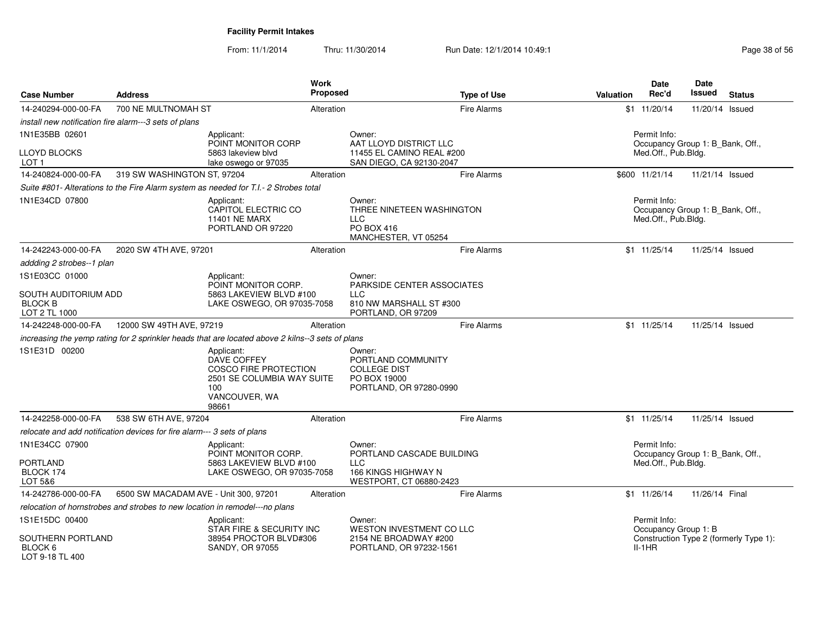| <b>Case Number</b>                                      | <b>Address</b>                                                              |                                                                                                                   | <b>Work</b><br><b>Proposed</b> | <b>Type of Use</b>                                                                             | Valuation | <b>Date</b><br>Rec'd                                                    | Date<br>Issued  | <b>Status</b>                          |
|---------------------------------------------------------|-----------------------------------------------------------------------------|-------------------------------------------------------------------------------------------------------------------|--------------------------------|------------------------------------------------------------------------------------------------|-----------|-------------------------------------------------------------------------|-----------------|----------------------------------------|
| 14-240294-000-00-FA                                     | 700 NE MULTNOMAH ST                                                         |                                                                                                                   | Alteration                     | <b>Fire Alarms</b>                                                                             |           | \$1 11/20/14                                                            | 11/20/14 Issued |                                        |
|                                                         | install new notification fire alarm---3 sets of plans                       |                                                                                                                   |                                |                                                                                                |           |                                                                         |                 |                                        |
| 1N1E35BB 02601                                          |                                                                             | Applicant:<br>POINT MONITOR CORP                                                                                  |                                | Owner:<br>AAT LLOYD DISTRICT LLC                                                               |           | Permit Info:<br>Occupancy Group 1: B_Bank, Off.,                        |                 |                                        |
| <b>LLOYD BLOCKS</b><br>LOT <sub>1</sub>                 |                                                                             | 5863 lakeview blyd<br>lake oswego or 97035                                                                        |                                | 11455 EL CAMINO REAL #200<br>SAN DIEGO, CA 92130-2047                                          |           | Med.Off., Pub.Bldg.                                                     |                 |                                        |
| 14-240824-000-00-FA                                     | 319 SW WASHINGTON ST, 97204                                                 |                                                                                                                   | Alteration                     | <b>Fire Alarms</b>                                                                             |           | \$600 11/21/14                                                          | 11/21/14 Issued |                                        |
|                                                         |                                                                             | Suite #801- Alterations to the Fire Alarm system as needed for T.I.- 2 Strobes total                              |                                |                                                                                                |           |                                                                         |                 |                                        |
| 1N1E34CD 07800                                          |                                                                             | Applicant:<br>CAPITOL ELECTRIC CO<br><b>11401 NE MARX</b><br>PORTLAND OR 97220                                    |                                | Owner:<br>THREE NINETEEN WASHINGTON<br><b>LLC</b><br>PO BOX 416<br>MANCHESTER, VT 05254        |           | Permit Info:<br>Occupancy Group 1: B Bank, Off.,<br>Med.Off., Pub.Bldg. |                 |                                        |
| 14-242243-000-00-FA                                     | 2020 SW 4TH AVE, 97201                                                      |                                                                                                                   | Alteration                     | <b>Fire Alarms</b>                                                                             |           | $$1$ 11/25/14                                                           | 11/25/14 Issued |                                        |
| addding 2 strobes--1 plan                               |                                                                             |                                                                                                                   |                                |                                                                                                |           |                                                                         |                 |                                        |
| 1S1E03CC 01000                                          |                                                                             | Applicant:<br>POINT MONITOR CORP.                                                                                 |                                | Owner:<br>PARKSIDE CENTER ASSOCIATES                                                           |           |                                                                         |                 |                                        |
| SOUTH AUDITORIUM ADD<br><b>BLOCK B</b><br>LOT 2 TL 1000 |                                                                             | 5863 LAKEVIEW BLVD #100<br>LAKE OSWEGO, OR 97035-7058                                                             |                                | <b>LLC</b><br>810 NW MARSHALL ST #300<br>PORTLAND, OR 97209                                    |           |                                                                         |                 |                                        |
| 14-242248-000-00-FA                                     | 12000 SW 49TH AVE, 97219                                                    |                                                                                                                   | Alteration                     | <b>Fire Alarms</b>                                                                             |           | $$1 \quad 11/25/14$                                                     | 11/25/14 Issued |                                        |
|                                                         |                                                                             | increasing the yemp rating for 2 sprinkler heads that are located above 2 kilns--3 sets of plans                  |                                |                                                                                                |           |                                                                         |                 |                                        |
| 1S1E31D 00200                                           |                                                                             | Applicant:<br>DAVE COFFEY<br>COSCO FIRE PROTECTION<br>2501 SE COLUMBIA WAY SUITE<br>100<br>VANCOUVER, WA<br>98661 |                                | Owner:<br>PORTLAND COMMUNITY<br><b>COLLEGE DIST</b><br>PO BOX 19000<br>PORTLAND, OR 97280-0990 |           |                                                                         |                 |                                        |
| 14-242258-000-00-FA                                     | 538 SW 6TH AVE, 97204                                                       |                                                                                                                   | Alteration                     | <b>Fire Alarms</b>                                                                             |           | \$1 11/25/14                                                            | 11/25/14 Issued |                                        |
|                                                         | relocate and add notification devices for fire alarm--- 3 sets of plans     |                                                                                                                   |                                |                                                                                                |           |                                                                         |                 |                                        |
| 1N1E34CC 07900                                          |                                                                             | Applicant:<br>POINT MONITOR CORP.                                                                                 |                                | Owner:<br>PORTLAND CASCADE BUILDING                                                            |           | Permit Info:<br>Occupancy Group 1: B_Bank, Off.,                        |                 |                                        |
| <b>PORTLAND</b><br>BLOCK 174<br>LOT 5&6                 |                                                                             | 5863 LAKEVIEW BLVD #100<br>LAKE OSWEGO, OR 97035-7058                                                             |                                | <b>LLC</b><br>166 KINGS HIGHWAY N<br>WESTPORT, CT 06880-2423                                   |           | Med.Off., Pub.Bldg.                                                     |                 |                                        |
| 14-242786-000-00-FA                                     | 6500 SW MACADAM AVE - Unit 300, 97201                                       |                                                                                                                   | Alteration                     | <b>Fire Alarms</b>                                                                             |           | \$1 11/26/14                                                            | 11/26/14 Final  |                                        |
|                                                         | relocation of hornstrobes and strobes to new location in remodel---no plans |                                                                                                                   |                                |                                                                                                |           |                                                                         |                 |                                        |
| 1S1E15DC 00400                                          |                                                                             | Applicant:<br>STAR FIRE & SECURITY INC                                                                            |                                | Owner:<br>WESTON INVESTMENT CO LLC                                                             |           | Permit Info:<br>Occupancy Group 1: B                                    |                 |                                        |
| SOUTHERN PORTLAND<br>BLOCK 6<br>LOT 9-18 TL 400         |                                                                             | 38954 PROCTOR BLVD#306<br>SANDY, OR 97055                                                                         |                                | 2154 NE BROADWAY #200<br>PORTLAND, OR 97232-1561                                               |           | $II-1HR$                                                                |                 | Construction Type 2 (formerly Type 1): |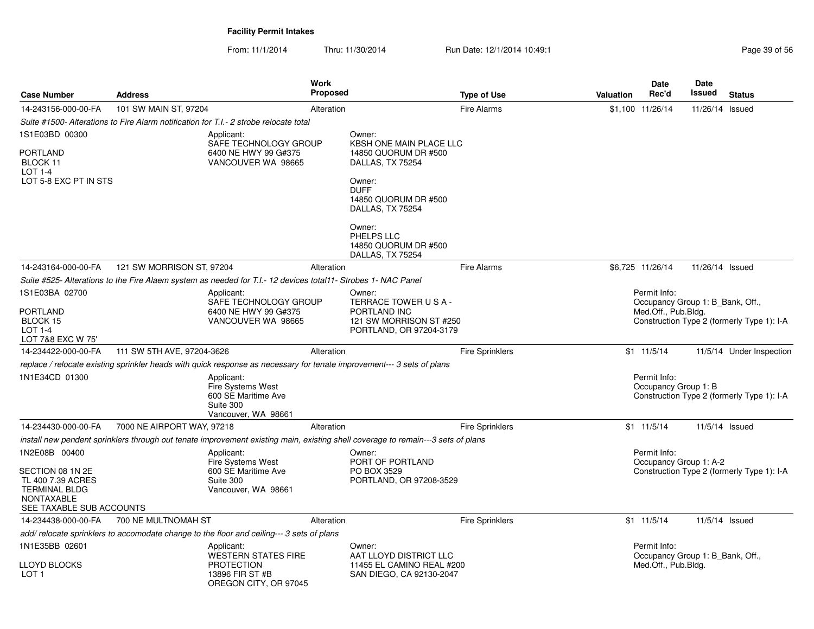| <b>Case Number</b>                                                                                                              | <b>Address</b>             |                                                                                                                        | Work<br><b>Proposed</b> |                                                                                                                                          | <b>Type of Use</b>     | <b>Valuation</b>                                                                                                      | Date<br>Rec'd                                                           | Date<br>Issued  | <b>Status</b>                              |
|---------------------------------------------------------------------------------------------------------------------------------|----------------------------|------------------------------------------------------------------------------------------------------------------------|-------------------------|------------------------------------------------------------------------------------------------------------------------------------------|------------------------|-----------------------------------------------------------------------------------------------------------------------|-------------------------------------------------------------------------|-----------------|--------------------------------------------|
| 14-243156-000-00-FA                                                                                                             | 101 SW MAIN ST, 97204      |                                                                                                                        | Alteration              |                                                                                                                                          | <b>Fire Alarms</b>     |                                                                                                                       | \$1,100 11/26/14                                                        | 11/26/14 Issued |                                            |
|                                                                                                                                 |                            | Suite #1500- Alterations to Fire Alarm notification for T.I. - 2 strobe relocate total                                 |                         |                                                                                                                                          |                        |                                                                                                                       |                                                                         |                 |                                            |
| 1S1E03BD 00300                                                                                                                  |                            | Applicant:                                                                                                             |                         | Owner:                                                                                                                                   |                        |                                                                                                                       |                                                                         |                 |                                            |
| PORTLAND<br>BLOCK 11<br>LOT 1-4<br>LOT 5-8 EXC PT IN STS                                                                        |                            | SAFE TECHNOLOGY GROUP<br>6400 NE HWY 99 G#375<br>VANCOUVER WA 98665                                                    |                         | KBSH ONE MAIN PLACE LLC<br>14850 QUORUM DR #500<br>DALLAS, TX 75254<br>Owner:<br><b>DUFF</b><br>14850 QUORUM DR #500<br>DALLAS, TX 75254 |                        |                                                                                                                       |                                                                         |                 |                                            |
|                                                                                                                                 |                            |                                                                                                                        |                         | Owner:<br>PHELPS LLC<br>14850 QUORUM DR #500<br>DALLAS, TX 75254                                                                         |                        |                                                                                                                       |                                                                         |                 |                                            |
| 14-243164-000-00-FA                                                                                                             | 121 SW MORRISON ST, 97204  |                                                                                                                        | Alteration              |                                                                                                                                          | <b>Fire Alarms</b>     |                                                                                                                       | \$6.725 11/26/14                                                        | 11/26/14 Issued |                                            |
|                                                                                                                                 |                            | Suite #525- Alterations to the Fire Alaem system as needed for T.I.- 12 devices total11- Strobes 1- NAC Panel          |                         |                                                                                                                                          |                        |                                                                                                                       |                                                                         |                 |                                            |
| 1S1E03BA 02700<br>PORTLAND<br>BLOCK 15<br><b>LOT 1-4</b><br>LOT 7&8 EXC W 75'                                                   |                            | Applicant:<br>SAFE TECHNOLOGY GROUP<br>6400 NE HWY 99 G#375<br>VANCOUVER WA 98665                                      |                         | Owner:<br>TERRACE TOWER USA-<br>PORTLAND INC<br>121 SW MORRISON ST #250<br>PORTLAND, OR 97204-3179                                       |                        | Permit Info:<br>Occupancy Group 1: B Bank, Off.,<br>Med.Off., Pub.Bldg.<br>Construction Type 2 (formerly Type 1): I-A |                                                                         |                 |                                            |
| 14-234422-000-00-FA                                                                                                             | 111 SW 5TH AVE, 97204-3626 |                                                                                                                        | Alteration              |                                                                                                                                          | <b>Fire Sprinklers</b> |                                                                                                                       | $$1 \t11/5/14$                                                          |                 | 11/5/14 Under Inspection                   |
|                                                                                                                                 |                            | replace / relocate existing sprinkler heads with quick response as necessary for tenate improvement--- 3 sets of plans |                         |                                                                                                                                          |                        |                                                                                                                       |                                                                         |                 |                                            |
| 1N1E34CD 01300                                                                                                                  |                            | Applicant:<br>Fire Systems West<br>600 SE Maritime Ave<br>Suite 300<br>Vancouver, WA 98661                             |                         |                                                                                                                                          |                        |                                                                                                                       | Permit Info:<br>Occupancy Group 1: B                                    |                 | Construction Type 2 (formerly Type 1): I-A |
| 14-234430-000-00-FA                                                                                                             | 7000 NE AIRPORT WAY, 97218 |                                                                                                                        | Alteration              |                                                                                                                                          | <b>Fire Sprinklers</b> |                                                                                                                       | $$1 \t11/5/14$                                                          |                 | 11/5/14 Issued                             |
|                                                                                                                                 |                            |                                                                                                                        |                         | install new pendent sprinklers through out tenate improvement existing main, existing shell coverage to remain---3 sets of plans         |                        |                                                                                                                       |                                                                         |                 |                                            |
| 1N2E08B 00400<br>SECTION 08 1N 2E<br>TL 400 7.39 ACRES<br><b>TERMINAL BLDG</b><br><b>NONTAXABLE</b><br>SEE TAXABLE SUB ACCOUNTS |                            | Applicant:<br>Fire Systems West<br>600 SE Maritime Ave<br>Suite 300<br>Vancouver, WA 98661                             |                         | Owner:<br>PORT OF PORTLAND<br>PO BOX 3529<br>PORTLAND, OR 97208-3529                                                                     |                        |                                                                                                                       | Permit Info:<br>Occupancy Group 1: A-2                                  |                 | Construction Type 2 (formerly Type 1): I-A |
| 14-234438-000-00-FA                                                                                                             | 700 NE MULTNOMAH ST        |                                                                                                                        | Alteration              |                                                                                                                                          | Fire Sprinklers        |                                                                                                                       | \$1 11/5/14                                                             |                 | 11/5/14 Issued                             |
|                                                                                                                                 |                            | add/ relocate sprinklers to accomodate change to the floor and ceiling--- 3 sets of plans                              |                         |                                                                                                                                          |                        |                                                                                                                       |                                                                         |                 |                                            |
| 1N1E35BB 02601<br>LLOYD BLOCKS                                                                                                  |                            | Applicant:<br><b>WESTERN STATES FIRE</b><br><b>PROTECTION</b>                                                          |                         | Owner:<br>AAT LLOYD DISTRICT LLC<br>11455 EL CAMINO REAL #200                                                                            |                        |                                                                                                                       | Permit Info:<br>Occupancy Group 1: B Bank, Off.,<br>Med.Off., Pub.Bldg. |                 |                                            |
| LOT <sub>1</sub>                                                                                                                |                            | 13896 FIR ST #B<br>OREGON CITY, OR 97045                                                                               |                         | SAN DIEGO, CA 92130-2047                                                                                                                 |                        |                                                                                                                       |                                                                         |                 |                                            |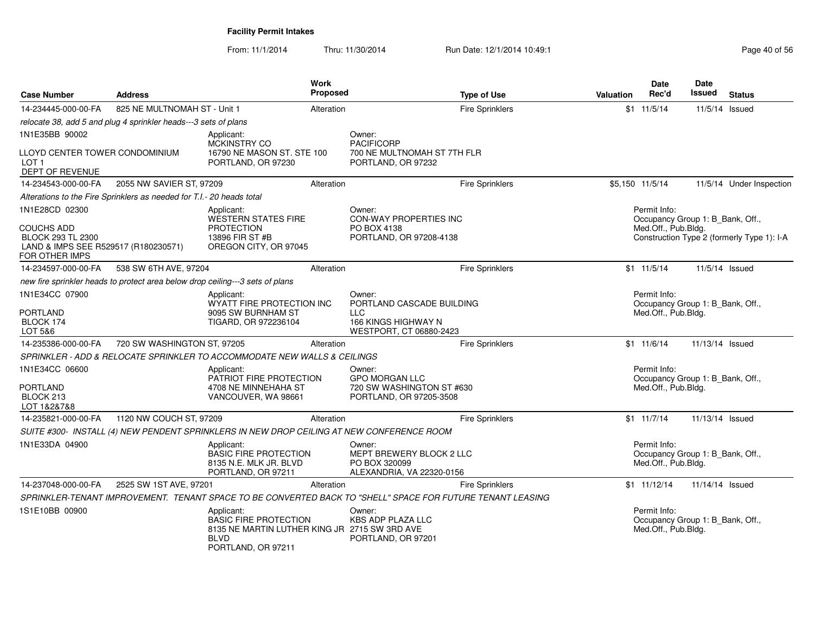| <b>Case Number</b>                                                                               | <b>Address</b>                                                        |                                                                                                                                  | <b>Work</b><br><b>Proposed</b> | <b>Type of Use</b>                                                                                         | <b>Valuation</b> | <b>Date</b><br>Rec'd                                                    | <b>Date</b><br><b>Issued</b> | <b>Status</b>                              |
|--------------------------------------------------------------------------------------------------|-----------------------------------------------------------------------|----------------------------------------------------------------------------------------------------------------------------------|--------------------------------|------------------------------------------------------------------------------------------------------------|------------------|-------------------------------------------------------------------------|------------------------------|--------------------------------------------|
| 14-234445-000-00-FA                                                                              | 825 NE MULTNOMAH ST - Unit 1                                          |                                                                                                                                  | Alteration                     | <b>Fire Sprinklers</b>                                                                                     |                  | $$1 \t11/5/14$                                                          | 11/5/14 Issued               |                                            |
|                                                                                                  | relocate 38, add 5 and plug 4 sprinkler heads---3 sets of plans       |                                                                                                                                  |                                |                                                                                                            |                  |                                                                         |                              |                                            |
| 1N1E35BB 90002                                                                                   |                                                                       | Applicant:<br>MCKINSTRY CO                                                                                                       |                                | Owner:<br><b>PACIFICORP</b>                                                                                |                  |                                                                         |                              |                                            |
| LLOYD CENTER TOWER CONDOMINIUM<br>LOT <sub>1</sub><br>DEPT OF REVENUE                            |                                                                       | 16790 NE MASON ST. STE 100<br>PORTLAND, OR 97230                                                                                 |                                | 700 NE MULTNOMAH ST 7TH FLR<br>PORTLAND, OR 97232                                                          |                  |                                                                         |                              |                                            |
| 14-234543-000-00-FA                                                                              | 2055 NW SAVIER ST, 97209                                              |                                                                                                                                  | Alteration                     | <b>Fire Sprinklers</b>                                                                                     |                  | \$5.150 11/5/14                                                         |                              | 11/5/14 Under Inspection                   |
|                                                                                                  | Alterations to the Fire Sprinklers as needed for T.I.- 20 heads total |                                                                                                                                  |                                |                                                                                                            |                  |                                                                         |                              |                                            |
| 1N1E28CD 02300                                                                                   |                                                                       | Applicant:                                                                                                                       |                                | Owner:                                                                                                     |                  | Permit Info:                                                            |                              |                                            |
| <b>COUCHS ADD</b><br>BLOCK 293 TL 2300<br>LAND & IMPS SEE R529517 (R180230571)<br>FOR OTHER IMPS |                                                                       | WESTERN STATES FIRE<br><b>PROTECTION</b><br>13896 FIR ST #B<br>OREGON CITY, OR 97045                                             |                                | <b>CON-WAY PROPERTIES INC</b><br>PO BOX 4138<br>PORTLAND, OR 97208-4138                                    |                  | Occupancy Group 1: B_Bank, Off.,<br>Med.Off., Pub.Bldg.                 |                              | Construction Type 2 (formerly Type 1): I-A |
| 14-234597-000-00-FA                                                                              | 538 SW 6TH AVE, 97204                                                 |                                                                                                                                  | Alteration                     | <b>Fire Sprinklers</b>                                                                                     |                  | $$1 \t11/5/14$                                                          | 11/5/14 Issued               |                                            |
|                                                                                                  |                                                                       | new fire sprinkler heads to protect area below drop ceiling---3 sets of plans                                                    |                                |                                                                                                            |                  |                                                                         |                              |                                            |
| 1N1E34CC 07900                                                                                   |                                                                       | Applicant:<br>WYATT FIRE PROTECTION INC                                                                                          |                                | Owner:<br>PORTLAND CASCADE BUILDING                                                                        |                  | Permit Info:<br>Occupancy Group 1: B_Bank, Off.,                        |                              |                                            |
| <b>PORTLAND</b><br>BLOCK 174<br>LOT 5&6                                                          |                                                                       | 9095 SW BURNHAM ST<br>TIGARD, OR 972236104                                                                                       |                                | <b>LLC</b><br><b>166 KINGS HIGHWAY N</b><br>WESTPORT, CT 06880-2423                                        |                  | Med.Off., Pub.Bldg.                                                     |                              |                                            |
| 14-235386-000-00-FA                                                                              | 720 SW WASHINGTON ST, 97205                                           |                                                                                                                                  | Alteration                     | Fire Sprinklers                                                                                            |                  | \$1 11/6/14                                                             | 11/13/14 Issued              |                                            |
|                                                                                                  |                                                                       | SPRINKLER - ADD & RELOCATE SPRINKLER TO ACCOMMODATE NEW WALLS & CEILINGS                                                         |                                |                                                                                                            |                  |                                                                         |                              |                                            |
| 1N1E34CC 06600                                                                                   |                                                                       | Applicant:<br>PATRIOT FIRE PROTECTION                                                                                            |                                | Owner:<br><b>GPO MORGAN LLC</b>                                                                            |                  | Permit Info:<br>Occupancy Group 1: B Bank, Off.,                        |                              |                                            |
| <b>PORTLAND</b><br>BLOCK 213<br>LOT 1&2&7&8                                                      |                                                                       | 4708 NE MINNEHAHA ST<br>VANCOUVER, WA 98661                                                                                      |                                | 720 SW WASHINGTON ST #630<br>PORTLAND, OR 97205-3508                                                       |                  | Med.Off., Pub.Bldg.                                                     |                              |                                            |
| 14-235821-000-00-FA                                                                              | 1120 NW COUCH ST, 97209                                               |                                                                                                                                  | Alteration                     | Fire Sprinklers                                                                                            |                  | $$1 \quad 11/7/14$                                                      | 11/13/14 Issued              |                                            |
|                                                                                                  |                                                                       | SUITE #300- INSTALL (4) NEW PENDENT SPRINKLERS IN NEW DROP CEILING AT NEW CONFERENCE ROOM                                        |                                |                                                                                                            |                  |                                                                         |                              |                                            |
| 1N1E33DA 04900                                                                                   |                                                                       | Applicant:<br><b>BASIC FIRE PROTECTION</b><br>8135 N.E. MLK JR. BLVD<br>PORTLAND, OR 97211                                       |                                | Owner:<br>MEPT BREWERY BLOCK 2 LLC<br>PO BOX 320099<br>ALEXANDRIA, VA 22320-0156                           |                  | Permit Info:<br>Occupancy Group 1: B_Bank, Off.,<br>Med.Off., Pub.Bldg. |                              |                                            |
| 14-237048-000-00-FA                                                                              | 2525 SW 1ST AVE, 97201                                                |                                                                                                                                  | Alteration                     | <b>Fire Sprinklers</b>                                                                                     |                  | \$1 11/12/14                                                            | 11/14/14 Issued              |                                            |
|                                                                                                  |                                                                       |                                                                                                                                  |                                | SPRINKLER-TENANT IMPROVEMENT. TENANT SPACE TO BE CONVERTED BACK TO "SHELL" SPACE FOR FUTURE TENANT LEASING |                  |                                                                         |                              |                                            |
| 1S1E10BB 00900                                                                                   |                                                                       | Applicant:<br><b>BASIC FIRE PROTECTION</b><br>8135 NE MARTIN LUTHER KING JR 2715 SW 3RD AVE<br><b>BLVD</b><br>PORTLAND, OR 97211 |                                | Owner:<br><b>KBS ADP PLAZA LLC</b><br>PORTLAND, OR 97201                                                   |                  | Permit Info:<br>Occupancy Group 1: B_Bank, Off.,<br>Med.Off., Pub.Bldg. |                              |                                            |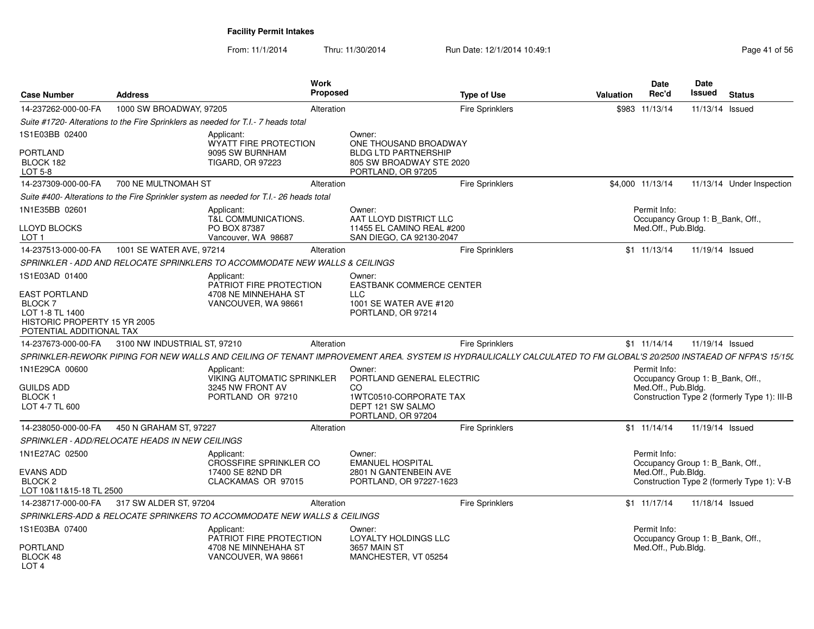| <b>Case Number</b>                                                                | <b>Address</b>                                 |                                                                                         | <b>Work</b><br>Proposed |                                                                                                                                                                   | <b>Type of Use</b>     | Valuation | <b>Date</b><br>Rec'd                             | <b>Date</b><br><b>Issued</b> | <b>Status</b>                                |
|-----------------------------------------------------------------------------------|------------------------------------------------|-----------------------------------------------------------------------------------------|-------------------------|-------------------------------------------------------------------------------------------------------------------------------------------------------------------|------------------------|-----------|--------------------------------------------------|------------------------------|----------------------------------------------|
| 14-237262-000-00-FA                                                               | 1000 SW BROADWAY, 97205                        |                                                                                         | Alteration              |                                                                                                                                                                   | <b>Fire Sprinklers</b> |           | \$983 11/13/14                                   | 11/13/14 Issued              |                                              |
|                                                                                   |                                                | Suite #1720- Alterations to the Fire Sprinklers as needed for T.I.- 7 heads total       |                         |                                                                                                                                                                   |                        |           |                                                  |                              |                                              |
| 1S1E03BB 02400                                                                    |                                                | Applicant:<br><b>WYATT FIRE PROTECTION</b>                                              |                         | Owner:<br>ONE THOUSAND BROADWAY                                                                                                                                   |                        |           |                                                  |                              |                                              |
| PORTLAND<br>BLOCK 182<br><b>LOT 5-8</b>                                           |                                                | 9095 SW BURNHAM<br><b>TIGARD, OR 97223</b>                                              |                         | <b>BLDG LTD PARTNERSHIP</b><br>805 SW BROADWAY STE 2020<br>PORTLAND, OR 97205                                                                                     |                        |           |                                                  |                              |                                              |
| 14-237309-000-00-FA                                                               | 700 NE MULTNOMAH ST                            |                                                                                         | Alteration              |                                                                                                                                                                   | <b>Fire Sprinklers</b> |           | \$4,000 11/13/14                                 |                              | 11/13/14 Under Inspection                    |
|                                                                                   |                                                | Suite #400- Alterations to the Fire Sprinkler system as needed for T.I.- 26 heads total |                         |                                                                                                                                                                   |                        |           |                                                  |                              |                                              |
| 1N1E35BB 02601                                                                    |                                                | Applicant:<br><b>T&amp;L COMMUNICATIONS.</b>                                            |                         | Owner:<br>AAT LLOYD DISTRICT LLC                                                                                                                                  |                        |           | Permit Info:<br>Occupancy Group 1: B Bank, Off., |                              |                                              |
| LLOYD BLOCKS<br>LOT <sub>1</sub>                                                  |                                                | PO BOX 87387<br>Vancouver, WA 98687                                                     |                         | 11455 EL CAMINO REAL #200<br>SAN DIEGO, CA 92130-2047                                                                                                             |                        |           | Med.Off., Pub.Bldg.                              |                              |                                              |
| 14-237513-000-00-FA                                                               | 1001 SE WATER AVE, 97214                       |                                                                                         | Alteration              |                                                                                                                                                                   | Fire Sprinklers        |           | \$1 11/13/14                                     | 11/19/14 Issued              |                                              |
|                                                                                   |                                                | SPRINKLER - ADD AND RELOCATE SPRINKLERS TO ACCOMMODATE NEW WALLS & CEILINGS             |                         |                                                                                                                                                                   |                        |           |                                                  |                              |                                              |
| 1S1E03AD 01400                                                                    |                                                | Applicant:<br>PATRIOT FIRE PROTECTION                                                   |                         | Owner:<br><b>EASTBANK COMMERCE CENTER</b>                                                                                                                         |                        |           |                                                  |                              |                                              |
| EAST PORTLAND<br><b>BLOCK7</b><br>LOT 1-8 TL 1400<br>HISTORIC PROPERTY 15 YR 2005 |                                                | 4708 NE MINNEHAHA ST<br>VANCOUVER, WA 98661                                             |                         | <b>LLC</b><br>1001 SE WATER AVE #120<br>PORTLAND, OR 97214                                                                                                        |                        |           |                                                  |                              |                                              |
| POTENTIAL ADDITIONAL TAX<br>14-237673-000-00-FA                                   | 3100 NW INDUSTRIAL ST, 97210                   |                                                                                         | Alteration              |                                                                                                                                                                   | <b>Fire Sprinklers</b> |           | $$1 \quad 11/14/14$                              | 11/19/14 Issued              |                                              |
|                                                                                   |                                                |                                                                                         |                         | SPRINKLER-REWORK PIPING FOR NEW WALLS AND CEILING OF TENANT IMPROVEMENT AREA. SYSTEM IS HYDRAULICALLY CALCULATED TO FM GLOBAL'S 20/2500 INSTAEAD OF NFPA'S 15/15( |                        |           |                                                  |                              |                                              |
| 1N1E29CA 00600                                                                    |                                                |                                                                                         |                         | Owner:                                                                                                                                                            |                        |           | Permit Info:                                     |                              |                                              |
|                                                                                   |                                                | Applicant:<br><b>VIKING AUTOMATIC SPRINKLER</b>                                         |                         | PORTLAND GENERAL ELECTRIC                                                                                                                                         |                        |           | Occupancy Group 1: B_Bank, Off.,                 |                              |                                              |
| <b>GUILDS ADD</b><br><b>BLOCK1</b>                                                |                                                | 3245 NW FRONT AV<br>PORTLAND OR 97210                                                   |                         | CO<br>1WTC0510-CORPORATE TAX                                                                                                                                      |                        |           | Med.Off., Pub.Bldg.                              |                              | Construction Type 2 (formerly Type 1): III-B |
| LOT 4-7 TL 600                                                                    |                                                |                                                                                         |                         | DEPT 121 SW SALMO<br>PORTLAND, OR 97204                                                                                                                           |                        |           |                                                  |                              |                                              |
| 14-238050-000-00-FA                                                               | 450 N GRAHAM ST, 97227                         |                                                                                         | Alteration              |                                                                                                                                                                   | Fire Sprinklers        |           | \$1 11/14/14                                     | 11/19/14 Issued              |                                              |
|                                                                                   | SPRINKLER - ADD/RELOCATE HEADS IN NEW CEILINGS |                                                                                         |                         |                                                                                                                                                                   |                        |           |                                                  |                              |                                              |
| 1N1E27AC 02500                                                                    |                                                | Applicant:<br><b>CROSSFIRE SPRINKLER CO</b>                                             |                         | Owner:<br><b>EMANUEL HOSPITAL</b>                                                                                                                                 |                        |           | Permit Info:<br>Occupancy Group 1: B Bank, Off., |                              |                                              |
| <b>EVANS ADD</b><br>BLOCK <sub>2</sub><br>LOT 10&11&15-18 TL 2500                 |                                                | 17400 SE 82ND DR<br>CLACKAMAS OR 97015                                                  |                         | 2801 N GANTENBEIN AVE<br>PORTLAND, OR 97227-1623                                                                                                                  |                        |           | Med.Off., Pub.Bldg.                              |                              | Construction Type 2 (formerly Type 1): V-B   |
| 14-238717-000-00-FA                                                               | 317 SW ALDER ST, 97204                         |                                                                                         | Alteration              |                                                                                                                                                                   | Fire Sprinklers        |           | \$1 11/17/14                                     | 11/18/14 Issued              |                                              |
|                                                                                   |                                                | SPRINKLERS-ADD & RELOCATE SPRINKERS TO ACCOMMODATE NEW WALLS & CEILINGS                 |                         |                                                                                                                                                                   |                        |           |                                                  |                              |                                              |
| 1S1E03BA 07400                                                                    |                                                | Applicant:<br>PATRIOT FIRE PROTECTION                                                   |                         | Owner:<br>LOYALTY HOLDINGS LLC                                                                                                                                    |                        |           | Permit Info:<br>Occupancy Group 1: B_Bank, Off., |                              |                                              |
| <b>PORTLAND</b><br>BLOCK 48<br>LOT <sub>4</sub>                                   |                                                | 4708 NE MINNEHAHA ST<br>VANCOUVER, WA 98661                                             |                         | 3657 MAIN ST<br>MANCHESTER, VT 05254                                                                                                                              |                        |           | Med.Off., Pub.Bldg.                              |                              |                                              |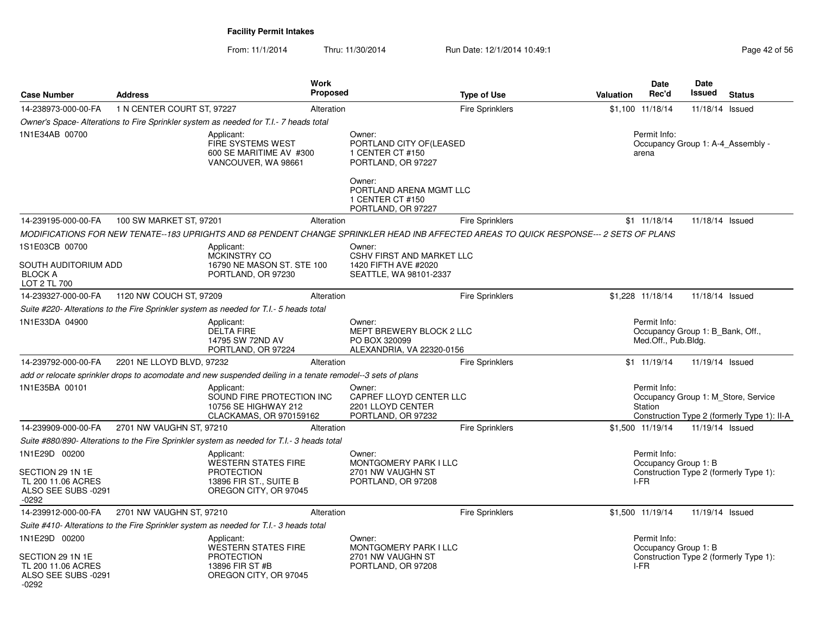| <b>Case Number</b>                                                       | <b>Address</b>             |                                                                                                                                         | <b>Work</b><br>Proposed |                                                                                                                   | <b>Type of Use</b>     | Valuation | Date<br>Rec'd                                                           | Date<br>Issued  | <b>Status</b>                                                                      |
|--------------------------------------------------------------------------|----------------------------|-----------------------------------------------------------------------------------------------------------------------------------------|-------------------------|-------------------------------------------------------------------------------------------------------------------|------------------------|-----------|-------------------------------------------------------------------------|-----------------|------------------------------------------------------------------------------------|
| 14-238973-000-00-FA                                                      | 1 N CENTER COURT ST, 97227 |                                                                                                                                         | Alteration              |                                                                                                                   | <b>Fire Sprinklers</b> |           | \$1,100 11/18/14                                                        | 11/18/14        | Issued                                                                             |
|                                                                          |                            | Owner's Space- Alterations to Fire Sprinkler system as needed for T.I.- 7 heads total                                                   |                         |                                                                                                                   |                        |           |                                                                         |                 |                                                                                    |
| 1N1E34AB 00700                                                           |                            | Applicant:<br><b>FIRE SYSTEMS WEST</b><br>600 SE MARITIME AV #300<br>VANCOUVER, WA 98661                                                |                         | Owner:<br>PORTLAND CITY OF (LEASED<br>1 CENTER CT #150<br>PORTLAND, OR 97227<br>Owner:<br>PORTLAND ARENA MGMT LLC |                        |           | Permit Info:<br>arena                                                   |                 | Occupancy Group 1: A-4 Assembly -                                                  |
|                                                                          |                            |                                                                                                                                         |                         | 1 CENTER CT #150<br>PORTLAND, OR 97227                                                                            |                        |           |                                                                         |                 |                                                                                    |
| 14-239195-000-00-FA                                                      | 100 SW MARKET ST, 97201    |                                                                                                                                         | Alteration              |                                                                                                                   | <b>Fire Sprinklers</b> |           | \$1 11/18/14                                                            | 11/18/14 Issued |                                                                                    |
|                                                                          |                            | MODIFICATIONS FOR NEW TENATE--183 UPRIGHTS AND 68 PENDENT CHANGE SPRINKLER HEAD INB AFFECTED AREAS TO QUICK RESPONSE--- 2 SETS OF PLANS |                         |                                                                                                                   |                        |           |                                                                         |                 |                                                                                    |
| 1S1E03CB 00700                                                           |                            | Applicant:                                                                                                                              |                         | Owner:                                                                                                            |                        |           |                                                                         |                 |                                                                                    |
| SOUTH AUDITORIUM ADD<br><b>BLOCK A</b><br>LOT 2 TL 700                   |                            | <b>MCKINSTRY CO</b><br>16790 NE MASON ST. STE 100<br>PORTLAND, OR 97230                                                                 |                         | <b>CSHV FIRST AND MARKET LLC</b><br>1420 FIFTH AVE #2020<br>SEATTLE, WA 98101-2337                                |                        |           |                                                                         |                 |                                                                                    |
| 14-239327-000-00-FA                                                      | 1120 NW COUCH ST, 97209    |                                                                                                                                         | Alteration              |                                                                                                                   | <b>Fire Sprinklers</b> |           | \$1.228 11/18/14                                                        | 11/18/14 Issued |                                                                                    |
|                                                                          |                            | Suite #220- Alterations to the Fire Sprinkler system as needed for T.I.- 5 heads total                                                  |                         |                                                                                                                   |                        |           |                                                                         |                 |                                                                                    |
| 1N1E33DA 04900                                                           |                            | Applicant:<br><b>DELTA FIRE</b><br>14795 SW 72ND AV<br>PORTLAND, OR 97224                                                               |                         | Owner:<br>MEPT BREWERY BLOCK 2 LLC<br>PO BOX 320099<br>ALEXANDRIA, VA 22320-0156                                  |                        |           | Permit Info:<br>Occupancy Group 1: B Bank, Off.,<br>Med.Off., Pub.Bldg. |                 |                                                                                    |
| 14-239792-000-00-FA                                                      | 2201 NE LLOYD BLVD, 97232  |                                                                                                                                         | Alteration              |                                                                                                                   | Fire Sprinklers        |           | $$1 \quad 11/19/14$                                                     | 11/19/14 Issued |                                                                                    |
|                                                                          |                            | add or relocate sprinkler drops to acomodate and new suspended deiling in a tenate remodel--3 sets of plans                             |                         |                                                                                                                   |                        |           |                                                                         |                 |                                                                                    |
| 1N1E35BA 00101                                                           |                            | Applicant:<br>SOUND FIRE PROTECTION INC<br>10756 SE HIGHWAY 212<br>CLACKAMAS, OR 970159162                                              |                         | Owner:<br>CAPREF LLOYD CENTER LLC<br>2201 LLOYD CENTER<br>PORTLAND, OR 97232                                      |                        |           | Permit Info:<br>Station                                                 |                 | Occupancy Group 1: M Store, Service<br>Construction Type 2 (formerly Type 1): II-A |
| 14-239909-000-00-FA                                                      | 2701 NW VAUGHN ST, 97210   |                                                                                                                                         | Alteration              |                                                                                                                   | Fire Sprinklers        |           | \$1,500 11/19/14                                                        | 11/19/14 Issued |                                                                                    |
|                                                                          |                            | Suite #880/890- Alterations to the Fire Sprinkler system as needed for T.I.- 3 heads total                                              |                         |                                                                                                                   |                        |           |                                                                         |                 |                                                                                    |
| 1N1E29D 00200                                                            |                            | Applicant:                                                                                                                              |                         | Owner:                                                                                                            |                        |           | Permit Info:                                                            |                 |                                                                                    |
| SECTION 29 1N 1E<br>TL 200 11.06 ACRES<br>ALSO SEE SUBS -0291<br>$-0292$ |                            | WESTERN STATES FIRE<br><b>PROTECTION</b><br>13896 FIR ST., SUITE B<br>OREGON CITY, OR 97045                                             |                         | MONTGOMERY PARK I LLC<br>2701 NW VAUGHN ST<br>PORTLAND, OR 97208                                                  |                        |           | Occupancy Group 1: B<br>$I-FR$                                          |                 | Construction Type 2 (formerly Type 1):                                             |
| 14-239912-000-00-FA                                                      | 2701 NW VAUGHN ST, 97210   |                                                                                                                                         | Alteration              |                                                                                                                   | <b>Fire Sprinklers</b> |           | \$1,500 11/19/14                                                        | 11/19/14 Issued |                                                                                    |
|                                                                          |                            | Suite #410- Alterations to the Fire Sprinkler system as needed for T.I.- 3 heads total                                                  |                         |                                                                                                                   |                        |           |                                                                         |                 |                                                                                    |
| 1N1E29D 00200                                                            |                            | Applicant:                                                                                                                              |                         | Owner:                                                                                                            |                        |           | Permit Info:                                                            |                 |                                                                                    |
| SECTION 29 1N 1E<br>TL 200 11.06 ACRES<br>ALSO SEE SUBS -0291<br>-0292   |                            | <b>WESTERN STATES FIRE</b><br><b>PROTECTION</b><br>13896 FIR ST #B<br>OREGON CITY, OR 97045                                             |                         | MONTGOMERY PARK I LLC<br>2701 NW VAUGHN ST<br>PORTLAND, OR 97208                                                  |                        |           | Occupancy Group 1: B<br>I-FR                                            |                 | Construction Type 2 (formerly Type 1):                                             |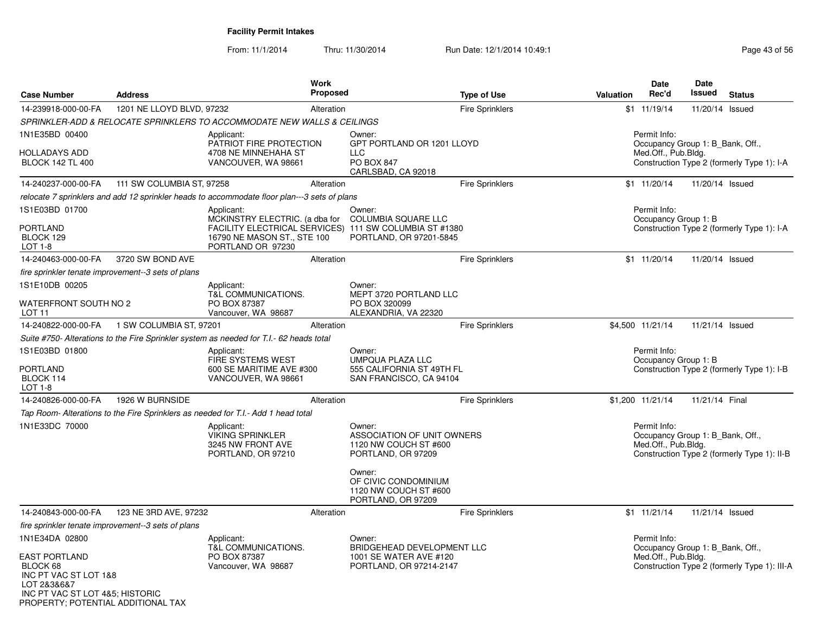| <b>Case Number</b>                                                                                            | <b>Address</b>                                     | Work<br>Proposed                                                                                           |                                                                                           | <b>Type of Use</b>         | <b>Date</b><br>Rec'd<br>Valuation    | <b>Date</b><br><b>Issued</b><br><b>Status</b>                                    |
|---------------------------------------------------------------------------------------------------------------|----------------------------------------------------|------------------------------------------------------------------------------------------------------------|-------------------------------------------------------------------------------------------|----------------------------|--------------------------------------|----------------------------------------------------------------------------------|
| 14-239918-000-00-FA                                                                                           | 1201 NE LLOYD BLVD, 97232                          | Alteration                                                                                                 |                                                                                           | <b>Fire Sprinklers</b>     | \$1 11/19/14                         | 11/20/14 Issued                                                                  |
|                                                                                                               |                                                    | SPRINKLER-ADD & RELOCATE SPRINKLERS TO ACCOMMODATE NEW WALLS & CEILINGS                                    |                                                                                           |                            |                                      |                                                                                  |
| 1N1E35BD 00400<br><b>HOLLADAYS ADD</b><br><b>BLOCK 142 TL 400</b>                                             |                                                    | Applicant:<br>PATRIOT FIRE PROTECTION<br>4708 NE MINNEHAHA ST<br>VANCOUVER, WA 98661                       | Owner:<br><b>LLC</b><br><b>PO BOX 847</b><br>CARLSBAD, CA 92018                           | GPT PORTLAND OR 1201 LLOYD | Permit Info:<br>Med.Off., Pub.Bldg.  | Occupancy Group 1: B Bank, Off.,<br>Construction Type 2 (formerly Type 1): I-A   |
| 14-240237-000-00-FA                                                                                           | 111 SW COLUMBIA ST, 97258                          | Alteration                                                                                                 |                                                                                           | <b>Fire Sprinklers</b>     | \$1 11/20/14                         | 11/20/14 Issued                                                                  |
|                                                                                                               |                                                    | relocate 7 sprinklers and add 12 sprinkler heads to accommodate floor plan---3 sets of plans               |                                                                                           |                            |                                      |                                                                                  |
| 1S1E03BD 01700<br><b>PORTLAND</b>                                                                             |                                                    | Applicant:<br>MCKINSTRY ELECTRIC. (a dba for                                                               | Owner:<br><b>COLUMBIA SQUARE LLC</b>                                                      |                            | Permit Info:<br>Occupancy Group 1: B |                                                                                  |
| BLOCK 129<br>LOT 1-8                                                                                          |                                                    | FACILITY ELECTRICAL SERVICES) 111 SW COLUMBIA ST #1380<br>16790 NE MASON ST., STE 100<br>PORTLAND OR 97230 | PORTLAND, OR 97201-5845                                                                   |                            |                                      | Construction Type 2 (formerly Type 1): I-A                                       |
| 14-240463-000-00-FA                                                                                           | 3720 SW BOND AVE                                   | Alteration                                                                                                 |                                                                                           | <b>Fire Sprinklers</b>     | $$1 \quad 11/20/14$                  | 11/20/14 Issued                                                                  |
|                                                                                                               | fire sprinkler tenate improvement--3 sets of plans |                                                                                                            |                                                                                           |                            |                                      |                                                                                  |
| 1S1E10DB 00205<br>WATERFRONT SOUTH NO 2                                                                       |                                                    | Applicant:<br>T&L COMMUNICATIONS.<br>PO BOX 87387                                                          | Owner:<br>MEPT 3720 PORTLAND LLC<br>PO BOX 320099                                         |                            |                                      |                                                                                  |
| LOT 11                                                                                                        |                                                    | Vancouver, WA 98687                                                                                        | ALEXANDRIA, VA 22320                                                                      |                            |                                      |                                                                                  |
| 14-240822-000-00-FA                                                                                           | 1 SW COLUMBIA ST, 97201                            | Alteration                                                                                                 |                                                                                           | <b>Fire Sprinklers</b>     | \$4,500 11/21/14                     | 11/21/14 Issued                                                                  |
|                                                                                                               |                                                    | Suite #750- Alterations to the Fire Sprinkler system as needed for T.I.- 62 heads total                    |                                                                                           |                            |                                      |                                                                                  |
| 1S1E03BD 01800<br><b>PORTLAND</b><br>BLOCK 114<br>LOT 1-8                                                     |                                                    | Applicant:<br>FIRE SYSTEMS WEST<br>600 SE MARITIME AVE #300<br>VANCOUVER, WA 98661                         | Owner:<br><b>UMPQUA PLAZA LLC</b><br>555 CALIFORNIA ST 49TH FL<br>SAN FRANCISCO, CA 94104 |                            | Permit Info:<br>Occupancy Group 1: B | Construction Type 2 (formerly Type 1): I-B                                       |
| 14-240826-000-00-FA                                                                                           | 1926 W BURNSIDE                                    | Alteration                                                                                                 |                                                                                           | <b>Fire Sprinklers</b>     | \$1,200 11/21/14                     | 11/21/14 Final                                                                   |
|                                                                                                               |                                                    | Tap Room- Alterations to the Fire Sprinklers as needed for T.I.- Add 1 head total                          |                                                                                           |                            |                                      |                                                                                  |
| 1N1E33DC 70000                                                                                                |                                                    | Applicant:<br><b>VIKING SPRINKLER</b><br>3245 NW FRONT AVE<br>PORTLAND, OR 97210                           | Owner:<br>1120 NW COUCH ST #600<br>PORTLAND, OR 97209<br>Owner:                           | ASSOCIATION OF UNIT OWNERS | Permit Info:<br>Med.Off., Pub.Bldg.  | Occupancy Group 1: B Bank, Off.,<br>Construction Type 2 (formerly Type 1): II-B  |
|                                                                                                               |                                                    |                                                                                                            | OF CIVIC CONDOMINIUM<br>1120 NW COUCH ST #600<br>PORTLAND, OR 97209                       |                            |                                      |                                                                                  |
| 14-240843-000-00-FA                                                                                           | 123 NE 3RD AVE, 97232                              | Alteration                                                                                                 |                                                                                           | <b>Fire Sprinklers</b>     | \$1 11/21/14                         | 11/21/14 Issued                                                                  |
|                                                                                                               | fire sprinkler tenate improvement--3 sets of plans |                                                                                                            |                                                                                           |                            |                                      |                                                                                  |
| 1N1E34DA 02800<br><b>EAST PORTLAND</b><br>BLOCK 68                                                            |                                                    | Applicant:<br>T&L COMMUNICATIONS.<br>PO BOX 87387<br>Vancouver, WA 98687                                   | Owner:<br>1001 SE WATER AVE #120<br>PORTLAND, OR 97214-2147                               | BRIDGEHEAD DEVELOPMENT LLC | Permit Info:<br>Med.Off., Pub.Bldg.  | Occupancy Group 1: B_Bank, Off.,<br>Construction Type 2 (formerly Type 1): III-A |
| INC PT VAC ST LOT 1&8<br>LOT 2&3&6&7<br>INC PT VAC ST LOT 4&5; HISTORIC<br>PROPERTY; POTENTIAL ADDITIONAL TAX |                                                    |                                                                                                            |                                                                                           |                            |                                      |                                                                                  |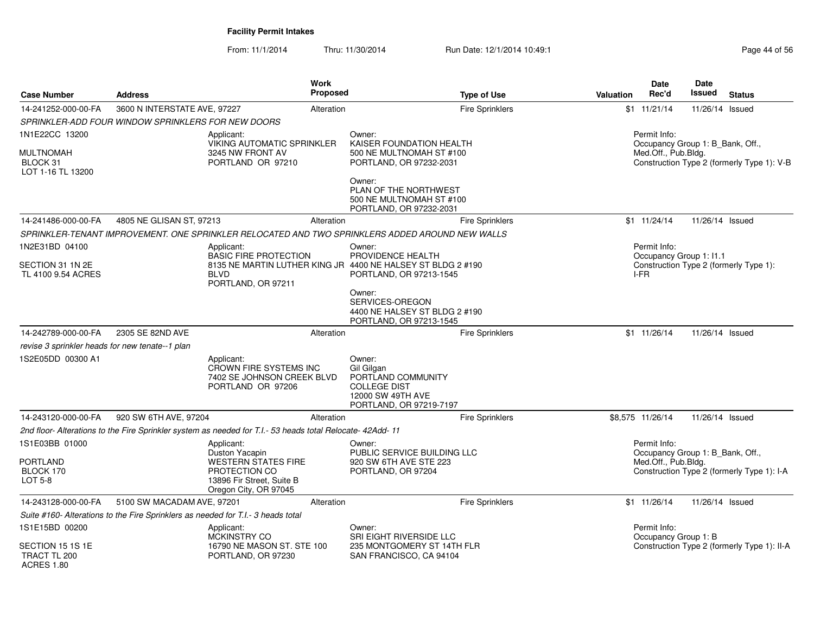| <b>Case Number</b>                                    | <b>Address</b>                                                                   |                                                                                                            | <b>Work</b><br><b>Proposed</b> |                                                                                                                   | <b>Type of Use</b>     | Valuation | <b>Date</b><br>Rec'd                                    | <b>Date</b><br><b>Issued</b> | <b>Status</b>                               |
|-------------------------------------------------------|----------------------------------------------------------------------------------|------------------------------------------------------------------------------------------------------------|--------------------------------|-------------------------------------------------------------------------------------------------------------------|------------------------|-----------|---------------------------------------------------------|------------------------------|---------------------------------------------|
| 14-241252-000-00-FA                                   | 3600 N INTERSTATE AVE, 97227                                                     |                                                                                                            | Alteration                     |                                                                                                                   | <b>Fire Sprinklers</b> |           | \$1 11/21/14                                            | 11/26/14 Issued              |                                             |
|                                                       | SPRINKLER-ADD FOUR WINDOW SPRINKLERS FOR NEW DOORS                               |                                                                                                            |                                |                                                                                                                   |                        |           |                                                         |                              |                                             |
| 1N1E22CC 13200                                        |                                                                                  | Applicant:                                                                                                 |                                | Owner:                                                                                                            |                        |           | Permit Info:                                            |                              |                                             |
| <b>MULTNOMAH</b><br>BLOCK 31<br>LOT 1-16 TL 13200     |                                                                                  | VIKING AUTOMATIC SPRINKLER<br>3245 NW FRONT AV<br>PORTLAND OR 97210                                        |                                | KAISER FOUNDATION HEALTH<br>500 NE MULTNOMAH ST #100<br>PORTLAND, OR 97232-2031                                   |                        |           | Occupancy Group 1: B_Bank, Off.,<br>Med.Off., Pub.Bldg. |                              | Construction Type 2 (formerly Type 1): V-B  |
|                                                       |                                                                                  |                                                                                                            |                                | Owner:<br>PLAN OF THE NORTHWEST<br>500 NE MULTNOMAH ST #100<br>PORTLAND, OR 97232-2031                            |                        |           |                                                         |                              |                                             |
| 14-241486-000-00-FA                                   | 4805 NE GLISAN ST, 97213                                                         |                                                                                                            | Alteration                     |                                                                                                                   | <b>Fire Sprinklers</b> |           | $$1 \t11/24/14$                                         | 11/26/14 Issued              |                                             |
|                                                       |                                                                                  |                                                                                                            |                                | SPRINKLER-TENANT IMPROVEMENT. ONE SPRINKLER RELOCATED AND TWO SPRINKLERS ADDED AROUND NEW WALLS                   |                        |           |                                                         |                              |                                             |
| 1N2E31BD 04100<br>SECTION 31 1N 2E                    |                                                                                  | Applicant:<br><b>BASIC FIRE PROTECTION</b>                                                                 |                                | Owner:<br>PROVIDENCE HEALTH<br>8135 NE MARTIN LUTHER KING JR 4400 NE HALSEY ST BLDG 2 #190                        |                        |           | Permit Info:<br>Occupancy Group 1: 11.1                 |                              | Construction Type 2 (formerly Type 1):      |
| TL 4100 9.54 ACRES                                    |                                                                                  | <b>BLVD</b><br>PORTLAND, OR 97211                                                                          |                                | PORTLAND, OR 97213-1545                                                                                           |                        |           | I-FR                                                    |                              |                                             |
|                                                       |                                                                                  |                                                                                                            |                                | Owner:<br>SERVICES-OREGON<br>4400 NE HALSEY ST BLDG 2 #190<br>PORTLAND, OR 97213-1545                             |                        |           |                                                         |                              |                                             |
| 14-242789-000-00-FA                                   | 2305 SE 82ND AVE                                                                 |                                                                                                            | Alteration                     |                                                                                                                   | <b>Fire Sprinklers</b> |           | $$1 \quad 11/26/14$                                     | 11/26/14 Issued              |                                             |
| revise 3 sprinkler heads for new tenate--1 plan       |                                                                                  |                                                                                                            |                                |                                                                                                                   |                        |           |                                                         |                              |                                             |
| 1S2E05DD 00300 A1                                     |                                                                                  | Applicant:<br>CROWN FIRE SYSTEMS INC<br>7402 SE JOHNSON CREEK BLVD<br>PORTLAND OR 97206                    |                                | Owner:<br>Gil Gilgan<br>PORTLAND COMMUNITY<br><b>COLLEGE DIST</b><br>12000 SW 49TH AVE<br>PORTLAND, OR 97219-7197 |                        |           |                                                         |                              |                                             |
| 14-243120-000-00-FA                                   | 920 SW 6TH AVE, 97204                                                            |                                                                                                            | Alteration                     |                                                                                                                   | Fire Sprinklers        |           | \$8,575 11/26/14                                        | 11/26/14 Issued              |                                             |
|                                                       |                                                                                  | 2nd floor- Alterations to the Fire Sprinkler system as needed for T.I.- 53 heads total Relocate- 42Add- 11 |                                |                                                                                                                   |                        |           |                                                         |                              |                                             |
| 1S1E03BB 01000                                        |                                                                                  | Applicant:<br>Duston Yacapin                                                                               |                                | Owner:<br>PUBLIC SERVICE BUILDING LLC                                                                             |                        |           | Permit Info:<br>Occupancy Group 1: B_Bank, Off.,        |                              |                                             |
| PORTLAND<br>BLOCK 170<br>LOT 5-8                      |                                                                                  | <b>WESTERN STATES FIRE</b><br>PROTECTION CO<br>13896 Fir Street, Suite B<br>Oregon City, OR 97045          |                                | 920 SW 6TH AVE STE 223<br>PORTLAND, OR 97204                                                                      |                        |           | Med.Off., Pub.Bldg.                                     |                              | Construction Type 2 (formerly Type 1): I-A  |
| 14-243128-000-00-FA                                   | 5100 SW MACADAM AVE, 97201                                                       |                                                                                                            | Alteration                     |                                                                                                                   | Fire Sprinklers        |           | \$1 11/26/14                                            | 11/26/14 Issued              |                                             |
|                                                       | Suite #160- Alterations to the Fire Sprinklers as needed for T.I.- 3 heads total |                                                                                                            |                                |                                                                                                                   |                        |           |                                                         |                              |                                             |
| 1S1E15BD 00200                                        |                                                                                  | Applicant:<br><b>MCKINSTRY CO</b>                                                                          |                                | Owner:<br><b>SRI EIGHT RIVERSIDE LLC</b>                                                                          |                        |           | Permit Info:<br>Occupancy Group 1: B                    |                              |                                             |
| SECTION 15 1S 1E<br>TRACT TL 200<br><b>ACRES 1.80</b> |                                                                                  | 16790 NE MASON ST. STE 100<br>PORTLAND, OR 97230                                                           |                                | 235 MONTGOMERY ST 14TH FLR<br>SAN FRANCISCO, CA 94104                                                             |                        |           |                                                         |                              | Construction Type 2 (formerly Type 1): II-A |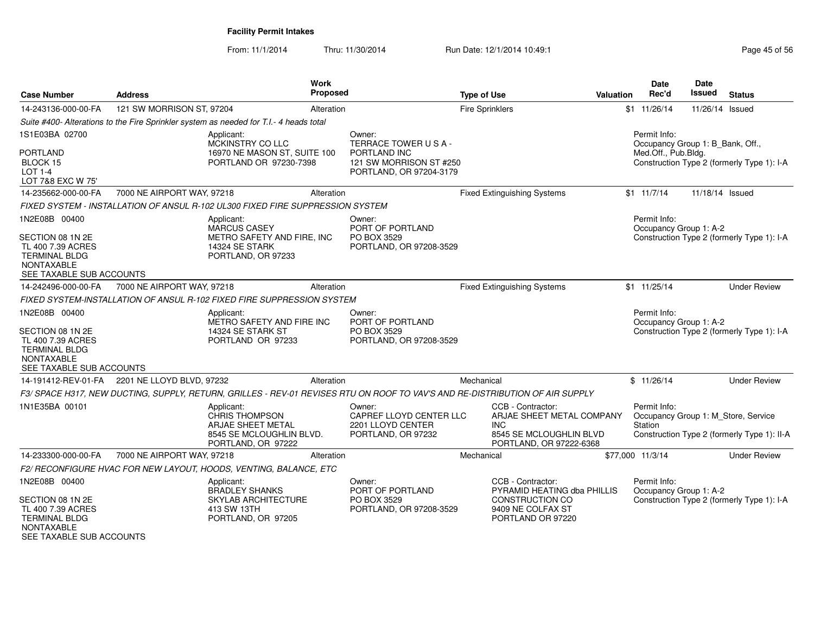| <b>Case Number</b>                                                                                                              | <b>Address</b>                                | Work                                                                                                   | Proposed                                                                     | <b>Type of Use</b>                                                                                                           | <b>Valuation</b>                                                                | Date<br>Rec'd                                    | Date<br><b>Issued</b> | <b>Status</b>                                                                      |
|---------------------------------------------------------------------------------------------------------------------------------|-----------------------------------------------|--------------------------------------------------------------------------------------------------------|------------------------------------------------------------------------------|------------------------------------------------------------------------------------------------------------------------------|---------------------------------------------------------------------------------|--------------------------------------------------|-----------------------|------------------------------------------------------------------------------------|
| 14-243136-000-00-FA                                                                                                             | 121 SW MORRISON ST, 97204                     |                                                                                                        | Alteration                                                                   | <b>Fire Sprinklers</b>                                                                                                       |                                                                                 | $$1$ 11/26/14                                    | 11/26/14 Issued       |                                                                                    |
|                                                                                                                                 |                                               | Suite #400- Alterations to the Fire Sprinkler system as needed for T.I.- 4 heads total                 |                                                                              |                                                                                                                              |                                                                                 |                                                  |                       |                                                                                    |
| 1S1E03BA 02700                                                                                                                  |                                               | Applicant:<br>MCKINSTRY CO LLC                                                                         | Owner:<br>TERRACE TOWER USA-                                                 |                                                                                                                              |                                                                                 | Permit Info:<br>Occupancy Group 1: B Bank, Off., |                       |                                                                                    |
| <b>PORTLAND</b><br>BLOCK 15<br><b>LOT 1-4</b><br>LOT 7&8 EXC W 75'                                                              |                                               | 16970 NE MASON ST, SUITE 100<br>PORTLAND OR 97230-7398                                                 | PORTLAND INC<br>121 SW MORRISON ST #250<br>PORTLAND, OR 97204-3179           |                                                                                                                              |                                                                                 | Med.Off., Pub.Bldg.                              |                       | Construction Type 2 (formerly Type 1): I-A                                         |
| 14-235662-000-00-FA                                                                                                             | 7000 NE AIRPORT WAY, 97218                    |                                                                                                        | Alteration                                                                   | <b>Fixed Extinguishing Systems</b>                                                                                           |                                                                                 | \$1 11/7/14                                      | 11/18/14 Issued       |                                                                                    |
|                                                                                                                                 |                                               | FIXED SYSTEM - INSTALLATION OF ANSUL R-102 UL300 FIXED FIRE SUPPRESSION SYSTEM                         |                                                                              |                                                                                                                              |                                                                                 |                                                  |                       |                                                                                    |
| 1N2E08B 00400<br>SECTION 08 1N 2E<br>TL 400 7.39 ACRES<br><b>TERMINAL BLDG</b><br><b>NONTAXABLE</b><br>SEE TAXABLE SUB ACCOUNTS |                                               | Applicant:<br>MARCUS CASEY<br>METRO SAFETY AND FIRE, INC<br>14324 SE STARK<br>PORTLAND, OR 97233       | Owner:<br>PORT OF PORTLAND<br>PO BOX 3529<br>PORTLAND, OR 97208-3529         |                                                                                                                              |                                                                                 | Permit Info:<br>Occupancy Group 1: A-2           |                       | Construction Type 2 (formerly Type 1): I-A                                         |
| 14-242496-000-00-FA                                                                                                             | 7000 NE AIRPORT WAY, 97218                    |                                                                                                        | Alteration                                                                   | <b>Fixed Extinguishing Systems</b>                                                                                           |                                                                                 | $$1$ 11/25/14                                    |                       | <b>Under Review</b>                                                                |
|                                                                                                                                 |                                               | FIXED SYSTEM-INSTALLATION OF ANSUL R-102 FIXED FIRE SUPPRESSION SYSTEM                                 |                                                                              |                                                                                                                              |                                                                                 |                                                  |                       |                                                                                    |
| 1N2E08B 00400<br>SECTION 08 1N 2E<br>TL 400 7.39 ACRES<br><b>TERMINAL BLDG</b><br><b>NONTAXABLE</b><br>SEE TAXABLE SUB ACCOUNTS |                                               | Applicant:<br>METRO SAFETY AND FIRE INC<br>14324 SE STARK ST<br>PORTLAND OR 97233                      | Owner:<br>PORT OF PORTLAND<br>PO BOX 3529<br>PORTLAND, OR 97208-3529         |                                                                                                                              |                                                                                 | Permit Info:<br>Occupancy Group 1: A-2           |                       | Construction Type 2 (formerly Type 1): I-A                                         |
|                                                                                                                                 | 14-191412-REV-01-FA 2201 NE LLOYD BLVD, 97232 |                                                                                                        | Alteration                                                                   | Mechanical                                                                                                                   |                                                                                 | \$11/26/14                                       |                       | <b>Under Review</b>                                                                |
|                                                                                                                                 |                                               |                                                                                                        |                                                                              | F3/ SPACE H317, NEW DUCTING, SUPPLY, RETURN, GRILLES - REV-01 REVISES RTU ON ROOF TO VAV'S AND RE-DISTRIBUTION OF AIR SUPPLY |                                                                                 |                                                  |                       |                                                                                    |
| 1N1E35BA 00101                                                                                                                  |                                               | Applicant:<br>CHRIS THOMPSON<br>ARJAE SHEET METAL<br>8545 SE MCLOUGHLIN BLVD.<br>PORTLAND, OR 97222    | Owner:<br>CAPREF LLOYD CENTER LLC<br>2201 LLOYD CENTER<br>PORTLAND, OR 97232 | CCB - Contractor:<br>INC.                                                                                                    | ARJAE SHEET METAL COMPANY<br>8545 SE MCLOUGHLIN BLVD<br>PORTLAND, OR 97222-6368 | Permit Info:<br>Station                          |                       | Occupancy Group 1: M_Store, Service<br>Construction Type 2 (formerly Type 1): II-A |
| 14-233300-000-00-FA                                                                                                             | 7000 NE AIRPORT WAY, 97218                    |                                                                                                        | Alteration                                                                   | Mechanical                                                                                                                   | \$77,000 11/3/14                                                                |                                                  |                       | <b>Under Review</b>                                                                |
|                                                                                                                                 |                                               | F2/ RECONFIGURE HVAC FOR NEW LAYOUT, HOODS, VENTING, BALANCE, ETC                                      |                                                                              |                                                                                                                              |                                                                                 |                                                  |                       |                                                                                    |
| 1N2E08B 00400<br>SECTION 08 1N 2E<br>TL 400 7.39 ACRES<br><b>TERMINAL BLDG</b><br><b>NONTAXABLE</b>                             |                                               | Applicant:<br><b>BRADLEY SHANKS</b><br><b>SKYLAB ARCHITECTURE</b><br>413 SW 13TH<br>PORTLAND, OR 97205 | Owner:<br>PORT OF PORTLAND<br>PO BOX 3529<br>PORTLAND, OR 97208-3529         | CCB - Contractor:<br><b>CONSTRUCTION CO</b><br>9409 NE COLFAX ST<br>PORTLAND OR 97220                                        | PYRAMID HEATING dba PHILLIS                                                     | Permit Info:<br>Occupancy Group 1: A-2           |                       | Construction Type 2 (formerly Type 1): I-A                                         |
| SEE TAXABLE SUB ACCOUNTS                                                                                                        |                                               |                                                                                                        |                                                                              |                                                                                                                              |                                                                                 |                                                  |                       |                                                                                    |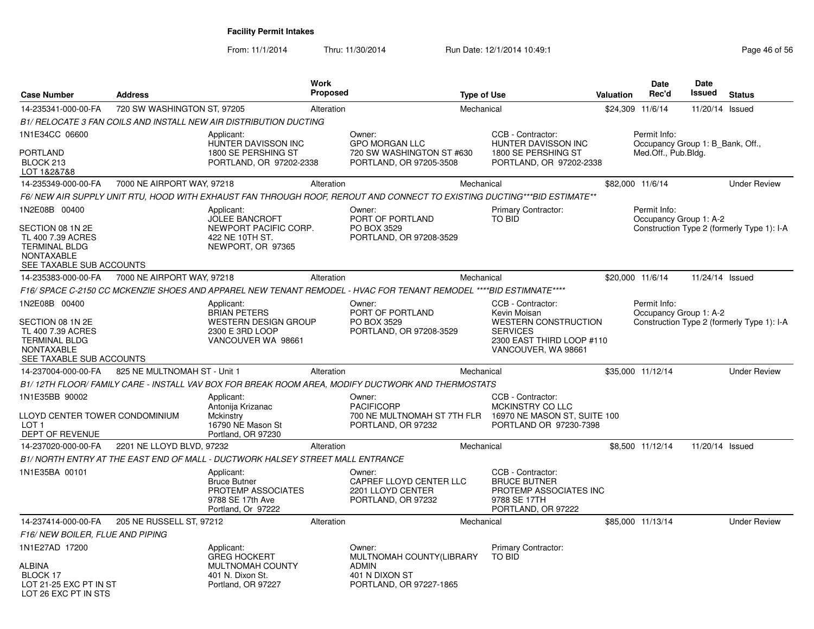| <b>Case Number</b>                                                                                                       | <b>Address</b>               |                                                                                                   | <b>Work</b><br>Proposed |                                                                                                                          | <b>Type of Use</b>                                                                                       | <b>Valuation</b> | Date<br>Rec'd                                    | <b>Date</b><br>Issued | <b>Status</b>                              |
|--------------------------------------------------------------------------------------------------------------------------|------------------------------|---------------------------------------------------------------------------------------------------|-------------------------|--------------------------------------------------------------------------------------------------------------------------|----------------------------------------------------------------------------------------------------------|------------------|--------------------------------------------------|-----------------------|--------------------------------------------|
| 14-235341-000-00-FA                                                                                                      | 720 SW WASHINGTON ST, 97205  |                                                                                                   | Alteration              |                                                                                                                          | Mechanical                                                                                               |                  | \$24,309 11/6/14                                 | 11/20/14 Issued       |                                            |
|                                                                                                                          |                              | B1/ RELOCATE 3 FAN COILS AND INSTALL NEW AIR DISTRIBUTION DUCTING                                 |                         |                                                                                                                          |                                                                                                          |                  |                                                  |                       |                                            |
| 1N1E34CC 06600                                                                                                           |                              | Applicant:<br>HUNTER DAVISSON INC                                                                 |                         | Owner:<br><b>GPO MORGAN LLC</b>                                                                                          | CCB - Contractor:<br>HUNTER DAVISSON INC                                                                 |                  | Permit Info:<br>Occupancy Group 1: B_Bank, Off., |                       |                                            |
| <b>PORTLAND</b><br>BLOCK 213<br>LOT 1&2&7&8                                                                              |                              | 1800 SE PERSHING ST<br>PORTLAND, OR 97202-2338                                                    |                         | 720 SW WASHINGTON ST #630<br>PORTLAND, OR 97205-3508                                                                     | 1800 SE PERSHING ST<br>PORTLAND, OR 97202-2338                                                           |                  | Med.Off., Pub.Bldg.                              |                       |                                            |
| 14-235349-000-00-FA                                                                                                      | 7000 NE AIRPORT WAY, 97218   |                                                                                                   | Alteration              |                                                                                                                          | Mechanical                                                                                               |                  | \$82,000 11/6/14                                 |                       | <b>Under Review</b>                        |
|                                                                                                                          |                              |                                                                                                   |                         | F6/ NEW AIR SUPPLY UNIT RTU, HOOD WITH EXHAUST FAN THROUGH ROOF, REROUT AND CONNECT TO EXISTING DUCTING***BID ESTIMATE** |                                                                                                          |                  |                                                  |                       |                                            |
| 1N2E08B 00400<br>SECTION 08 1N 2E<br>TL 400 7.39 ACRES<br><b>TERMINAL BLDG</b><br>NONTAXABLE<br>SEE TAXABLE SUB ACCOUNTS |                              | Applicant:<br>JOLEE BANCROFT<br>NEWPORT PACIFIC CORP.<br>422 NE 10TH ST.<br>NEWPORT, OR 97365     |                         | Owner:<br>PORT OF PORTLAND<br>PO BOX 3529<br>PORTLAND, OR 97208-3529                                                     | Primary Contractor:<br>TO BID                                                                            |                  | Permit Info:<br>Occupancy Group 1: A-2           |                       | Construction Type 2 (formerly Type 1): I-A |
| 14-235383-000-00-FA                                                                                                      | 7000 NE AIRPORT WAY, 97218   |                                                                                                   | Alteration              |                                                                                                                          | Mechanical                                                                                               |                  | \$20,000 11/6/14                                 | 11/24/14 Issued       |                                            |
|                                                                                                                          |                              |                                                                                                   |                         | F16/ SPACE C-2150 CC MCKENZIE SHOES AND APPAREL NEW TENANT REMODEL - HVAC FOR TENANT REMODEL ****BID ESTIMNATE****       |                                                                                                          |                  |                                                  |                       |                                            |
| 1N2E08B 00400                                                                                                            |                              | Applicant:<br><b>BRIAN PETERS</b>                                                                 |                         | Owner:<br>PORT OF PORTLAND                                                                                               | CCB - Contractor:<br>Kevin Moisan                                                                        |                  | Permit Info:<br>Occupancy Group 1: A-2           |                       |                                            |
| SECTION 08 1N 2E<br>TL 400 7.39 ACRES<br><b>TERMINAL BLDG</b><br>NONTAXABLE<br>SEE TAXABLE SUB ACCOUNTS                  |                              | <b>WESTERN DESIGN GROUP</b><br>2300 E 3RD LOOP<br>VANCOUVER WA 98661                              |                         | PO BOX 3529<br>PORTLAND, OR 97208-3529                                                                                   | WESTERN CONSTRUCTION<br><b>SERVICES</b><br>2300 EAST THIRD LOOP #110<br>VANCOUVER, WA 98661              |                  |                                                  |                       | Construction Type 2 (formerly Type 1): I-A |
| 14-237004-000-00-FA                                                                                                      | 825 NE MULTNOMAH ST - Unit 1 |                                                                                                   | Alteration              |                                                                                                                          | Mechanical                                                                                               |                  | \$35,000 11/12/14                                |                       | <b>Under Review</b>                        |
|                                                                                                                          |                              |                                                                                                   |                         | B1/12TH FLOOR/ FAMILY CARE - INSTALL VAV BOX FOR BREAK ROOM AREA, MODIFY DUCTWORK AND THERMOSTATS                        |                                                                                                          |                  |                                                  |                       |                                            |
| 1N1E35BB 90002                                                                                                           |                              | Applicant:                                                                                        |                         | Owner:                                                                                                                   | CCB - Contractor:                                                                                        |                  |                                                  |                       |                                            |
| LLOYD CENTER TOWER CONDOMINIUM<br>LOT 1<br>DEPT OF REVENUE                                                               |                              | Antonija Krizanac<br>Mckinstry<br>16790 NE Mason St<br>Portland, OR 97230                         |                         | <b>PACIFICORP</b><br>700 NE MULTNOMAH ST 7TH FLR<br>PORTLAND, OR 97232                                                   | MCKINSTRY CO LLC<br>16970 NE MASON ST, SUITE 100<br>PORTLAND OR 97230-7398                               |                  |                                                  |                       |                                            |
| 14-237020-000-00-FA                                                                                                      | 2201 NE LLOYD BLVD, 97232    |                                                                                                   | Alteration              |                                                                                                                          | Mechanical                                                                                               |                  | \$8,500 11/12/14                                 | 11/20/14 Issued       |                                            |
|                                                                                                                          |                              | B1/ NORTH ENTRY AT THE EAST END OF MALL - DUCTWORK HALSEY STREET MALL ENTRANCE                    |                         |                                                                                                                          |                                                                                                          |                  |                                                  |                       |                                            |
| 1N1E35BA 00101                                                                                                           |                              | Applicant:<br><b>Bruce Butner</b><br>PROTEMP ASSOCIATES<br>9788 SE 17th Ave<br>Portland, Or 97222 |                         | Owner:<br>CAPREF LLOYD CENTER LLC<br>2201 LLOYD CENTER<br>PORTLAND, OR 97232                                             | CCB - Contractor:<br><b>BRUCE BUTNER</b><br>PROTEMP ASSOCIATES INC<br>9788 SE 17TH<br>PORTLAND, OR 97222 |                  |                                                  |                       |                                            |
| 14-237414-000-00-FA                                                                                                      | 205 NE RUSSELL ST, 97212     |                                                                                                   | Alteration              |                                                                                                                          | Mechanical                                                                                               |                  | \$85,000 11/13/14                                |                       | <b>Under Review</b>                        |
| F16/NEW BOILER, FLUE AND PIPING                                                                                          |                              |                                                                                                   |                         |                                                                                                                          |                                                                                                          |                  |                                                  |                       |                                            |
| 1N1E27AD 17200                                                                                                           |                              | Applicant:<br><b>GREG HOCKERT</b>                                                                 |                         | Owner:<br>MULTNOMAH COUNTY(LIBRARY                                                                                       | <b>Primary Contractor:</b><br>TO BID                                                                     |                  |                                                  |                       |                                            |
| ALBINA<br>BLOCK 17<br>LOT 21-25 EXC PT IN ST<br>LOT 26 EXC PT IN STS                                                     |                              | <b>MULTNOMAH COUNTY</b><br>401 N. Dixon St.<br>Portland, OR 97227                                 |                         | <b>ADMIN</b><br>401 N DIXON ST<br>PORTLAND, OR 97227-1865                                                                |                                                                                                          |                  |                                                  |                       |                                            |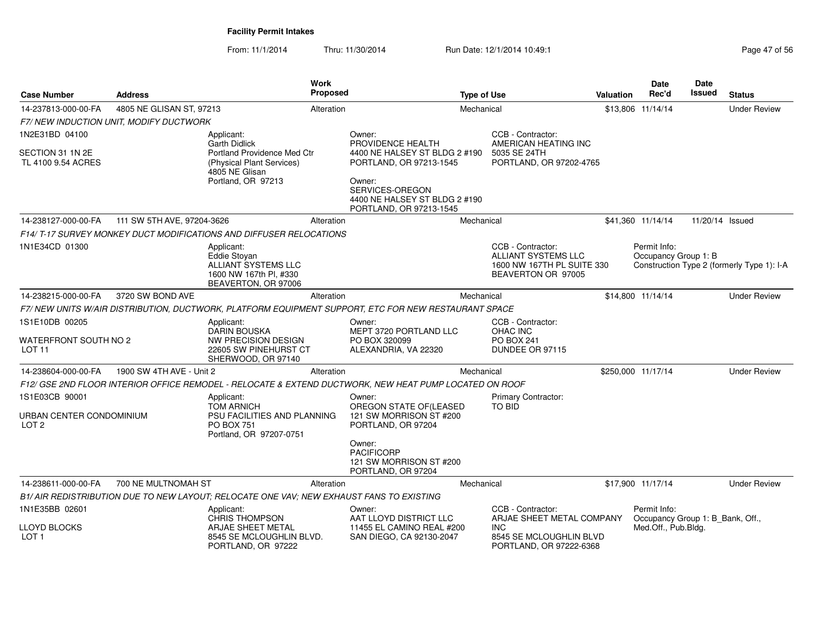| <b>Case Number</b>                                             | <b>Address</b>                         |                                                                                                                       | <b>Work</b><br><b>Proposed</b> |                                                                                                                                                   | <b>Type of Use</b> |                                                                                                     | Valuation | Date<br>Rec'd                                                           | Date<br><b>Issued</b> | <b>Status</b>                              |
|----------------------------------------------------------------|----------------------------------------|-----------------------------------------------------------------------------------------------------------------------|--------------------------------|---------------------------------------------------------------------------------------------------------------------------------------------------|--------------------|-----------------------------------------------------------------------------------------------------|-----------|-------------------------------------------------------------------------|-----------------------|--------------------------------------------|
| 14-237813-000-00-FA                                            | 4805 NE GLISAN ST, 97213               |                                                                                                                       | Alteration                     |                                                                                                                                                   | Mechanical         |                                                                                                     |           | \$13,806 11/14/14                                                       |                       | <b>Under Review</b>                        |
|                                                                | F7/NEW INDUCTION UNIT, MODIFY DUCTWORK |                                                                                                                       |                                |                                                                                                                                                   |                    |                                                                                                     |           |                                                                         |                       |                                            |
| 1N2E31BD 04100                                                 |                                        | Applicant:<br><b>Garth Didlick</b>                                                                                    |                                | Owner:<br>PROVIDENCE HEALTH                                                                                                                       |                    | CCB - Contractor:<br>AMERICAN HEATING INC                                                           |           |                                                                         |                       |                                            |
| SECTION 31 1N 2E<br>TL 4100 9.54 ACRES                         |                                        | Portland Providence Med Ctr<br>(Physical Plant Services)<br>4805 NE Glisan<br>Portland, OR 97213                      |                                | 4400 NE HALSEY ST BLDG 2 #190<br>PORTLAND, OR 97213-1545<br>Owner:<br>SERVICES-OREGON<br>4400 NE HALSEY ST BLDG 2 #190<br>PORTLAND, OR 97213-1545 |                    | 5035 SE 24TH<br>PORTLAND, OR 97202-4765                                                             |           |                                                                         |                       |                                            |
| 14-238127-000-00-FA                                            | 111 SW 5TH AVE, 97204-3626             |                                                                                                                       | Alteration                     |                                                                                                                                                   | Mechanical         |                                                                                                     |           | \$41,360 11/14/14                                                       | 11/20/14 Issued       |                                            |
|                                                                |                                        | F14/ T-17 SURVEY MONKEY DUCT MODIFICATIONS AND DIFFUSER RELOCATIONS                                                   |                                |                                                                                                                                                   |                    |                                                                                                     |           |                                                                         |                       |                                            |
| 1N1E34CD 01300                                                 |                                        | Applicant:<br><b>Eddie Stovan</b><br>ALLIANT SYSTEMS LLC<br>1600 NW 167th PI, #330<br>BEAVERTON, OR 97006             |                                |                                                                                                                                                   |                    | CCB - Contractor:<br><b>ALLIANT SYSTEMS LLC</b><br>1600 NW 167TH PL SUITE 330<br>BEAVERTON OR 97005 |           | Permit Info:<br>Occupancy Group 1: B                                    |                       | Construction Type 2 (formerly Type 1): I-A |
| 14-238215-000-00-FA                                            | 3720 SW BOND AVE                       |                                                                                                                       | Alteration                     |                                                                                                                                                   | Mechanical         |                                                                                                     |           | \$14,800 11/14/14                                                       |                       | <b>Under Review</b>                        |
|                                                                |                                        |                                                                                                                       |                                | F7/ NEW UNITS W/AIR DISTRIBUTION, DUCTWORK, PLATFORM EQUIPMENT SUPPORT, ETC FOR NEW RESTAURANT SPACE                                              |                    |                                                                                                     |           |                                                                         |                       |                                            |
| 1S1E10DB 00205<br>WATERFRONT SOUTH NO 2<br>LOT <sub>11</sub>   |                                        | Applicant:<br><b>DARIN BOUSKA</b><br><b>NW PRECISION DESIGN</b><br>22605 SW PINEHURST CT<br>SHERWOOD, OR 97140        |                                | Owner:<br>MEPT 3720 PORTLAND LLC<br>PO BOX 320099<br>ALEXANDRIA, VA 22320                                                                         |                    | CCB - Contractor:<br><b>OHAC INC</b><br>PO BOX 241<br>DUNDEE OR 97115                               |           |                                                                         |                       |                                            |
| 14-238604-000-00-FA                                            | 1900 SW 4TH AVE - Unit 2               |                                                                                                                       | Alteration                     |                                                                                                                                                   | Mechanical         |                                                                                                     |           | \$250,000 11/17/14                                                      |                       | <b>Under Review</b>                        |
|                                                                |                                        |                                                                                                                       |                                | F12/ GSE 2ND FLOOR INTERIOR OFFICE REMODEL - RELOCATE & EXTEND DUCTWORK, NEW HEAT PUMP LOCATED ON ROOF                                            |                    |                                                                                                     |           |                                                                         |                       |                                            |
| 1S1E03CB 90001<br>URBAN CENTER CONDOMINIUM<br>LOT <sub>2</sub> |                                        | Applicant:<br><b>TOM ARNICH</b><br><b>PSU FACILITIES AND PLANNING</b><br><b>PO BOX 751</b><br>Portland, OR 97207-0751 |                                | Owner:<br>OREGON STATE OF (LEASED<br>121 SW MORRISON ST #200<br>PORTLAND, OR 97204                                                                |                    | Primary Contractor:<br><b>TO BID</b>                                                                |           |                                                                         |                       |                                            |
|                                                                |                                        |                                                                                                                       |                                | Owner:<br><b>PACIFICORP</b><br>121 SW MORRISON ST #200<br>PORTLAND, OR 97204                                                                      |                    |                                                                                                     |           |                                                                         |                       |                                            |
| 14-238611-000-00-FA                                            | 700 NE MULTNOMAH ST                    |                                                                                                                       | Alteration                     |                                                                                                                                                   | Mechanical         |                                                                                                     |           | \$17,900 11/17/14                                                       |                       | <b>Under Review</b>                        |
|                                                                |                                        | B1/ AIR REDISTRIBUTION DUE TO NEW LAYOUT; RELOCATE ONE VAV; NEW EXHAUST FANS TO EXISTING                              |                                |                                                                                                                                                   |                    |                                                                                                     |           |                                                                         |                       |                                            |
| 1N1E35BB 02601<br><b>LLOYD BLOCKS</b>                          |                                        | Applicant:<br><b>CHRIS THOMPSON</b><br>ARJAE SHEET METAL                                                              |                                | Owner:<br>AAT LLOYD DISTRICT LLC<br>11455 EL CAMINO REAL #200                                                                                     |                    | CCB - Contractor:<br>ARJAE SHEET METAL COMPANY<br><b>INC</b>                                        |           | Permit Info:<br>Occupancy Group 1: B Bank, Off.,<br>Med.Off., Pub.Bldg. |                       |                                            |
| LOT <sub>1</sub>                                               |                                        | 8545 SE MCLOUGHLIN BLVD.<br>PORTLAND, OR 97222                                                                        |                                | SAN DIEGO, CA 92130-2047                                                                                                                          |                    | 8545 SE MCLOUGHLIN BLVD<br>PORTLAND, OR 97222-6368                                                  |           |                                                                         |                       |                                            |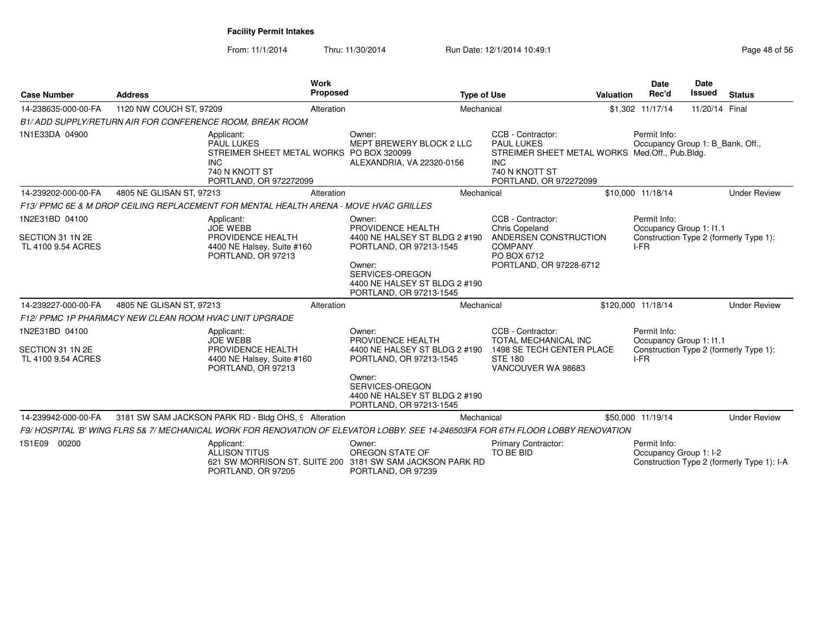| <b>Case Number</b>                                       | <b>Address</b>                                                                                                                        | Work<br><b>Proposed</b> | <b>Type of Use</b>                                                                                                   |                                                                                                                                                    | Valuation | <b>Date</b><br>Rec'd                             | Date<br><b>Issued</b> | <b>Status</b>                              |
|----------------------------------------------------------|---------------------------------------------------------------------------------------------------------------------------------------|-------------------------|----------------------------------------------------------------------------------------------------------------------|----------------------------------------------------------------------------------------------------------------------------------------------------|-----------|--------------------------------------------------|-----------------------|--------------------------------------------|
| 14-238635-000-00-FA                                      | 1120 NW COUCH ST, 97209                                                                                                               | Alteration              | Mechanical                                                                                                           |                                                                                                                                                    |           | \$1,302 11/17/14                                 | 11/20/14 Final        |                                            |
|                                                          | B1/ADD SUPPLY/RETURN AIR FOR CONFERENCE ROOM, BREAK ROOM                                                                              |                         |                                                                                                                      |                                                                                                                                                    |           |                                                  |                       |                                            |
| 1N1E33DA 04900                                           | Applicant:<br><b>PAUL LUKES</b><br>STREIMER SHEET METAL WORKS PO BOX 320099<br><b>INC</b><br>740 N KNOTT ST<br>PORTLAND, OR 972272099 |                         | Owner:<br>MEPT BREWERY BLOCK 2 LLC<br>ALEXANDRIA, VA 22320-0156                                                      | CCB - Contractor:<br><b>PAUL LUKES</b><br>STREIMER SHEET METAL WORKS Med.Off., Pub.Bldg.<br><b>INC</b><br>740 N KNOTT ST<br>PORTLAND, OR 972272099 |           | Permit Info:<br>Occupancy Group 1: B_Bank, Off., |                       |                                            |
| 14-239202-000-00-FA                                      | 4805 NE GLISAN ST, 97213                                                                                                              | Alteration              | Mechanical                                                                                                           |                                                                                                                                                    |           | \$10,000 11/18/14                                |                       | <b>Under Review</b>                        |
|                                                          | F13/ PPMC 6E & M DROP CEILING REPLACEMENT FOR MENTAL HEALTH ARENA - MOVE HVAC GRILLES                                                 |                         |                                                                                                                      |                                                                                                                                                    |           |                                                  |                       |                                            |
| 1N2E31BD 04100                                           | Applicant:<br><b>JOE WEBB</b>                                                                                                         |                         | Owner:<br>PROVIDENCE HEALTH                                                                                          | CCB - Contractor:<br><b>Chris Copeland</b>                                                                                                         |           | Permit Info:<br>Occupancy Group 1: I1.1          |                       |                                            |
| SECTION 31 1N 2E<br>TL 4100 9.54 ACRES                   | PROVIDENCE HEALTH<br>4400 NE Halsey, Suite #160<br>PORTLAND, OR 97213                                                                 |                         | 4400 NE HALSEY ST BLDG 2 #190<br>PORTLAND, OR 97213-1545                                                             | ANDERSEN CONSTRUCTION<br><b>COMPANY</b><br>PO BOX 6712                                                                                             |           | I-FR                                             |                       | Construction Type 2 (formerly Type 1):     |
|                                                          |                                                                                                                                       |                         | Owner:<br>SERVICES-OREGON<br>4400 NE HALSEY ST BLDG 2 #190<br>PORTLAND, OR 97213-1545                                | PORTLAND, OR 97228-6712                                                                                                                            |           |                                                  |                       |                                            |
| 14-239227-000-00-FA                                      | 4805 NE GLISAN ST, 97213                                                                                                              | Alteration              | Mechanical                                                                                                           |                                                                                                                                                    |           | \$120,000 11/18/14                               |                       | <b>Under Review</b>                        |
|                                                          | F12/PPMC 1P PHARMACY NEW CLEAN ROOM HVAC UNIT UPGRADE                                                                                 |                         |                                                                                                                      |                                                                                                                                                    |           |                                                  |                       |                                            |
| 1N2E31BD 04100<br>SECTION 31 1N 2E<br>TL 4100 9.54 ACRES | Applicant:<br><b>JOE WEBB</b><br>PROVIDENCE HEALTH<br>4400 NE Halsey, Suite #160<br>PORTLAND, OR 97213                                |                         | Owner:<br>PROVIDENCE HEALTH<br>4400 NE HALSEY ST BLDG 2 #190<br>PORTLAND, OR 97213-1545<br>Owner:<br>SERVICES-OREGON | CCB - Contractor:<br><b>TOTAL MECHANICAL INC</b><br>1498 SE TECH CENTER PLACE<br><b>STE 180</b><br>VANCOUVER WA 98683                              |           | Permit Info:<br>Occupancy Group 1: I1.1<br>IFR   |                       | Construction Type 2 (formerly Type 1):     |
|                                                          |                                                                                                                                       |                         | 4400 NE HALSEY ST BLDG 2 #190<br>PORTLAND, OR 97213-1545                                                             |                                                                                                                                                    |           |                                                  |                       |                                            |
| 14-239942-000-00-FA                                      | 3181 SW SAM JACKSON PARK RD - Bldg OHS, 9 Alteration                                                                                  |                         | Mechanical                                                                                                           |                                                                                                                                                    |           | \$50,000 11/19/14                                |                       | <b>Under Review</b>                        |
|                                                          | F9/HOSPITAL 'B' WING FLRS 5& 7/MECHANICAL WORK FOR RENOVATION OF ELEVATOR LOBBY. SEE 14-246503FA FOR 6TH FLOOR LOBBY RENOVATION       |                         |                                                                                                                      |                                                                                                                                                    |           |                                                  |                       |                                            |
| 1S1E09 00200                                             | Applicant:<br>ALLISON TITUS<br>PORTLAND, OR 97205                                                                                     |                         | Owner:<br>OREGON STATE OF<br>621 SW MORRISON ST. SUITE 200 3181 SW SAM JACKSON PARK RD<br>PORTLAND, OR 97239         | <b>Primary Contractor:</b><br>TO BE BID                                                                                                            |           | Permit Info:<br>Occupancy Group 1: I-2           |                       | Construction Type 2 (formerly Type 1): I-A |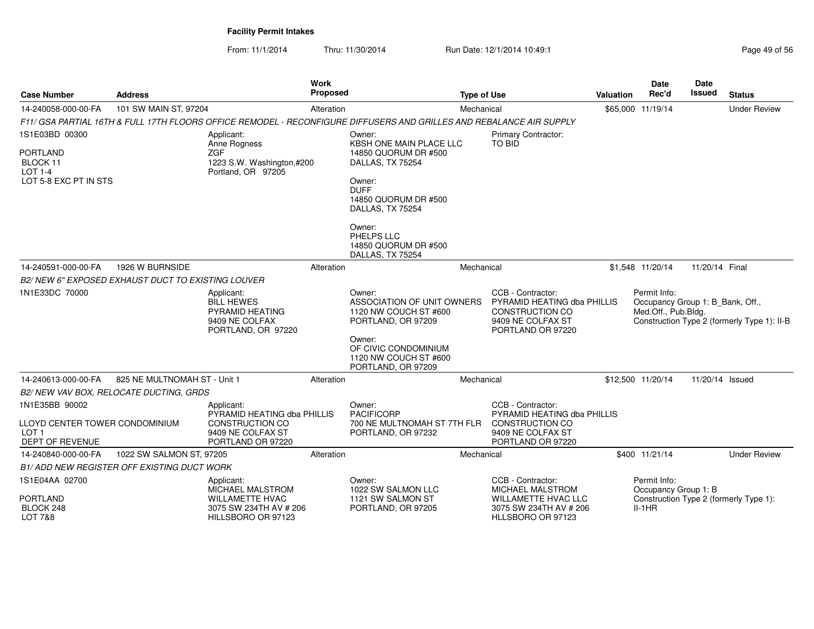| <b>Case Number</b>                                                                      | <b>Address</b>                                    | <b>Work</b><br>Proposed                                                                                              |                                                                                                                                                                                                                        | <b>Type of Use</b>                                                                                                        | Valuation | <b>Date</b><br>Rec'd                                                    | <b>Date</b><br>Issued | <b>Status</b>                               |
|-----------------------------------------------------------------------------------------|---------------------------------------------------|----------------------------------------------------------------------------------------------------------------------|------------------------------------------------------------------------------------------------------------------------------------------------------------------------------------------------------------------------|---------------------------------------------------------------------------------------------------------------------------|-----------|-------------------------------------------------------------------------|-----------------------|---------------------------------------------|
| 14-240058-000-00-FA                                                                     | 101 SW MAIN ST, 97204                             | Alteration                                                                                                           |                                                                                                                                                                                                                        | Mechanical                                                                                                                |           | \$65,000 11/19/14                                                       |                       | <b>Under Review</b>                         |
|                                                                                         |                                                   | F11/ GSA PARTIAL 16TH & FULL 17TH FLOORS OFFICE REMODEL - RECONFIGURE DIFFUSERS AND GRILLES AND REBALANCE AIR SUPPLY |                                                                                                                                                                                                                        |                                                                                                                           |           |                                                                         |                       |                                             |
| 1S1E03BD 00300<br><b>PORTLAND</b><br>BLOCK 11<br>LOT 1-4<br>LOT 5-8 EXC PT IN STS       |                                                   | Applicant:<br>Anne Rogness<br><b>ZGF</b><br>1223 S.W. Washington,#200<br>Portland, OR 97205                          | Owner:<br>KBSH ONE MAIN PLACE LLC<br>14850 QUORUM DR #500<br>DALLAS, TX 75254<br>Owner:<br><b>DUFF</b><br>14850 QUORUM DR #500<br>DALLAS, TX 75254<br>Owner:<br>PHELPS LLC<br>14850 QUORUM DR #500<br>DALLAS, TX 75254 | Primary Contractor:<br>TO BID                                                                                             |           |                                                                         |                       |                                             |
| 14-240591-000-00-FA                                                                     | 1926 W BURNSIDE                                   | Alteration                                                                                                           |                                                                                                                                                                                                                        | Mechanical                                                                                                                |           | \$1,548 11/20/14                                                        | 11/20/14 Final        |                                             |
|                                                                                         | B2/NEW 6" EXPOSED EXHAUST DUCT TO EXISTING LOUVER |                                                                                                                      |                                                                                                                                                                                                                        |                                                                                                                           |           |                                                                         |                       |                                             |
| 1N1E33DC 70000                                                                          |                                                   | Applicant:<br><b>BILL HEWES</b><br>PYRAMID HEATING<br>9409 NE COLFAX<br>PORTLAND, OR 97220                           | Owner:<br>ASSOCIATION OF UNIT OWNERS<br>1120 NW COUCH ST #600<br>PORTLAND, OR 97209<br>Owner:<br>OF CIVIC CONDOMINIUM<br>1120 NW COUCH ST #600<br>PORTLAND, OR 97209                                                   | CCB - Contractor:<br>PYRAMID HEATING dba PHILLIS<br>CONSTRUCTION CO<br>9409 NE COLFAX ST<br>PORTLAND OR 97220             |           | Permit Info:<br>Occupancy Group 1: B_Bank, Off.,<br>Med.Off., Pub.Bldg. |                       | Construction Type 2 (formerly Type 1): II-B |
| 14-240613-000-00-FA                                                                     | 825 NE MULTNOMAH ST - Unit 1                      | Alteration                                                                                                           |                                                                                                                                                                                                                        | Mechanical                                                                                                                |           | \$12,500 11/20/14                                                       | 11/20/14 Issued       |                                             |
|                                                                                         | B2/ NEW VAV BOX, RELOCATE DUCTING, GRDS           |                                                                                                                      |                                                                                                                                                                                                                        |                                                                                                                           |           |                                                                         |                       |                                             |
| 1N1E35BB 90002<br>LLOYD CENTER TOWER CONDOMINIUM<br>LOT <sub>1</sub><br>DEPT OF REVENUE |                                                   | Applicant:<br>PYRAMID HEATING dba PHILLIS<br>CONSTRUCTION CO<br>9409 NE COLFAX ST<br>PORTLAND OR 97220               | Owner:<br><b>PACIFICORP</b><br>700 NE MULTNOMAH ST 7TH FLR<br>PORTLAND, OR 97232                                                                                                                                       | CCB - Contractor:<br>PYRAMID HEATING dba PHILLIS<br><b>CONSTRUCTION CO</b><br>9409 NE COLFAX ST<br>PORTLAND OR 97220      |           |                                                                         |                       |                                             |
| 14-240840-000-00-FA                                                                     | 1022 SW SALMON ST, 97205                          | Alteration                                                                                                           |                                                                                                                                                                                                                        | Mechanical                                                                                                                |           | \$400 11/21/14                                                          |                       | <b>Under Review</b>                         |
|                                                                                         | <b>B1/ADD NEW REGISTER OFF EXISTING DUCT WORK</b> |                                                                                                                      |                                                                                                                                                                                                                        |                                                                                                                           |           |                                                                         |                       |                                             |
| 1S1E04AA 02700<br><b>PORTLAND</b><br>BLOCK 248<br>LOT 7&8                               |                                                   | Applicant:<br><b>MICHAEL MALSTROM</b><br><b>WILLAMETTE HVAC</b><br>3075 SW 234TH AV # 206<br>HILLSBORO OR 97123      | Owner:<br>1022 SW SALMON LLC<br>1121 SW SALMON ST<br>PORTLAND, OR 97205                                                                                                                                                | CCB - Contractor:<br><b>MICHAEL MALSTROM</b><br><b>WILLAMETTE HVAC LLC</b><br>3075 SW 234TH AV # 206<br>HLLSBORO OR 97123 |           | Permit Info:<br>Occupancy Group 1: B<br>$II-1HR$                        |                       | Construction Type 2 (formerly Type 1):      |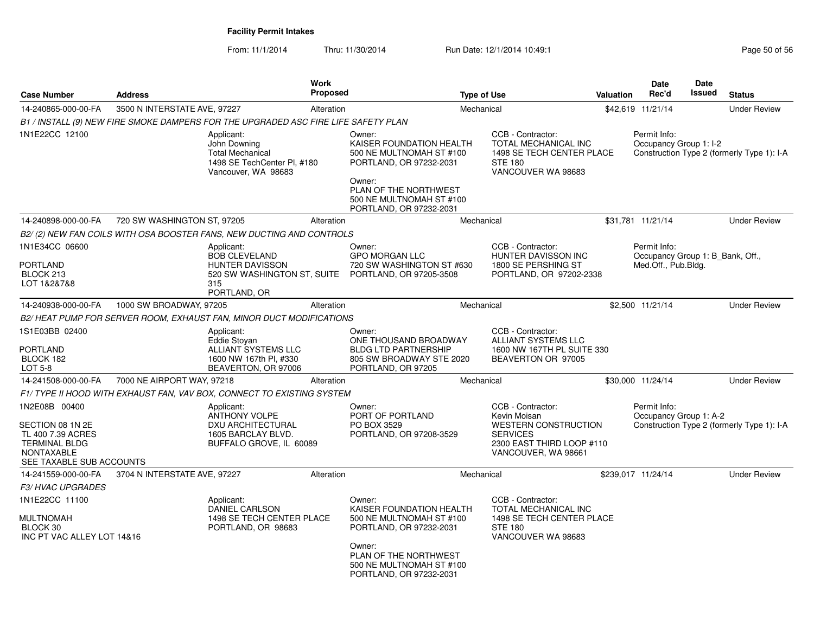| <b>Case Number</b>                                                                                                              | <b>Address</b>               | Work<br><b>Proposed</b>                                                                                            |                                                                                                                                                                                     | <b>Type of Use</b> |                                                                                                                                         | Valuation | Date<br>Rec'd                                                           | Date<br>Issued | <b>Status</b>                              |
|---------------------------------------------------------------------------------------------------------------------------------|------------------------------|--------------------------------------------------------------------------------------------------------------------|-------------------------------------------------------------------------------------------------------------------------------------------------------------------------------------|--------------------|-----------------------------------------------------------------------------------------------------------------------------------------|-----------|-------------------------------------------------------------------------|----------------|--------------------------------------------|
| 14-240865-000-00-FA                                                                                                             | 3500 N INTERSTATE AVE, 97227 | Alteration                                                                                                         |                                                                                                                                                                                     | Mechanical         |                                                                                                                                         |           | \$42,619 11/21/14                                                       |                | <b>Under Review</b>                        |
|                                                                                                                                 |                              | B1 / INSTALL (9) NEW FIRE SMOKE DAMPERS FOR THE UPGRADED ASC FIRE LIFE SAFETY PLAN                                 |                                                                                                                                                                                     |                    |                                                                                                                                         |           |                                                                         |                |                                            |
| 1N1E22CC 12100                                                                                                                  |                              | Applicant:<br>John Downing<br><b>Total Mechanical</b><br>1498 SE TechCenter PI, #180<br>Vancouver, WA 98683        | Owner:<br>KAISER FOUNDATION HEALTH<br>500 NE MULTNOMAH ST #100<br>PORTLAND, OR 97232-2031<br>Owner:<br>PLAN OF THE NORTHWEST<br>500 NE MULTNOMAH ST #100<br>PORTLAND, OR 97232-2031 |                    | CCB - Contractor:<br>TOTAL MECHANICAL INC<br>1498 SE TECH CENTER PLACE<br><b>STE 180</b><br>VANCOUVER WA 98683                          |           | Permit Info:<br>Occupancy Group 1: I-2                                  |                | Construction Type 2 (formerly Type 1): I-A |
| 14-240898-000-00-FA                                                                                                             | 720 SW WASHINGTON ST, 97205  | Alteration                                                                                                         |                                                                                                                                                                                     | Mechanical         |                                                                                                                                         |           | \$31,781 11/21/14                                                       |                | <b>Under Review</b>                        |
|                                                                                                                                 |                              | B2/(2) NEW FAN COILS WITH OSA BOOSTER FANS, NEW DUCTING AND CONTROLS                                               |                                                                                                                                                                                     |                    |                                                                                                                                         |           |                                                                         |                |                                            |
| 1N1E34CC 06600<br><b>PORTLAND</b><br>BLOCK 213<br>LOT 1&2&7&8                                                                   |                              | Applicant:<br><b>BOB CLEVELAND</b><br><b>HUNTER DAVISSON</b><br>520 SW WASHINGTON ST, SUITE<br>315<br>PORTLAND, OR | Owner:<br><b>GPO MORGAN LLC</b><br>720 SW WASHINGTON ST #630<br>PORTLAND, OR 97205-3508                                                                                             |                    | CCB - Contractor:<br>HUNTER DAVISSON INC<br>1800 SE PERSHING ST<br>PORTLAND, OR 97202-2338                                              |           | Permit Info:<br>Occupancy Group 1: B_Bank, Off.,<br>Med.Off., Pub.Bldg. |                |                                            |
| 14-240938-000-00-FA                                                                                                             | 1000 SW BROADWAY, 97205      | Alteration                                                                                                         |                                                                                                                                                                                     | Mechanical         |                                                                                                                                         |           | \$2,500 11/21/14                                                        |                | <b>Under Review</b>                        |
|                                                                                                                                 |                              | B2/HEAT PUMP FOR SERVER ROOM, EXHAUST FAN, MINOR DUCT MODIFICATIONS                                                |                                                                                                                                                                                     |                    |                                                                                                                                         |           |                                                                         |                |                                            |
| 1S1E03BB 02400<br><b>PORTLAND</b><br>BLOCK 182<br>LOT 5-8                                                                       |                              | Applicant:<br>Eddie Stoyan<br>ALLIANT SYSTEMS LLC<br>1600 NW 167th Pl, #330<br>BEAVERTON, OR 97006                 | Owner:<br>ONE THOUSAND BROADWAY<br><b>BLDG LTD PARTNERSHIP</b><br>805 SW BROADWAY STE 2020<br>PORTLAND, OR 97205                                                                    |                    | CCB - Contractor:<br><b>ALLIANT SYSTEMS LLC</b><br>1600 NW 167TH PL SUITE 330<br>BEAVERTON OR 97005                                     |           |                                                                         |                |                                            |
| 14-241508-000-00-FA                                                                                                             | 7000 NE AIRPORT WAY, 97218   | Alteration                                                                                                         |                                                                                                                                                                                     | Mechanical         |                                                                                                                                         |           | \$30,000 11/24/14                                                       |                | <b>Under Review</b>                        |
|                                                                                                                                 |                              | F1/TYPE II HOOD WITH EXHAUST FAN, VAV BOX, CONNECT TO EXISTING SYSTEM                                              |                                                                                                                                                                                     |                    |                                                                                                                                         |           |                                                                         |                |                                            |
| 1N2E08B 00400<br>SECTION 08 1N 2E<br>TL 400 7.39 ACRES<br><b>TERMINAL BLDG</b><br><b>NONTAXABLE</b><br>SEE TAXABLE SUB ACCOUNTS |                              | Applicant:<br><b>ANTHONY VOLPE</b><br><b>DXU ARCHITECTURAL</b><br>1605 BARCLAY BLVD.<br>BUFFALO GROVE, IL 60089    | Owner:<br>PORT OF PORTLAND<br>PO BOX 3529<br>PORTLAND, OR 97208-3529                                                                                                                |                    | CCB - Contractor:<br>Kevin Moisan<br><b>WESTERN CONSTRUCTION</b><br><b>SERVICES</b><br>2300 EAST THIRD LOOP #110<br>VANCOUVER, WA 98661 |           | Permit Info:<br>Occupancy Group 1: A-2                                  |                | Construction Type 2 (formerly Type 1): I-A |
| 14-241559-000-00-FA                                                                                                             | 3704 N INTERSTATE AVE, 97227 | Alteration                                                                                                         |                                                                                                                                                                                     | Mechanical         |                                                                                                                                         |           | \$239,017 11/24/14                                                      |                | <b>Under Review</b>                        |
| <b>F3/HVAC UPGRADES</b>                                                                                                         |                              |                                                                                                                    |                                                                                                                                                                                     |                    |                                                                                                                                         |           |                                                                         |                |                                            |
| 1N1E22CC 11100<br><b>MULTNOMAH</b><br>BLOCK 30<br>INC PT VAC ALLEY LOT 14&16                                                    |                              | Applicant:<br><b>DANIEL CARLSON</b><br>1498 SE TECH CENTER PLACE<br>PORTLAND, OR 98683                             | Owner:<br>KAISER FOUNDATION HEALTH<br>500 NE MULTNOMAH ST #100<br>PORTLAND, OR 97232-2031<br>Owner:<br>PLAN OF THE NORTHWEST<br>500 NE MULTNOMAH ST #100<br>PORTLAND, OR 97232-2031 |                    | CCB - Contractor:<br><b>TOTAL MECHANICAL INC</b><br>1498 SE TECH CENTER PLACE<br><b>STE 180</b><br>VANCOUVER WA 98683                   |           |                                                                         |                |                                            |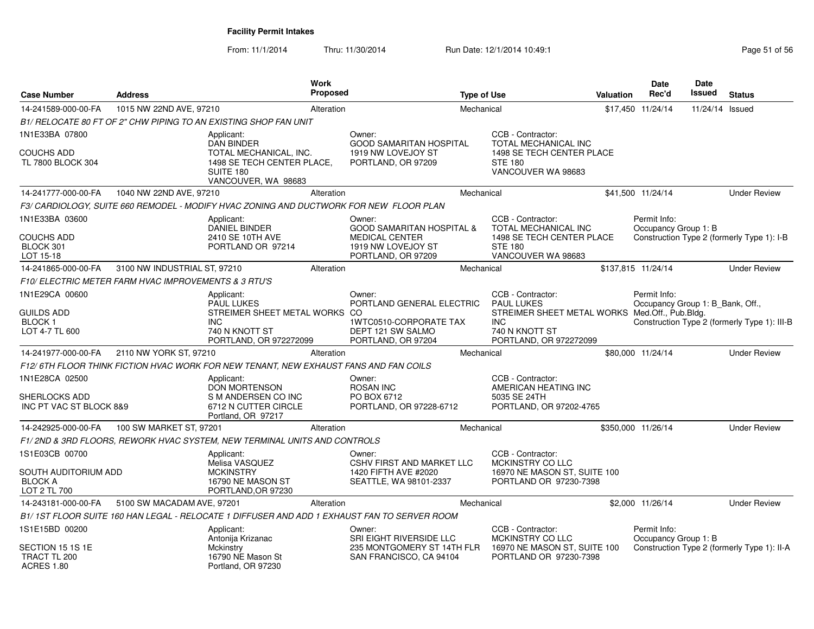| <b>Case Number</b>                                                       | <b>Address</b>                                       |                                                                                                               | Work<br><b>Proposed</b> |                                                                                              | <b>Type of Use</b> |                                                                                                                          | Valuation | <b>Date</b><br>Rec'd                             | <b>Date</b><br>Issued | <b>Status</b>                                |
|--------------------------------------------------------------------------|------------------------------------------------------|---------------------------------------------------------------------------------------------------------------|-------------------------|----------------------------------------------------------------------------------------------|--------------------|--------------------------------------------------------------------------------------------------------------------------|-----------|--------------------------------------------------|-----------------------|----------------------------------------------|
| 14-241589-000-00-FA                                                      | 1015 NW 22ND AVE, 97210                              |                                                                                                               | Alteration              |                                                                                              | Mechanical         |                                                                                                                          |           | \$17,450 11/24/14                                | 11/24/14 Issued       |                                              |
|                                                                          |                                                      | B1/ RELOCATE 80 FT OF 2" CHW PIPING TO AN EXISTING SHOP FAN UNIT                                              |                         |                                                                                              |                    |                                                                                                                          |           |                                                  |                       |                                              |
| 1N1E33BA 07800                                                           |                                                      | Applicant:                                                                                                    |                         | Owner:                                                                                       |                    | CCB - Contractor:                                                                                                        |           |                                                  |                       |                                              |
| COUCHS ADD<br>TL 7800 BLOCK 304                                          |                                                      | <b>DAN BINDER</b><br>TOTAL MECHANICAL, INC.<br>1498 SE TECH CENTER PLACE,<br>SUITE 180<br>VANCOUVER, WA 98683 |                         | <b>GOOD SAMARITAN HOSPITAL</b><br>1919 NW LOVEJOY ST<br>PORTLAND, OR 97209                   |                    | <b>TOTAL MECHANICAL INC</b><br>1498 SE TECH CENTER PLACE<br><b>STE 180</b><br>VANCOUVER WA 98683                         |           |                                                  |                       |                                              |
| 14-241777-000-00-FA                                                      | 1040 NW 22ND AVE, 97210                              |                                                                                                               | Alteration              |                                                                                              | Mechanical         |                                                                                                                          |           | \$41,500 11/24/14                                |                       | <b>Under Review</b>                          |
|                                                                          |                                                      | F3/ CARDIOLOGY, SUITE 660 REMODEL - MODIFY HVAC ZONING AND DUCTWORK FOR NEW FLOOR PLAN                        |                         |                                                                                              |                    |                                                                                                                          |           |                                                  |                       |                                              |
| 1N1E33BA 03600<br>COUCHS ADD                                             |                                                      | Applicant:<br>DANIEL BINDER<br>2410 SE 10TH AVE                                                               |                         | Owner:<br><b>GOOD SAMARITAN HOSPITAL &amp;</b><br><b>MEDICAL CENTER</b>                      |                    | CCB - Contractor:<br><b>TOTAL MECHANICAL INC</b><br>1498 SE TECH CENTER PLACE                                            |           | Permit Info:<br>Occupancy Group 1: B             |                       | Construction Type 2 (formerly Type 1): I-B   |
| BLOCK 301<br>LOT 15-18                                                   |                                                      | PORTLAND OR 97214                                                                                             |                         | 1919 NW LOVEJOY ST<br>PORTLAND, OR 97209                                                     |                    | <b>STE 180</b><br>VANCOUVER WA 98683                                                                                     |           |                                                  |                       |                                              |
| 14-241865-000-00-FA                                                      | 3100 NW INDUSTRIAL ST, 97210                         |                                                                                                               | Alteration              |                                                                                              | Mechanical         |                                                                                                                          |           | \$137,815 11/24/14                               |                       | <b>Under Review</b>                          |
|                                                                          | F10/ ELECTRIC METER FARM HVAC IMPROVEMENTS & 3 RTU'S |                                                                                                               |                         |                                                                                              |                    |                                                                                                                          |           |                                                  |                       |                                              |
| 1N1E29CA 00600<br><b>GUILDS ADD</b><br><b>BLOCK1</b><br>LOT 4-7 TL 600   |                                                      | Applicant:<br><b>PAUL LUKES</b><br>STREIMER SHEET METAL WORKS<br><b>INC</b><br>740 N KNOTT ST                 |                         | Owner:<br>PORTLAND GENERAL ELECTRIC<br>.co<br>1WTC0510-CORPORATE TAX<br>DEPT 121 SW SALMO    |                    | CCB - Contractor:<br><b>PAUL LUKES</b><br>STREIMER SHEET METAL WORKS Med.Off., Pub.Bldg.<br><b>INC</b><br>740 N KNOTT ST |           | Permit Info:<br>Occupancy Group 1: B_Bank, Off., |                       | Construction Type 2 (formerly Type 1): III-B |
|                                                                          |                                                      | PORTLAND, OR 972272099                                                                                        |                         | PORTLAND, OR 97204                                                                           |                    | PORTLAND, OR 972272099                                                                                                   |           |                                                  |                       |                                              |
| 14-241977-000-00-FA                                                      | 2110 NW YORK ST, 97210                               |                                                                                                               | Alteration              |                                                                                              | Mechanical         |                                                                                                                          |           | \$80,000 11/24/14                                |                       | <b>Under Review</b>                          |
|                                                                          |                                                      | F12/ 6TH FLOOR THINK FICTION HVAC WORK FOR NEW TENANT. NEW EXHAUST FANS AND FAN COILS                         |                         |                                                                                              |                    |                                                                                                                          |           |                                                  |                       |                                              |
| 1N1E28CA 02500<br>SHERLOCKS ADD<br>INC PT VAC ST BLOCK 8&9               |                                                      | Applicant:<br><b>DON MORTENSON</b><br>S M ANDERSEN CO INC<br>6712 N CUTTER CIRCLE<br>Portland, OR 97217       |                         | Owner:<br><b>ROSAN INC</b><br>PO BOX 6712<br>PORTLAND, OR 97228-6712                         |                    | CCB - Contractor:<br>AMERICAN HEATING INC<br>5035 SE 24TH<br>PORTLAND, OR 97202-4765                                     |           |                                                  |                       |                                              |
| 14-242925-000-00-FA                                                      | 100 SW MARKET ST, 97201                              |                                                                                                               | Alteration              |                                                                                              | Mechanical         |                                                                                                                          |           | \$350,000 11/26/14                               |                       | <b>Under Review</b>                          |
|                                                                          |                                                      | F1/2ND & 3RD FLOORS, REWORK HVAC SYSTEM, NEW TERMINAL UNITS AND CONTROLS                                      |                         |                                                                                              |                    |                                                                                                                          |           |                                                  |                       |                                              |
| 1S1E03CB 00700<br>SOUTH AUDITORIUM ADD<br><b>BLOCK A</b><br>LOT 2 TL 700 |                                                      | Applicant:<br>Melisa VASQUEZ<br><b>MCKINSTRY</b><br>16790 NE MASON ST<br>PORTLAND, OR 97230                   |                         | Owner:<br><b>CSHV FIRST AND MARKET LLC</b><br>1420 FIFTH AVE #2020<br>SEATTLE, WA 98101-2337 |                    | CCB - Contractor:<br>MCKINSTRY CO LLC<br>16970 NE MASON ST, SUITE 100<br>PORTLAND OR 97230-7398                          |           |                                                  |                       |                                              |
| 14-243181-000-00-FA                                                      | 5100 SW MACADAM AVE, 97201                           |                                                                                                               | Alteration              |                                                                                              | Mechanical         |                                                                                                                          |           | \$2,000 11/26/14                                 |                       | <b>Under Review</b>                          |
|                                                                          |                                                      |                                                                                                               |                         | B1/1ST FLOOR SUITE 160 HAN LEGAL - RELOCATE 1 DIFFUSER AND ADD 1 EXHAUST FAN TO SERVER ROOM  |                    |                                                                                                                          |           |                                                  |                       |                                              |
| 1S1E15BD 00200<br>SECTION 15 1S 1E<br>TRACT TL 200                       |                                                      | Applicant:<br>Antonija Krizanac<br>Mckinstry<br>16790 NE Mason St                                             |                         | Owner:<br>SRI EIGHT RIVERSIDE LLC<br>235 MONTGOMERY ST 14TH FLR<br>SAN FRANCISCO, CA 94104   |                    | CCB - Contractor:<br>MCKINSTRY CO LLC<br>16970 NE MASON ST, SUITE 100<br>PORTLAND OR 97230-7398                          |           | Permit Info:<br>Occupancy Group 1: B             |                       | Construction Type 2 (formerly Type 1): II-A  |
| <b>ACRES 1.80</b>                                                        |                                                      | Portland, OR 97230                                                                                            |                         |                                                                                              |                    |                                                                                                                          |           |                                                  |                       |                                              |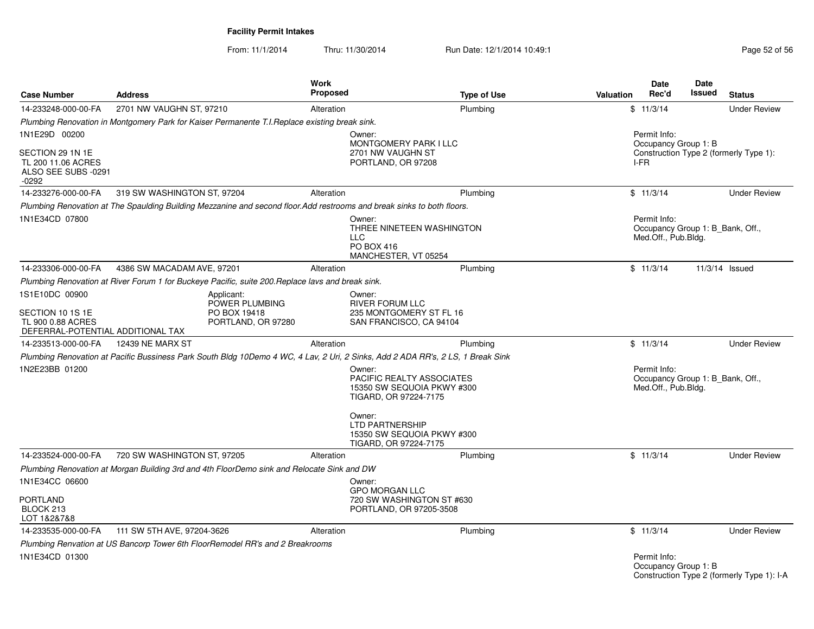| <b>Case Number</b>                                                                           | <b>Address</b>                                                                                                         | <b>Work</b><br><b>Proposed</b>                       | <b>Type of Use</b>                                                                                                                                    | <b>Valuation</b> | <b>Date</b><br>Rec'd                                                    | <b>Date</b><br>Issued | <b>Status</b>                                                  |  |  |
|----------------------------------------------------------------------------------------------|------------------------------------------------------------------------------------------------------------------------|------------------------------------------------------|-------------------------------------------------------------------------------------------------------------------------------------------------------|------------------|-------------------------------------------------------------------------|-----------------------|----------------------------------------------------------------|--|--|
| 14-233248-000-00-FA                                                                          | 2701 NW VAUGHN ST, 97210                                                                                               | Alteration                                           | Plumbing                                                                                                                                              |                  | \$11/3/14                                                               |                       | <b>Under Review</b>                                            |  |  |
|                                                                                              | Plumbing Renovation in Montgomery Park for Kaiser Permanente T.I.Replace existing break sink.                          |                                                      |                                                                                                                                                       |                  |                                                                         |                       |                                                                |  |  |
| 1N1E29D 00200<br>SECTION 29 1N 1E<br>TL 200 11.06 ACRES<br>ALSO SEE SUBS -0291<br>$-0292$    |                                                                                                                        |                                                      | Permit Info:<br>Owner:<br>MONTGOMERY PARK I LLC<br>2701 NW VAUGHN ST<br>PORTLAND, OR 97208<br>I-FR                                                    |                  |                                                                         |                       | Occupancy Group 1: B<br>Construction Type 2 (formerly Type 1): |  |  |
| 14-233276-000-00-FA                                                                          | 319 SW WASHINGTON ST, 97204                                                                                            | Alteration                                           | Plumbing                                                                                                                                              |                  | \$11/3/14                                                               |                       | <b>Under Review</b>                                            |  |  |
|                                                                                              | Plumbing Renovation at The Spaulding Building Mezzanine and second floor.Add restrooms and break sinks to both floors. |                                                      |                                                                                                                                                       |                  |                                                                         |                       |                                                                |  |  |
| 1N1E34CD 07800                                                                               |                                                                                                                        |                                                      | Owner:<br>THREE NINETEEN WASHINGTON<br><b>LLC</b><br>PO BOX 416<br>MANCHESTER, VT 05254                                                               |                  | Permit Info:<br>Occupancy Group 1: B Bank, Off.,<br>Med.Off., Pub.Bldg. |                       |                                                                |  |  |
| 14-233306-000-00-FA                                                                          | 4386 SW MACADAM AVE, 97201                                                                                             | Alteration                                           | Plumbing                                                                                                                                              |                  | \$11/3/14                                                               |                       | 11/3/14 Issued                                                 |  |  |
|                                                                                              | Plumbing Renovation at River Forum 1 for Buckeye Pacific, suite 200. Replace lavs and break sink.                      |                                                      |                                                                                                                                                       |                  |                                                                         |                       |                                                                |  |  |
| 1S1E10DC 00900<br>SECTION 10 1S 1E<br>TL 900 0.88 ACRES<br>DEFERRAL-POTENTIAL ADDITIONAL TAX | Applicant:                                                                                                             | POWER PLUMBING<br>PO BOX 19418<br>PORTLAND, OR 97280 | Owner:<br><b>RIVER FORUM LLC</b><br>235 MONTGOMERY ST FL 16<br>SAN FRANCISCO, CA 94104                                                                |                  |                                                                         |                       |                                                                |  |  |
| 14-233513-000-00-FA                                                                          | 12439 NE MARX ST                                                                                                       | Alteration                                           | Plumbing                                                                                                                                              |                  | \$11/3/14                                                               |                       | <b>Under Review</b>                                            |  |  |
|                                                                                              |                                                                                                                        |                                                      | Plumbing Renovation at Pacific Bussiness Park South Bldg 10Demo 4 WC, 4 Lav, 2 Uri, 2 Sinks, Add 2 ADA RR's, 2 LS, 1 Break Sink                       |                  |                                                                         |                       |                                                                |  |  |
| 1N2E23BB 01200                                                                               |                                                                                                                        |                                                      | Owner:<br>PACIFIC REALTY ASSOCIATES<br>15350 SW SEQUOIA PKWY #300<br>TIGARD, OR 97224-7175<br>Owner:<br>LTD PARTNERSHIP<br>15350 SW SEQUOIA PKWY #300 |                  | Permit Info:<br>Occupancy Group 1: B Bank, Off.,<br>Med.Off., Pub.Bldg. |                       |                                                                |  |  |
|                                                                                              |                                                                                                                        |                                                      | TIGARD, OR 97224-7175                                                                                                                                 |                  |                                                                         |                       |                                                                |  |  |
| 14-233524-000-00-FA                                                                          | 720 SW WASHINGTON ST, 97205                                                                                            | Alteration                                           | Plumbing                                                                                                                                              |                  | \$11/3/14                                                               |                       | <b>Under Review</b>                                            |  |  |
|                                                                                              | Plumbing Renovation at Morgan Building 3rd and 4th FloorDemo sink and Relocate Sink and DW                             |                                                      |                                                                                                                                                       |                  |                                                                         |                       |                                                                |  |  |
| 1N1E34CC 06600<br>PORTLAND<br>BLOCK 213<br>LOT 1&2&7&8                                       |                                                                                                                        |                                                      | Owner:<br><b>GPO MORGAN LLC</b><br>720 SW WASHINGTON ST #630<br>PORTLAND, OR 97205-3508                                                               |                  |                                                                         |                       |                                                                |  |  |
| 14-233535-000-00-FA                                                                          | 111 SW 5TH AVE, 97204-3626                                                                                             | Alteration                                           | Plumbing                                                                                                                                              |                  | \$11/3/14                                                               |                       | <b>Under Review</b>                                            |  |  |
|                                                                                              | Plumbing Renvation at US Bancorp Tower 6th FloorRemodel RR's and 2 Breakrooms                                          |                                                      |                                                                                                                                                       |                  |                                                                         |                       |                                                                |  |  |
| 1N1E34CD 01300                                                                               |                                                                                                                        |                                                      |                                                                                                                                                       |                  | Permit Info:<br>Occupancy Group 1: B                                    |                       | Construction Type 2 (formerly Type 1): I-A                     |  |  |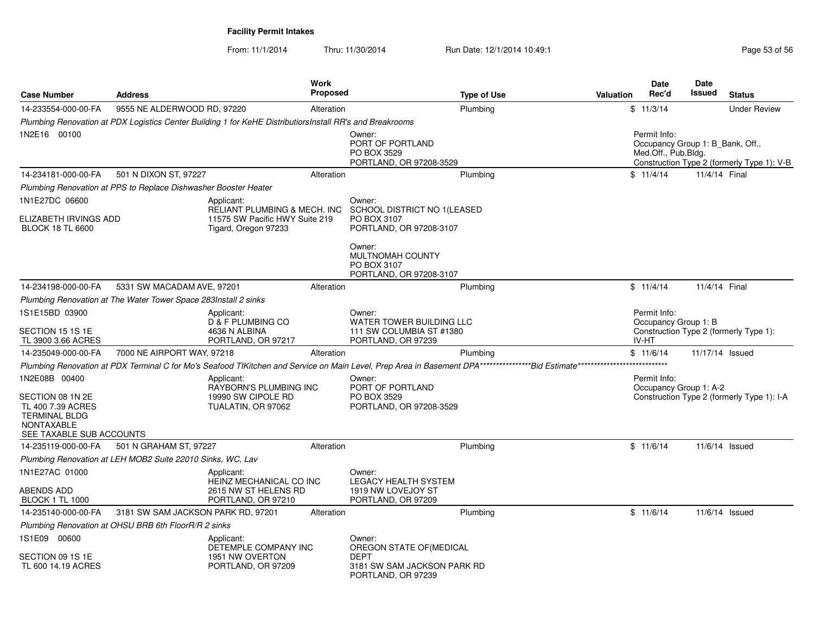From: 11/1/2014

| <b>Case Number</b>                                                                                                              | <b>Address</b>                                                  |                                                                                                          | <b>Work</b><br><b>Proposed</b> |                                                                                      | <b>Type of Use</b> | <b>Valuation</b> | Date<br>Rec'd                                 | Date<br><b>Issued</b>                                                                                                 | <b>Status</b>                              |  |
|---------------------------------------------------------------------------------------------------------------------------------|-----------------------------------------------------------------|----------------------------------------------------------------------------------------------------------|--------------------------------|--------------------------------------------------------------------------------------|--------------------|------------------|-----------------------------------------------|-----------------------------------------------------------------------------------------------------------------------|--------------------------------------------|--|
| 14-233554-000-00-FA                                                                                                             | 9555 NE ALDERWOOD RD, 97220                                     |                                                                                                          | Alteration                     |                                                                                      | Plumbing           |                  | \$11/3/14                                     |                                                                                                                       | <b>Under Review</b>                        |  |
|                                                                                                                                 |                                                                 | Plumbing Renovation at PDX Logistics Center Building 1 for KeHE DistributiorsInstall RR's and Breakrooms |                                |                                                                                      |                    |                  |                                               |                                                                                                                       |                                            |  |
| 1N2E16 00100                                                                                                                    |                                                                 |                                                                                                          |                                | Owner:<br>PORT OF PORTLAND<br>PO BOX 3529<br>PORTLAND, OR 97208-3529                 |                    |                  |                                               | Permit Info:<br>Occupancy Group 1: B Bank, Off.,<br>Med.Off., Pub.Bldg.<br>Construction Type 2 (formerly Type 1): V-B |                                            |  |
| 14-234181-000-00-FA                                                                                                             | 501 N DIXON ST, 97227                                           |                                                                                                          | Alteration                     |                                                                                      | Plumbing           |                  | \$11/4/14                                     | 11/4/14 Final                                                                                                         |                                            |  |
|                                                                                                                                 | Plumbing Renovation at PPS to Replace Dishwasher Booster Heater |                                                                                                          |                                |                                                                                      |                    |                  |                                               |                                                                                                                       |                                            |  |
| 1N1E27DC 06600                                                                                                                  |                                                                 | Applicant:<br><b>RELIANT PLUMBING &amp; MECH. INC</b>                                                    |                                | Owner:<br>SCHOOL DISTRICT NO 1 (LEASED                                               |                    |                  |                                               |                                                                                                                       |                                            |  |
| ELIZABETH IRVINGS ADD<br><b>BLOCK 18 TL 6600</b>                                                                                |                                                                 | 11575 SW Pacific HWY Suite 219<br>Tigard, Oregon 97233                                                   |                                | PO BOX 3107<br>PORTLAND, OR 97208-3107                                               |                    |                  |                                               |                                                                                                                       |                                            |  |
|                                                                                                                                 |                                                                 |                                                                                                          |                                | Owner:<br>MULTNOMAH COUNTY<br>PO BOX 3107<br>PORTLAND, OR 97208-3107                 |                    |                  |                                               |                                                                                                                       |                                            |  |
| 14-234198-000-00-FA                                                                                                             | 5331 SW MACADAM AVE, 97201                                      |                                                                                                          | Alteration                     |                                                                                      | Plumbing           |                  | \$11/4/14                                     | 11/4/14 Final                                                                                                         |                                            |  |
|                                                                                                                                 | Plumbing Renovation at The Water Tower Space 283Install 2 sinks |                                                                                                          |                                |                                                                                      |                    |                  |                                               |                                                                                                                       |                                            |  |
| 1S1E15BD 03900<br>SECTION 15 1S 1E<br>TL 3900 3.66 ACRES                                                                        |                                                                 | Applicant:<br>D & F PLUMBING CO<br>4636 N ALBINA<br>PORTLAND, OR 97217                                   |                                | Owner:<br>WATER TOWER BUILDING LLC<br>111 SW COLUMBIA ST #1380<br>PORTLAND, OR 97239 |                    |                  | Permit Info:<br>Occupancy Group 1: B<br>IV-HT |                                                                                                                       | Construction Type 2 (formerly Type 1):     |  |
| 14-235049-000-00-FA                                                                                                             | 7000 NE AIRPORT WAY, 97218                                      |                                                                                                          | Alteration                     |                                                                                      | Plumbing           |                  | \$11/6/14                                     | 11/17/14 Issued                                                                                                       |                                            |  |
|                                                                                                                                 |                                                                 |                                                                                                          |                                |                                                                                      |                    |                  |                                               |                                                                                                                       |                                            |  |
| 1N2E08B 00400<br>SECTION 08 1N 2E<br>TL 400 7.39 ACRES<br><b>TERMINAL BLDG</b><br><b>NONTAXABLE</b><br>SEE TAXABLE SUB ACCOUNTS |                                                                 | Applicant:<br>RAYBORN'S PLUMBING INC<br>19990 SW CIPOLE RD<br>TUALATIN, OR 97062                         |                                | Owner:<br>PORT OF PORTLAND<br>PO BOX 3529<br>PORTLAND, OR 97208-3529                 |                    |                  | Permit Info:<br>Occupancy Group 1: A-2        |                                                                                                                       | Construction Type 2 (formerly Type 1): I-A |  |
| 14-235119-000-00-FA                                                                                                             | 501 N GRAHAM ST, 97227                                          |                                                                                                          | Alteration                     |                                                                                      | Plumbing           |                  | \$11/6/14                                     |                                                                                                                       | 11/6/14 Issued                             |  |
|                                                                                                                                 | Plumbing Renovation at LEH MOB2 Suite 22010 Sinks, WC, Lav      |                                                                                                          |                                |                                                                                      |                    |                  |                                               |                                                                                                                       |                                            |  |
| 1N1E27AC 01000                                                                                                                  |                                                                 | Applicant:<br>HEINZ MECHANICAL CO INC                                                                    |                                | Owner:<br>LEGACY HEALTH SYSTEM                                                       |                    |                  |                                               |                                                                                                                       |                                            |  |
| <b>ABENDS ADD</b><br><b>BLOCK 1 TL 1000</b>                                                                                     |                                                                 | 2615 NW ST HELENS RD<br>PORTLAND, OR 97210                                                               |                                | 1919 NW LOVEJOY ST<br>PORTLAND, OR 97209                                             |                    |                  |                                               |                                                                                                                       |                                            |  |
| 14-235140-000-00-FA                                                                                                             | 3181 SW SAM JACKSON PARK RD, 97201                              |                                                                                                          | Alteration                     |                                                                                      | Plumbing           |                  | \$11/6/14                                     |                                                                                                                       | 11/6/14 Issued                             |  |
|                                                                                                                                 | Plumbing Renovation at OHSU BRB 6th FloorR/R 2 sinks            |                                                                                                          |                                |                                                                                      |                    |                  |                                               |                                                                                                                       |                                            |  |
| 1S1E09 00600                                                                                                                    |                                                                 | Applicant:<br>DETEMPLE COMPANY INC                                                                       |                                | Owner:<br>OREGON STATE OF (MEDICAL                                                   |                    |                  |                                               |                                                                                                                       |                                            |  |
| SECTION 09 1S 1E<br>TL 600 14.19 ACRES                                                                                          |                                                                 | 1951 NW OVERTON<br>PORTLAND, OR 97209                                                                    |                                | <b>DEPT</b><br>3181 SW SAM JACKSON PARK RD<br>PORTLAND, OR 97239                     |                    |                  |                                               |                                                                                                                       |                                            |  |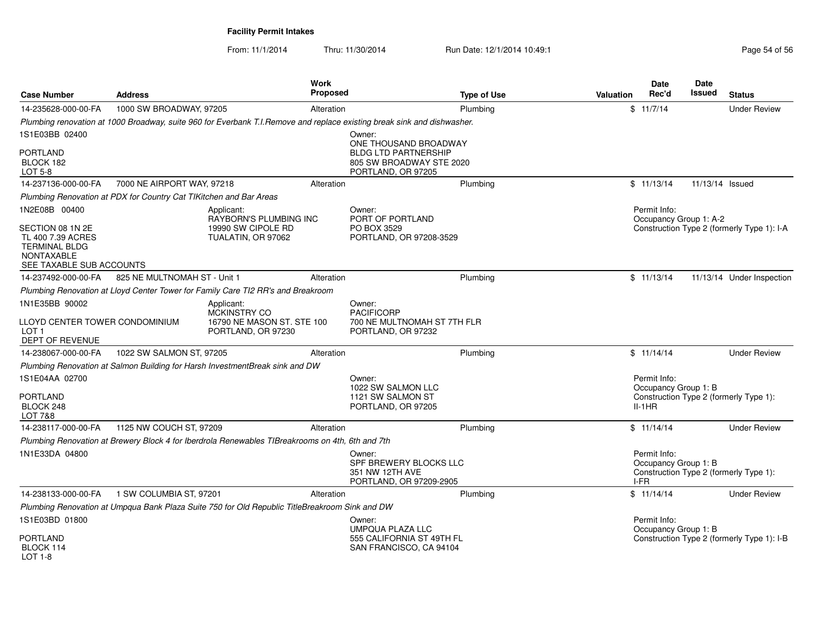From: 11/1/2014

| <b>Case Number</b>                                                                                             | <b>Address</b>                                                     |                                                                                                  | Work<br><b>Proposed</b> |                                                                                                                         | <b>Type of Use</b> | <b>Valuation</b> | <b>Date</b><br>Rec'd                         | <b>Date</b><br>Issued | <b>Status</b>                              |
|----------------------------------------------------------------------------------------------------------------|--------------------------------------------------------------------|--------------------------------------------------------------------------------------------------|-------------------------|-------------------------------------------------------------------------------------------------------------------------|--------------------|------------------|----------------------------------------------|-----------------------|--------------------------------------------|
| 14-235628-000-00-FA                                                                                            | 1000 SW BROADWAY, 97205                                            |                                                                                                  | Alteration              |                                                                                                                         | Plumbing           |                  | \$11/7/14                                    |                       | <b>Under Review</b>                        |
|                                                                                                                |                                                                    |                                                                                                  |                         | Plumbing renovation at 1000 Broadway, suite 960 for Everbank T.I.Remove and replace existing break sink and dishwasher. |                    |                  |                                              |                       |                                            |
| 1S1E03BB 02400                                                                                                 |                                                                    |                                                                                                  |                         | Owner:<br>ONE THOUSAND BROADWAY                                                                                         |                    |                  |                                              |                       |                                            |
| PORTLAND<br>BLOCK 182<br>LOT 5-8                                                                               |                                                                    |                                                                                                  |                         | <b>BLDG LTD PARTNERSHIP</b><br>805 SW BROADWAY STE 2020<br>PORTLAND, OR 97205                                           |                    |                  |                                              |                       |                                            |
| 14-237136-000-00-FA                                                                                            | 7000 NE AIRPORT WAY, 97218                                         |                                                                                                  | Alteration              |                                                                                                                         | Plumbing           |                  | \$11/13/14                                   | 11/13/14 Issued       |                                            |
|                                                                                                                | Plumbing Renovation at PDX for Country Cat TIKitchen and Bar Areas |                                                                                                  |                         |                                                                                                                         |                    |                  |                                              |                       |                                            |
| 1N2E08B 00400                                                                                                  |                                                                    | Applicant:<br>RAYBORN'S PLUMBING INC                                                             |                         | Owner:<br>PORT OF PORTLAND                                                                                              |                    |                  | Permit Info:<br>Occupancy Group 1: A-2       |                       |                                            |
| SECTION 08 1N 2E<br>TL 400 7.39 ACRES<br><b>TERMINAL BLDG</b><br><b>NONTAXABLE</b><br>SEE TAXABLE SUB ACCOUNTS |                                                                    | 19990 SW CIPOLE RD<br>TUALATIN, OR 97062                                                         |                         | PO BOX 3529<br>PORTLAND, OR 97208-3529                                                                                  |                    |                  |                                              |                       | Construction Type 2 (formerly Type 1): I-A |
| 14-237492-000-00-FA                                                                                            | 825 NE MULTNOMAH ST - Unit 1                                       |                                                                                                  | Alteration              |                                                                                                                         | Plumbing           |                  | \$11/13/14                                   |                       | 11/13/14 Under Inspection                  |
|                                                                                                                |                                                                    | Plumbing Renovation at Lloyd Center Tower for Family Care TI2 RR's and Breakroom                 |                         |                                                                                                                         |                    |                  |                                              |                       |                                            |
| 1N1E35BB 90002                                                                                                 |                                                                    | Applicant:                                                                                       |                         | Owner:                                                                                                                  |                    |                  |                                              |                       |                                            |
| LLOYD CENTER TOWER CONDOMINIUM<br>LOT <sub>1</sub><br>DEPT OF REVENUE                                          |                                                                    | MCKINSTRY CO<br>16790 NE MASON ST. STE 100<br>PORTLAND, OR 97230                                 |                         | <b>PACIFICORP</b><br>700 NE MULTNOMAH ST 7TH FLR<br>PORTLAND, OR 97232                                                  |                    |                  |                                              |                       |                                            |
| 14-238067-000-00-FA                                                                                            | 1022 SW SALMON ST, 97205                                           |                                                                                                  | Alteration              |                                                                                                                         | Plumbing           |                  | \$11/14/14                                   |                       | <b>Under Review</b>                        |
|                                                                                                                |                                                                    | Plumbing Renovation at Salmon Building for Harsh InvestmentBreak sink and DW                     |                         |                                                                                                                         |                    |                  |                                              |                       |                                            |
| 1S1E04AA 02700                                                                                                 |                                                                    |                                                                                                  |                         | Owner:<br>1022 SW SALMON LLC                                                                                            |                    |                  | Permit Info:<br>Occupancy Group 1: B         |                       |                                            |
| PORTLAND<br>BLOCK 248<br><b>LOT 7&amp;8</b>                                                                    |                                                                    |                                                                                                  |                         | 1121 SW SALMON ST<br>PORTLAND, OR 97205                                                                                 |                    |                  | $II-1HR$                                     |                       | Construction Type 2 (formerly Type 1):     |
| 14-238117-000-00-FA                                                                                            | 1125 NW COUCH ST, 97209                                            |                                                                                                  | Alteration              |                                                                                                                         | Plumbing           |                  | \$11/14/14                                   |                       | <b>Under Review</b>                        |
|                                                                                                                |                                                                    | Plumbing Renovation at Brewery Block 4 for Iberdrola Renewables TIBreakrooms on 4th, 6th and 7th |                         |                                                                                                                         |                    |                  |                                              |                       |                                            |
| 1N1E33DA 04800                                                                                                 |                                                                    |                                                                                                  |                         | Owner:<br>SPF BREWERY BLOCKS LLC<br>351 NW 12TH AVE<br>PORTLAND, OR 97209-2905                                          |                    |                  | Permit Info:<br>Occupancy Group 1: B<br>I-FR |                       | Construction Type 2 (formerly Type 1):     |
| 14-238133-000-00-FA                                                                                            | 1 SW COLUMBIA ST. 97201                                            |                                                                                                  | Alteration              |                                                                                                                         | Plumbing           |                  | \$11/14/14                                   |                       | <b>Under Review</b>                        |
|                                                                                                                |                                                                    | Plumbing Renovation at Umpqua Bank Plaza Suite 750 for Old Republic TitleBreakroom Sink and DW   |                         |                                                                                                                         |                    |                  |                                              |                       |                                            |
| 1S1E03BD 01800                                                                                                 |                                                                    |                                                                                                  |                         | Owner:<br>UMPQUA PLAZA LLC                                                                                              |                    |                  | Permit Info:<br>Occupancy Group 1: B         |                       |                                            |
| PORTLAND<br>BLOCK 114<br><b>LOT 1-8</b>                                                                        |                                                                    |                                                                                                  |                         | 555 CALIFORNIA ST 49TH FL<br>SAN FRANCISCO, CA 94104                                                                    |                    |                  |                                              |                       | Construction Type 2 (formerly Type 1): I-B |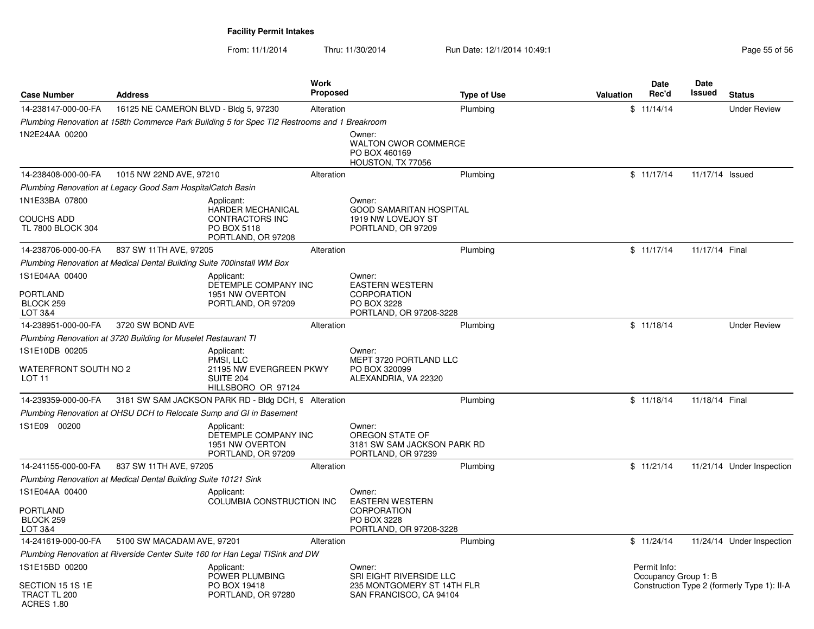From: 11/1/2014

| <b>Case Number</b>                                           | <b>Address</b>                                                         |                                                                                              | <b>Work</b><br>Proposed |                                                                                | <b>Type of Use</b> | Valuation | Date<br>Rec'd                        | <b>Date</b><br>Issued | <b>Status</b>                               |
|--------------------------------------------------------------|------------------------------------------------------------------------|----------------------------------------------------------------------------------------------|-------------------------|--------------------------------------------------------------------------------|--------------------|-----------|--------------------------------------|-----------------------|---------------------------------------------|
| 14-238147-000-00-FA                                          | 16125 NE CAMERON BLVD - Bldg 5, 97230                                  |                                                                                              | Alteration              |                                                                                | Plumbing           |           | \$11/14/14                           |                       | <b>Under Review</b>                         |
|                                                              |                                                                        | Plumbing Renovation at 158th Commerce Park Building 5 for Spec TI2 Restrooms and 1 Breakroom |                         |                                                                                |                    |           |                                      |                       |                                             |
| 1N2E24AA 00200                                               |                                                                        |                                                                                              |                         | Owner:<br><b>WALTON CWOR COMMERCE</b><br>PO BOX 460169<br>HOUSTON, TX 77056    |                    |           |                                      |                       |                                             |
| 14-238408-000-00-FA                                          | 1015 NW 22ND AVE, 97210                                                |                                                                                              | Alteration              |                                                                                | Plumbing           |           | \$11/17/14                           | 11/17/14 Issued       |                                             |
|                                                              | Plumbing Renovation at Legacy Good Sam HospitalCatch Basin             |                                                                                              |                         |                                                                                |                    |           |                                      |                       |                                             |
| 1N1E33BA 07800                                               |                                                                        | Applicant:                                                                                   |                         | Owner:                                                                         |                    |           |                                      |                       |                                             |
| <b>COUCHS ADD</b><br>TL 7800 BLOCK 304                       |                                                                        | <b>HARDER MECHANICAL</b><br>CONTRACTORS INC<br>PO BOX 5118<br>PORTLAND, OR 97208             |                         | <b>GOOD SAMARITAN HOSPITAL</b><br>1919 NW LOVEJOY ST<br>PORTLAND, OR 97209     |                    |           |                                      |                       |                                             |
| 14-238706-000-00-FA                                          | 837 SW 11TH AVE, 97205                                                 |                                                                                              | Alteration              |                                                                                | Plumbing           |           | \$11/17/14                           | 11/17/14 Final        |                                             |
|                                                              | Plumbing Renovation at Medical Dental Building Suite 700install WM Box |                                                                                              |                         |                                                                                |                    |           |                                      |                       |                                             |
| 1S1E04AA 00400                                               |                                                                        | Applicant:<br>DETEMPLE COMPANY INC                                                           |                         | Owner:<br><b>EASTERN WESTERN</b>                                               |                    |           |                                      |                       |                                             |
| PORTLAND<br>BLOCK 259<br><b>LOT 3&amp;4</b>                  |                                                                        | 1951 NW OVERTON<br>PORTLAND, OR 97209                                                        |                         | <b>CORPORATION</b><br>PO BOX 3228<br>PORTLAND, OR 97208-3228                   |                    |           |                                      |                       |                                             |
| 14-238951-000-00-FA                                          | 3720 SW BOND AVE                                                       |                                                                                              | Alteration              |                                                                                | Plumbing           |           | \$11/18/14                           |                       | <b>Under Review</b>                         |
|                                                              | Plumbing Renovation at 3720 Building for Muselet Restaurant TI         |                                                                                              |                         |                                                                                |                    |           |                                      |                       |                                             |
| 1S1E10DB 00205<br>WATERFRONT SOUTH NO 2<br>LOT <sub>11</sub> |                                                                        | Applicant:<br>PMSI, LLC<br>21195 NW EVERGREEN PKWY<br>SUITE 204<br>HILLSBORO OR 97124        |                         | Owner:<br>MEPT 3720 PORTLAND LLC<br>PO BOX 320099<br>ALEXANDRIA, VA 22320      |                    |           |                                      |                       |                                             |
| 14-239359-000-00-FA                                          |                                                                        | 3181 SW SAM JACKSON PARK RD - Bldg DCH, 9 Alteration                                         |                         |                                                                                | Plumbing           |           | \$11/18/14                           | 11/18/14 Final        |                                             |
|                                                              |                                                                        | Plumbing Renovation at OHSU DCH to Relocate Sump and GI in Basement                          |                         |                                                                                |                    |           |                                      |                       |                                             |
| 1S1E09 00200                                                 |                                                                        | Applicant:<br>DETEMPLE COMPANY INC<br>1951 NW OVERTON<br>PORTLAND, OR 97209                  |                         | Owner:<br>OREGON STATE OF<br>3181 SW SAM JACKSON PARK RD<br>PORTLAND, OR 97239 |                    |           |                                      |                       |                                             |
| 14-241155-000-00-FA                                          | 837 SW 11TH AVE, 97205                                                 |                                                                                              | Alteration              |                                                                                | Plumbing           |           | \$11/21/14                           |                       | 11/21/14 Under Inspection                   |
|                                                              | Plumbing Renovation at Medical Dental Building Suite 10121 Sink        |                                                                                              |                         |                                                                                |                    |           |                                      |                       |                                             |
| 1S1E04AA 00400                                               |                                                                        | Applicant:<br>COLUMBIA CONSTRUCTION INC                                                      |                         | Owner:<br><b>EASTERN WESTERN</b>                                               |                    |           |                                      |                       |                                             |
| <b>PORTLAND</b><br>BLOCK 259<br>LOT 3&4                      |                                                                        |                                                                                              |                         | <b>CORPORATION</b><br>PO BOX 3228<br>PORTLAND, OR 97208-3228                   |                    |           |                                      |                       |                                             |
| 14-241619-000-00-FA                                          | 5100 SW MACADAM AVE, 97201                                             |                                                                                              | Alteration              |                                                                                | Plumbing           |           | \$11/24/14                           |                       | 11/24/14 Under Inspection                   |
|                                                              |                                                                        | Plumbing Renovation at Riverside Center Suite 160 for Han Legal TISink and DW                |                         |                                                                                |                    |           |                                      |                       |                                             |
| 1S1E15BD 00200                                               |                                                                        | Applicant:<br>POWER PLUMBING                                                                 |                         | Owner:<br>SRI EIGHT RIVERSIDE LLC                                              |                    |           | Permit Info:<br>Occupancy Group 1: B |                       |                                             |
| SECTION 15 1S 1E<br>TRACT TL 200<br><b>ACRES 1.80</b>        |                                                                        | PO BOX 19418<br>PORTLAND, OR 97280                                                           |                         | 235 MONTGOMERY ST 14TH FLR<br>SAN FRANCISCO, CA 94104                          |                    |           |                                      |                       | Construction Type 2 (formerly Type 1): II-A |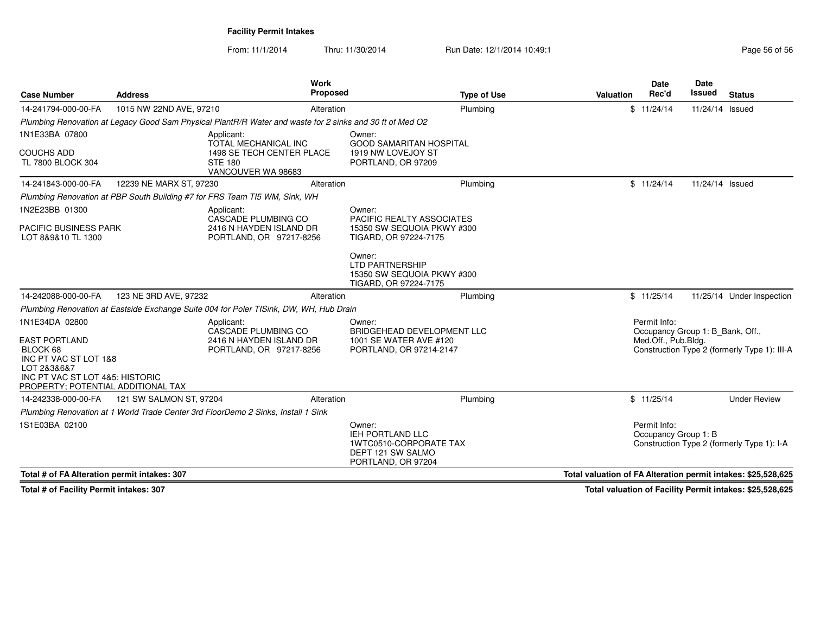From: 11/1/2014Thru: 11/30/2014 Run Date: 12/1/2014 10:49:1 Research 2010 12:49:1

| <b>Case Number</b>                                                                                                        | <b>Address</b>          | <b>Work</b><br><b>Proposed</b>                                                                           | <b>Type of Use</b>                                                                                     | <b>Valuation</b>                                              | <b>Date</b><br>Rec'd                                    | <b>Date</b><br>Issued | <b>Status</b>                                |
|---------------------------------------------------------------------------------------------------------------------------|-------------------------|----------------------------------------------------------------------------------------------------------|--------------------------------------------------------------------------------------------------------|---------------------------------------------------------------|---------------------------------------------------------|-----------------------|----------------------------------------------|
| 14-241794-000-00-FA                                                                                                       | 1015 NW 22ND AVE, 97210 | Alteration                                                                                               | Plumbing                                                                                               |                                                               | \$11/24/14                                              | 11/24/14 Issued       |                                              |
|                                                                                                                           |                         | Plumbing Renovation at Legacy Good Sam Physical PlantR/R Water and waste for 2 sinks and 30 ft of Med O2 |                                                                                                        |                                                               |                                                         |                       |                                              |
| 1N1E33BA 07800                                                                                                            |                         | Applicant:<br><b>TOTAL MECHANICAL INC</b>                                                                | Owner:<br><b>GOOD SAMARITAN HOSPITAL</b>                                                               |                                                               |                                                         |                       |                                              |
| <b>COUCHS ADD</b><br>TL 7800 BLOCK 304                                                                                    |                         | 1498 SE TECH CENTER PLACE<br><b>STE 180</b><br>VANCOUVER WA 98683                                        | 1919 NW LOVEJOY ST<br>PORTLAND, OR 97209                                                               |                                                               |                                                         |                       |                                              |
| 14-241843-000-00-FA                                                                                                       | 12239 NE MARX ST, 97230 | Alteration                                                                                               | Plumbing                                                                                               |                                                               | \$11/24/14                                              | 11/24/14 Issued       |                                              |
|                                                                                                                           |                         | Plumbing Renovation at PBP South Building #7 for FRS Team TI5 WM, Sink, WH                               |                                                                                                        |                                                               |                                                         |                       |                                              |
| 1N2E23BB 01300                                                                                                            |                         | Applicant:                                                                                               | Owner:                                                                                                 |                                                               |                                                         |                       |                                              |
| <b>PACIFIC BUSINESS PARK</b><br>LOT 8&9&10 TL 1300                                                                        |                         | CASCADE PLUMBING CO<br>2416 N HAYDEN ISLAND DR<br>PORTLAND, OR 97217-8256                                | PACIFIC REALTY ASSOCIATES<br>15350 SW SEQUOIA PKWY #300<br>TIGARD, OR 97224-7175                       |                                                               |                                                         |                       |                                              |
|                                                                                                                           |                         |                                                                                                          | Owner:<br><b>LTD PARTNERSHIP</b><br>15350 SW SEQUOIA PKWY #300<br>TIGARD, OR 97224-7175                |                                                               |                                                         |                       |                                              |
| 14-242088-000-00-FA                                                                                                       | 123 NE 3RD AVE, 97232   | Alteration                                                                                               | Plumbing                                                                                               |                                                               | \$11/25/14                                              |                       | 11/25/14 Under Inspection                    |
|                                                                                                                           |                         | Plumbing Renovation at Eastside Exchange Suite 004 for Poler TISink, DW, WH, Hub Drain                   |                                                                                                        |                                                               |                                                         |                       |                                              |
| 1N1E34DA 02800                                                                                                            |                         | Applicant:                                                                                               | Owner:                                                                                                 |                                                               | Permit Info:                                            |                       |                                              |
| <b>EAST PORTLAND</b>                                                                                                      |                         | CASCADE PLUMBING CO<br>2416 N HAYDEN ISLAND DR                                                           | BRIDGEHEAD DEVELOPMENT LLC<br>1001 SE WATER AVE #120                                                   |                                                               | Occupancy Group 1: B Bank, Off.,<br>Med.Off., Pub.Bldg. |                       |                                              |
| BLOCK 68<br>INC PT VAC ST LOT 1&8<br>LOT 2&3&6&7<br>INC PT VAC ST LOT 4&5; HISTORIC<br>PROPERTY: POTENTIAL ADDITIONAL TAX |                         | PORTLAND, OR 97217-8256                                                                                  | PORTLAND, OR 97214-2147                                                                                |                                                               |                                                         |                       | Construction Type 2 (formerly Type 1): III-A |
| 14-242338-000-00-FA                                                                                                       | 121 SW SALMON ST, 97204 | Alteration                                                                                               | Plumbing                                                                                               |                                                               | \$11/25/14                                              |                       | <b>Under Review</b>                          |
|                                                                                                                           |                         | Plumbing Renovation at 1 World Trade Center 3rd FloorDemo 2 Sinks, Install 1 Sink                        |                                                                                                        |                                                               |                                                         |                       |                                              |
| 1S1E03BA 02100                                                                                                            |                         |                                                                                                          | Owner:<br><b>IEH PORTLAND LLC</b><br>1WTC0510-CORPORATE TAX<br>DEPT 121 SW SALMO<br>PORTLAND, OR 97204 |                                                               | Permit Info:<br>Occupancy Group 1: B                    |                       | Construction Type 2 (formerly Type 1): I-A   |
| Total # of FA Alteration permit intakes: 307                                                                              |                         |                                                                                                          |                                                                                                        | Total valuation of FA Alteration permit intakes: \$25,528,625 |                                                         |                       |                                              |

**Total # of Facility Permit intakes: 307**

**Total valuation of Facility Permit intakes: \$25,528,625**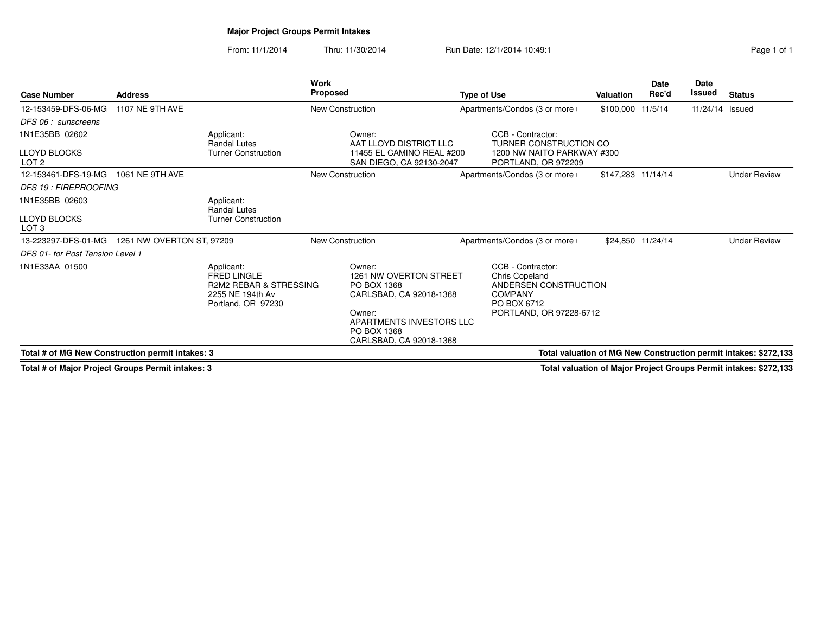# **Major Project Groups Permit Intakes**

From: 11/1/2014Thru: 11/30/2014 Run Date: 12/1/2014 10:49:1 Run Date: 12/1/2014 10:49:1

| <b>Case Number</b>                               | <b>Address</b>            |                                                                                                                 | Work<br><b>Proposed</b> |                                                                                                                                                            | <b>Type of Use</b> |                                                                                                                                 | Valuation          | <b>Date</b><br>Rec'd | <b>Date</b><br>Issued | <b>Status</b>                                                    |
|--------------------------------------------------|---------------------------|-----------------------------------------------------------------------------------------------------------------|-------------------------|------------------------------------------------------------------------------------------------------------------------------------------------------------|--------------------|---------------------------------------------------------------------------------------------------------------------------------|--------------------|----------------------|-----------------------|------------------------------------------------------------------|
| 12-153459-DFS-06-MG                              | <b>1107 NE 9TH AVE</b>    |                                                                                                                 | New Construction        |                                                                                                                                                            |                    | Apartments/Condos (3 or more i                                                                                                  | \$100,000          | 11/5/14              | 11/24/14 Issued       |                                                                  |
| DFS 06 : sunscreens                              |                           |                                                                                                                 |                         |                                                                                                                                                            |                    |                                                                                                                                 |                    |                      |                       |                                                                  |
| 1N1E35BB 02602                                   |                           | Applicant:<br>Randal Lutes                                                                                      |                         | Owner:<br>AAT LLOYD DISTRICT LLC                                                                                                                           |                    | CCB - Contractor:<br>TURNER CONSTRUCTION CO                                                                                     |                    |                      |                       |                                                                  |
| <b>LLOYD BLOCKS</b><br>LOT <sub>2</sub>          |                           | <b>Turner Construction</b>                                                                                      |                         | 11455 EL CAMINO REAL #200<br>SAN DIEGO, CA 92130-2047                                                                                                      |                    | 1200 NW NAITO PARKWAY #300<br>PORTLAND, OR 972209                                                                               |                    |                      |                       |                                                                  |
| 12-153461-DFS-19-MG                              | 1061 NE 9TH AVE           |                                                                                                                 | New Construction        |                                                                                                                                                            |                    | Apartments/Condos (3 or more i                                                                                                  | \$147,283 11/14/14 |                      |                       | <b>Under Review</b>                                              |
| <b>DFS 19 : FIREPROOFING</b>                     |                           |                                                                                                                 |                         |                                                                                                                                                            |                    |                                                                                                                                 |                    |                      |                       |                                                                  |
| 1N1E35BB 02603                                   |                           | Applicant:<br>Randal Lutes                                                                                      |                         |                                                                                                                                                            |                    |                                                                                                                                 |                    |                      |                       |                                                                  |
| <b>LLOYD BLOCKS</b><br>LOT <sub>3</sub>          |                           | <b>Turner Construction</b>                                                                                      |                         |                                                                                                                                                            |                    |                                                                                                                                 |                    |                      |                       |                                                                  |
| 13-223297-DFS-01-MG                              | 1261 NW OVERTON ST, 97209 |                                                                                                                 | <b>New Construction</b> |                                                                                                                                                            |                    | Apartments/Condos (3 or more i                                                                                                  |                    | \$24,850 11/24/14    |                       | <b>Under Review</b>                                              |
| DFS 01- for Post Tension Level 1                 |                           |                                                                                                                 |                         |                                                                                                                                                            |                    |                                                                                                                                 |                    |                      |                       |                                                                  |
| 1N1E33AA 01500                                   |                           | Applicant:<br><b>FRED LINGLE</b><br><b>R2M2 REBAR &amp; STRESSING</b><br>2255 NE 194th Av<br>Portland, OR 97230 |                         | Owner:<br>1261 NW OVERTON STREET<br>PO BOX 1368<br>CARLSBAD, CA 92018-1368<br>Owner:<br>APARTMENTS INVESTORS LLC<br>PO BOX 1368<br>CARLSBAD, CA 92018-1368 |                    | CCB - Contractor:<br><b>Chris Copeland</b><br>ANDERSEN CONSTRUCTION<br><b>COMPANY</b><br>PO BOX 6712<br>PORTLAND, OR 97228-6712 |                    |                      |                       |                                                                  |
| Total # of MG New Construction permit intakes: 3 |                           |                                                                                                                 |                         |                                                                                                                                                            |                    |                                                                                                                                 |                    |                      |                       | Total valuation of MG New Construction permit intakes: \$272,133 |

**Total # of Major Project Groups Permit intakes: 3**

**Total valuation of Major Project Groups Permit intakes: \$272,133**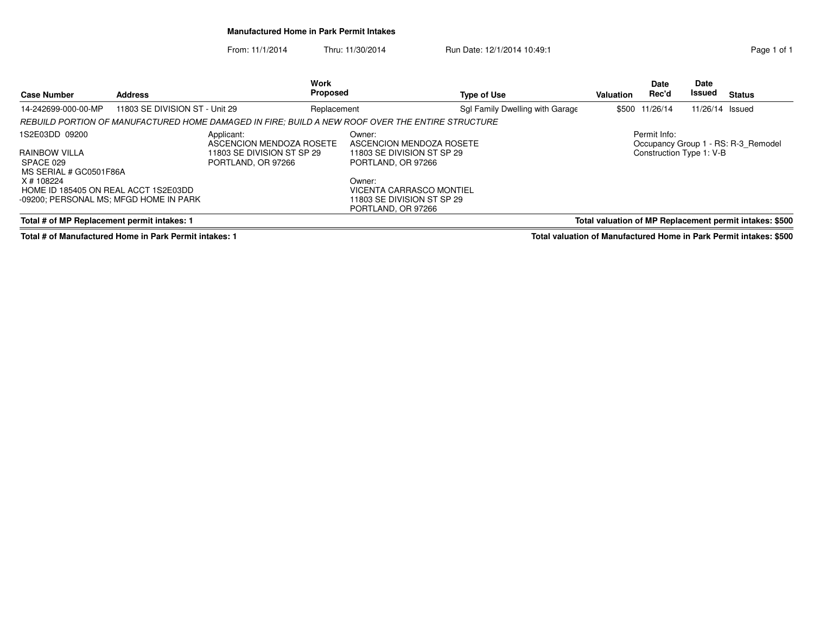### **Manufactured Home in Park Permit Intakes**

From: 11/1/2014Thru: 11/30/2014 Run Date: 12/1/2014 10:49:1

| Page 1 of 1 |  |  |
|-------------|--|--|

| <b>Case Number</b>                                                                                       | <b>Address</b>                 | Work<br><b>Proposed</b>                                                                          |                                                                                        | <b>Type of Use</b>              | <b>Valuation</b> | <b>Date</b><br>Rec'd | <b>Date</b><br>Issued | <b>Status</b>                                           |
|----------------------------------------------------------------------------------------------------------|--------------------------------|--------------------------------------------------------------------------------------------------|----------------------------------------------------------------------------------------|---------------------------------|------------------|----------------------|-----------------------|---------------------------------------------------------|
| 14-242699-000-00-MP                                                                                      | 11803 SE DIVISION ST - Unit 29 | Replacement                                                                                      |                                                                                        | Sgl Family Dwelling with Garage |                  | \$500 11/26/14       | 11/26/14 Issued       |                                                         |
|                                                                                                          |                                | REBUILD PORTION OF MANUFACTURED HOME DAMAGED IN FIRE; BUILD A NEW ROOF OVER THE ENTIRE STRUCTURE |                                                                                        |                                 |                  |                      |                       |                                                         |
| 1S2E03DD 09200<br>Applicant:                                                                             |                                | ASCENCION MENDOZA ROSETE                                                                         | Owner:<br>ASCENCION MENDOZA ROSETE                                                     |                                 |                  | Permit Info:         |                       | Occupancy Group 1 - RS: R-3 Remodel                     |
| RAINBOW VILLA<br>11803 SE DIVISION ST SP 29<br>SPACE 029<br>PORTLAND, OR 97266<br>MS SERIAL # GC0501F86A |                                | 11803 SE DIVISION ST SP 29<br>PORTLAND, OR 97266                                                 |                                                                                        | Construction Type 1: V-B        |                  |                      |                       |                                                         |
| X # 108224<br>HOME ID 185405 ON REAL ACCT 1S2E03DD<br>-09200; PERSONAL MS; MFGD HOME IN PARK             |                                |                                                                                                  | Owner:<br>VICENTA CARRASCO MONTIEL<br>11803 SE DIVISION ST SP 29<br>PORTLAND, OR 97266 |                                 |                  |                      |                       |                                                         |
| Total # of MP Replacement permit intakes: 1                                                              |                                |                                                                                                  |                                                                                        |                                 |                  |                      |                       | Total valuation of MP Replacement permit intakes: \$500 |

**Total # of Manufactured Home in Park Permit intakes: 1**

**Total valuation of Manufactured Home in Park Permit intakes: \$500**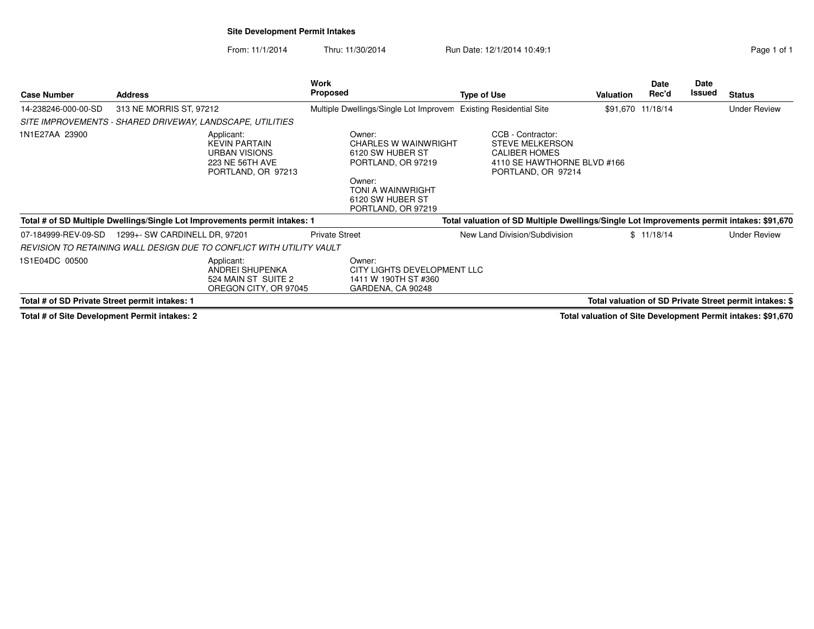### **Site Development Permit Intakes**

From: 11/1/2014Thru: 11/30/2014 Run Date: 12/1/2014 10:49:1 Run Date: 12/1/2014 10:49:1

| <b>Case Number</b>                             | <b>Address</b>                                                                                      | Work<br><b>Proposed</b>                                                                                                                                  | <b>Type of Use</b>                                                                                                       | <b>Valuation</b> | <b>Date</b><br>Rec'd | Date<br>Issued | <b>Status</b>                                                |
|------------------------------------------------|-----------------------------------------------------------------------------------------------------|----------------------------------------------------------------------------------------------------------------------------------------------------------|--------------------------------------------------------------------------------------------------------------------------|------------------|----------------------|----------------|--------------------------------------------------------------|
| 14-238246-000-00-SD                            | 313 NE MORRIS ST, 97212                                                                             | Multiple Dwellings/Single Lot Improvem                                                                                                                   | <b>Existing Residential Site</b>                                                                                         |                  | \$91,670 11/18/14    |                | <b>Under Review</b>                                          |
|                                                | SITE IMPROVEMENTS - SHARED DRIVEWAY, LANDSCAPE, UTILITIES                                           |                                                                                                                                                          |                                                                                                                          |                  |                      |                |                                                              |
| 1N1E27AA 23900                                 | Applicant:<br><b>KEVIN PARTAIN</b><br><b>URBAN VISIONS</b><br>223 NE 56TH AVE<br>PORTLAND, OR 97213 | Owner:<br><b>CHARLES W WAINWRIGHT</b><br>6120 SW HUBER ST<br>PORTLAND, OR 97219<br>Owner:<br>TONI A WAINWRIGHT<br>6120 SW HUBER ST<br>PORTLAND, OR 97219 | CCB - Contractor:<br><b>STEVE MELKERSON</b><br><b>CALIBER HOMES</b><br>4110 SE HAWTHORNE BLVD #166<br>PORTLAND, OR 97214 |                  |                      |                |                                                              |
|                                                | Total # of SD Multiple Dwellings/Single Lot Improvements permit intakes: 1                          |                                                                                                                                                          | Total valuation of SD Multiple Dwellings/Single Lot Improvements permit intakes: \$91,670                                |                  |                      |                |                                                              |
| 07-184999-REV-09-SD                            | 1299+- SW CARDINELL DR, 97201                                                                       | <b>Private Street</b>                                                                                                                                    | New Land Division/Subdivision                                                                                            |                  | \$11/18/14           |                | <b>Under Review</b>                                          |
|                                                | REVISION TO RETAINING WALL DESIGN DUE TO CONFLICT WITH UTILITY VAULT                                |                                                                                                                                                          |                                                                                                                          |                  |                      |                |                                                              |
| 1S1E04DC 00500                                 | Applicant:<br>ANDREI SHUPENKA<br>524 MAIN ST SUITE 2<br>OREGON CITY, OR 97045                       | Owner:<br>CITY LIGHTS DEVELOPMENT LLC<br>1411 W 190TH ST #360<br>GARDENA, CA 90248                                                                       |                                                                                                                          |                  |                      |                |                                                              |
| Total # of SD Private Street permit intakes: 1 |                                                                                                     |                                                                                                                                                          |                                                                                                                          |                  |                      |                | Total valuation of SD Private Street permit intakes: \$      |
| Total # of Site Development Permit intakes: 2  |                                                                                                     |                                                                                                                                                          |                                                                                                                          |                  |                      |                | Total valuation of Sito Dovolopment Permit intakes: \$01,670 |

**Total # of Site Development Permit intakes: 2**

**Total valuation of Site Development Permit intakes: \$91,670**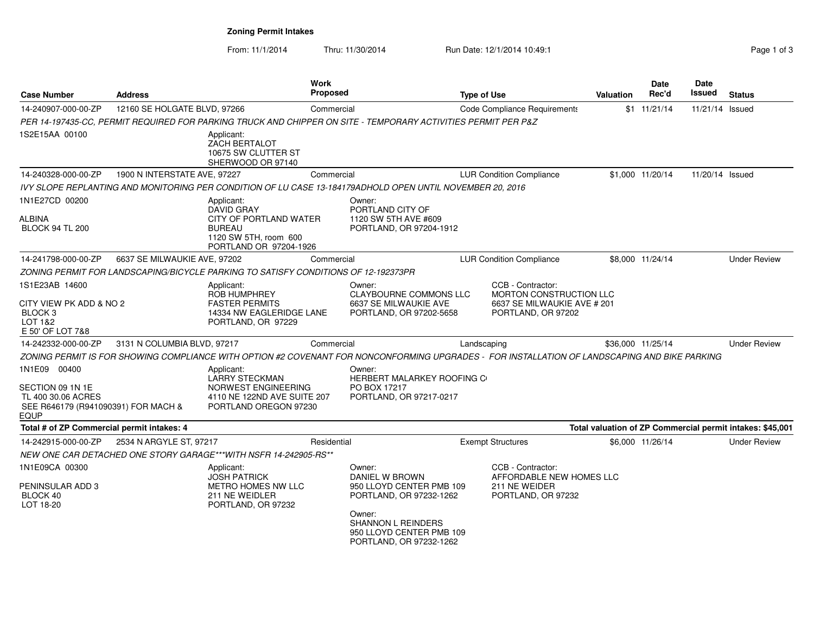**Zoning Permit Intakes**

From: 11/1/2014

Thru: 11/30/2014 Run Date: 12/1/2014 10:49:1 Rege 1 of 3

| <b>Case Number</b>                                                                                    | <b>Address</b>               |                                                                                                                               | <b>Work</b><br><b>Proposed</b> |                                                                                                                                                                               | <b>Type of Use</b> |                                                                                                          | <b>Valuation</b> | Date<br>Rec'd     | Date<br>Issued  | <b>Status</b>                                             |
|-------------------------------------------------------------------------------------------------------|------------------------------|-------------------------------------------------------------------------------------------------------------------------------|--------------------------------|-------------------------------------------------------------------------------------------------------------------------------------------------------------------------------|--------------------|----------------------------------------------------------------------------------------------------------|------------------|-------------------|-----------------|-----------------------------------------------------------|
| 14-240907-000-00-ZP                                                                                   | 12160 SE HOLGATE BLVD, 97266 |                                                                                                                               | Commercial                     |                                                                                                                                                                               |                    | Code Compliance Requirements                                                                             |                  | $$1 \t11/21/14$   | 11/21/14 Issued |                                                           |
|                                                                                                       |                              |                                                                                                                               |                                | PER 14-197435-CC, PERMIT REQUIRED FOR PARKING TRUCK AND CHIPPER ON SITE - TEMPORARY ACTIVITIES PERMIT PER P&Z                                                                 |                    |                                                                                                          |                  |                   |                 |                                                           |
| 1S2E15AA 00100                                                                                        |                              | Applicant:<br><b>ZACH BERTALOT</b><br>10675 SW CLUTTER ST<br>SHERWOOD OR 97140                                                |                                |                                                                                                                                                                               |                    |                                                                                                          |                  |                   |                 |                                                           |
| 14-240328-000-00-ZP                                                                                   | 1900 N INTERSTATE AVE, 97227 |                                                                                                                               | Commercial                     |                                                                                                                                                                               |                    | <b>LUR Condition Compliance</b>                                                                          |                  | \$1,000 11/20/14  | 11/20/14 Issued |                                                           |
|                                                                                                       |                              |                                                                                                                               |                                | IVY SLOPE REPLANTING AND MONITORING PER CONDITION OF LU CASE 13-184179ADHOLD OPEN UNTIL NOVEMBER 20, 2016                                                                     |                    |                                                                                                          |                  |                   |                 |                                                           |
| 1N1E27CD 00200<br>ALBINA<br><b>BLOCK 94 TL 200</b>                                                    |                              | Applicant:<br><b>DAVID GRAY</b><br>CITY OF PORTLAND WATER<br><b>BUREAU</b><br>1120 SW 5TH, room 600<br>PORTLAND OR 97204-1926 |                                | Owner:<br>PORTLAND CITY OF<br>1120 SW 5TH AVE #609<br>PORTLAND, OR 97204-1912                                                                                                 |                    |                                                                                                          |                  |                   |                 |                                                           |
| 14-241798-000-00-ZP                                                                                   | 6637 SE MILWAUKIE AVE, 97202 |                                                                                                                               | Commercial                     |                                                                                                                                                                               |                    | <b>LUR Condition Compliance</b>                                                                          |                  | \$8,000 11/24/14  |                 | <b>Under Review</b>                                       |
|                                                                                                       |                              | ZONING PERMIT FOR LANDSCAPING/BICYCLE PARKING TO SATISFY CONDITIONS OF 12-192373PR                                            |                                |                                                                                                                                                                               |                    |                                                                                                          |                  |                   |                 |                                                           |
| 1S1E23AB 14600<br>CITY VIEW PK ADD & NO 2<br>BLOCK 3<br>LOT 1&2<br>E 50' OF LOT 7&8                   |                              | Applicant:<br><b>ROB HUMPHREY</b><br><b>FASTER PERMITS</b><br>14334 NW EAGLERIDGE LANE<br>PORTLAND, OR 97229                  |                                | Owner:<br><b>CLAYBOURNE COMMONS LLC</b><br>6637 SE MILWAUKIE AVE<br>PORTLAND, OR 97202-5658                                                                                   |                    | CCB - Contractor:<br><b>MORTON CONSTRUCTION LLC</b><br>6637 SE MILWAUKIE AVE # 201<br>PORTLAND, OR 97202 |                  |                   |                 |                                                           |
| 14-242332-000-00-ZP                                                                                   | 3131 N COLUMBIA BLVD, 97217  |                                                                                                                               | Commercial                     |                                                                                                                                                                               | Landscaping        |                                                                                                          |                  | \$36,000 11/25/14 |                 | <b>Under Review</b>                                       |
|                                                                                                       |                              |                                                                                                                               |                                | ZONING PERMIT IS FOR SHOWING COMPLIANCE WITH OPTION #2 COVENANT FOR NONCONFORMING UPGRADES - FOR INSTALLATION OF LANDSCAPING AND BIKE PARKING                                 |                    |                                                                                                          |                  |                   |                 |                                                           |
| 1N1E09 00400<br>SECTION 09 1N 1E<br>TL 400 30.06 ACRES<br>SEE R646179 (R941090391) FOR MACH &<br>EQUP |                              | Applicant:<br><b>LARRY STECKMAN</b><br>NORWEST ENGINEERING<br>4110 NE 122ND AVE SUITE 207<br>PORTLAND OREGON 97230            |                                | Owner:<br>HERBERT MALARKEY ROOFING C<br>PO BOX 17217<br>PORTLAND, OR 97217-0217                                                                                               |                    |                                                                                                          |                  |                   |                 |                                                           |
| Total # of ZP Commercial permit intakes: 4                                                            |                              |                                                                                                                               |                                |                                                                                                                                                                               |                    |                                                                                                          |                  |                   |                 | Total valuation of ZP Commercial permit intakes: \$45,001 |
| 14-242915-000-00-ZP                                                                                   | 2534 N ARGYLE ST, 97217      |                                                                                                                               | Residential                    |                                                                                                                                                                               |                    | <b>Exempt Structures</b>                                                                                 |                  | \$6,000 11/26/14  |                 | <b>Under Review</b>                                       |
|                                                                                                       |                              | NEW ONE CAR DETACHED ONE STORY GARAGE***WITH NSFR 14-242905-RS**                                                              |                                |                                                                                                                                                                               |                    |                                                                                                          |                  |                   |                 |                                                           |
| 1N1E09CA 00300<br>PENINSULAR ADD 3<br>BLOCK 40<br>LOT 18-20                                           |                              | Applicant:<br><b>JOSH PATRICK</b><br><b>METRO HOMES NW LLC</b><br>211 NE WEIDLER<br>PORTLAND, OR 97232                        |                                | Owner:<br>DANIEL W BROWN<br>950 LLOYD CENTER PMB 109<br>PORTLAND, OR 97232-1262<br>Owner:<br><b>SHANNON L REINDERS</b><br>950 LLOYD CENTER PMB 109<br>PORTLAND, OR 97232-1262 |                    | CCB - Contractor:<br>AFFORDABLE NEW HOMES LLC<br>211 NE WEIDER<br>PORTLAND, OR 97232                     |                  |                   |                 |                                                           |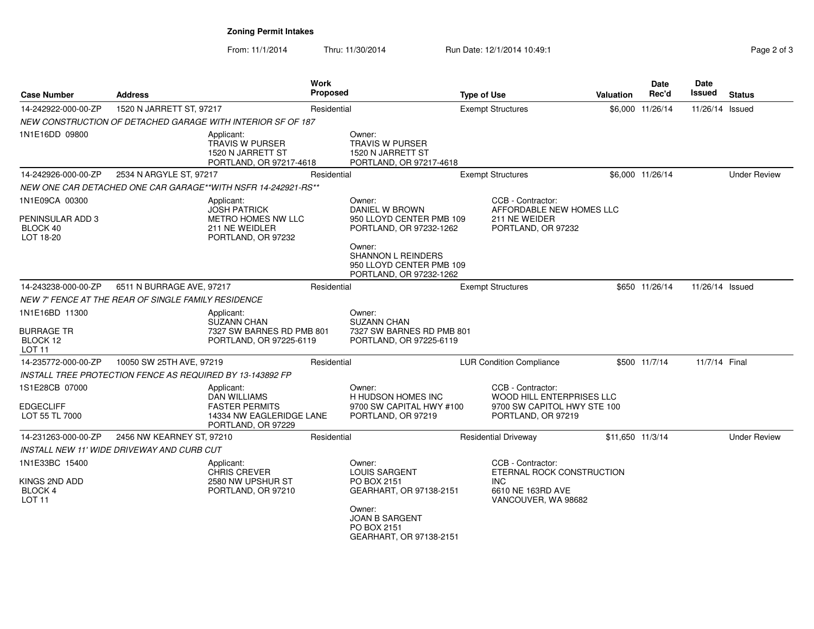### **Zoning Permit Intakes**

From: 11/1/2014Thru: 11/30/2014 Run Date: 12/1/2014 10:49:17 Page 2 of 3

| Page 2 of 3 |  |  |
|-------------|--|--|
|-------------|--|--|

| <b>Case Number</b><br><b>Address</b>                                 |                                                           | <b>Work</b><br>Proposed                                                                  |             | <b>Type of Use</b>                                                                         |                          | <b>Valuation</b>                                                                                         | Date<br>Rec'd    | Date<br>Issued   | <b>Status</b>   |                     |
|----------------------------------------------------------------------|-----------------------------------------------------------|------------------------------------------------------------------------------------------|-------------|--------------------------------------------------------------------------------------------|--------------------------|----------------------------------------------------------------------------------------------------------|------------------|------------------|-----------------|---------------------|
| 14-242922-000-00-ZP                                                  | 1520 N JARRETT ST, 97217                                  |                                                                                          | Residential |                                                                                            | <b>Exempt Structures</b> |                                                                                                          |                  | \$6,000 11/26/14 | 11/26/14 Issued |                     |
|                                                                      |                                                           | NEW CONSTRUCTION OF DETACHED GARAGE WITH INTERIOR SF OF 187                              |             |                                                                                            |                          |                                                                                                          |                  |                  |                 |                     |
| 1N1E16DD 09800                                                       |                                                           | Applicant:<br><b>TRAVIS W PURSER</b><br>1520 N JARRETT ST<br>PORTLAND, OR 97217-4618     |             | Owner:<br><b>TRAVIS W PURSER</b><br>1520 N JARRETT ST<br>PORTLAND, OR 97217-4618           |                          |                                                                                                          |                  |                  |                 |                     |
| 14-242926-000-00-ZP                                                  | 2534 N ARGYLE ST, 97217                                   |                                                                                          | Residential |                                                                                            |                          | <b>Exempt Structures</b>                                                                                 |                  | \$6,000 11/26/14 |                 | <b>Under Review</b> |
|                                                                      |                                                           | NEW ONE CAR DETACHED ONE CAR GARAGE**WITH NSFR 14-242921-RS**                            |             |                                                                                            |                          |                                                                                                          |                  |                  |                 |                     |
| 1N1E09CA 00300                                                       |                                                           | Applicant:<br><b>JOSH PATRICK</b>                                                        |             | Owner:<br>DANIEL W BROWN                                                                   |                          | CCB - Contractor:<br>AFFORDABLE NEW HOMES LLC                                                            |                  |                  |                 |                     |
| PENINSULAR ADD 3<br>BLOCK 40<br>LOT 18-20                            |                                                           | METRO HOMES NW LLC<br>211 NE WEIDLER<br>PORTLAND, OR 97232                               |             | 950 LLOYD CENTER PMB 109<br>PORTLAND, OR 97232-1262                                        |                          | 211 NE WEIDER<br>PORTLAND, OR 97232                                                                      |                  |                  |                 |                     |
|                                                                      |                                                           |                                                                                          |             | Owner:<br><b>SHANNON L REINDERS</b><br>950 LLOYD CENTER PMB 109<br>PORTLAND, OR 97232-1262 |                          |                                                                                                          |                  |                  |                 |                     |
| 14-243238-000-00-ZP                                                  | 6511 N BURRAGE AVE, 97217                                 |                                                                                          | Residential |                                                                                            |                          | <b>Exempt Structures</b>                                                                                 |                  | \$650 11/26/14   | 11/26/14 Issued |                     |
|                                                                      | NEW 7' FENCE AT THE REAR OF SINGLE FAMILY RESIDENCE       |                                                                                          |             |                                                                                            |                          |                                                                                                          |                  |                  |                 |                     |
| 1N1E16BD 11300<br><b>BURRAGE TR</b><br>BLOCK 12<br>LOT <sub>11</sub> |                                                           | Applicant:<br><b>SUZANN CHAN</b><br>7327 SW BARNES RD PMB 801<br>PORTLAND, OR 97225-6119 |             | Owner:<br><b>SUZANN CHAN</b><br>7327 SW BARNES RD PMB 801<br>PORTLAND, OR 97225-6119       |                          |                                                                                                          |                  |                  |                 |                     |
| 14-235772-000-00-ZP                                                  | 10050 SW 25TH AVE, 97219                                  |                                                                                          | Residential |                                                                                            |                          | <b>LUR Condition Compliance</b>                                                                          |                  | \$500 11/7/14    | 11/7/14 Final   |                     |
|                                                                      | INSTALL TREE PROTECTION FENCE AS REQUIRED BY 13-143892 FP |                                                                                          |             |                                                                                            |                          |                                                                                                          |                  |                  |                 |                     |
| 1S1E28CB 07000                                                       |                                                           | Applicant:<br><b>DAN WILLIAMS</b>                                                        |             | Owner:<br>H HUDSON HOMES INC                                                               |                          | CCB - Contractor:<br>WOOD HILL ENTERPRISES LLC                                                           |                  |                  |                 |                     |
| <b>EDGECLIFF</b><br>LOT 55 TL 7000                                   |                                                           | <b>FASTER PERMITS</b><br>14334 NW EAGLERIDGE LANE<br>PORTLAND, OR 97229                  |             | 9700 SW CAPITAL HWY #100<br>PORTLAND, OR 97219                                             |                          | 9700 SW CAPITOL HWY STE 100<br>PORTLAND, OR 97219                                                        |                  |                  |                 |                     |
| 14-231263-000-00-ZP                                                  | 2456 NW KEARNEY ST, 97210                                 |                                                                                          | Residential |                                                                                            |                          | <b>Residential Driveway</b>                                                                              | \$11,650 11/3/14 |                  |                 | <b>Under Review</b> |
|                                                                      | INSTALL NEW 11' WIDE DRIVEWAY AND CURB CUT                |                                                                                          |             |                                                                                            |                          |                                                                                                          |                  |                  |                 |                     |
| 1N1E33BC 15400<br>KINGS 2ND ADD<br>BLOCK 4<br>LOT <sub>11</sub>      |                                                           | Applicant:<br><b>CHRIS CREVER</b><br>2580 NW UPSHUR ST<br>PORTLAND, OR 97210             |             | Owner:<br><b>LOUIS SARGENT</b><br>PO BOX 2151<br>GEARHART, OR 97138-2151                   |                          | CCB - Contractor:<br>ETERNAL ROCK CONSTRUCTION<br><b>INC</b><br>6610 NE 163RD AVE<br>VANCOUVER, WA 98682 |                  |                  |                 |                     |
|                                                                      |                                                           |                                                                                          |             | Owner:<br><b>JOAN B SARGENT</b><br>PO BOX 2151<br>GEARHART, OR 97138-2151                  |                          |                                                                                                          |                  |                  |                 |                     |